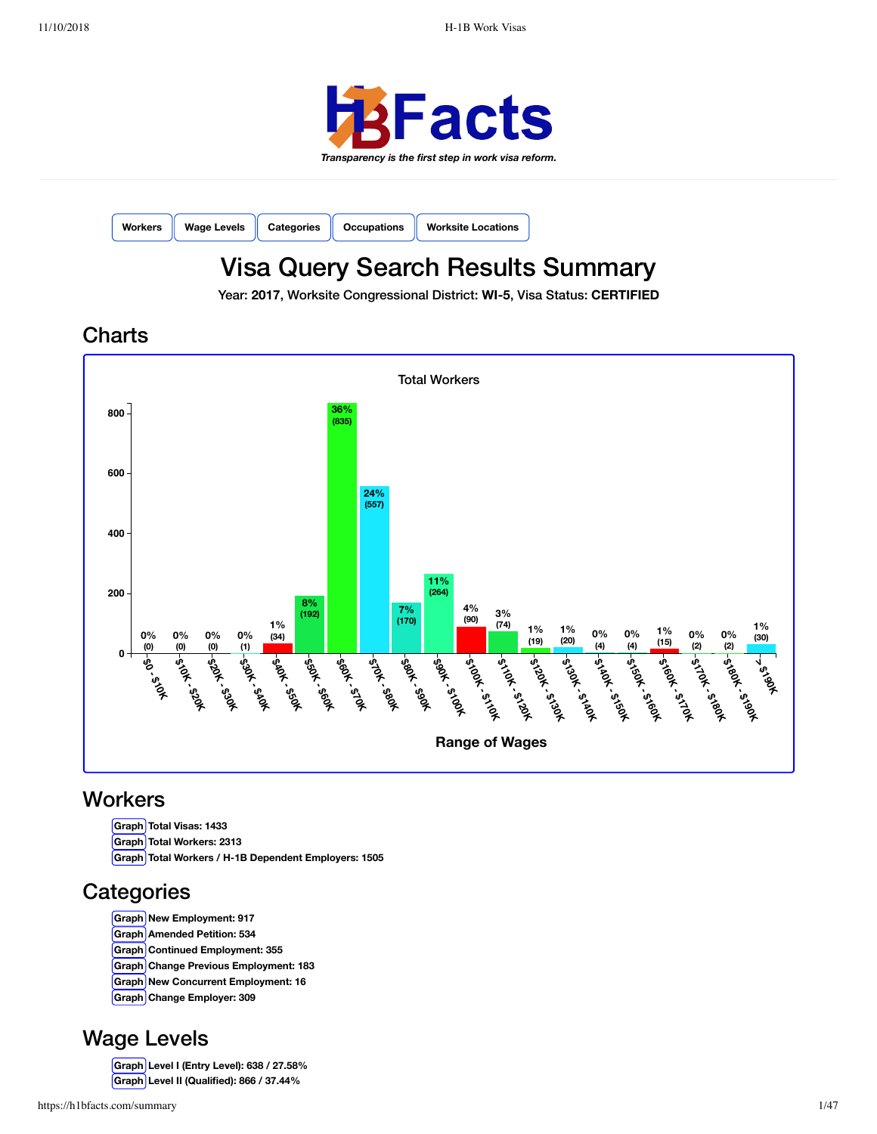

| Workers Wage Levels Categories Cocupations Worksite Locations |  |  |
|---------------------------------------------------------------|--|--|
|---------------------------------------------------------------|--|--|

# Visa Query Search Results Summary

Year: **2017**, Worksite Congressional District: **WI-5**, Visa Status: **CERTIFIED**

**Charts** 



## **Workers**

**Graph Total Visas: 1433 Graph Total Workers: 2313 Graph Total Workers / H-1B Dependent Employers: 1505**

# **Categories**

- **Graph New Employment: 917**
- **Graph Amended Petition: 534**
- **Graph Continued Employment: 355**
- **Graph Change Previous Employment: 183**
- **Graph New Concurrent Employment: 16**
- **Graph Change Employer: 309**

## Wage Levels

**Graph Level I (Entry Level): 638 / 27.58% Graph Level II (Qualified): 866 / 37.44%**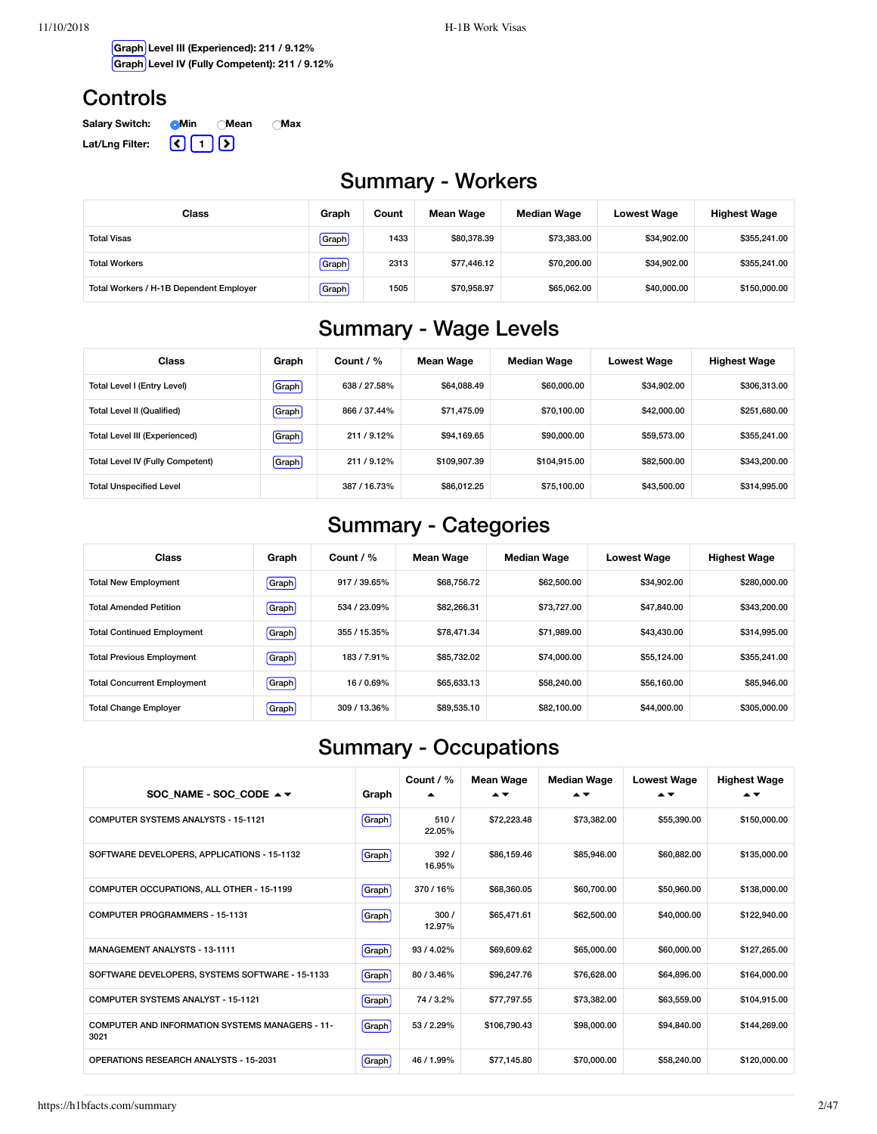**Graph Level III (Experienced): 211 / 9.12% Graph Level IV (Fully Competent): 211 / 9.12%**

## **Controls**

| <b>Salary Switch:</b> | <b>O</b> Min | ∩Mean | ∩Max |
|-----------------------|--------------|-------|------|
| Lat/Lng Filter:       | REER         |       |      |

# Summary - Workers

| Class                                   | Graph | Count | Mean Wage   | <b>Median Wage</b> | <b>Lowest Wage</b> | <b>Highest Wage</b> |
|-----------------------------------------|-------|-------|-------------|--------------------|--------------------|---------------------|
| <b>Total Visas</b>                      | Graph | 1433  | \$80,378,39 | \$73,383,00        | \$34.902.00        | \$355,241.00        |
| <b>Total Workers</b>                    | Graph | 2313  | \$77,446.12 | \$70,200,00        | \$34.902.00        | \$355,241.00        |
| Total Workers / H-1B Dependent Employer | Graph | 1505  | \$70.958.97 | \$65.062.00        | \$40,000,00        | \$150,000.00        |

# Summary - Wage Levels

| Class                             | Graph | Count $/$ %  | Mean Wage    | <b>Median Wage</b> | Lowest Wage | <b>Highest Wage</b> |
|-----------------------------------|-------|--------------|--------------|--------------------|-------------|---------------------|
| Total Level I (Entry Level)       | Graph | 638 / 27.58% | \$64.088.49  | \$60,000,00        | \$34,902.00 | \$306,313.00        |
| <b>Total Level II (Qualified)</b> | Graph | 866 / 37.44% | \$71,475.09  | \$70,100,00        | \$42,000.00 | \$251,680.00        |
| Total Level III (Experienced)     | Graph | 211/9.12%    | \$94.169.65  | \$90,000,00        | \$59,573.00 | \$355,241.00        |
| Total Level IV (Fully Competent)  | Graph | 211/9.12%    | \$109,907.39 | \$104.915.00       | \$82,500.00 | \$343,200.00        |
| <b>Total Unspecified Level</b>    |       | 387/16.73%   | \$86.012.25  | \$75.100.00        | \$43,500,00 | \$314,995.00        |

# Summary - Categories

| Class                              | Graph | Count / $%$  | Mean Wage   | <b>Median Wage</b> | <b>Lowest Wage</b> | <b>Highest Wage</b> |
|------------------------------------|-------|--------------|-------------|--------------------|--------------------|---------------------|
| <b>Total New Employment</b>        | Graph | 917 / 39.65% | \$68.756.72 | \$62,500.00        | \$34,902.00        | \$280,000,00        |
| <b>Total Amended Petition</b>      | Graph | 534 / 23.09% | \$82,266,31 | \$73,727.00        | \$47,840,00        | \$343,200.00        |
| <b>Total Continued Employment</b>  | Graph | 355 / 15.35% | \$78,471.34 | \$71.989.00        | \$43,430.00        | \$314,995.00        |
| <b>Total Previous Employment</b>   | Graph | 183/7.91%    | \$85,732.02 | \$74,000.00        | \$55.124.00        | \$355,241.00        |
| <b>Total Concurrent Employment</b> | Graph | 16/0.69%     | \$65,633.13 | \$58,240.00        | \$56,160.00        | \$85,946,00         |
| <b>Total Change Employer</b>       | Graph | 309 / 13.36% | \$89.535.10 | \$82,100.00        | \$44,000,00        | \$305,000.00        |

# Summary - Occupations

| SOC NAME - SOC CODE $\rightarrow \tau$                         | Graph   | Count / %<br>▴ | <b>Mean Wage</b><br>$\blacktriangle$ $\blacktriangledown$ | <b>Median Wage</b><br>$\blacktriangle$ $\blacktriangledown$ | <b>Lowest Wage</b><br>▴▼ | <b>Highest Wage</b><br>▴▼ |
|----------------------------------------------------------------|---------|----------------|-----------------------------------------------------------|-------------------------------------------------------------|--------------------------|---------------------------|
| <b>COMPUTER SYSTEMS ANALYSTS - 15-1121</b>                     | Graph   | 510/<br>22.05% | \$72,223.48                                               | \$73,382.00                                                 | \$55,390.00              | \$150,000.00              |
| SOFTWARE DEVELOPERS, APPLICATIONS - 15-1132                    | [Graph] | 392/<br>16.95% | \$86,159.46                                               | \$85,946.00                                                 | \$60,882.00              | \$135,000.00              |
| COMPUTER OCCUPATIONS, ALL OTHER - 15-1199                      | Graph   | 370/16%        | \$68,360.05                                               | \$60,700.00                                                 | \$50,960.00              | \$138,000.00              |
| <b>COMPUTER PROGRAMMERS - 15-1131</b>                          | Graph   | 300/<br>12.97% | \$65,471.61                                               | \$62,500.00                                                 | \$40,000,00              | \$122,940.00              |
| <b>MANAGEMENT ANALYSTS - 13-1111</b>                           | Graph   | 93/4.02%       | \$69,609.62                                               | \$65,000.00                                                 | \$60,000.00              | \$127.265.00              |
| SOFTWARE DEVELOPERS, SYSTEMS SOFTWARE - 15-1133                | [Graph] | 80/3.46%       | \$96,247.76                                               | \$76,628.00                                                 | \$64,896.00              | \$164.000.00              |
| <b>COMPUTER SYSTEMS ANALYST - 15-1121</b>                      | Graph   | 74 / 3.2%      | \$77,797.55                                               | \$73,382.00                                                 | \$63,559.00              | \$104,915.00              |
| <b>COMPUTER AND INFORMATION SYSTEMS MANAGERS - 11-</b><br>3021 | Graph   | 53/2.29%       | \$106,790.43                                              | \$98,000.00                                                 | \$94,840,00              | \$144,269.00              |
| <b>OPERATIONS RESEARCH ANALYSTS - 15-2031</b>                  | [Graph] | 46/1.99%       | \$77.145.80                                               | \$70,000,00                                                 | \$58,240,00              | \$120,000.00              |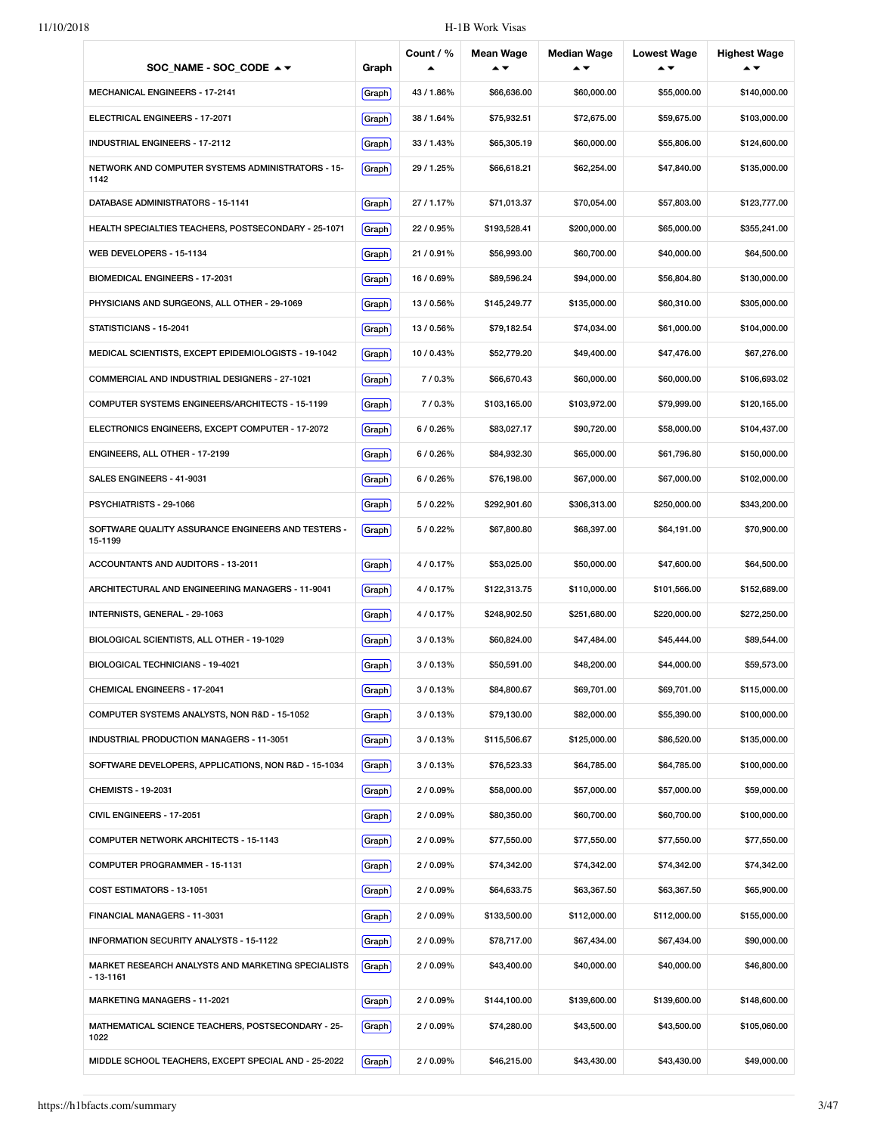| SOC_NAME - SOC_CODE $\rightarrow \rightarrow$                      | Graph | Count / %  | <b>Mean Wage</b> | <b>Median Wage</b><br>▴▼ | <b>Lowest Wage</b><br>▴▼ | <b>Highest Wage</b> |
|--------------------------------------------------------------------|-------|------------|------------------|--------------------------|--------------------------|---------------------|
| MECHANICAL ENGINEERS - 17-2141                                     | Graph | 43/1.86%   | \$66,636.00      | \$60,000.00              | \$55,000.00              | \$140,000.00        |
| ELECTRICAL ENGINEERS - 17-2071                                     | Graph | 38/1.64%   | \$75,932.51      | \$72,675.00              | \$59,675.00              | \$103,000.00        |
| <b>INDUSTRIAL ENGINEERS - 17-2112</b>                              | Graph | 33/1.43%   | \$65,305.19      | \$60,000.00              | \$55,806.00              | \$124,600.00        |
| NETWORK AND COMPUTER SYSTEMS ADMINISTRATORS - 15-<br>1142          | Graph | 29 / 1.25% | \$66,618.21      | \$62,254.00              | \$47,840.00              | \$135,000.00        |
| DATABASE ADMINISTRATORS - 15-1141                                  | Graph | 27/1.17%   | \$71,013.37      | \$70,054.00              | \$57,803.00              | \$123,777.00        |
| HEALTH SPECIALTIES TEACHERS, POSTSECONDARY - 25-1071               | Graph | 22/0.95%   | \$193,528.41     | \$200,000.00             | \$65,000.00              | \$355,241.00        |
| WEB DEVELOPERS - 15-1134                                           | Graph | 21 / 0.91% | \$56,993.00      | \$60,700.00              | \$40,000.00              | \$64,500.00         |
| BIOMEDICAL ENGINEERS - 17-2031                                     | Graph | 16/0.69%   | \$89,596.24      | \$94,000.00              | \$56,804.80              | \$130,000.00        |
| PHYSICIANS AND SURGEONS, ALL OTHER - 29-1069                       | Graph | 13/0.56%   | \$145,249.77     | \$135,000.00             | \$60,310.00              | \$305,000.00        |
| STATISTICIANS - 15-2041                                            | Graph | 13/0.56%   | \$79,182.54      | \$74,034.00              | \$61,000.00              | \$104,000.00        |
| MEDICAL SCIENTISTS, EXCEPT EPIDEMIOLOGISTS - 19-1042               | Graph | 10/0.43%   | \$52,779.20      | \$49,400.00              | \$47,476.00              | \$67,276.00         |
| COMMERCIAL AND INDUSTRIAL DESIGNERS - 27-1021                      | Graph | 7/0.3%     | \$66,670.43      | \$60,000.00              | \$60,000.00              | \$106,693.02        |
| COMPUTER SYSTEMS ENGINEERS/ARCHITECTS - 15-1199                    | Graph | 7/0.3%     | \$103,165.00     | \$103,972.00             | \$79,999.00              | \$120,165.00        |
| ELECTRONICS ENGINEERS, EXCEPT COMPUTER - 17-2072                   | Graph | 6/0.26%    | \$83,027.17      | \$90,720.00              | \$58,000.00              | \$104,437.00        |
| ENGINEERS, ALL OTHER - 17-2199                                     | Graph | 6/0.26%    | \$84,932.30      | \$65,000.00              | \$61,796.80              | \$150,000.00        |
| SALES ENGINEERS - 41-9031                                          | Graph | 6/0.26%    | \$76,198.00      | \$67,000.00              | \$67,000.00              | \$102,000.00        |
| PSYCHIATRISTS - 29-1066                                            | Graph | 5/0.22%    | \$292,901.60     | \$306,313.00             | \$250,000.00             | \$343,200.00        |
| SOFTWARE QUALITY ASSURANCE ENGINEERS AND TESTERS -<br>15-1199      | Graph | 5/0.22%    | \$67,800.80      | \$68,397.00              | \$64,191.00              | \$70,900.00         |
| ACCOUNTANTS AND AUDITORS - 13-2011                                 | Graph | 4/0.17%    | \$53,025.00      | \$50,000.00              | \$47,600.00              | \$64,500.00         |
| ARCHITECTURAL AND ENGINEERING MANAGERS - 11-9041                   | Graph | 4/0.17%    | \$122,313.75     | \$110,000.00             | \$101,566.00             | \$152,689.00        |
| INTERNISTS, GENERAL - 29-1063                                      | Graph | 4/0.17%    | \$248,902.50     | \$251,680.00             | \$220,000.00             | \$272,250.00        |
| BIOLOGICAL SCIENTISTS, ALL OTHER - 19-1029                         | Graph | 3/0.13%    | \$60,824.00      | \$47,484.00              | \$45,444.00              | \$89,544.00         |
| BIOLOGICAL TECHNICIANS - 19-4021                                   | Graph | 3/0.13%    | \$50,591.00      | \$48,200.00              | \$44,000.00              | \$59,573.00         |
| <b>CHEMICAL ENGINEERS - 17-2041</b>                                | Graph | 3/0.13%    | \$84,800.67      | \$69,701.00              | \$69,701.00              | \$115,000.00        |
| COMPUTER SYSTEMS ANALYSTS, NON R&D - 15-1052                       | Graph | 3/0.13%    | \$79,130.00      | \$82,000.00              | \$55,390.00              | \$100,000.00        |
| INDUSTRIAL PRODUCTION MANAGERS - 11-3051                           | Graph | 3/0.13%    | \$115,506.67     | \$125,000.00             | \$86,520.00              | \$135,000.00        |
| SOFTWARE DEVELOPERS, APPLICATIONS, NON R&D - 15-1034               | Graph | 3/0.13%    | \$76,523.33      | \$64,785.00              | \$64,785.00              | \$100,000.00        |
| <b>CHEMISTS - 19-2031</b>                                          | Graph | 2/0.09%    | \$58,000.00      | \$57,000.00              | \$57,000.00              | \$59,000.00         |
| CIVIL ENGINEERS - 17-2051                                          | Graph | 2/0.09%    | \$80,350.00      | \$60,700.00              | \$60,700.00              | \$100,000.00        |
| <b>COMPUTER NETWORK ARCHITECTS - 15-1143</b>                       | Graph | 2/0.09%    | \$77,550.00      | \$77,550.00              | \$77,550.00              | \$77,550.00         |
| COMPUTER PROGRAMMER - 15-1131                                      | Graph | 2/0.09%    | \$74,342.00      | \$74,342.00              | \$74,342.00              | \$74,342.00         |
| COST ESTIMATORS - 13-1051                                          | Graph | 2/0.09%    | \$64,633.75      | \$63,367.50              | \$63,367.50              | \$65,900.00         |
| FINANCIAL MANAGERS - 11-3031                                       | Graph | 2/0.09%    | \$133,500.00     | \$112,000.00             | \$112,000.00             | \$155,000.00        |
| INFORMATION SECURITY ANALYSTS - 15-1122                            | Graph | 2/0.09%    | \$78,717.00      | \$67,434.00              | \$67,434.00              | \$90,000.00         |
| MARKET RESEARCH ANALYSTS AND MARKETING SPECIALISTS<br>$-13 - 1161$ | Graph | 2/0.09%    | \$43,400.00      | \$40,000.00              | \$40,000.00              | \$46,800.00         |
| MARKETING MANAGERS - 11-2021                                       | Graph | 2/0.09%    | \$144,100.00     | \$139,600.00             | \$139,600.00             | \$148,600.00        |
| MATHEMATICAL SCIENCE TEACHERS, POSTSECONDARY - 25-<br>1022         | Graph | 2/0.09%    | \$74,280.00      | \$43,500.00              | \$43,500.00              | \$105,060.00        |
| MIDDLE SCHOOL TEACHERS, EXCEPT SPECIAL AND - 25-2022               | Graph | 2/0.09%    | \$46,215.00      | \$43,430.00              | \$43,430.00              | \$49,000.00         |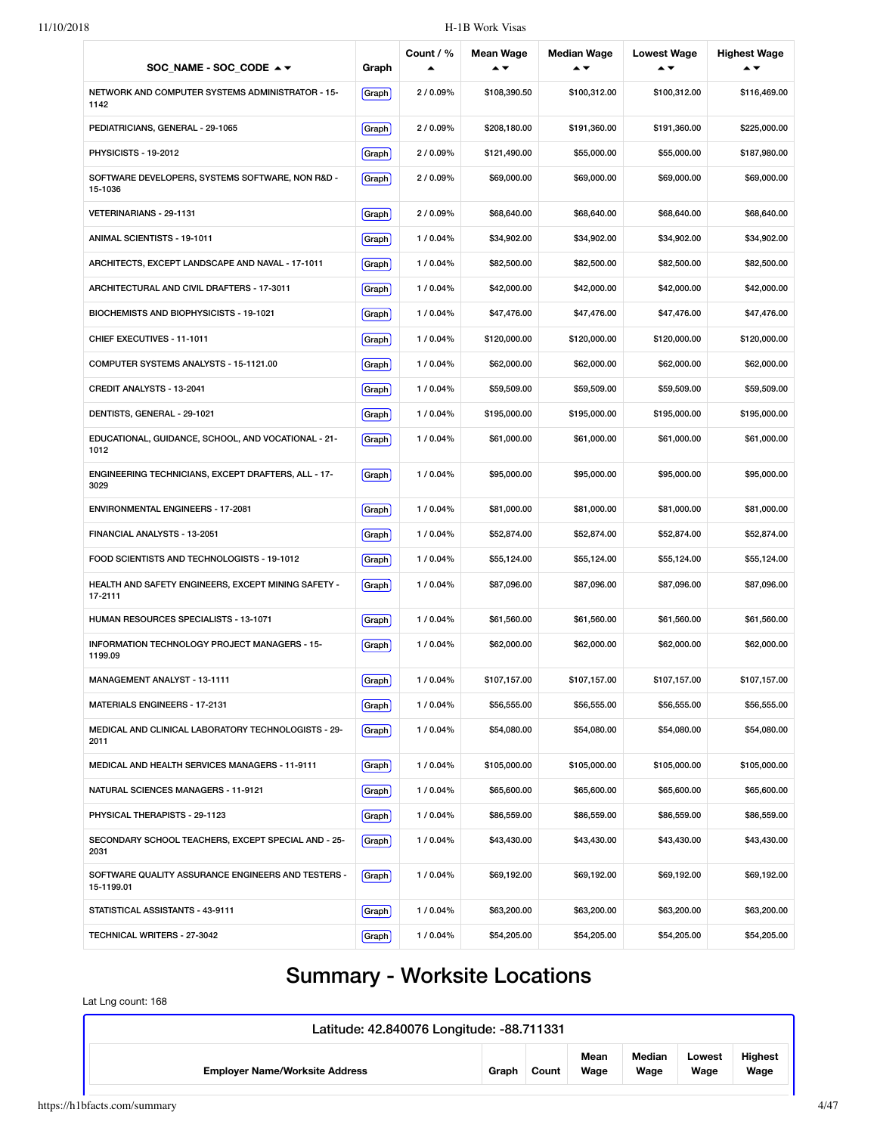| SOC NAME - SOC CODE ▲ ▼                                          | Graph  | Count / % | <b>Mean Wage</b> | <b>Median Wage</b><br>▴▼ | <b>Lowest Wage</b><br>▴▼ | <b>Highest Wage</b> |
|------------------------------------------------------------------|--------|-----------|------------------|--------------------------|--------------------------|---------------------|
| NETWORK AND COMPUTER SYSTEMS ADMINISTRATOR - 15-<br>1142         | Graph  | 2/0.09%   | \$108,390.50     | \$100,312.00             | \$100,312.00             | \$116,469.00        |
| PEDIATRICIANS, GENERAL - 29-1065                                 | Graph  | 2/0.09%   | \$208,180.00     | \$191,360.00             | \$191,360.00             | \$225,000.00        |
| <b>PHYSICISTS - 19-2012</b>                                      | Graph  | 2/0.09%   | \$121,490.00     | \$55,000.00              | \$55,000.00              | \$187,980.00        |
| SOFTWARE DEVELOPERS, SYSTEMS SOFTWARE, NON R&D -<br>15-1036      | Graph  | 2/0.09%   | \$69,000.00      | \$69,000.00              | \$69,000.00              | \$69,000.00         |
| VETERINARIANS - 29-1131                                          | Graph  | 2/0.09%   | \$68,640.00      | \$68,640.00              | \$68,640.00              | \$68,640.00         |
| ANIMAL SCIENTISTS - 19-1011                                      | Graph  | 1/0.04%   | \$34,902.00      | \$34,902.00              | \$34,902.00              | \$34,902.00         |
| ARCHITECTS, EXCEPT LANDSCAPE AND NAVAL - 17-1011                 | Graph  | 1/0.04%   | \$82,500.00      | \$82,500.00              | \$82,500.00              | \$82,500.00         |
| ARCHITECTURAL AND CIVIL DRAFTERS - 17-3011                       | Graph  | 1/0.04%   | \$42,000.00      | \$42,000.00              | \$42,000.00              | \$42,000.00         |
| BIOCHEMISTS AND BIOPHYSICISTS - 19-1021                          | Graph  | 1/0.04%   | \$47,476.00      | \$47,476.00              | \$47,476.00              | \$47,476.00         |
| CHIEF EXECUTIVES - 11-1011                                       | Graph  | 1/0.04%   | \$120,000.00     | \$120,000.00             | \$120,000.00             | \$120,000.00        |
| COMPUTER SYSTEMS ANALYSTS - 15-1121.00                           | Graph  | 1/0.04%   | \$62,000.00      | \$62,000.00              | \$62,000.00              | \$62,000.00         |
| CREDIT ANALYSTS - 13-2041                                        | Graph  | 1/0.04%   | \$59,509.00      | \$59,509.00              | \$59,509.00              | \$59,509.00         |
| DENTISTS, GENERAL - 29-1021                                      | Graph  | 1/0.04%   | \$195,000.00     | \$195,000.00             | \$195,000.00             | \$195,000.00        |
| EDUCATIONAL, GUIDANCE, SCHOOL, AND VOCATIONAL - 21-<br>1012      | Graph  | 1/0.04%   | \$61,000.00      | \$61,000.00              | \$61,000.00              | \$61,000.00         |
| ENGINEERING TECHNICIANS, EXCEPT DRAFTERS, ALL - 17-<br>3029      | Graph  | 1/0.04%   | \$95,000.00      | \$95,000.00              | \$95,000.00              | \$95,000.00         |
| <b>ENVIRONMENTAL ENGINEERS - 17-2081</b>                         | Graph  | 1/0.04%   | \$81,000.00      | \$81,000.00              | \$81,000.00              | \$81,000.00         |
| FINANCIAL ANALYSTS - 13-2051                                     | Graph  | 1/0.04%   | \$52,874.00      | \$52,874.00              | \$52,874.00              | \$52,874.00         |
| FOOD SCIENTISTS AND TECHNOLOGISTS - 19-1012                      | Graph  | 1/0.04%   | \$55,124.00      | \$55,124.00              | \$55,124.00              | \$55,124.00         |
| HEALTH AND SAFETY ENGINEERS, EXCEPT MINING SAFETY -<br>17-2111   | Graph  | 1/0.04%   | \$87,096.00      | \$87,096.00              | \$87,096.00              | \$87,096.00         |
| HUMAN RESOURCES SPECIALISTS - 13-1071                            | Graph  | 1/0.04%   | \$61,560.00      | \$61,560.00              | \$61,560.00              | \$61,560.00         |
| INFORMATION TECHNOLOGY PROJECT MANAGERS - 15-<br>1199.09         | Graph  | 1/0.04%   | \$62,000.00      | \$62,000.00              | \$62,000.00              | \$62,000.00         |
| MANAGEMENT ANALYST - 13-1111                                     | Graph) | 1/0.04%   | \$107,157.00     | \$107,157.00             | \$107,157.00             | \$107,157.00        |
| MATERIALS ENGINEERS - 17-2131                                    | Graph  | 1/0.04%   | \$56,555.00      | \$56,555.00              | \$56,555.00              | \$56,555.00         |
| MEDICAL AND CLINICAL LABORATORY TECHNOLOGISTS - 29-<br>2011      | Graph  | 1/0.04%   | \$54,080.00      | \$54,080.00              | \$54,080.00              | \$54,080.00         |
| MEDICAL AND HEALTH SERVICES MANAGERS - 11-9111                   | Graph  | 1/0.04%   | \$105,000.00     | \$105,000.00             | \$105,000.00             | \$105,000.00        |
| NATURAL SCIENCES MANAGERS - 11-9121                              | Graph  | 1/0.04%   | \$65,600.00      | \$65,600.00              | \$65,600.00              | \$65,600.00         |
| PHYSICAL THERAPISTS - 29-1123                                    | Graph  | 1/0.04%   | \$86,559.00      | \$86,559.00              | \$86,559.00              | \$86,559.00         |
| SECONDARY SCHOOL TEACHERS, EXCEPT SPECIAL AND - 25-<br>2031      | Graph  | 1/0.04%   | \$43,430.00      | \$43,430.00              | \$43,430.00              | \$43,430.00         |
| SOFTWARE QUALITY ASSURANCE ENGINEERS AND TESTERS -<br>15-1199.01 | Graph  | 1/0.04%   | \$69,192.00      | \$69,192.00              | \$69,192.00              | \$69,192.00         |
| STATISTICAL ASSISTANTS - 43-9111                                 | Graph  | 1/0.04%   | \$63,200.00      | \$63,200.00              | \$63,200.00              | \$63,200.00         |
| TECHNICAL WRITERS - 27-3042                                      | Graph  | 1/0.04%   | \$54,205.00      | \$54,205.00              | \$54,205.00              | \$54,205.00         |

# Summary - Worksite Locations

Lat Lng count: 168

| Latitude: 42.840076 Longitude: -88.711331 |       |       |              |                |                |                        |
|-------------------------------------------|-------|-------|--------------|----------------|----------------|------------------------|
| <b>Employer Name/Worksite Address</b>     | Graph | Count | Mean<br>Wage | Median<br>Wage | Lowest<br>Wage | <b>Highest</b><br>Wage |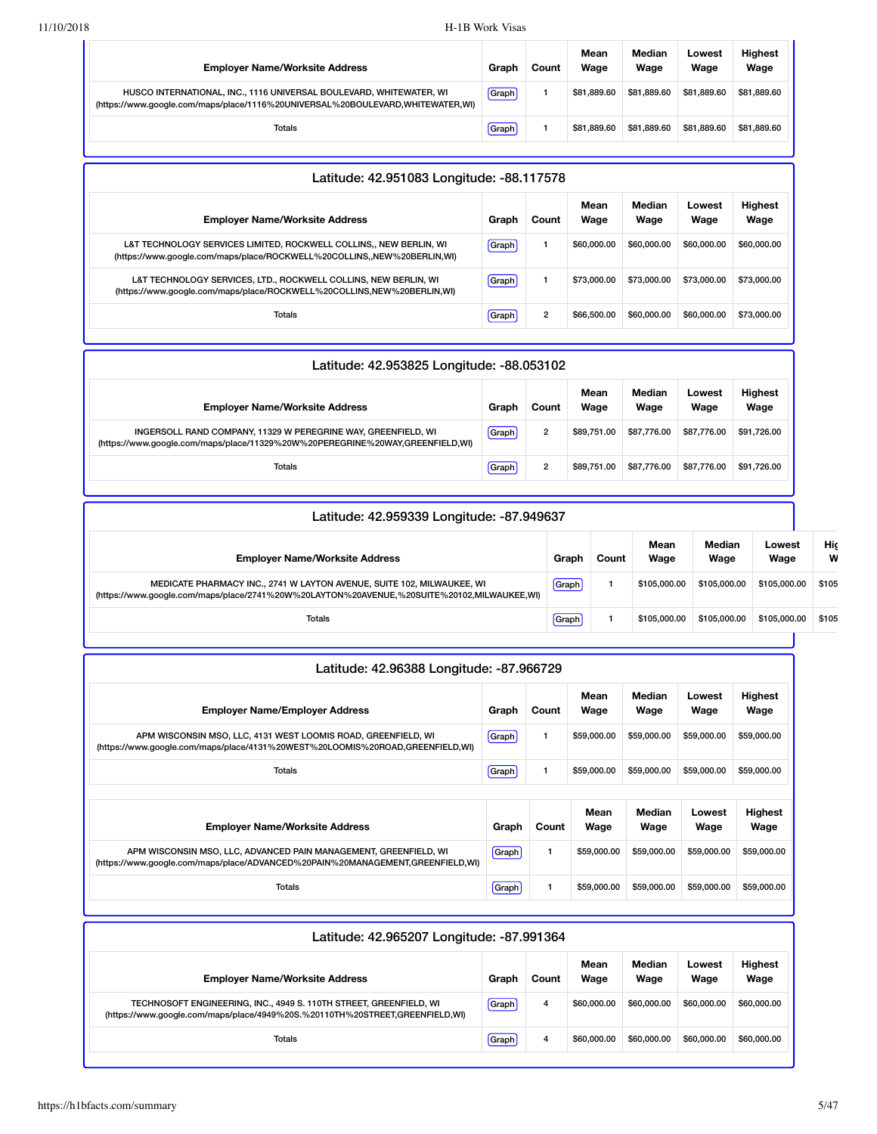| <b>Employer Name/Worksite Address</b>                                                                                                                 | Graph | Count | Mean<br>Wage | Median<br>Wage | Lowest<br>Wage | <b>Highest</b><br>Wage |
|-------------------------------------------------------------------------------------------------------------------------------------------------------|-------|-------|--------------|----------------|----------------|------------------------|
| HUSCO INTERNATIONAL, INC., 1116 UNIVERSAL BOULEVARD, WHITEWATER, WI<br>(https://www.google.com/maps/place/1116%20UNIVERSAL%20BOULEVARD,WHITEWATER,WI) | Graph |       | \$81.889.60  | \$81,889,60    | \$81.889.60    | \$81.889.60            |
| <b>Totals</b>                                                                                                                                         | Graph |       | \$81,889,60  | \$81,889,60    | \$81,889,60    | \$81,889.60            |

| Latitude: 42.951083 Longitude: -88.117578                                                                                                     |         |                |              |                |                |                        |  |
|-----------------------------------------------------------------------------------------------------------------------------------------------|---------|----------------|--------------|----------------|----------------|------------------------|--|
| <b>Employer Name/Worksite Address</b>                                                                                                         | Graph   | Count          | Mean<br>Wage | Median<br>Wage | Lowest<br>Wage | <b>Highest</b><br>Wage |  |
| L&T TECHNOLOGY SERVICES LIMITED, ROCKWELL COLLINS,, NEW BERLIN, WI<br>(https://www.google.com/maps/place/ROCKWELL%20COLLINS,,NEW%20BERLIN,WI) | [Graph] |                | \$60,000,00  | \$60,000,00    | \$60,000,00    | \$60,000.00            |  |
| L&T TECHNOLOGY SERVICES, LTD., ROCKWELL COLLINS, NEW BERLIN, WI<br>(https://www.google.com/maps/place/ROCKWELL%20COLLINS,NEW%20BERLIN,WI)     | Graph   |                | \$73,000.00  | \$73,000,00    | \$73,000,00    | \$73,000.00            |  |
| Totals                                                                                                                                        | Graph   | $\overline{2}$ | \$66,500.00  | \$60,000,00    | \$60,000,00    | \$73,000.00            |  |

| Latitude: 42.953825 Longitude: -88.053102                                                                                                      |       |       |              |                |                |                        |  |  |
|------------------------------------------------------------------------------------------------------------------------------------------------|-------|-------|--------------|----------------|----------------|------------------------|--|--|
| <b>Employer Name/Worksite Address</b>                                                                                                          | Graph | Count | Mean<br>Wage | Median<br>Wage | Lowest<br>Wage | <b>Highest</b><br>Wage |  |  |
| INGERSOLL RAND COMPANY, 11329 W PEREGRINE WAY, GREENFIELD, WI<br>(https://www.google.com/maps/place/11329%20W%20PEREGRINE%20WAY,GREENFIELD,WI) | Graph | 2     | \$89.751.00  | \$87,776.00    | \$87,776.00    | \$91.726.00            |  |  |
| <b>Totals</b>                                                                                                                                  | Graph | 2     | \$89.751.00  | \$87,776.00    | \$87,776.00    | \$91.726.00            |  |  |

| Latitude: 42.959339 Longitude: -87.949637                                                                                                                            |       |       |              |                |                |          |  |  |  |
|----------------------------------------------------------------------------------------------------------------------------------------------------------------------|-------|-------|--------------|----------------|----------------|----------|--|--|--|
| <b>Employer Name/Worksite Address</b>                                                                                                                                | Graph | Count | Mean<br>Wage | Median<br>Wage | Lowest<br>Wage | Hiç<br>W |  |  |  |
| MEDICATE PHARMACY INC., 2741 W LAYTON AVENUE, SUITE 102, MILWAUKEE, WI<br>(https://www.google.com/maps/place/2741%20W%20LAYTON%20AVENUE,%20SUITE%20102,MILWAUKEE,WI) | Graph |       | \$105,000,00 | \$105,000,00   | \$105,000,00   | \$105    |  |  |  |
| <b>Totals</b>                                                                                                                                                        | Graph |       | \$105,000,00 | \$105,000,00   | \$105.000.00   | \$105    |  |  |  |

| Latitude: 42.96388 Longitude: -87.966729                                                                                                           |         |       |              |                |                |                        |
|----------------------------------------------------------------------------------------------------------------------------------------------------|---------|-------|--------------|----------------|----------------|------------------------|
| <b>Employer Name/Employer Address</b>                                                                                                              | Graph   | Count | Mean<br>Wage | Median<br>Wage | Lowest<br>Wage | Highest<br>Wage        |
| APM WISCONSIN MSO, LLC, 4131 WEST LOOMIS ROAD, GREENFIELD, WI<br>(https://www.google.com/maps/place/4131%20WEST%20LOOMIS%20ROAD,GREENFIELD,WI)     | [Graph] |       | \$59,000.00  | \$59,000.00    | \$59,000.00    | \$59,000.00            |
| Totals                                                                                                                                             | Graph   |       | \$59,000.00  | \$59,000.00    | \$59,000.00    | \$59,000.00            |
| <b>Employer Name/Worksite Address</b>                                                                                                              | Graph   | Count | Mean<br>Wage | Median<br>Wage | Lowest<br>Wage | <b>Highest</b><br>Wage |
| APM WISCONSIN MSO, LLC, ADVANCED PAIN MANAGEMENT, GREENFIELD, WI<br>(https://www.google.com/maps/place/ADVANCED%20PAIN%20MANAGEMENT,GREENFIELD,WI) | Graph   | 1     | \$59,000,00  | \$59,000.00    | \$59,000.00    | \$59,000.00            |
| Totals                                                                                                                                             | Graph   | 1     | \$59,000.00  | \$59,000.00    | \$59,000.00    | \$59,000.00            |

| Latitude: 42.965207 Longitude: -87.991364                                                                                                          |       |       |              |                |                |                        |  |  |  |  |
|----------------------------------------------------------------------------------------------------------------------------------------------------|-------|-------|--------------|----------------|----------------|------------------------|--|--|--|--|
| <b>Employer Name/Worksite Address</b>                                                                                                              | Graph | Count | Mean<br>Wage | Median<br>Wage | Lowest<br>Wage | <b>Highest</b><br>Wage |  |  |  |  |
| TECHNOSOFT ENGINEERING, INC., 4949 S. 110TH STREET, GREENFIELD, WI<br>(https://www.google.com/maps/place/4949%20S.%20110TH%20STREET,GREENFIELD,WI) | Graph | 4     | \$60,000,00  | \$60,000,00    | \$60,000,00    | \$60,000.00            |  |  |  |  |
| <b>Totals</b>                                                                                                                                      | Graph | 4     | \$60,000,00  | \$60,000,00    | \$60,000,00    | \$60,000,00            |  |  |  |  |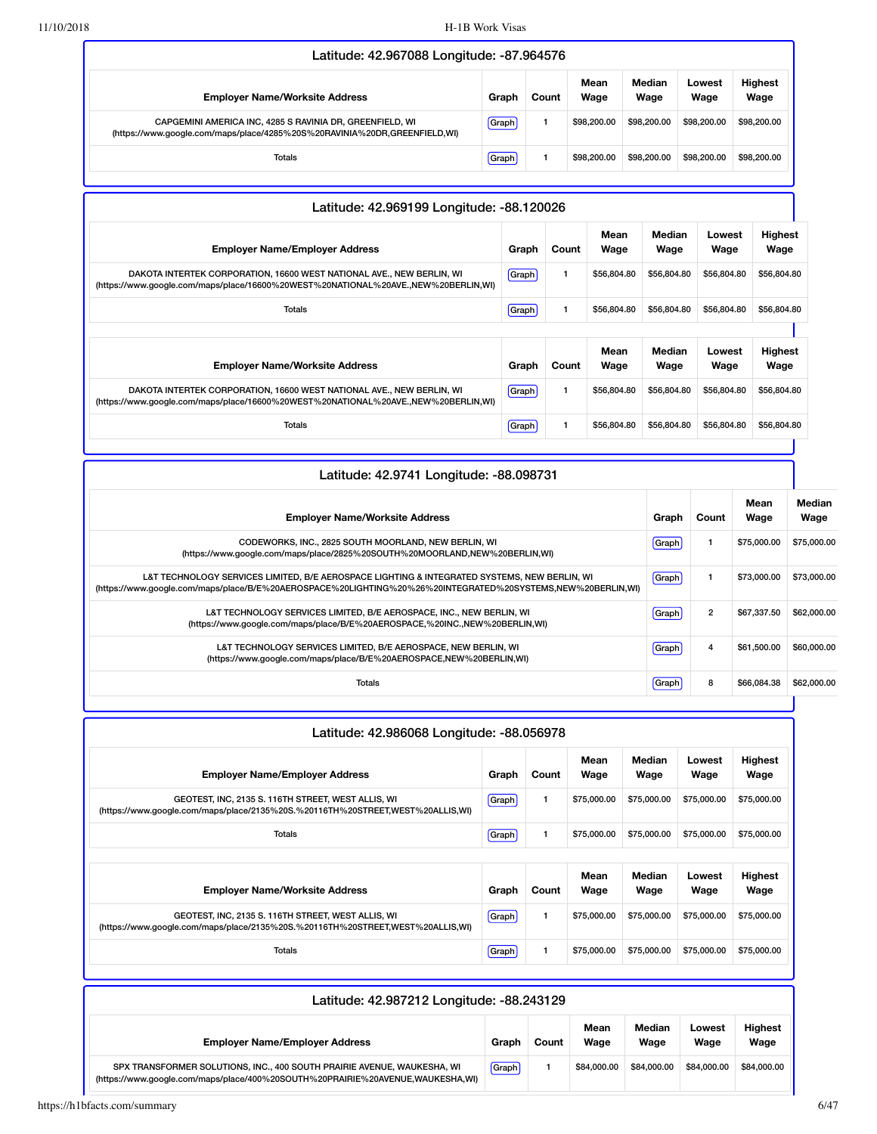| Latitude: 42.967088 Longitude: -87.964576                                                                                             |       |       |              |                |                |                        |  |  |  |  |
|---------------------------------------------------------------------------------------------------------------------------------------|-------|-------|--------------|----------------|----------------|------------------------|--|--|--|--|
| <b>Employer Name/Worksite Address</b>                                                                                                 | Graph | Count | Mean<br>Wage | Median<br>Wage | Lowest<br>Wage | <b>Highest</b><br>Wage |  |  |  |  |
| CAPGEMINI AMERICA INC, 4285 S RAVINIA DR, GREENFIELD, WI<br>(https://www.google.com/maps/place/4285%20S%20RAVINIA%20DR,GREENFIELD,WI) | Graph |       | \$98,200,00  | \$98,200,00    | \$98,200,00    | \$98,200.00            |  |  |  |  |
| Totals                                                                                                                                | Graph |       | \$98,200,00  | \$98,200,00    | \$98,200.00    | \$98,200.00            |  |  |  |  |
|                                                                                                                                       |       |       |              |                |                |                        |  |  |  |  |

| Latitude: 42.969199 Longitude: -88.120026                                                                                                                   |       |              |              |                |                |                 |
|-------------------------------------------------------------------------------------------------------------------------------------------------------------|-------|--------------|--------------|----------------|----------------|-----------------|
| <b>Employer Name/Employer Address</b>                                                                                                                       | Graph | Count        | Mean<br>Wage | Median<br>Wage | Lowest<br>Wage | Highest<br>Wage |
| DAKOTA INTERTEK CORPORATION, 16600 WEST NATIONAL AVE., NEW BERLIN, WI<br>(https://www.google.com/maps/place/16600%20WEST%20NATIONAL%20AVE.,NEW%20BERLIN,WI) | Graph | $\mathbf{1}$ | \$56,804.80  | \$56,804.80    | \$56,804.80    | \$56,804.80     |
| <b>Totals</b>                                                                                                                                               | Graph | 1            | \$56,804.80  | \$56,804.80    | \$56,804.80    | \$56,804.80     |
|                                                                                                                                                             |       |              |              |                |                |                 |
| <b>Employer Name/Worksite Address</b>                                                                                                                       | Graph | Count        | Mean<br>Wage | Median<br>Wage | Lowest<br>Wage | Highest<br>Wage |
| DAKOTA INTERTEK CORPORATION, 16600 WEST NATIONAL AVE., NEW BERLIN, WI<br>(https://www.google.com/maps/place/16600%20WEST%20NATIONAL%20AVE.,NEW%20BERLIN,WI) | Graph | $\mathbf{1}$ | \$56,804.80  | \$56,804.80    | \$56,804.80    | \$56,804.80     |
| <b>Totals</b>                                                                                                                                               | Graph | 1            | \$56,804.80  | \$56,804.80    | \$56,804.80    | \$56,804.80     |

| Latitude: 42.9741 Longitude: -88.098731                                                                                                                                                                     |       |                |              |                |  |  |  |  |
|-------------------------------------------------------------------------------------------------------------------------------------------------------------------------------------------------------------|-------|----------------|--------------|----------------|--|--|--|--|
| <b>Employer Name/Worksite Address</b>                                                                                                                                                                       | Graph | Count          | Mean<br>Wage | Median<br>Wage |  |  |  |  |
| CODEWORKS, INC., 2825 SOUTH MOORLAND, NEW BERLIN, WI<br>(https://www.qoogle.com/maps/place/2825%20SOUTH%20MOORLAND,NEW%20BERLIN,WI)                                                                         | Graph |                | \$75,000.00  | \$75,000.00    |  |  |  |  |
| L&T TECHNOLOGY SERVICES LIMITED, B/E AEROSPACE LIGHTING & INTEGRATED SYSTEMS, NEW BERLIN, WI<br>(https://www.google.com/maps/place/B/E%20AEROSPACE%20LIGHTING%20%26%20INTEGRATED%20SYSTEMS,NEW%20BERLIN,WI) | Graph |                | \$73,000.00  | \$73,000.00    |  |  |  |  |
| L&T TECHNOLOGY SERVICES LIMITED, B/E AEROSPACE, INC., NEW BERLIN, WI<br>(https://www.google.com/maps/place/B/E%20AEROSPACE,%20INC.,NEW%20BERLIN,WI)                                                         | Graph | $\overline{2}$ | \$67,337.50  | \$62,000.00    |  |  |  |  |
| L&T TECHNOLOGY SERVICES LIMITED, B/E AEROSPACE, NEW BERLIN, WI<br>(https://www.google.com/maps/place/B/E%20AEROSPACE,NEW%20BERLIN,WI)                                                                       | Graph | 4              | \$61,500.00  | \$60,000,00    |  |  |  |  |
| Totals                                                                                                                                                                                                      | Graph | 8              | \$66,084.38  | \$62,000.00    |  |  |  |  |

| Latitude: 42.986068 Longitude: -88.056978                                                                                            |         |       |              |                |                |                        |  |  |  |  |  |
|--------------------------------------------------------------------------------------------------------------------------------------|---------|-------|--------------|----------------|----------------|------------------------|--|--|--|--|--|
| <b>Employer Name/Employer Address</b>                                                                                                | Graph   | Count | Mean<br>Wage | Median<br>Wage | Lowest<br>Wage | Highest<br>Wage        |  |  |  |  |  |
| GEOTEST, INC, 2135 S. 116TH STREET, WEST ALLIS, WI<br>(https://www.google.com/maps/place/2135%20S.%20116TH%20STREET,WEST%20ALLIS,WI) | Graph   | 1     | \$75,000.00  | \$75,000.00    | \$75,000.00    | \$75,000.00            |  |  |  |  |  |
| <b>Totals</b>                                                                                                                        | Graph   | 1     | \$75,000.00  | \$75,000.00    | \$75,000.00    | \$75,000.00            |  |  |  |  |  |
| <b>Employer Name/Worksite Address</b>                                                                                                | Graph   | Count | Mean<br>Wage | Median<br>Wage | Lowest<br>Wage | <b>Highest</b><br>Wage |  |  |  |  |  |
| GEOTEST, INC, 2135 S. 116TH STREET, WEST ALLIS, WI<br>(https://www.google.com/maps/place/2135%20S.%20116TH%20STREET,WEST%20ALLIS,WI) | [Graph] | 1     | \$75,000.00  | \$75,000.00    | \$75,000.00    | \$75,000.00            |  |  |  |  |  |
| <b>Totals</b>                                                                                                                        | Graph   | 1     | \$75,000.00  | \$75,000.00    | \$75,000.00    | \$75,000.00            |  |  |  |  |  |

| Latitude: 42.987212 Longitude: -88.243129                                                                                                                 |       |       |              |                |                |                        |  |  |  |
|-----------------------------------------------------------------------------------------------------------------------------------------------------------|-------|-------|--------------|----------------|----------------|------------------------|--|--|--|
| <b>Employer Name/Employer Address</b>                                                                                                                     | Graph | Count | Mean<br>Wage | Median<br>Wage | Lowest<br>Wage | <b>Highest</b><br>Wage |  |  |  |
| SPX TRANSFORMER SOLUTIONS, INC., 400 SOUTH PRAIRIE AVENUE, WAUKESHA, WI<br>(https://www.google.com/maps/place/400%20SOUTH%20PRAIRIE%20AVENUE,WAUKESHA,WI) | Graph |       | \$84,000.00  | \$84,000.00    | \$84,000,00    | \$84,000.00            |  |  |  |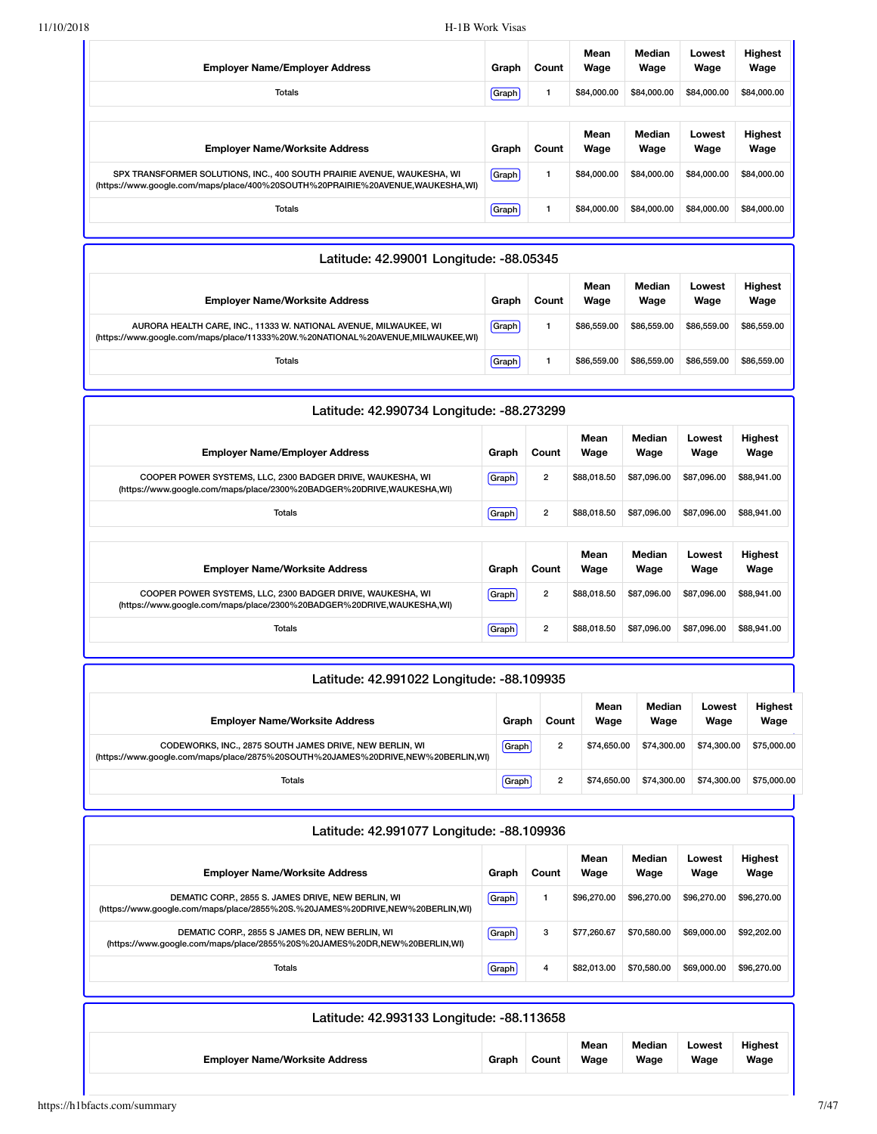| <b>Employer Name/Employer Address</b>                                                                                                                     | Graph | Count | Mean<br>Wage | Median<br>Wage | Lowest<br>Wage | <b>Highest</b><br>Wage |
|-----------------------------------------------------------------------------------------------------------------------------------------------------------|-------|-------|--------------|----------------|----------------|------------------------|
| <b>Totals</b>                                                                                                                                             | Graph |       | \$84,000.00  | \$84,000.00    | \$84,000,00    | \$84,000.00            |
|                                                                                                                                                           |       |       |              |                |                |                        |
| <b>Employer Name/Worksite Address</b>                                                                                                                     | Graph | Count | Mean<br>Wage | Median<br>Wage | Lowest<br>Wage | <b>Highest</b><br>Wage |
| SPX TRANSFORMER SOLUTIONS, INC., 400 SOUTH PRAIRIE AVENUE, WAUKESHA, WI<br>(https://www.google.com/maps/place/400%20SOUTH%20PRAIRIE%20AVENUE,WAUKESHA,WI) | Graph |       | \$84,000,00  | \$84,000.00    | \$84,000,00    | \$84,000.00            |
| <b>Totals</b>                                                                                                                                             | Graph |       | \$84,000,00  | \$84,000.00    | \$84,000,00    | \$84,000.00            |

| Latitude: 42.99001 Longitude: -88.05345                                                                                                              |       |       |              |                |                |                        |  |  |  |  |
|------------------------------------------------------------------------------------------------------------------------------------------------------|-------|-------|--------------|----------------|----------------|------------------------|--|--|--|--|
| <b>Employer Name/Worksite Address</b>                                                                                                                | Graph | Count | Mean<br>Wage | Median<br>Wage | Lowest<br>Wage | <b>Highest</b><br>Wage |  |  |  |  |
| AURORA HEALTH CARE. INC., 11333 W. NATIONAL AVENUE. MILWAUKEE. WI<br>(https://www.google.com/maps/place/11333%20W.%20NATIONAL%20AVENUE,MILWAUKEE,WI) | Graph |       | \$86,559.00  | \$86,559,00    | \$86,559,00    | \$86,559.00            |  |  |  |  |
| <b>Totals</b>                                                                                                                                        | Graph |       | \$86,559.00  | \$86,559.00    | \$86,559.00    | \$86,559.00            |  |  |  |  |

| Latitude: 42.990734 Longitude: -88.273299                                                                                           |       |                |              |                |                |                        |  |  |  |  |
|-------------------------------------------------------------------------------------------------------------------------------------|-------|----------------|--------------|----------------|----------------|------------------------|--|--|--|--|
| <b>Employer Name/Employer Address</b>                                                                                               | Graph | Count          | Mean<br>Wage | Median<br>Wage | Lowest<br>Wage | <b>Highest</b><br>Wage |  |  |  |  |
| COOPER POWER SYSTEMS, LLC, 2300 BADGER DRIVE, WAUKESHA, WI<br>(https://www.google.com/maps/place/2300%20BADGER%20DRIVE,WAUKESHA,WI) | Graph | $\overline{2}$ | \$88,018.50  | \$87,096,00    | \$87,096,00    | \$88,941.00            |  |  |  |  |
| Totals                                                                                                                              | Graph | $\overline{2}$ | \$88,018.50  | \$87,096.00    | \$87,096.00    | \$88,941.00            |  |  |  |  |
|                                                                                                                                     |       |                |              |                |                |                        |  |  |  |  |
| <b>Employer Name/Worksite Address</b>                                                                                               | Graph | Count          | Mean<br>Wage | Median<br>Wage | Lowest<br>Wage | Highest<br>Wage        |  |  |  |  |
| COOPER POWER SYSTEMS, LLC, 2300 BADGER DRIVE, WAUKESHA, WI<br>(https://www.google.com/maps/place/2300%20BADGER%20DRIVE,WAUKESHA,WI) | Graph | $\overline{2}$ | \$88,018.50  | \$87,096,00    | \$87,096,00    | \$88,941.00            |  |  |  |  |
| Totals                                                                                                                              | Graph | $\overline{2}$ | \$88,018.50  | \$87,096.00    | \$87,096.00    | \$88,941.00            |  |  |  |  |

| Latitude: 42.991022 Longitude: -88.109935                                                                                                   |       |                |              |                |                |                        |  |  |  |
|---------------------------------------------------------------------------------------------------------------------------------------------|-------|----------------|--------------|----------------|----------------|------------------------|--|--|--|
| <b>Employer Name/Worksite Address</b>                                                                                                       | Graph | Count          | Mean<br>Wage | Median<br>Wage | Lowest<br>Wage | <b>Highest</b><br>Wage |  |  |  |
| CODEWORKS, INC., 2875 SOUTH JAMES DRIVE, NEW BERLIN, WI<br>(https://www.google.com/maps/place/2875%20SOUTH%20JAMES%20DRIVE,NEW%20BERLIN,WI) | Graph | $\overline{2}$ | \$74,650,00  | \$74,300,00    | \$74,300.00    | \$75,000.00            |  |  |  |
| Totals                                                                                                                                      | Graph | $\overline{2}$ | \$74,650.00  | \$74,300,00    | \$74,300.00    | \$75,000.00            |  |  |  |
|                                                                                                                                             |       |                |              |                |                |                        |  |  |  |

| Latitude: 42.991077 Longitude: -88.109936                                                                                           |       |       |              |                |                |                        |  |  |  |
|-------------------------------------------------------------------------------------------------------------------------------------|-------|-------|--------------|----------------|----------------|------------------------|--|--|--|
| <b>Emplover Name/Worksite Address</b>                                                                                               | Graph | Count | Mean<br>Wage | Median<br>Wage | Lowest<br>Wage | <b>Highest</b><br>Wage |  |  |  |
| DEMATIC CORP., 2855 S. JAMES DRIVE, NEW BERLIN, WI<br>(https://www.google.com/maps/place/2855%20S.%20JAMES%20DRIVE,NEW%20BERLIN,WI) | Graph |       | \$96,270,00  | \$96,270.00    | \$96,270,00    | \$96,270.00            |  |  |  |
| DEMATIC CORP., 2855 S JAMES DR, NEW BERLIN, WI<br>(https://www.google.com/maps/place/2855%20S%20JAMES%20DR,NEW%20BERLIN,WI)         | Graph | 3     | \$77.260.67  | \$70,580,00    | \$69,000,00    | \$92,202.00            |  |  |  |
| <b>Totals</b>                                                                                                                       | Graph | 4     | \$82,013,00  | \$70,580.00    | \$69,000,00    | \$96,270.00            |  |  |  |
|                                                                                                                                     |       |       |              |                |                |                        |  |  |  |

| Latitude: 42.993133 Longitude: -88.113658 |       |       |              |                |                |                        |  |  |
|-------------------------------------------|-------|-------|--------------|----------------|----------------|------------------------|--|--|
| <b>Employer Name/Worksite Address</b>     | Graph | Count | Mean<br>Wage | Median<br>Wage | Lowest<br>Wage | <b>Highest</b><br>Wage |  |  |
|                                           |       |       |              |                |                |                        |  |  |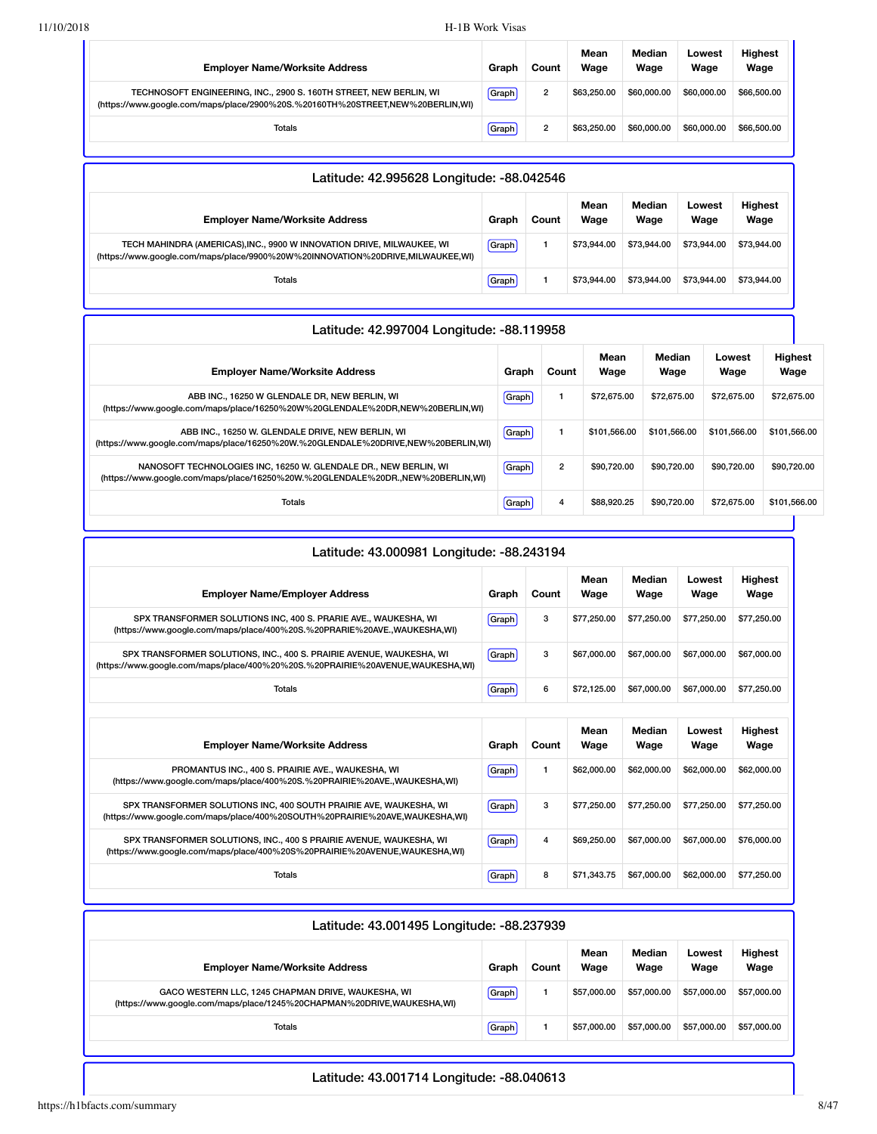| <b>Employer Name/Worksite Address</b>                                                                                                                | Graph | Count | Mean<br>Wage | Median<br>Wage | Lowest<br>Wage | <b>Highest</b><br>Wage |
|------------------------------------------------------------------------------------------------------------------------------------------------------|-------|-------|--------------|----------------|----------------|------------------------|
| TECHNOSOFT ENGINEERING, INC., 2900 S. 160TH STREET, NEW BERLIN, WI<br>(https://www.google.com/maps/place/2900%20S.%20160TH%20STREET,NEW%20BERLIN,WI) | Graph | 2     | \$63,250,00  | \$60,000,00    | \$60,000,00    | \$66,500.00            |
| Totals                                                                                                                                               | Graph | 2     | \$63,250,00  | \$60,000,00    | \$60,000,00    | \$66,500.00            |

| Latitude: 42.995628 Longitude: -88.042546                                                                                                               |       |       |              |                |                |                        |  |  |  |
|---------------------------------------------------------------------------------------------------------------------------------------------------------|-------|-------|--------------|----------------|----------------|------------------------|--|--|--|
| <b>Employer Name/Worksite Address</b>                                                                                                                   | Graph | Count | Mean<br>Wage | Median<br>Wage | Lowest<br>Wage | <b>Highest</b><br>Wage |  |  |  |
| TECH MAHINDRA (AMERICAS),INC., 9900 W INNOVATION DRIVE, MILWAUKEE, WI<br>(https://www.google.com/maps/place/9900%20W%20INNOVATION%20DRIVE,MILWAUKEE,WI) | Graph |       | \$73,944.00  | \$73,944.00    | \$73,944.00    | \$73,944,00            |  |  |  |
| Totals                                                                                                                                                  | Graph |       | \$73,944.00  | \$73,944.00    | \$73,944.00    | \$73,944.00            |  |  |  |

#### Latitude: 42.997004 Longitude: -88.119958 **Employer Name/Worksite Address Graph Count Mean Wage Median Wage Lowest Wage Highest Wage** ABB INC., 16250 W GLENDALE DR, NEW BERLIN, WI [\(https://www.google.com/maps/place/16250%20W%20GLENDALE%20DR,NEW%20BERLIN,WI\)](https://www.google.com/maps/place/16250%20W%20GLENDALE%20DR,NEW%20BERLIN,WI) Graph 1 \$72,675.00 \$72,675.00 \$72,675.00 \$72,675.00 ABB INC., 16250 W. GLENDALE DRIVE, NEW BERLIN, WI [\(https://www.google.com/maps/place/16250%20W.%20GLENDALE%20DRIVE,NEW%20BERLIN,WI\)](https://www.google.com/maps/place/16250%20W.%20GLENDALE%20DRIVE,NEW%20BERLIN,WI) Graph 1 \$101,566.00 \$101,566.00 \$101,566.00 \$101,566.00 NANOSOFT TECHNOLOGIES INC, 16250 W. GLENDALE DR., NEW BERLIN, WI [\(https://www.google.com/maps/place/16250%20W.%20GLENDALE%20DR.,NEW%20BERLIN,WI\)](https://www.google.com/maps/place/16250%20W.%20GLENDALE%20DR.,NEW%20BERLIN,WI) Graph 2 \$90,720.00 \$90,720.00 \$90,720.00 \$90,720.00 Totals Graph 4 \$88,920.25 \$90,720.00 \$72,675.00 \$101,566.00

| Latitude: 43.000981 Longitude: -88.243194                                                                                                              |       |       |              |                |                |                        |  |  |  |  |
|--------------------------------------------------------------------------------------------------------------------------------------------------------|-------|-------|--------------|----------------|----------------|------------------------|--|--|--|--|
| <b>Employer Name/Employer Address</b>                                                                                                                  | Graph | Count | Mean<br>Wage | Median<br>Wage | Lowest<br>Wage | <b>Highest</b><br>Wage |  |  |  |  |
| SPX TRANSFORMER SOLUTIONS INC, 400 S. PRARIE AVE., WAUKESHA, WI<br>(https://www.google.com/maps/place/400%20S.%20PRARIE%20AVE.,WAUKESHA,WI)            | Graph | 3     | \$77,250.00  | \$77,250.00    | \$77,250.00    | \$77,250.00            |  |  |  |  |
| SPX TRANSFORMER SOLUTIONS, INC., 400 S. PRAIRIE AVENUE, WAUKESHA, WI<br>(https://www.google.com/maps/place/400%20%20S.%20PRAIRIE%20AVENUE,WAUKESHA,WI) | Graph | 3     | \$67,000.00  | \$67,000.00    | \$67,000.00    | \$67,000.00            |  |  |  |  |
| <b>Totals</b>                                                                                                                                          | Graph | 6     | \$72.125.00  | \$67,000.00    | \$67,000.00    | \$77,250.00            |  |  |  |  |
|                                                                                                                                                        |       |       |              |                |                |                        |  |  |  |  |
| <b>Employer Name/Worksite Address</b>                                                                                                                  | Graph | Count | Mean<br>Wage | Median<br>Wage | Lowest<br>Wage | <b>Highest</b><br>Wage |  |  |  |  |
| PROMANTUS INC., 400 S. PRAIRIE AVE., WAUKESHA, WI<br>(https://www.google.com/maps/place/400%20S.%20PRAIRIE%20AVE.,WAUKESHA,WI)                         | Graph | 1     | \$62,000.00  | \$62,000.00    | \$62,000.00    | \$62,000.00            |  |  |  |  |
| SPX TRANSFORMER SOLUTIONS INC, 400 SOUTH PRAIRIE AVE, WAUKESHA, WI<br>(https://www.google.com/maps/place/400%20SOUTH%20PRAIRIE%20AVE,WAUKESHA,WI)      | Graph | 3     | \$77,250,00  | \$77,250,00    | \$77,250,00    | \$77,250.00            |  |  |  |  |
| SPX TRANSFORMER SOLUTIONS, INC., 400 S PRAIRIE AVENUE, WAUKESHA, WI<br>(https://www.google.com/maps/place/400%20S%20PRAIRIE%20AVENUE,WAUKESHA,WI)      | Graph | 4     | \$69,250,00  | \$67,000,00    | \$67,000,00    | \$76,000.00            |  |  |  |  |
| Totals                                                                                                                                                 | Graph | 8     | \$71.343.75  | \$67,000,00    | \$62,000,00    | \$77,250.00            |  |  |  |  |

| Latitude: 43.001495 Longitude: -88.237939                                                                                    |       |       |              |                |                |                        |  |  |  |
|------------------------------------------------------------------------------------------------------------------------------|-------|-------|--------------|----------------|----------------|------------------------|--|--|--|
| <b>Employer Name/Worksite Address</b>                                                                                        | Graph | Count | Mean<br>Wage | Median<br>Wage | Lowest<br>Wage | <b>Highest</b><br>Wage |  |  |  |
| GACO WESTERN LLC, 1245 CHAPMAN DRIVE, WAUKESHA, WI<br>(https://www.google.com/maps/place/1245%20CHAPMAN%20DRIVE,WAUKESHA,WI) | Graph |       | \$57,000.00  | \$57,000.00    | \$57,000.00    | \$57,000.00            |  |  |  |
| Totals                                                                                                                       | Graph |       | \$57,000,00  | \$57,000.00    | \$57,000.00    | \$57,000.00            |  |  |  |

Latitude: 43.001714 Longitude: -88.040613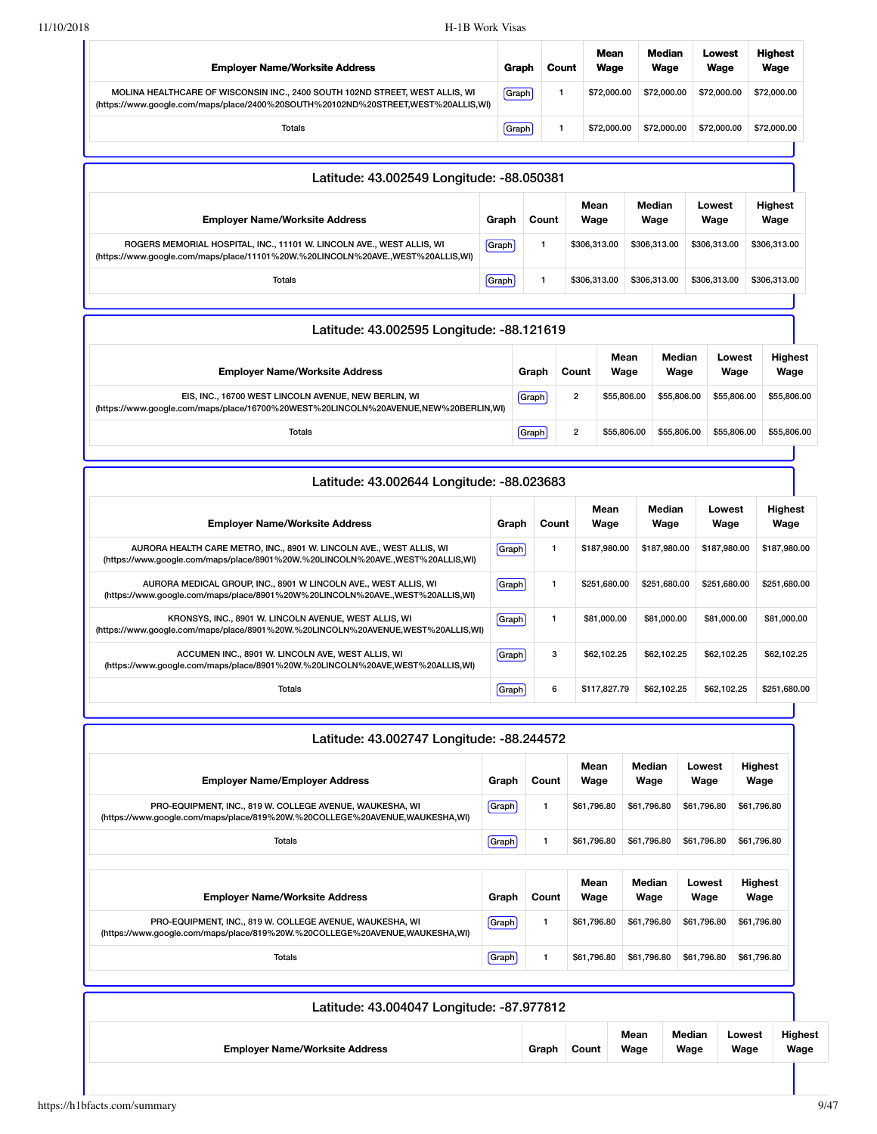| <b>Employer Name/Worksite Address</b>                                                                                                                             | Graph | Count | Mean<br>Wage | Median<br>Wage | Lowest<br>Wage | <b>Highest</b><br>Wage |
|-------------------------------------------------------------------------------------------------------------------------------------------------------------------|-------|-------|--------------|----------------|----------------|------------------------|
| MOLINA HEALTHCARE OF WISCONSIN INC., 2400 SOUTH 102ND STREET, WEST ALLIS, WI<br>(https://www.google.com/maps/place/2400%20SOUTH%20102ND%20STREET,WEST%20ALLIS,WI) | Graph |       | \$72,000.00  | \$72,000.00    | \$72,000.00    | \$72,000.00            |
| <b>Totals</b>                                                                                                                                                     | Graph |       | \$72,000.00  | \$72,000.00    | \$72,000.00    | \$72,000.00            |
|                                                                                                                                                                   |       |       |              |                |                |                        |

| Latitude: 43.002549 Longitude: -88.050381                                                                                                                |       |       |              |                |                |                        |  |  |  |
|----------------------------------------------------------------------------------------------------------------------------------------------------------|-------|-------|--------------|----------------|----------------|------------------------|--|--|--|
| <b>Employer Name/Worksite Address</b>                                                                                                                    | Graph | Count | Mean<br>Wage | Median<br>Wage | Lowest<br>Wage | <b>Highest</b><br>Wage |  |  |  |
| ROGERS MEMORIAL HOSPITAL, INC., 11101 W. LINCOLN AVE., WEST ALLIS, WI<br>(https://www.google.com/maps/place/11101%20W.%20LINCOLN%20AVE.,WEST%20ALLIS.WI) | Graph |       | \$306,313,00 | \$306,313,00   | \$306.313.00   | \$306,313.00           |  |  |  |
| Totals                                                                                                                                                   | Graph |       | \$306.313.00 | \$306.313.00   | \$306,313,00   | \$306,313.00           |  |  |  |

| Latitude: 43.002595 Longitude: -88.121619                                                                                                   |       |                |              |                |                |                        |  |  |
|---------------------------------------------------------------------------------------------------------------------------------------------|-------|----------------|--------------|----------------|----------------|------------------------|--|--|
| <b>Employer Name/Worksite Address</b>                                                                                                       | Graph | Count          | Mean<br>Wage | Median<br>Wage | Lowest<br>Wage | <b>Highest</b><br>Wage |  |  |
| EIS, INC., 16700 WEST LINCOLN AVENUE, NEW BERLIN, WI<br>(https://www.google.com/maps/place/16700%20WEST%20LINCOLN%20AVENUE,NEW%20BERLIN,WI) | Graph | $\overline{2}$ | \$55,806,00  | \$55,806.00    | \$55,806.00    | \$55,806.00            |  |  |
| Totals                                                                                                                                      | Graph | $\overline{2}$ | \$55.806.00  | \$55,806.00    | \$55,806.00    | \$55,806.00            |  |  |
|                                                                                                                                             |       |                |              |                |                |                        |  |  |

| Latitude: 43.002644 Longitude: -88.023683                                                                                                              |              |       |              |                |                |                        |  |  |  |  |  |
|--------------------------------------------------------------------------------------------------------------------------------------------------------|--------------|-------|--------------|----------------|----------------|------------------------|--|--|--|--|--|
| <b>Employer Name/Worksite Address</b>                                                                                                                  | Graph        | Count | Mean<br>Wage | Median<br>Wage | Lowest<br>Wage | <b>Highest</b><br>Wage |  |  |  |  |  |
| AURORA HEALTH CARE METRO, INC., 8901 W. LINCOLN AVE., WEST ALLIS, WI<br>(https://www.google.com/maps/place/8901%20W.%20LINCOLN%20AVE.,WEST%20ALLIS,WI) | <b>Graph</b> | 1.    | \$187.980.00 | \$187,980.00   | \$187,980,00   | \$187,980.00           |  |  |  |  |  |
| AURORA MEDICAL GROUP, INC., 8901 W LINCOLN AVE., WEST ALLIS, WI<br>(https://www.google.com/maps/place/8901%20W%20LINCOLN%20AVE.,WEST%20ALLIS,WI)       | Graph        |       | \$251,680.00 | \$251,680.00   | \$251,680.00   | \$251,680.00           |  |  |  |  |  |
| KRONSYS, INC., 8901 W. LINCOLN AVENUE, WEST ALLIS, WI<br>(https://www.google.com/maps/place/8901%20W.%20LINCOLN%20AVENUE,WEST%20ALLIS,WI)              | <b>Graph</b> |       | \$81,000.00  | \$81,000.00    | \$81,000,00    | \$81,000.00            |  |  |  |  |  |
| ACCUMEN INC., 8901 W. LINCOLN AVE, WEST ALLIS, WI<br>(https://www.google.com/maps/place/8901%20W.%20LINCOLN%20AVE,WEST%20ALLIS,WI)                     | Graph        | 3     | \$62,102.25  | \$62.102.25    | \$62,102.25    | \$62.102.25            |  |  |  |  |  |
| <b>Totals</b>                                                                                                                                          | Graph        | 6     | \$117,827.79 | \$62,102.25    | \$62,102.25    | \$251,680.00           |  |  |  |  |  |

| Latitude: 43.002747 Longitude: -88.244572                                                                                               |         |       |              |                |                |                        |
|-----------------------------------------------------------------------------------------------------------------------------------------|---------|-------|--------------|----------------|----------------|------------------------|
| <b>Employer Name/Employer Address</b>                                                                                                   | Graph   | Count | Mean<br>Wage | Median<br>Wage | Lowest<br>Wage | <b>Highest</b><br>Wage |
| PRO-EQUIPMENT, INC., 819 W. COLLEGE AVENUE, WAUKESHA, WI<br>(https://www.google.com/maps/place/819%20W.%20COLLEGE%20AVENUE,WAUKESHA,WI) | Graph   | 1     | \$61,796.80  | \$61,796.80    | \$61,796.80    | \$61,796.80            |
| Totals                                                                                                                                  | Graph   | 1     | \$61,796.80  | \$61,796.80    | \$61,796.80    | \$61,796.80            |
|                                                                                                                                         |         |       |              |                |                |                        |
| <b>Employer Name/Worksite Address</b>                                                                                                   | Graph   | Count | Mean<br>Wage | Median<br>Wage | Lowest<br>Wage | <b>Highest</b><br>Wage |
| PRO-EQUIPMENT, INC., 819 W. COLLEGE AVENUE, WAUKESHA, WI<br>(https://www.google.com/maps/place/819%20W.%20COLLEGE%20AVENUE,WAUKESHA,WI) | Graph   | 1.    | \$61,796.80  | \$61,796.80    | \$61,796.80    | \$61,796.80            |
| <b>Totals</b>                                                                                                                           | [Graph] | 1.    | \$61,796.80  | \$61,796.80    | \$61,796.80    | \$61,796.80            |

| Latitude: 43.004047 Longitude: -87.977812 |       |       |              |                |                |                        |
|-------------------------------------------|-------|-------|--------------|----------------|----------------|------------------------|
| <b>Employer Name/Worksite Address</b>     | Graph | Count | Mean<br>Wage | Median<br>Wage | Lowest<br>Wage | <b>Highest</b><br>Wage |
|                                           |       |       |              |                |                |                        |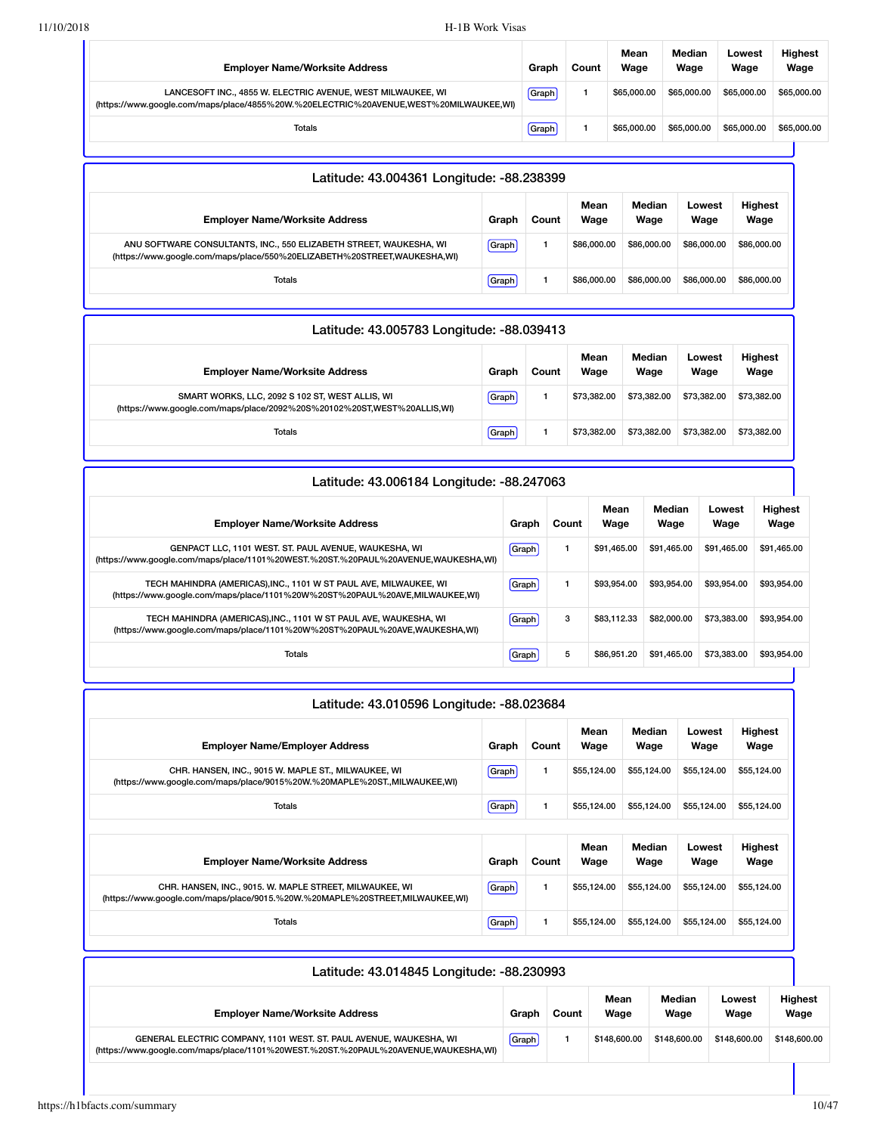| <b>Employer Name/Worksite Address</b>                                                                                                                | Graph | Count | Mean<br>Wage | Median<br>Wage | Lowest<br>Wage | <b>Highest</b><br>Wage |
|------------------------------------------------------------------------------------------------------------------------------------------------------|-------|-------|--------------|----------------|----------------|------------------------|
| LANCESOFT INC., 4855 W. ELECTRIC AVENUE, WEST MILWAUKEE, WI<br>(https://www.google.com/maps/place/4855%20W.%20ELECTRIC%20AVENUE,WEST%20MILWAUKEE,WI) | Graph |       | \$65.000.00  | \$65,000,00    | \$65,000.00    | \$65,000.00            |
| <b>Totals</b>                                                                                                                                        | Graph |       | \$65.000.00  | \$65,000,00    | \$65,000.00    | \$65,000.00            |
|                                                                                                                                                      |       |       |              |                |                |                        |

| Latitude: 43.004361 Longitude: -88.238399                                                                                                      |       |       |              |                |                |                        |  |  |  |  |  |
|------------------------------------------------------------------------------------------------------------------------------------------------|-------|-------|--------------|----------------|----------------|------------------------|--|--|--|--|--|
| <b>Employer Name/Worksite Address</b>                                                                                                          | Graph | Count | Mean<br>Wage | Median<br>Wage | Lowest<br>Wage | <b>Highest</b><br>Wage |  |  |  |  |  |
| ANU SOFTWARE CONSULTANTS, INC., 550 ELIZABETH STREET, WAUKESHA, WI<br>(https://www.google.com/maps/place/550%20ELIZABETH%20STREET,WAUKESHA,WI) | Graph |       | \$86,000,00  | \$86,000.00    | \$86,000,00    | \$86,000.00            |  |  |  |  |  |
| Totals                                                                                                                                         | Graph |       | \$86,000,00  | \$86,000,00    | \$86,000,00    | \$86,000.00            |  |  |  |  |  |

| Latitude: 43.005783 Longitude: -88.039413                                                                                  |       |       |              |                |                |                        |  |  |  |  |  |
|----------------------------------------------------------------------------------------------------------------------------|-------|-------|--------------|----------------|----------------|------------------------|--|--|--|--|--|
| <b>Employer Name/Worksite Address</b>                                                                                      | Graph | Count | Mean<br>Wage | Median<br>Wage | Lowest<br>Wage | <b>Highest</b><br>Wage |  |  |  |  |  |
| SMART WORKS, LLC, 2092 S 102 ST, WEST ALLIS, WI<br>(https://www.google.com/maps/place/2092%20S%20102%20ST,WEST%20ALLIS,WI) | Graph |       | \$73.382.00  | \$73,382.00    | \$73,382,00    | \$73,382.00            |  |  |  |  |  |
| Totals                                                                                                                     | Graph |       | \$73.382.00  | \$73,382,00    | \$73,382,00    | \$73,382.00            |  |  |  |  |  |

| Latitude: 43.006184 Longitude: -88.247063                                                                                                        |              |       |              |                |                |                 |  |  |  |  |  |  |
|--------------------------------------------------------------------------------------------------------------------------------------------------|--------------|-------|--------------|----------------|----------------|-----------------|--|--|--|--|--|--|
| <b>Employer Name/Worksite Address</b>                                                                                                            | Graph        | Count | Mean<br>Wage | Median<br>Wage | Lowest<br>Wage | Highest<br>Wage |  |  |  |  |  |  |
| GENPACT LLC, 1101 WEST. ST. PAUL AVENUE, WAUKESHA, WI<br>(https://www.google.com/maps/place/1101%20WEST.%20ST.%20PAUL%20AVENUE,WAUKESHA,WI)      | Graph        |       | \$91.465.00  | \$91,465,00    | \$91.465.00    | \$91,465.00     |  |  |  |  |  |  |
| TECH MAHINDRA (AMERICAS), INC., 1101 W ST PAUL AVE, MILWAUKEE, WI<br>(https://www.google.com/maps/place/1101%20W%20ST%20PAUL%20AVE,MILWAUKEE,WI) | Graph        |       | \$93.954.00  | \$93,954.00    | \$93,954,00    | \$93,954.00     |  |  |  |  |  |  |
| TECH MAHINDRA (AMERICAS), INC., 1101 W ST PAUL AVE, WAUKESHA, WI<br>(https://www.google.com/maps/place/1101%20W%20ST%20PAUL%20AVE,WAUKESHA,WI)   | <b>Graph</b> | 3     | \$83.112.33  | \$82,000,00    | \$73,383,00    | \$93,954.00     |  |  |  |  |  |  |
| <b>Totals</b>                                                                                                                                    | Graph!       | 5     | \$86.951.20  | \$91,465,00    | \$73,383,00    | \$93,954.00     |  |  |  |  |  |  |

| Latitude: 43.010596 Longitude: -88.023684                                                                                               |       |       |              |                |                |                        |  |  |  |  |  |
|-----------------------------------------------------------------------------------------------------------------------------------------|-------|-------|--------------|----------------|----------------|------------------------|--|--|--|--|--|
| <b>Employer Name/Employer Address</b>                                                                                                   | Graph | Count | Mean<br>Wage | Median<br>Wage | Lowest<br>Wage | <b>Highest</b><br>Wage |  |  |  |  |  |
| CHR. HANSEN, INC., 9015 W. MAPLE ST., MILWAUKEE, WI<br>(https://www.google.com/maps/place/9015%20W.%20MAPLE%20ST.,MILWAUKEE,WI)         | Graph | 1     | \$55,124.00  | \$55,124.00    | \$55,124.00    | \$55,124.00            |  |  |  |  |  |
| Totals                                                                                                                                  | Graph | 1     | \$55,124.00  | \$55,124.00    | \$55,124.00    | \$55,124.00            |  |  |  |  |  |
| <b>Employer Name/Worksite Address</b>                                                                                                   | Graph | Count | Mean<br>Wage | Median<br>Wage | Lowest<br>Wage | <b>Highest</b><br>Wage |  |  |  |  |  |
| CHR. HANSEN, INC., 9015. W. MAPLE STREET, MILWAUKEE, WI<br>(https://www.google.com/maps/place/9015.%20W.%20MAPLE%20STREET,MILWAUKEE,WI) | Graph | 1.    | \$55.124.00  | \$55,124.00    | \$55,124.00    | \$55,124.00            |  |  |  |  |  |
| Totals                                                                                                                                  | Graph | 1     | \$55,124.00  | \$55,124.00    | \$55,124.00    | \$55,124.00            |  |  |  |  |  |

| Latitude: 43.014845 Longitude: -88.230993                                                                                                                |       |       |              |                |                |                        |  |  |  |  |  |
|----------------------------------------------------------------------------------------------------------------------------------------------------------|-------|-------|--------------|----------------|----------------|------------------------|--|--|--|--|--|
| <b>Employer Name/Worksite Address</b>                                                                                                                    | Graph | Count | Mean<br>Wage | Median<br>Wage | Lowest<br>Wage | <b>Highest</b><br>Wage |  |  |  |  |  |
| GENERAL ELECTRIC COMPANY, 1101 WEST. ST. PAUL AVENUE, WAUKESHA, WI<br>(https://www.google.com/maps/place/1101%20WEST.%20ST.%20PAUL%20AVENUE,WAUKESHA,WI) | Graph |       | \$148,600.00 | \$148,600.00   | \$148,600.00   | \$148.600.00           |  |  |  |  |  |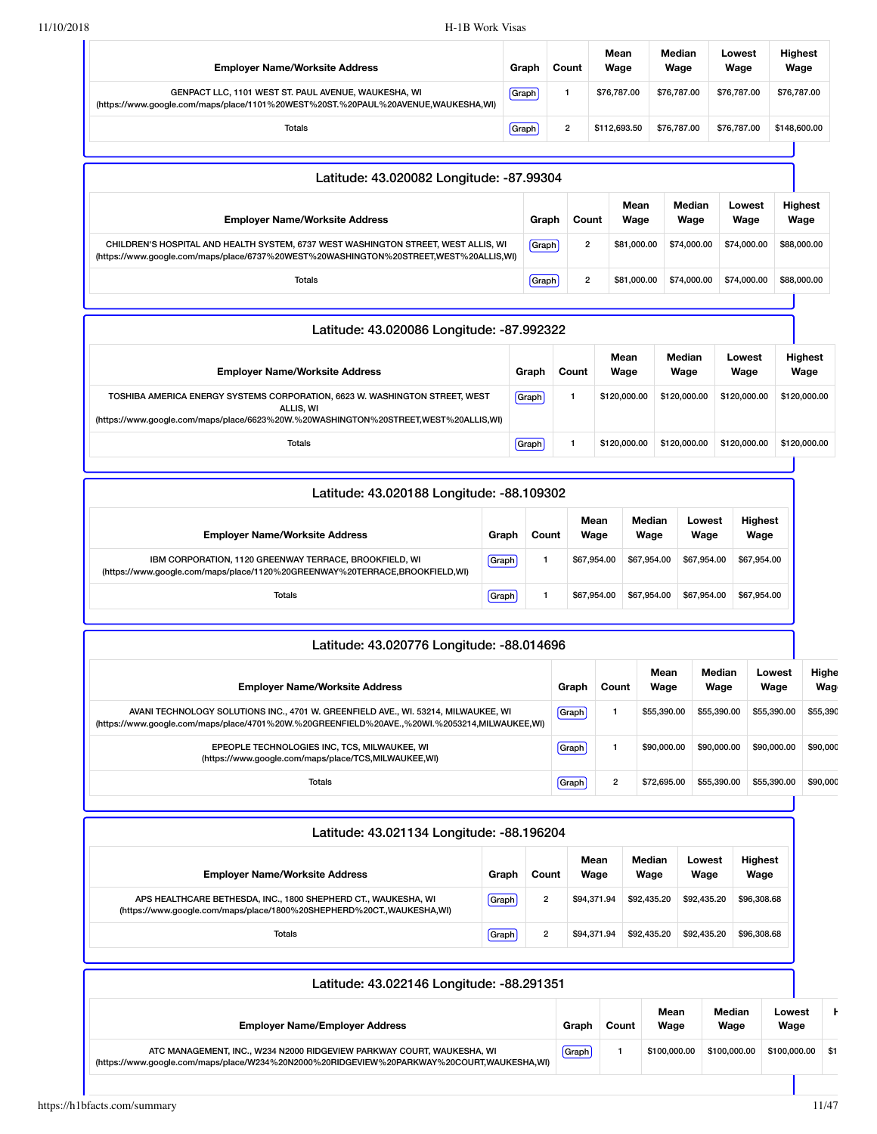| 11/10/2018 | H-1B Work Visas                                                                                                                                                                     |       |                |                  |                                |                |                |                                   |                 |                        |  |  |  |  |             |  |  |             |  |             |             |  |
|------------|-------------------------------------------------------------------------------------------------------------------------------------------------------------------------------------|-------|----------------|------------------|--------------------------------|----------------|----------------|-----------------------------------|-----------------|------------------------|--|--|--|--|-------------|--|--|-------------|--|-------------|-------------|--|
|            | <b>Employer Name/Worksite Address</b>                                                                                                                                               |       | Graph          | Count            | Mean<br>Wage                   |                | Median<br>Wage | Lowest<br>Wage                    |                 | <b>Highest</b><br>Wage |  |  |  |  |             |  |  |             |  |             |             |  |
|            | GENPACT LLC, 1101 WEST ST. PAUL AVENUE, WAUKESHA, WI<br>(https://www.google.com/maps/place/1101%20WEST%20ST.%20PAUL%20AVENUE,WAUKESHA,WI)                                           |       | Graph          | $\mathbf{1}$     | \$76,787.00                    |                | \$76,787.00    | \$76,787.00                       |                 | \$76,787.00            |  |  |  |  |             |  |  |             |  |             |             |  |
|            | Totals                                                                                                                                                                              |       | Graph          | $\boldsymbol{2}$ | \$112,693.50                   |                | \$76,787.00    | \$76,787.00                       |                 | \$148,600.00           |  |  |  |  |             |  |  |             |  |             |             |  |
|            |                                                                                                                                                                                     |       |                |                  |                                |                |                |                                   |                 |                        |  |  |  |  |             |  |  |             |  |             |             |  |
|            | Latitude: 43.020082 Longitude: -87.99304                                                                                                                                            |       |                |                  |                                |                |                |                                   |                 |                        |  |  |  |  |             |  |  |             |  |             |             |  |
|            | <b>Employer Name/Worksite Address</b>                                                                                                                                               |       | Graph          | Count            |                                | Mean<br>Wage   | Median<br>Wage |                                   | Lowest<br>Wage  | <b>Highest</b><br>Wage |  |  |  |  |             |  |  |             |  |             |             |  |
|            | CHILDREN'S HOSPITAL AND HEALTH SYSTEM, 6737 WEST WASHINGTON STREET, WEST ALLIS, WI<br>(https://www.google.com/maps/place/6737%20WEST%20WASHINGTON%20STREET,WEST%20ALLIS,WI)         |       | Graph          | $\overline{2}$   |                                | \$81,000.00    | \$74,000.00    |                                   | \$74,000.00     | \$88,000.00            |  |  |  |  |             |  |  |             |  |             |             |  |
|            | Totals                                                                                                                                                                              |       | Graph          | $\overline{2}$   |                                | \$81,000.00    | \$74,000.00    |                                   | \$74,000.00     | \$88,000.00            |  |  |  |  |             |  |  |             |  |             |             |  |
|            |                                                                                                                                                                                     |       |                |                  |                                |                |                |                                   |                 |                        |  |  |  |  |             |  |  |             |  |             |             |  |
|            | Latitude: 43.020086 Longitude: -87.992322                                                                                                                                           |       |                |                  |                                |                |                |                                   |                 |                        |  |  |  |  |             |  |  |             |  |             |             |  |
|            | <b>Employer Name/Worksite Address</b>                                                                                                                                               |       | Graph          | Count            | Mean<br>Wage                   |                | Median<br>Wage |                                   | Lowest<br>Wage  | <b>Highest</b><br>Wage |  |  |  |  |             |  |  |             |  |             |             |  |
|            | TOSHIBA AMERICA ENERGY SYSTEMS CORPORATION, 6623 W. WASHINGTON STREET, WEST<br>ALLIS, WI                                                                                            |       | Graph          | $\mathbf{1}$     | \$120,000.00                   |                | \$120,000.00   | \$120,000.00                      |                 | \$120,000.00           |  |  |  |  |             |  |  |             |  |             |             |  |
|            | (https://www.google.com/maps/place/6623%20W.%20WASHINGTON%20STREET,WEST%20ALLIS,WI)<br>Totals                                                                                       |       | Graph          | 1                | \$120,000.00                   |                | \$120,000.00   |                                   | \$120,000.00    | \$120,000.00           |  |  |  |  |             |  |  |             |  |             |             |  |
|            |                                                                                                                                                                                     |       |                |                  |                                |                |                |                                   |                 |                        |  |  |  |  |             |  |  |             |  |             |             |  |
|            | Latitude: 43.020188 Longitude: -88.109302                                                                                                                                           |       |                |                  |                                |                |                |                                   |                 |                        |  |  |  |  |             |  |  |             |  |             |             |  |
|            | <b>Employer Name/Worksite Address</b>                                                                                                                                               | Graph | Count          |                  | Mean<br>Median<br>Wage<br>Wage |                |                | Lowest<br>Highest<br>Wage<br>Wage |                 |                        |  |  |  |  |             |  |  |             |  |             |             |  |
|            | IBM CORPORATION, 1120 GREENWAY TERRACE, BROOKFIELD, WI<br>(https://www.google.com/maps/place/1120%20GREENWAY%20TERRACE,BROOKFIELD,WI)                                               | Graph | $\mathbf{1}$   |                  | \$67,954.00                    | \$67,954.00    |                | \$67,954.00                       | \$67,954.00     |                        |  |  |  |  |             |  |  |             |  |             |             |  |
|            | <b>Totals</b>                                                                                                                                                                       | Graph | 1              |                  | \$67,954.00                    | \$67,954.00    |                | \$67,954.00                       | \$67,954.00     |                        |  |  |  |  |             |  |  |             |  |             |             |  |
|            | Latitude: 43.020776 Longitude: -88.014696                                                                                                                                           |       |                |                  |                                |                |                |                                   |                 |                        |  |  |  |  |             |  |  |             |  |             |             |  |
|            | <b>Employer Name/Worksite Address</b>                                                                                                                                               |       |                | Graph            | Count                          |                | Mean<br>Wage   | Median<br>Wage                    | Lowest<br>Wage  | Highe<br>Wag           |  |  |  |  |             |  |  |             |  |             |             |  |
|            | AVANI TECHNOLOGY SOLUTIONS INC., 4701 W. GREENFIELD AVE., WI. 53214, MILWAUKEE, WI<br>(https://www.google.com/maps/place/4701%20W.%20GREENFIELD%20AVE.,%20WI.%2053214,MILWAUKEE,WI) |       |                | Graph            | 1                              |                | \$55,390.00    | \$55,390.00                       | \$55,390.00     | \$55,390               |  |  |  |  |             |  |  |             |  |             |             |  |
|            | EPEOPLE TECHNOLOGIES INC, TCS, MILWAUKEE, WI<br>(https://www.google.com/maps/place/TCS,MILWAUKEE,WI)                                                                                |       |                | Graph            | $\mathbf{1}$                   |                | \$90,000.00    | \$90,000.00                       | \$90,000.00     | \$90,000               |  |  |  |  |             |  |  |             |  |             |             |  |
|            | <b>Totals</b>                                                                                                                                                                       |       |                | Graph            | $\overline{2}$                 |                | \$72,695.00    | \$55,390.00                       | \$55,390.00     | \$90,000               |  |  |  |  |             |  |  |             |  |             |             |  |
|            | Latitude: 43.021134 Longitude: -88.196204                                                                                                                                           |       |                |                  |                                |                |                |                                   |                 |                        |  |  |  |  |             |  |  |             |  |             |             |  |
|            | <b>Employer Name/Worksite Address</b>                                                                                                                                               | Graph | Count          |                  | Mean                           | Median<br>Wage |                | Lowest<br>Wage                    | Highest<br>Wage |                        |  |  |  |  |             |  |  |             |  |             |             |  |
|            | APS HEALTHCARE BETHESDA, INC., 1800 SHEPHERD CT., WAUKESHA, WI                                                                                                                      | Graph | 2              |                  | Wage                           |                |                |                                   |                 |                        |  |  |  |  | \$94,371.94 |  |  | \$92,435.20 |  | \$92,435.20 | \$96,308.68 |  |
|            | (https://www.google.com/maps/place/1800%20SHEPHERD%20CT.,WAUKESHA,WI)<br><b>Totals</b>                                                                                              | Graph | $\overline{2}$ |                  | \$94,371.94                    | \$92,435.20    |                | \$92,435.20                       | \$96,308.68     |                        |  |  |  |  |             |  |  |             |  |             |             |  |
|            |                                                                                                                                                                                     |       |                |                  |                                |                |                |                                   |                 |                        |  |  |  |  |             |  |  |             |  |             |             |  |
|            | Latitude: 43.022146 Longitude: -88.291351                                                                                                                                           |       |                |                  |                                |                |                |                                   |                 |                        |  |  |  |  |             |  |  |             |  |             |             |  |
|            | <b>Employer Name/Employer Address</b>                                                                                                                                               |       |                | Graph            | Count                          |                | Mean<br>Wage   | Median<br>Wage                    |                 | Lowest<br>Wage         |  |  |  |  |             |  |  |             |  |             |             |  |
|            | ATC MANAGEMENT, INC., W234 N2000 RIDGEVIEW PARKWAY COURT, WAUKESHA, WI                                                                                                              |       |                | Graph            | 1                              |                | \$100,000.00   | \$100,000.00                      |                 | \$100,000.00           |  |  |  |  |             |  |  |             |  |             |             |  |

[\(https://www.google.com/maps/place/W234%20N2000%20RIDGEVIEW%20PARKWAY%20COURT,WAUKESHA,WI\)](https://www.google.com/maps/place/W234%20N2000%20RIDGEVIEW%20PARKWAY%20COURT,WAUKESHA,WI)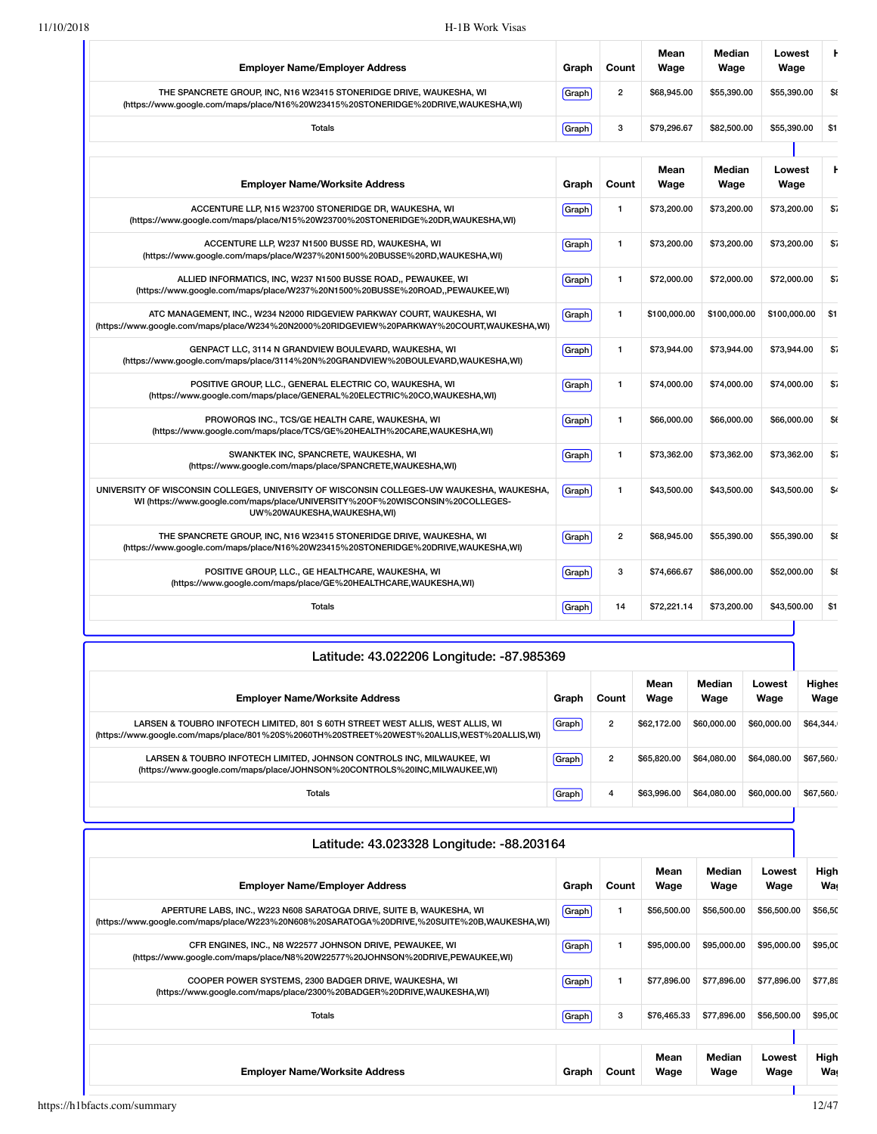| <b>Employer Name/Employer Address</b>                                                                                                                                                                      | Graph | Count                   | Mean<br>Wage | Median<br>Wage | Lowest<br>Wage | Ł            |
|------------------------------------------------------------------------------------------------------------------------------------------------------------------------------------------------------------|-------|-------------------------|--------------|----------------|----------------|--------------|
| THE SPANCRETE GROUP, INC, N16 W23415 STONERIDGE DRIVE, WAUKESHA, WI<br>(https://www.google.com/maps/place/N16%20W23415%20STONERIDGE%20DRIVE,WAUKESHA,WI)                                                   | Graph | $\overline{\mathbf{c}}$ | \$68,945.00  | \$55,390.00    | \$55,390.00    | \$8          |
| <b>Totals</b>                                                                                                                                                                                              | Graph | 3                       | \$79,296.67  | \$82,500.00    | \$55,390.00    | \$1          |
|                                                                                                                                                                                                            |       |                         |              |                |                |              |
| <b>Employer Name/Worksite Address</b>                                                                                                                                                                      | Graph | Count                   | Mean<br>Wage | Median<br>Wage | Lowest<br>Wage | t.           |
| ACCENTURE LLP, N15 W23700 STONERIDGE DR, WAUKESHA, WI<br>(https://www.qoogle.com/maps/place/N15%20W23700%20STONERIDGE%20DR,WAUKESHA,WI)                                                                    | Graph | $\mathbf{1}$            | \$73,200.00  | \$73,200.00    | \$73,200.00    | \$7          |
| ACCENTURE LLP, W237 N1500 BUSSE RD, WAUKESHA, WI<br>(https://www.google.com/maps/place/W237%20N1500%20BUSSE%20RD,WAUKESHA,WI)                                                                              | Graph | 1                       | \$73,200.00  | \$73,200.00    | \$73,200.00    | \$7          |
| ALLIED INFORMATICS, INC, W237 N1500 BUSSE ROAD., PEWAUKEE, WI<br>(https://www.google.com/maps/place/W237%20N1500%20BUSSE%20ROAD,,PEWAUKEE,WI)                                                              | Graph | $\mathbf{1}$            | \$72,000.00  | \$72,000.00    | \$72,000.00    | \$7          |
| ATC MANAGEMENT, INC., W234 N2000 RIDGEVIEW PARKWAY COURT, WAUKESHA, WI<br>(https://www.google.com/maps/place/W234%20N2000%20RIDGEVIEW%20PARKWAY%20COURT,WAUKESHA,WI)                                       | Graph | 1                       | \$100,000.00 | \$100,000.00   | \$100,000.00   | \$1          |
| GENPACT LLC, 3114 N GRANDVIEW BOULEVARD, WAUKESHA, WI<br>(https://www.google.com/maps/place/3114%20N%20GRANDVIEW%20BOULEVARD,WAUKESHA,WI)                                                                  | Graph | $\mathbf{1}$            | \$73,944.00  | \$73,944.00    | \$73,944.00    | \$7          |
| POSITIVE GROUP, LLC., GENERAL ELECTRIC CO, WAUKESHA, WI<br>(https://www.google.com/maps/place/GENERAL%20ELECTRIC%20CO,WAUKESHA,WI)                                                                         | Graph | $\mathbf{1}$            | \$74,000.00  | \$74,000.00    | \$74,000.00    | \$7          |
| PROWORQS INC., TCS/GE HEALTH CARE, WAUKESHA, WI<br>(https://www.google.com/maps/place/TCS/GE%20HEALTH%20CARE,WAUKESHA,WI)                                                                                  | Graph | $\mathbf{1}$            | \$66,000,00  | \$66,000.00    | \$66,000.00    | \$6          |
| SWANKTEK INC, SPANCRETE, WAUKESHA, WI<br>(https://www.google.com/maps/place/SPANCRETE,WAUKESHA,WI)                                                                                                         | Graph | 1                       | \$73,362.00  | \$73,362.00    | \$73,362.00    | \$7          |
| UNIVERSITY OF WISCONSIN COLLEGES, UNIVERSITY OF WISCONSIN COLLEGES-UW WAUKESHA, WAUKESHA,<br>WI (https://www.google.com/maps/place/UNIVERSITY%20OF%20WISCONSIN%20COLLEGES-<br>UW%20WAUKESHA, WAUKESHA, WI) | Graph | 1                       | \$43,500.00  | \$43,500.00    | \$43,500.00    | $$^{\prime}$ |
| THE SPANCRETE GROUP, INC, N16 W23415 STONERIDGE DRIVE, WAUKESHA, WI<br>(https://www.google.com/maps/place/N16%20W23415%20STONERIDGE%20DRIVE,WAUKESHA,WI)                                                   | Graph | $\overline{\mathbf{2}}$ | \$68,945.00  | \$55,390.00    | \$55,390.00    | \$8          |
| POSITIVE GROUP, LLC., GE HEALTHCARE, WAUKESHA, WI<br>(https://www.qoogle.com/maps/place/GE%20HEALTHCARE,WAUKESHA,WI)                                                                                       | Graph | 3                       | \$74,666.67  | \$86,000.00    | \$52,000.00    | \$8          |
| <b>Totals</b>                                                                                                                                                                                              | Graph | 14                      | \$72,221.14  | \$73,200.00    | \$43,500.00    | \$1          |

| Latitude: 43.022206 Longitude: -87.985369                                                                                                                                    |       |                |              |                |                |                       |  |  |  |
|------------------------------------------------------------------------------------------------------------------------------------------------------------------------------|-------|----------------|--------------|----------------|----------------|-----------------------|--|--|--|
| <b>Employer Name/Worksite Address</b>                                                                                                                                        | Graph | Count          | Mean<br>Wage | Median<br>Wage | Lowest<br>Wage | <b>Highes</b><br>Wage |  |  |  |
| LARSEN & TOUBRO INFOTECH LIMITED, 801 S 60TH STREET WEST ALLIS, WEST ALLIS, WI<br>(https://www.google.com/maps/place/801%20S%2060TH%20STREET%20WEST%20ALLIS,WEST%20ALLIS,WI) | Graph | $\overline{2}$ | \$62,172,00  | \$60,000,00    | \$60,000,00    | \$64,344.             |  |  |  |
| LARSEN & TOUBRO INFOTECH LIMITED, JOHNSON CONTROLS INC, MILWAUKEE, WI<br>(https://www.google.com/maps/place/JOHNSON%20CONTROLS%20INC,MILWAUKEE,WI)                           | Graph | $\overline{2}$ | \$65,820,00  | \$64,080,00    | \$64.080.00    | \$67,560.             |  |  |  |
| Totals                                                                                                                                                                       | Graph | 4              | \$63,996,00  | \$64,080,00    | \$60,000,00    | \$67,560.             |  |  |  |

| Latitude: 43.023328 Longitude: -88.203164                                                                                                                           |         |       |              |                |                |             |  |  |  |  |
|---------------------------------------------------------------------------------------------------------------------------------------------------------------------|---------|-------|--------------|----------------|----------------|-------------|--|--|--|--|
| <b>Employer Name/Employer Address</b>                                                                                                                               | Graph   | Count | Mean<br>Wage | Median<br>Wage | Lowest<br>Wage | High<br>Was |  |  |  |  |
| APERTURE LABS, INC., W223 N608 SARATOGA DRIVE, SUITE B, WAUKESHA, WI<br>(https://www.google.com/maps/place/W223%20N608%20SARATOGA%20DRIVE,%20SUITE%20B,WAUKESHA,WI) | [Graph] | 1.    | \$56,500.00  | \$56,500.00    | \$56,500.00    | \$56,50     |  |  |  |  |
| CFR ENGINES, INC., N8 W22577 JOHNSON DRIVE, PEWAUKEE, WI<br>(https://www.google.com/maps/place/N8%20W22577%20JOHNSON%20DRIVE,PEWAUKEE,WI)                           | [Graph] | 1.    | \$95,000.00  | \$95,000.00    | \$95,000.00    | \$95,00     |  |  |  |  |
| COOPER POWER SYSTEMS, 2300 BADGER DRIVE, WAUKESHA, WI<br>(https://www.google.com/maps/place/2300%20BADGER%20DRIVE,WAUKESHA,WI)                                      | Graph   | 1     | \$77,896.00  | \$77,896,00    | \$77,896.00    | \$77,89     |  |  |  |  |
| Totals                                                                                                                                                              | Graph   | 3     | \$76,465.33  | \$77,896.00    | \$56,500.00    | \$95,00     |  |  |  |  |
|                                                                                                                                                                     |         |       |              |                |                |             |  |  |  |  |
| <b>Employer Name/Worksite Address</b>                                                                                                                               | Graph   | Count | Mean<br>Wage | Median<br>Wage | Lowest<br>Wage | High<br>Was |  |  |  |  |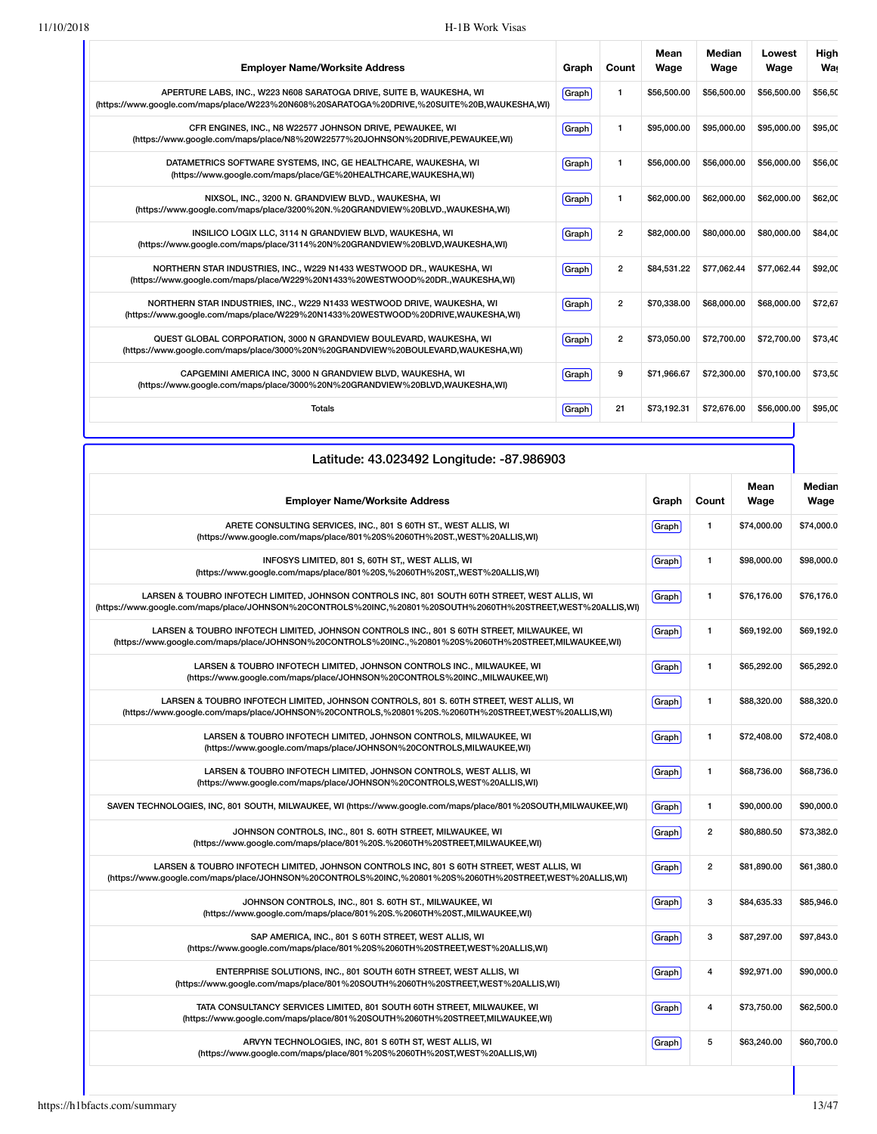| <b>Employer Name/Worksite Address</b>                                                                                                                               | Graph | Count          | Mean<br>Wage | Median<br>Wage | Lowest<br>Wage | High<br><b>Wa</b> |
|---------------------------------------------------------------------------------------------------------------------------------------------------------------------|-------|----------------|--------------|----------------|----------------|-------------------|
| APERTURE LABS, INC., W223 N608 SARATOGA DRIVE, SUITE B, WAUKESHA, WI<br>(https://www.google.com/maps/place/W223%20N608%20SARATOGA%20DRIVE,%20SUITE%20B,WAUKESHA,WI) | Graph | 1              | \$56,500.00  | \$56,500.00    | \$56,500.00    | \$56,50           |
| CFR ENGINES, INC., N8 W22577 JOHNSON DRIVE, PEWAUKEE, WI<br>(https://www.google.com/maps/place/N8%20W22577%20JOHNSON%20DRIVE,PEWAUKEE,WI)                           | Graph | 1              | \$95,000.00  | \$95,000.00    | \$95,000.00    | \$95.00           |
| DATAMETRICS SOFTWARE SYSTEMS, INC, GE HEALTHCARE, WAUKESHA, WI<br>(https://www.qoogle.com/maps/place/GE%20HEALTHCARE,WAUKESHA,WI)                                   | Graph | 1              | \$56,000.00  | \$56,000.00    | \$56,000.00    | \$56,00           |
| NIXSOL, INC., 3200 N. GRANDVIEW BLVD., WAUKESHA, WI<br>(https://www.google.com/maps/place/3200%20N.%20GRANDVIEW%20BLVD.,WAUKESHA,WI)                                | Graph | 1              | \$62,000.00  | \$62,000.00    | \$62,000.00    | \$62,00           |
| INSILICO LOGIX LLC, 3114 N GRANDVIEW BLVD, WAUKESHA, WI<br>(https://www.google.com/maps/place/3114%20N%20GRANDVIEW%20BLVD,WAUKESHA,WI)                              | Graph | $\overline{2}$ | \$82,000,00  | \$80,000,00    | \$80,000,00    | \$84.00           |
| NORTHERN STAR INDUSTRIES, INC., W229 N1433 WESTWOOD DR., WAUKESHA, WI<br>(https://www.google.com/maps/place/W229%20N1433%20WESTWOOD%20DR.,WAUKESHA,WI)              | Graph | $\overline{2}$ | \$84.531.22  | \$77.062.44    | \$77.062.44    | \$92.00           |
| NORTHERN STAR INDUSTRIES, INC., W229 N1433 WESTWOOD DRIVE, WAUKESHA, WI<br>(https://www.google.com/maps/place/W229%20N1433%20WESTWOOD%20DRIVE,WAUKESHA,WI)          | Graph | $\overline{2}$ | \$70,338.00  | \$68,000.00    | \$68,000.00    | \$72,67           |
| QUEST GLOBAL CORPORATION, 3000 N GRANDVIEW BOULEVARD, WAUKESHA, WI<br>(https://www.google.com/maps/place/3000%20N%20GRANDVIEW%20BOULEVARD,WAUKESHA,WI)              | Graph | $\overline{2}$ | \$73,050.00  | \$72,700.00    | \$72,700.00    | \$73,40           |
| CAPGEMINI AMERICA INC, 3000 N GRANDVIEW BLVD, WAUKESHA, WI<br>(https://www.google.com/maps/place/3000%20N%20GRANDVIEW%20BLVD,WAUKESHA,WI)                           | Graph | 9              | \$71.966.67  | \$72,300,00    | \$70,100.00    | \$73.50           |
| <b>Totals</b>                                                                                                                                                       | Graph | 21             | \$73,192.31  | \$72,676.00    | \$56,000.00    | \$95,00           |

| Latitude: 43.023492 Longitude: -87.986903                                                                                                                                                                    |       |                         |              |                |
|--------------------------------------------------------------------------------------------------------------------------------------------------------------------------------------------------------------|-------|-------------------------|--------------|----------------|
| <b>Employer Name/Worksite Address</b>                                                                                                                                                                        | Graph | Count                   | Mean<br>Wage | Median<br>Wage |
| ARETE CONSULTING SERVICES, INC., 801 S 60TH ST., WEST ALLIS, WI<br>(https://www.google.com/maps/place/801%20S%2060TH%20ST.,WEST%20ALLIS,WI)                                                                  | Graph | $\mathbf{1}$            | \$74,000.00  | \$74,000.0     |
| INFOSYS LIMITED, 801 S, 60TH ST,, WEST ALLIS, WI<br>(https://www.google.com/maps/place/801%20S,%2060TH%20ST,,WEST%20ALLIS,WI)                                                                                | Graph | $\mathbf{1}$            | \$98,000.00  | \$98,000.0     |
| LARSEN & TOUBRO INFOTECH LIMITED, JOHNSON CONTROLS INC, 801 SOUTH 60TH STREET, WEST ALLIS, WI<br>(https://www.google.com/maps/place/JOHNSON%20CONTROLS%20INC,%20801%20SOUTH%2060TH%20STREET,WEST%20ALLIS,WI) | Graph | 1                       | \$76,176.00  | \$76.176.0     |
| LARSEN & TOUBRO INFOTECH LIMITED, JOHNSON CONTROLS INC., 801 S 60TH STREET, MILWAUKEE, WI<br>(https://www.google.com/maps/place/JOHNSON%20CONTROLS%20INC.,%20801%20S%2060TH%20STREET,MILWAUKEE,WI)           | Graph | 1                       | \$69,192.00  | \$69,192.0     |
| LARSEN & TOUBRO INFOTECH LIMITED, JOHNSON CONTROLS INC., MILWAUKEE, WI<br>(https://www.google.com/maps/place/JOHNSON%20CONTROLS%20INC.,MILWAUKEE,WI)                                                         | Graph | $\mathbf{1}$            | \$65,292.00  | \$65,292.0     |
| LARSEN & TOUBRO INFOTECH LIMITED, JOHNSON CONTROLS, 801 S. 60TH STREET, WEST ALLIS, WI<br>(https://www.google.com/maps/place/JOHNSON%20CONTROLS,%20801%20S.%2060TH%20STREET,WEST%20ALLIS,WI)                 | Graph | $\mathbf{1}$            | \$88,320.00  | \$88,320.0     |
| LARSEN & TOUBRO INFOTECH LIMITED, JOHNSON CONTROLS, MILWAUKEE, WI<br>(https://www.google.com/maps/place/JOHNSON%20CONTROLS,MILWAUKEE,WI)                                                                     | Graph | $\mathbf{1}$            | \$72,408.00  | \$72,408.0     |
| LARSEN & TOUBRO INFOTECH LIMITED, JOHNSON CONTROLS, WEST ALLIS, WI<br>(https://www.google.com/maps/place/JOHNSON%20CONTROLS,WEST%20ALLIS,WI)                                                                 | Graph | 1                       | \$68,736.00  | \$68,736.0     |
| SAVEN TECHNOLOGIES, INC, 801 SOUTH, MILWAUKEE, WI (https://www.google.com/maps/place/801%20SOUTH,MILWAUKEE,WI)                                                                                               | Graph | 1                       | \$90,000.00  | \$90,000.0     |
| JOHNSON CONTROLS, INC., 801 S. 60TH STREET, MILWAUKEE, WI<br>(https://www.google.com/maps/place/801%20S.%2060TH%20STREET,MILWAUKEE,WI)                                                                       | Graph | $\overline{2}$          | \$80,880.50  | \$73,382.0     |
| LARSEN & TOUBRO INFOTECH LIMITED, JOHNSON CONTROLS INC, 801 S 60TH STREET, WEST ALLIS, WI<br>(https://www.google.com/maps/place/JOHNSON%20CONTROLS%20INC,%20801%20S%2060TH%20STREET,WEST%20ALLIS,WI)         | Graph | $\overline{\mathbf{2}}$ | \$81,890.00  | \$61,380.0     |
| JOHNSON CONTROLS, INC., 801 S. 60TH ST., MILWAUKEE, WI<br>(https://www.google.com/maps/place/801%20S.%2060TH%20ST.,MILWAUKEE,WI)                                                                             | Graph | 3                       | \$84,635.33  | \$85,946.0     |
| SAP AMERICA, INC., 801 S 60TH STREET, WEST ALLIS, WI<br>(https://www.google.com/maps/place/801%20S%2060TH%20STREET,WEST%20ALLIS,WI)                                                                          | Graph | 3                       | \$87,297.00  | \$97,843.0     |
| ENTERPRISE SOLUTIONS, INC., 801 SOUTH 60TH STREET, WEST ALLIS, WI<br>(https://www.google.com/maps/place/801%20SOUTH%2060TH%20STREET,WEST%20ALLIS,WI)                                                         | Graph | 4                       | \$92,971.00  | \$90,000.0     |
| TATA CONSULTANCY SERVICES LIMITED, 801 SOUTH 60TH STREET, MILWAUKEE, WI<br>(https://www.google.com/maps/place/801%20SOUTH%2060TH%20STREET,MILWAUKEE,WI)                                                      | Graph | 4                       | \$73,750.00  | \$62,500.0     |
| ARVYN TECHNOLOGIES, INC, 801 S 60TH ST, WEST ALLIS, WI<br>(https://www.google.com/maps/place/801%20S%2060TH%20ST,WEST%20ALLIS,WI)                                                                            | Graph | 5                       | \$63,240.00  | \$60,700.0     |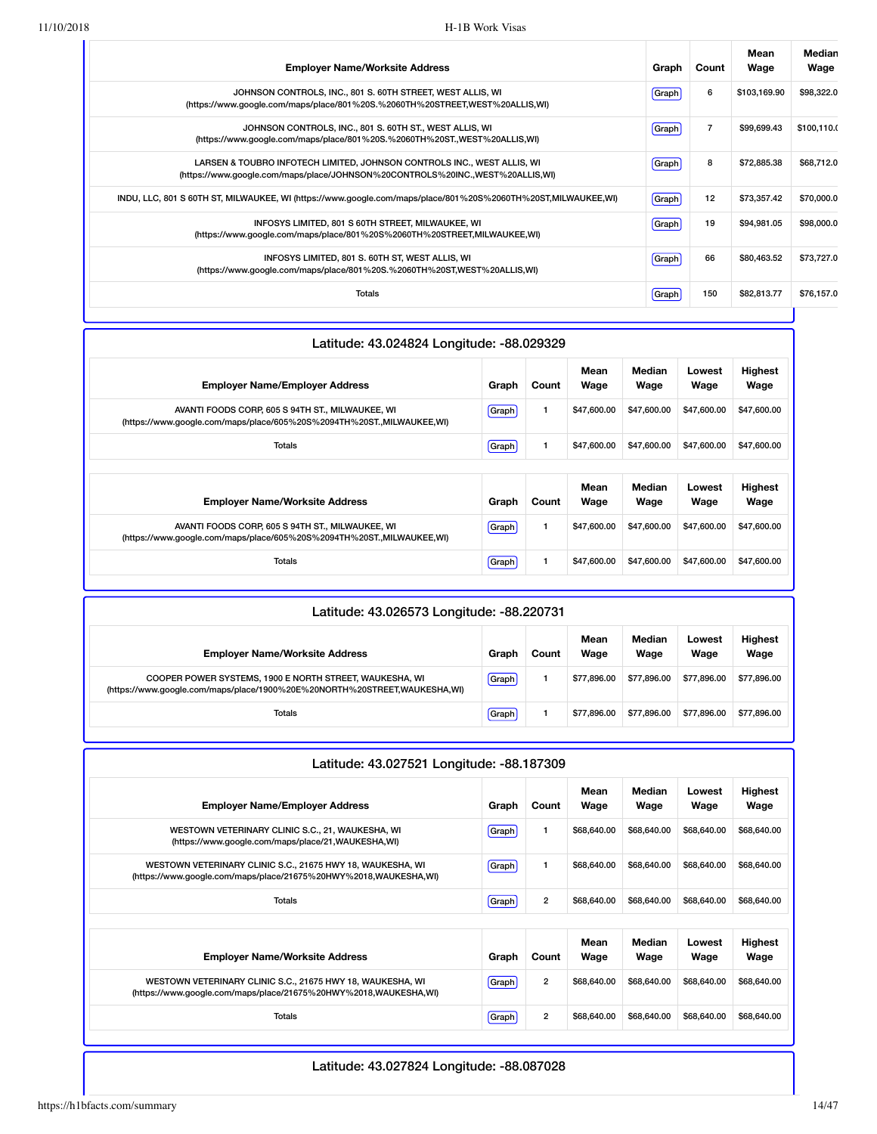| <b>Employer Name/Worksite Address</b>                                                                                                                    | Graph        | Count          | Mean<br>Wage | Median<br>Wage |
|----------------------------------------------------------------------------------------------------------------------------------------------------------|--------------|----------------|--------------|----------------|
| JOHNSON CONTROLS, INC., 801 S. 60TH STREET, WEST ALLIS, WI<br>(https://www.google.com/maps/place/801%20S.%2060TH%20STREET,WEST%20ALLIS,WI)               | Graph        | 6              | \$103,169.90 | \$98,322.0     |
| JOHNSON CONTROLS, INC., 801 S. 60TH ST., WEST ALLIS, WI<br>(https://www.google.com/maps/place/801%20S.%2060TH%20ST.,WEST%20ALLIS,WI)                     | <b>Graph</b> | $\overline{7}$ | \$99,699.43  | \$100,110.0    |
| LARSEN & TOUBRO INFOTECH LIMITED, JOHNSON CONTROLS INC., WEST ALLIS, WI<br>(https://www.google.com/maps/place/JOHNSON%20CONTROLS%20INC.,WEST%20ALLIS,WI) | Graph        | 8              | \$72,885.38  | \$68,712.0     |
| INDU, LLC, 801 S 60TH ST, MILWAUKEE, WI (https://www.google.com/maps/place/801%20S%2060TH%20ST,MILWAUKEE,WI)                                             | Graph        | 12             | \$73,357.42  | \$70,000.0     |
| INFOSYS LIMITED, 801 S 60TH STREET, MILWAUKEE, WI<br>(https://www.google.com/maps/place/801%20S%2060TH%20STREET,MILWAUKEE,WI)                            | Graph        | 19             | \$94,981.05  | \$98,000.0     |
| INFOSYS LIMITED, 801 S. 60TH ST, WEST ALLIS, WI<br>(https://www.google.com/maps/place/801%20S.%2060TH%20ST.WEST%20ALLIS.WI)                              | Graph        | 66             | \$80,463.52  | \$73,727.0     |
| Totals                                                                                                                                                   | Graph        | 150            | \$82,813.77  | \$76,157.0     |
|                                                                                                                                                          |              |                |              |                |

| Latitude: 43.024824 Longitude: -88.029329                                                                                 |       |              |              |                |                |                        |
|---------------------------------------------------------------------------------------------------------------------------|-------|--------------|--------------|----------------|----------------|------------------------|
| <b>Employer Name/Employer Address</b>                                                                                     | Graph | Count        | Mean<br>Wage | Median<br>Wage | Lowest<br>Wage | <b>Highest</b><br>Wage |
| AVANTI FOODS CORP, 605 S 94TH ST., MILWAUKEE, WI<br>(https://www.google.com/maps/place/605%20S%2094TH%20ST.,MILWAUKEE,WI) | Graph | $\mathbf{1}$ | \$47,600.00  | \$47,600.00    | \$47,600.00    | \$47,600.00            |
| Totals                                                                                                                    | Graph | $\mathbf{1}$ | \$47,600.00  | \$47,600.00    | \$47,600.00    | \$47,600.00            |
|                                                                                                                           |       |              |              |                |                |                        |
| <b>Employer Name/Worksite Address</b>                                                                                     | Graph | Count        | Mean<br>Wage | Median<br>Wage | Lowest<br>Wage | <b>Highest</b><br>Wage |
| AVANTI FOODS CORP, 605 S 94TH ST., MILWAUKEE, WI<br>(https://www.google.com/maps/place/605%20S%2094TH%20ST.,MILWAUKEE,WI) | Graph | $\mathbf{1}$ | \$47,600.00  | \$47,600.00    | \$47,600.00    | \$47,600.00            |
| Totals                                                                                                                    | Graph | 1            | \$47,600.00  | \$47,600.00    | \$47,600.00    | \$47,600.00            |

| Latitude: 43.026573 Longitude: -88.220731                                                                                            |       |       |              |                |                |                        |
|--------------------------------------------------------------------------------------------------------------------------------------|-------|-------|--------------|----------------|----------------|------------------------|
| <b>Employer Name/Worksite Address</b>                                                                                                | Graph | Count | Mean<br>Wage | Median<br>Wage | Lowest<br>Wage | <b>Highest</b><br>Wage |
| COOPER POWER SYSTEMS, 1900 E NORTH STREET, WAUKESHA, WI<br>(https://www.google.com/maps/place/1900%20E%20NORTH%20STREET,WAUKESHA,WI) | Graph |       | \$77.896.00  | \$77.896.00    | \$77,896,00    | \$77.896.00            |
| Totals                                                                                                                               | Graph |       | \$77.896.00  | \$77,896,00    | \$77,896,00    | \$77,896.00            |

| Latitude: 43.027521 Longitude: -88.187309                                                                                      |         |                |              |                |                |                        |
|--------------------------------------------------------------------------------------------------------------------------------|---------|----------------|--------------|----------------|----------------|------------------------|
| <b>Employer Name/Employer Address</b>                                                                                          | Graph   | Count          | Mean<br>Wage | Median<br>Wage | Lowest<br>Wage | Highest<br>Wage        |
| WESTOWN VETERINARY CLINIC S.C., 21, WAUKESHA, WI<br>(https://www.google.com/maps/place/21,WAUKESHA,WI)                         | Graph   | 1              | \$68,640.00  | \$68,640,00    | \$68,640,00    | \$68,640.00            |
| WESTOWN VETERINARY CLINIC S.C., 21675 HWY 18, WAUKESHA, WI<br>(https://www.google.com/maps/place/21675%20HWY%2018,WAUKESHA,WI) | Graph   | 1              | \$68,640,00  | \$68,640,00    | \$68,640,00    | \$68,640.00            |
| <b>Totals</b>                                                                                                                  | Graph   | $\overline{2}$ | \$68,640,00  | \$68,640.00    | \$68,640,00    | \$68,640.00            |
|                                                                                                                                |         |                |              |                |                |                        |
| <b>Employer Name/Worksite Address</b>                                                                                          | Graph   | Count          | Mean<br>Wage | Median<br>Wage | Lowest<br>Wage | <b>Highest</b><br>Wage |
| WESTOWN VETERINARY CLINIC S.C., 21675 HWY 18, WAUKESHA, WI<br>(https://www.google.com/maps/place/21675%20HWY%2018,WAUKESHA,WI) | [Graph] | $\overline{2}$ | \$68,640,00  | \$68,640,00    | \$68,640,00    | \$68,640,00            |
| <b>Totals</b>                                                                                                                  | Graph   | $\overline{2}$ | \$68,640,00  | \$68,640,00    | \$68,640,00    | \$68,640.00            |
|                                                                                                                                |         |                |              |                |                |                        |

### Latitude: 43.027824 Longitude: -88.087028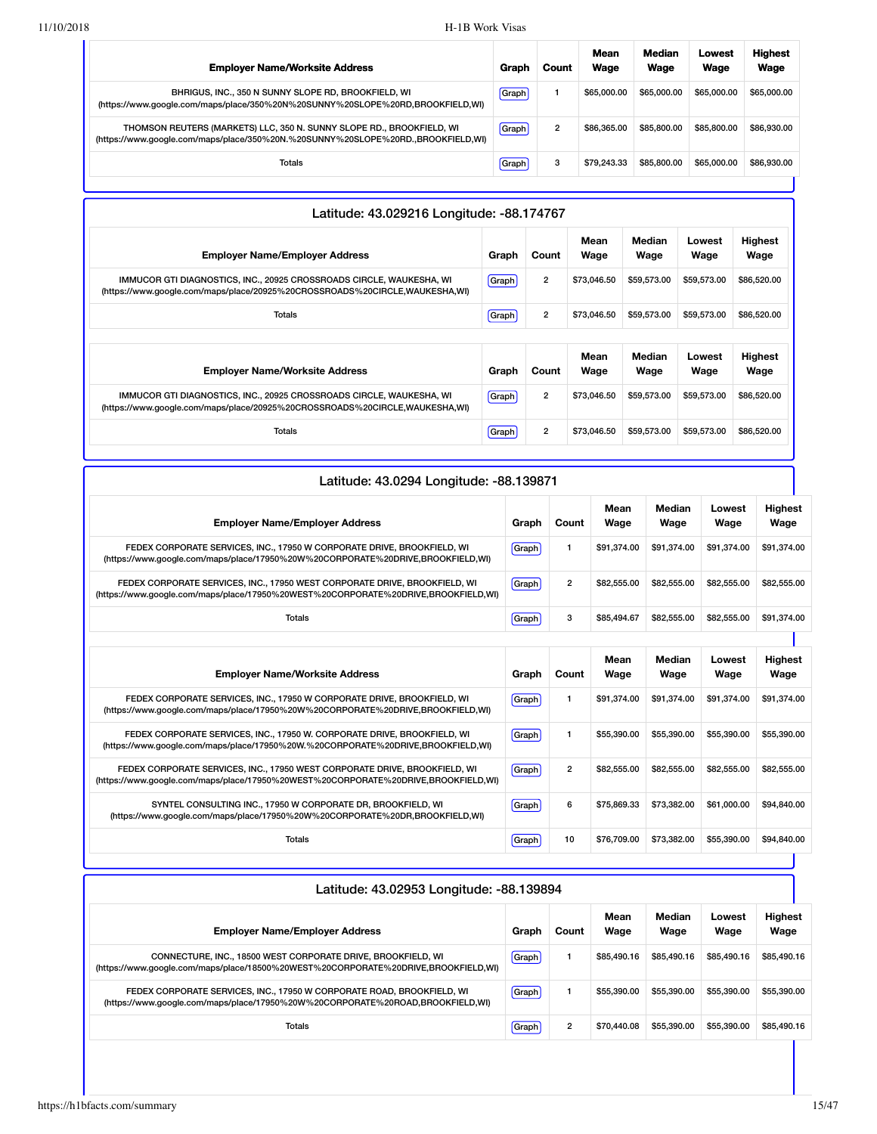| <b>Employer Name/Worksite Address</b>                                                                                                                     | Graph | Count          | Mean<br>Wage | Median<br>Wage | Lowest<br>Wage | <b>Highest</b><br>Wage |
|-----------------------------------------------------------------------------------------------------------------------------------------------------------|-------|----------------|--------------|----------------|----------------|------------------------|
| BHRIGUS, INC., 350 N SUNNY SLOPE RD, BROOKFIELD, WI<br>(https://www.google.com/maps/place/350%20N%20SUNNY%20SLOPE%20RD,BROOKFIELD,WI)                     | Graph |                | \$65,000.00  | \$65,000.00    | \$65,000,00    | \$65,000.00            |
| THOMSON REUTERS (MARKETS) LLC, 350 N. SUNNY SLOPE RD., BROOKFIELD, WI<br>(https://www.google.com/maps/place/350%20N.%20SUNNY%20SLOPE%20RD.,BROOKFIELD,WI) | Graph | $\overline{2}$ | \$86,365,00  | \$85,800,00    | \$85,800,00    | \$86,930,00            |
| Totals                                                                                                                                                    | Graph | 3              | \$79,243,33  | \$85,800,00    | \$65,000,00    | \$86,930,00            |

| Latitude: 43.029216 Longitude: -88.174767                                                                                                           |       |                         |              |                |                |                        |
|-----------------------------------------------------------------------------------------------------------------------------------------------------|-------|-------------------------|--------------|----------------|----------------|------------------------|
| <b>Employer Name/Employer Address</b>                                                                                                               | Graph | Count                   | Mean<br>Wage | Median<br>Wage | Lowest<br>Wage | <b>Highest</b><br>Wage |
| IMMUCOR GTI DIAGNOSTICS, INC., 20925 CROSSROADS CIRCLE, WAUKESHA, WI<br>(https://www.google.com/maps/place/20925%20CROSSROADS%20CIRCLE,WAUKESHA,WI) | Graph | $\overline{2}$          | \$73,046.50  | \$59,573.00    | \$59,573.00    | \$86,520.00            |
| <b>Totals</b>                                                                                                                                       | Graph | $\overline{2}$          | \$73,046.50  | \$59,573.00    | \$59,573.00    | \$86,520.00            |
|                                                                                                                                                     |       |                         | Mean         | Median         | Lowest         | <b>Highest</b>         |
| <b>Employer Name/Worksite Address</b>                                                                                                               | Graph | Count                   | Wage         | Wage           | Wage           | Wage                   |
| IMMUCOR GTI DIAGNOSTICS, INC., 20925 CROSSROADS CIRCLE, WAUKESHA, WI<br>(https://www.qoogle.com/maps/place/20925%20CROSSROADS%20CIRCLE,WAUKESHA,WI) | Graph | $\overline{2}$          | \$73,046.50  | \$59,573,00    | \$59,573,00    | \$86,520.00            |
| Totals                                                                                                                                              | Graph | $\overline{\mathbf{c}}$ | \$73,046.50  | \$59,573.00    | \$59,573.00    | \$86,520.00            |

| Latitude: 43.0294 Longitude: -88.139871                                                                                                                          |       |                |              |                |                |                        |
|------------------------------------------------------------------------------------------------------------------------------------------------------------------|-------|----------------|--------------|----------------|----------------|------------------------|
| <b>Employer Name/Employer Address</b>                                                                                                                            | Graph | Count          | Mean<br>Wage | Median<br>Wage | Lowest<br>Wage | <b>Highest</b><br>Wage |
| FEDEX CORPORATE SERVICES, INC., 17950 W CORPORATE DRIVE, BROOKFIELD, WI<br>(https://www.google.com/maps/place/17950%20W%20CORPORATE%20DRIVE,BROOKFIELD,WI)       | Graph | 1              | \$91,374.00  | \$91.374.00    | \$91.374.00    | \$91,374.00            |
| FEDEX CORPORATE SERVICES, INC., 17950 WEST CORPORATE DRIVE, BROOKFIELD, WI<br>(https://www.google.com/maps/place/17950%20WEST%20CORPORATE%20DRIVE,BROOKFIELD,WI) | Graph | $\overline{2}$ | \$82,555,00  | \$82,555.00    | \$82,555.00    | \$82,555.00            |
| Totals                                                                                                                                                           | Graph | 3              | \$85,494.67  | \$82,555.00    | \$82,555.00    | \$91,374.00            |
|                                                                                                                                                                  |       |                | Mean         | <b>Median</b>  | Lowest         | <b>Highest</b>         |
| <b>Employer Name/Worksite Address</b>                                                                                                                            | Graph | Count          | Wage         | Wage           | Wage           | Wage                   |
| FEDEX CORPORATE SERVICES, INC., 17950 W CORPORATE DRIVE, BROOKFIELD, WI<br>(https://www.google.com/maps/place/17950%20W%20CORPORATE%20DRIVE,BROOKFIELD,WI)       | Graph | $\mathbf{1}$   | \$91.374.00  | \$91.374.00    | \$91.374.00    | \$91,374.00            |
| FEDEX CORPORATE SERVICES, INC., 17950 W. CORPORATE DRIVE, BROOKFIELD, WI<br>(https://www.google.com/maps/place/17950%20W.%20CORPORATE%20DRIVE,BROOKFIELD,WI)     | Graph | $\mathbf{1}$   | \$55,390.00  | \$55,390.00    | \$55,390.00    | \$55,390.00            |
| FEDEX CORPORATE SERVICES, INC., 17950 WEST CORPORATE DRIVE, BROOKFIELD, WI<br>(https://www.google.com/maps/place/17950%20WEST%20CORPORATE%20DRIVE,BROOKFIELD,WI) | Graph | $\overline{2}$ | \$82,555.00  | \$82,555.00    | \$82,555.00    | \$82,555.00            |
| SYNTEL CONSULTING INC., 17950 W CORPORATE DR, BROOKFIELD, WI<br>(https://www.google.com/maps/place/17950%20W%20CORPORATE%20DR,BROOKFIELD,WI)                     | Graph | 6              | \$75,869.33  | \$73,382.00    | \$61,000.00    | \$94,840.00            |
| <b>Totals</b>                                                                                                                                                    | Graph | 10             | \$76,709.00  | \$73,382.00    | \$55,390.00    | \$94,840.00            |

| Latitude: 43.02953 Longitude: -88.139894                                                                                                                 | Median<br><b>Highest</b><br>Mean<br>Lowest<br>Wage<br>Wage<br>Wage<br>Wage<br>Graph<br>Count<br>\$85,490.16<br>\$85,490.16<br>Graph<br>\$85,490.16<br>\$85,490.16<br>\$55,390,00<br>\$55,390,00<br>\$55,390,00<br>\$55,390.00<br>Graph<br>$\overline{2}$<br>\$55,390,00<br>Graph<br>\$70,440.08<br>\$55,390,00<br>\$85,490.16 |  |  |  |
|----------------------------------------------------------------------------------------------------------------------------------------------------------|-------------------------------------------------------------------------------------------------------------------------------------------------------------------------------------------------------------------------------------------------------------------------------------------------------------------------------|--|--|--|
| <b>Employer Name/Employer Address</b>                                                                                                                    |                                                                                                                                                                                                                                                                                                                               |  |  |  |
| CONNECTURE, INC., 18500 WEST CORPORATE DRIVE, BROOKFIELD, WI<br>(https://www.google.com/maps/place/18500%20WEST%20CORPORATE%20DRIVE,BROOKFIELD,WI)       |                                                                                                                                                                                                                                                                                                                               |  |  |  |
| FEDEX CORPORATE SERVICES. INC., 17950 W CORPORATE ROAD, BROOKFIELD, WI<br>(https://www.google.com/maps/place/17950%20W%20CORPORATE%20ROAD,BROOKFIELD,WI) |                                                                                                                                                                                                                                                                                                                               |  |  |  |
| Totals                                                                                                                                                   |                                                                                                                                                                                                                                                                                                                               |  |  |  |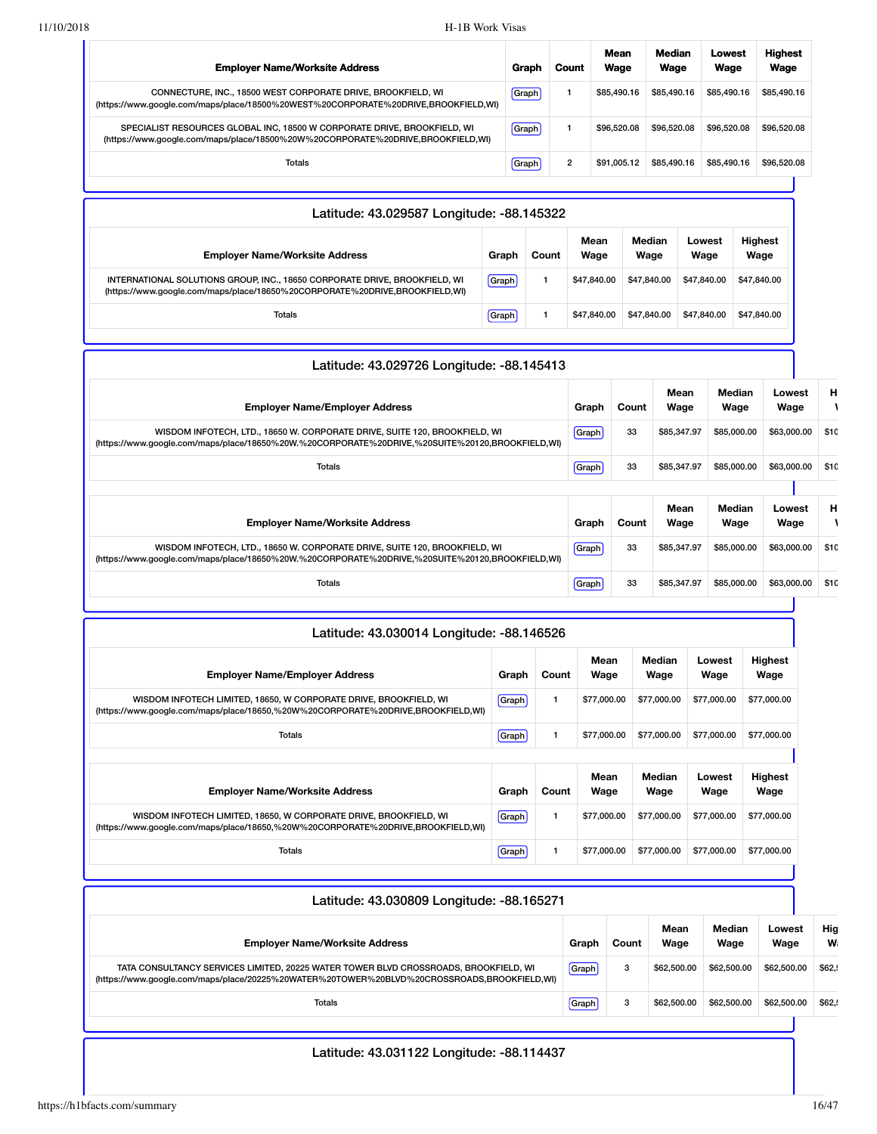| <b>Employer Name/Worksite Address</b>                                                                                                                       | Graph        | Count | Mean<br>Wage | Median<br>Wage | Lowest<br>Wage | <b>Highest</b><br>Wage |
|-------------------------------------------------------------------------------------------------------------------------------------------------------------|--------------|-------|--------------|----------------|----------------|------------------------|
| CONNECTURE, INC., 18500 WEST CORPORATE DRIVE, BROOKFIELD, WI<br>(https://www.google.com/maps/place/18500%20WEST%20CORPORATE%20DRIVE,BROOKFIELD,WI)          | <b>Graph</b> |       | \$85.490.16  | \$85,490.16    | \$85,490.16    | \$85,490.16            |
| SPECIALIST RESOURCES GLOBAL INC. 18500 W CORPORATE DRIVE. BROOKFIELD. WI<br>(https://www.google.com/maps/place/18500%20W%20CORPORATE%20DRIVE,BROOKFIELD,WI) | <b>Graph</b> |       | \$96,520.08  | \$96,520.08    | \$96,520.08    | \$96,520.08            |
| Totals                                                                                                                                                      | Graph        | 2     | \$91.005.12  | \$85,490.16    | \$85,490.16    | \$96,520.08            |

| Latitude: 43.029587 Longitude: -88.145322                                                                                                                 |         |       |              |                |                |                        |
|-----------------------------------------------------------------------------------------------------------------------------------------------------------|---------|-------|--------------|----------------|----------------|------------------------|
| <b>Employer Name/Worksite Address</b>                                                                                                                     | Graph   | Count | Mean<br>Wage | Median<br>Wage | Lowest<br>Wage | <b>Highest</b><br>Wage |
| INTERNATIONAL SOLUTIONS GROUP, INC., 18650 CORPORATE DRIVE, BROOKFIELD, WI<br>(https://www.google.com/maps/place/18650%20CORPORATE%20DRIVE,BROOKFIELD,WI) | [Graph] |       | \$47.840.00  | \$47,840,00    | \$47,840,00    | \$47,840.00            |
| <b>Totals</b>                                                                                                                                             | Graph   |       | \$47,840.00  | \$47,840,00    | \$47,840,00    | \$47,840.00            |

| Latitude: 43.029726 Longitude: -88.145413                                                                                                                                     |       |       |              |                |                |      |
|-------------------------------------------------------------------------------------------------------------------------------------------------------------------------------|-------|-------|--------------|----------------|----------------|------|
| <b>Employer Name/Employer Address</b>                                                                                                                                         | Graph | Count | Mean<br>Wage | Median<br>Wage | Lowest<br>Wage | н    |
| WISDOM INFOTECH, LTD., 18650 W. CORPORATE DRIVE, SUITE 120, BROOKFIELD, WI<br>(https://www.google.com/maps/place/18650%20W.%20CORPORATE%20DRIVE,%20SUITE%20120,BROOKFIELD,WI) | Graph | 33    | \$85,347.97  | \$85,000.00    | \$63,000.00    | \$10 |
| Totals                                                                                                                                                                        | Graph | 33    | \$85,347.97  | \$85,000.00    | \$63,000.00    | \$10 |
|                                                                                                                                                                               |       |       |              |                |                |      |
| <b>Employer Name/Worksite Address</b>                                                                                                                                         | Graph | Count | Mean<br>Wage | Median<br>Wage | Lowest<br>Wage | н    |
| WISDOM INFOTECH, LTD., 18650 W. CORPORATE DRIVE, SUITE 120, BROOKFIELD, WI<br>(https://www.google.com/maps/place/18650%20W.%20CORPORATE%20DRIVE,%20SUITE%20120,BROOKFIELD,WI) | Graph | 33    | \$85,347.97  | \$85,000.00    | \$63,000.00    | \$10 |
| Totals                                                                                                                                                                        | Graph | 33    | \$85,347.97  | \$85,000.00    | \$63,000.00    | \$10 |

| Latitude: 43.030014 Longitude: -88.146526                                                                                                             |              |       |              |       |                |                |                        |
|-------------------------------------------------------------------------------------------------------------------------------------------------------|--------------|-------|--------------|-------|----------------|----------------|------------------------|
| <b>Employer Name/Employer Address</b>                                                                                                                 | Graph        | Count | Mean<br>Wage |       | Median<br>Wage | Lowest<br>Wage | <b>Highest</b><br>Wage |
| WISDOM INFOTECH LIMITED, 18650, W CORPORATE DRIVE, BROOKFIELD, WI<br>(https://www.google.com/maps/place/18650,%20W%20CORPORATE%20DRIVE,BROOKFIELD,WI) | [Graph]      | 1     | \$77,000.00  |       | \$77,000.00    | \$77,000.00    | \$77,000.00            |
| Totals                                                                                                                                                | <b>Graph</b> | 1     | \$77,000.00  |       | \$77,000.00    | \$77,000.00    | \$77,000.00            |
|                                                                                                                                                       |              |       |              |       |                |                |                        |
| <b>Employer Name/Worksite Address</b>                                                                                                                 | Graph        | Count | Mean<br>Wage |       | Median<br>Wage | Lowest<br>Wage | Highest<br>Wage        |
| WISDOM INFOTECH LIMITED, 18650, W CORPORATE DRIVE, BROOKFIELD, WI<br>(https://www.google.com/maps/place/18650,%20W%20CORPORATE%20DRIVE,BROOKFIELD,WI) | Graph        | 1     | \$77,000.00  |       | \$77,000.00    | \$77,000.00    | \$77,000.00            |
| Totals                                                                                                                                                | Graph        | 1     | \$77,000.00  |       | \$77,000.00    | \$77,000.00    | \$77,000.00            |
|                                                                                                                                                       |              |       |              |       |                |                |                        |
| Latitude: 43.030809 Longitude: -88.165271                                                                                                             |              |       |              |       |                |                |                        |
| <b>Employer Name/Worksite Address</b>                                                                                                                 |              |       | Graph        | Count | Mean<br>Wage   | Median<br>Wage | Lowest<br>Wage         |

TATA CONSULTANCY SERVICES LIMITED, 20225 WATER TOWER BLVD CROSSROADS, BROOKFIELD, WI [\(https://www.google.com/maps/place/20225%20WATER%20TOWER%20BLVD%20CROSSROADS,BROOKFIELD,WI\)](https://www.google.com/maps/place/20225%20WATER%20TOWER%20BLVD%20CROSSROADS,BROOKFIELD,WI)

Graph 3 \$62,500.00 \$62,500.00 \$62,500.00 \$62,500

Totals **Graph** 3 \$62,500.00 \$62,500.00 \$62,500.00 \$62,500.00 \$62,500.00 \$62,500.00 \$62,500.00 \$62,500.00 \$62,500.00 \$62,500.00 \$62,500.00 \$62,500.00 \$62,500.00 \$62,500.00 \$62,500.00 \$62,500.00 \$62,500.00 \$62,500.00 \$62,500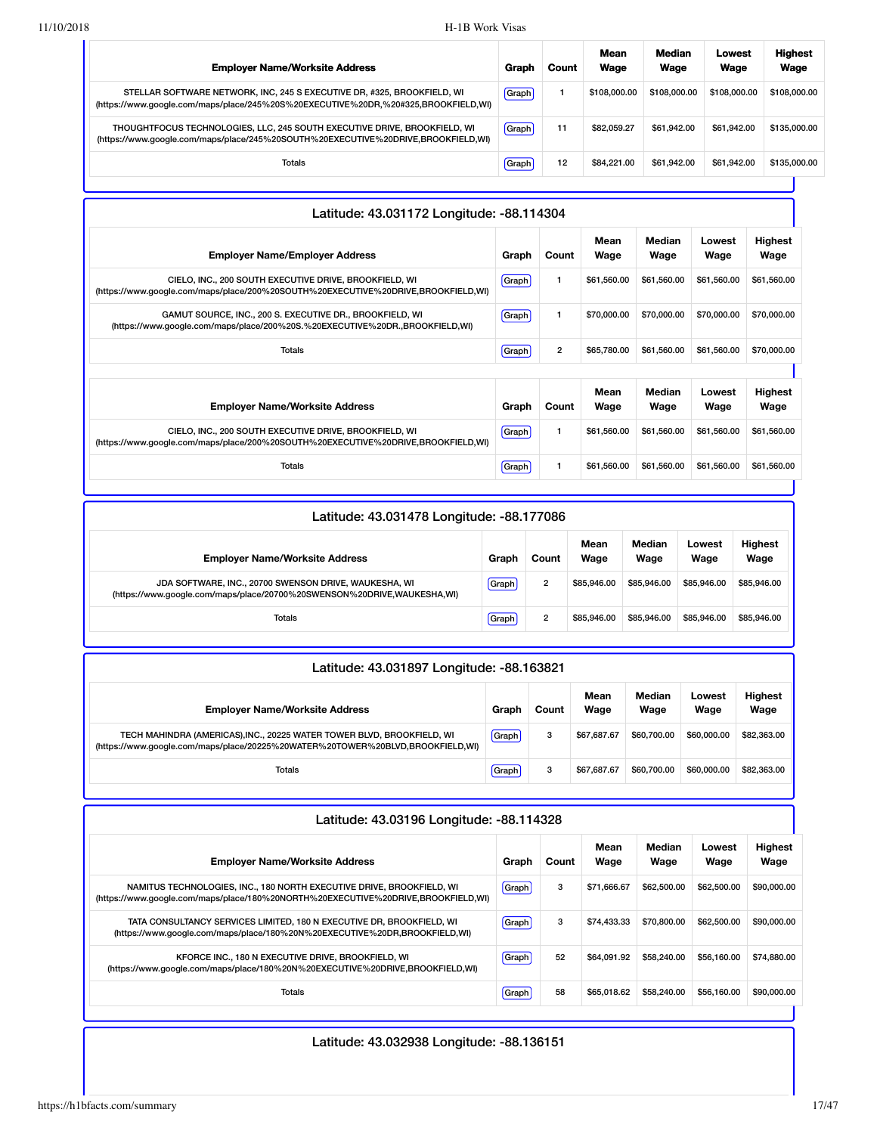| <b>Employer Name/Worksite Address</b>                                                                                                                          | Graph | Count | Mean<br>Wage | Median<br>Wage | Lowest<br>Wage | <b>Highest</b><br>Wage |
|----------------------------------------------------------------------------------------------------------------------------------------------------------------|-------|-------|--------------|----------------|----------------|------------------------|
| STELLAR SOFTWARE NETWORK, INC, 245 S EXECUTIVE DR, #325, BROOKFIELD, WI<br>(https://www.google.com/maps/place/245%20S%20EXECUTIVE%20DR,%20#325,BROOKFIELD,WI)  | Graph |       | \$108,000,00 | \$108,000.00   | \$108,000,00   | \$108,000.00           |
| THOUGHTFOCUS TECHNOLOGIES, LLC, 245 SOUTH EXECUTIVE DRIVE, BROOKFIELD, WI<br>(https://www.google.com/maps/place/245%20SOUTH%20EXECUTIVE%20DRIVE,BROOKFIELD,WI) | Graph | 11    | \$82.059.27  | \$61.942.00    | \$61.942.00    | \$135,000.00           |
| <b>Totals</b>                                                                                                                                                  | Graph | 12    | \$84,221.00  | \$61.942.00    | \$61.942.00    | \$135,000.00           |

| Mean<br>Median<br>Lowest<br>Wage<br>Wage<br><b>Employer Name/Employer Address</b><br>Count<br>Wage<br>Wage<br>Graph<br>CIELO, INC., 200 SOUTH EXECUTIVE DRIVE, BROOKFIELD, WI<br>\$61,560.00<br>1<br>\$61,560.00<br>\$61,560.00<br>Graph<br>(https://www.google.com/maps/place/200%20SOUTH%20EXECUTIVE%20DRIVE,BROOKFIELD,WI)<br>\$70,000.00<br>\$70,000.00<br>GAMUT SOURCE, INC., 200 S. EXECUTIVE DR., BROOKFIELD, WI<br>1<br>\$70,000.00<br>Graph<br>(https://www.google.com/maps/place/200%20S.%20EXECUTIVE%20DR.,BROOKFIELD,WI)<br>2<br>\$65,780.00<br>\$61,560.00<br><b>Totals</b><br>\$61,560.00<br>Graph<br>Median<br>Mean<br><b>Highest</b><br>Lowest<br><b>Employer Name/Worksite Address</b><br>Count<br>Graph<br>Wage<br>Wage<br>Wage<br>Wage | Latitude: 43.031172 Longitude: -88.114304 |  |  |             |
|-----------------------------------------------------------------------------------------------------------------------------------------------------------------------------------------------------------------------------------------------------------------------------------------------------------------------------------------------------------------------------------------------------------------------------------------------------------------------------------------------------------------------------------------------------------------------------------------------------------------------------------------------------------------------------------------------------------------------------------------------------------|-------------------------------------------|--|--|-------------|
|                                                                                                                                                                                                                                                                                                                                                                                                                                                                                                                                                                                                                                                                                                                                                           |                                           |  |  | Highest     |
|                                                                                                                                                                                                                                                                                                                                                                                                                                                                                                                                                                                                                                                                                                                                                           |                                           |  |  | \$61,560.00 |
|                                                                                                                                                                                                                                                                                                                                                                                                                                                                                                                                                                                                                                                                                                                                                           |                                           |  |  | \$70,000.00 |
|                                                                                                                                                                                                                                                                                                                                                                                                                                                                                                                                                                                                                                                                                                                                                           |                                           |  |  | \$70,000.00 |
|                                                                                                                                                                                                                                                                                                                                                                                                                                                                                                                                                                                                                                                                                                                                                           |                                           |  |  |             |
|                                                                                                                                                                                                                                                                                                                                                                                                                                                                                                                                                                                                                                                                                                                                                           |                                           |  |  |             |
| CIELO, INC., 200 SOUTH EXECUTIVE DRIVE, BROOKFIELD, WI<br>Graph<br>$\mathbf{1}$<br>\$61,560.00<br>\$61,560.00<br>\$61,560.00<br>(https://www.google.com/maps/place/200%20SOUTH%20EXECUTIVE%20DRIVE,BROOKFIELD,WI)                                                                                                                                                                                                                                                                                                                                                                                                                                                                                                                                         |                                           |  |  | \$61,560.00 |
| \$61,560.00<br>\$61,560.00<br>\$61,560.00<br>Totals<br>1<br>Graph                                                                                                                                                                                                                                                                                                                                                                                                                                                                                                                                                                                                                                                                                         |                                           |  |  | \$61,560.00 |

| Latitude: 43.031478 Longitude: -88.177086                                                                                        |       |                |              |                |                |                        |  |  |  |  |
|----------------------------------------------------------------------------------------------------------------------------------|-------|----------------|--------------|----------------|----------------|------------------------|--|--|--|--|
| <b>Employer Name/Worksite Address</b>                                                                                            | Graph | Count          | Mean<br>Wage | Median<br>Wage | Lowest<br>Wage | <b>Highest</b><br>Wage |  |  |  |  |
| JDA SOFTWARE, INC., 20700 SWENSON DRIVE, WAUKESHA, WI<br>(https://www.google.com/maps/place/20700%20SWENSON%20DRIVE,WAUKESHA,WI) | Graph | $\overline{2}$ | \$85,946,00  | \$85,946.00    | \$85,946,00    | \$85,946.00            |  |  |  |  |
| Totals                                                                                                                           | Graph | $\overline{2}$ | \$85,946,00  | \$85,946,00    | \$85,946,00    | \$85,946.00            |  |  |  |  |

| Latitude: 43.031897 Longitude: -88.163821                                                                                                                |       |       |              |                |                |                        |  |  |  |
|----------------------------------------------------------------------------------------------------------------------------------------------------------|-------|-------|--------------|----------------|----------------|------------------------|--|--|--|
| <b>Employer Name/Worksite Address</b>                                                                                                                    | Graph | Count | Mean<br>Wage | Median<br>Wage | Lowest<br>Wage | <b>Highest</b><br>Wage |  |  |  |
| TECH MAHINDRA (AMERICAS), INC., 20225 WATER TOWER BLVD, BROOKFIELD, WI<br>(https://www.google.com/maps/place/20225%20WATER%20TOWER%20BLVD,BROOKFIELD,WI) | Graph | 3     | \$67.687.67  | \$60,700.00    | \$60,000,00    | \$82,363,00            |  |  |  |
| <b>Totals</b>                                                                                                                                            | Graph | 3     | \$67.687.67  | \$60,700.00    | \$60,000,00    | \$82,363,00            |  |  |  |

| Latitude: 43.03196 Longitude: -88.114328                                                                                                                   |        |       |              |                |                |                        |  |  |  |  |
|------------------------------------------------------------------------------------------------------------------------------------------------------------|--------|-------|--------------|----------------|----------------|------------------------|--|--|--|--|
| <b>Employer Name/Worksite Address</b>                                                                                                                      | Graph  | Count | Mean<br>Wage | Median<br>Wage | Lowest<br>Wage | <b>Highest</b><br>Wage |  |  |  |  |
| NAMITUS TECHNOLOGIES, INC., 180 NORTH EXECUTIVE DRIVE, BROOKFIELD, WI<br>(https://www.google.com/maps/place/180%20NORTH%20EXECUTIVE%20DRIVE,BROOKFIELD,WI) | Graph  | 3     | \$71,666.67  | \$62,500.00    | \$62,500.00    | \$90,000.00            |  |  |  |  |
| TATA CONSULTANCY SERVICES LIMITED, 180 N EXECUTIVE DR, BROOKFIELD, WI<br>(https://www.google.com/maps/place/180%20N%20EXECUTIVE%20DR,BROOKFIELD,WI)        | Graph  | 3     | \$74,433,33  | \$70,800,00    | \$62,500.00    | \$90,000,00            |  |  |  |  |
| KFORCE INC., 180 N EXECUTIVE DRIVE, BROOKFIELD, WI<br>(https://www.google.com/maps/place/180%20N%20EXECUTIVE%20DRIVE,BROOKFIELD,WI)                        | Graph  | 52    | \$64.091.92  | \$58,240,00    | \$56,160.00    | \$74,880,00            |  |  |  |  |
| Totals                                                                                                                                                     | Graph! | 58    | \$65,018.62  | \$58,240,00    | \$56,160.00    | \$90,000,00            |  |  |  |  |

## Latitude: 43.032938 Longitude: -88.136151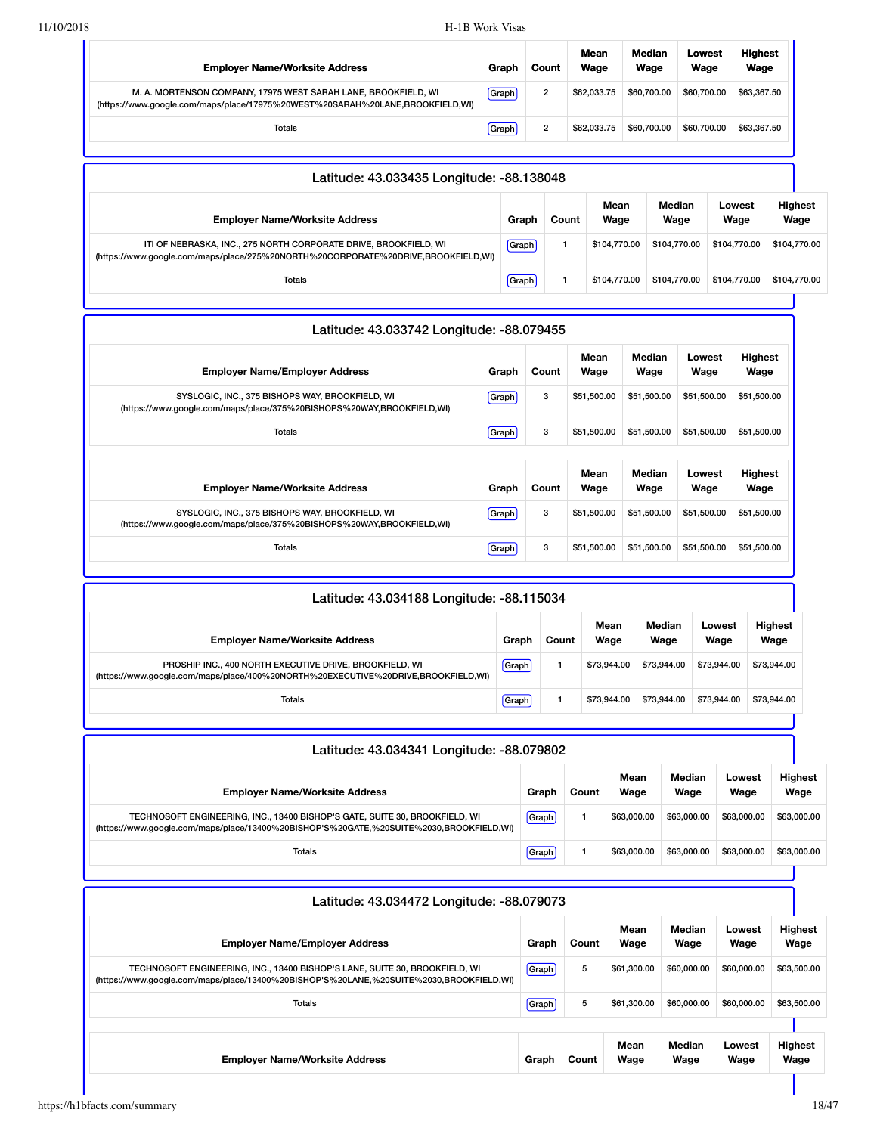Totals Graph 1 \$104,770.00 \$104,770.00 \$104,770.00 \$104,770.00

| <b>Employer Name/Worksite Address</b>                                                                                                                 | Graph   | Count          | Mean<br>Wage |              | Median<br>Wage | Lowest<br>Wage |                | <b>Highest</b><br>Wage |                        |             |  |
|-------------------------------------------------------------------------------------------------------------------------------------------------------|---------|----------------|--------------|--------------|----------------|----------------|----------------|------------------------|------------------------|-------------|--|
| M. A. MORTENSON COMPANY, 17975 WEST SARAH LANE, BROOKFIELD, WI<br>(https://www.google.com/maps/place/17975%20WEST%20SARAH%20LANE,BROOKFIELD,WI)       | [Graph] | $\overline{2}$ | \$62,033,75  |              | \$60,700.00    | \$60,700.00    |                | \$63,367.50            |                        |             |  |
| Totals                                                                                                                                                | Graph   | $\overline{2}$ |              | \$60,700,00  |                | \$62,033,75    |                | \$60,700.00            |                        | \$63,367.50 |  |
| Latitude: 43.033435 Longitude: -88.138048                                                                                                             |         |                |              |              |                |                |                |                        |                        |             |  |
| <b>Employer Name/Worksite Address</b>                                                                                                                 | Graph   |                | Count        | Mean<br>Wage | Median<br>Wage |                | Lowest<br>Wage |                        | <b>Highest</b><br>Wage |             |  |
| ITI OF NEBRASKA, INC., 275 NORTH CORPORATE DRIVE, BROOKFIELD, WI<br>(https://www.google.com/maps/place/275%20NORTH%20CORPORATE%20DRIVE,BROOKFIELD,WI) | Graph   |                |              | \$104,770.00 | \$104,770.00   |                | \$104,770.00   |                        | \$104,770.00           |             |  |

| Latitude: 43.033742 Longitude: -88.079455                                                                                |              |       |              |                |                |                        |  |  |  |  |  |  |
|--------------------------------------------------------------------------------------------------------------------------|--------------|-------|--------------|----------------|----------------|------------------------|--|--|--|--|--|--|
| <b>Employer Name/Employer Address</b>                                                                                    | Graph        | Count | Mean<br>Wage | Median<br>Wage | Lowest<br>Wage | <b>Highest</b><br>Wage |  |  |  |  |  |  |
| SYSLOGIC, INC., 375 BISHOPS WAY, BROOKFIELD, WI<br>(https://www.google.com/maps/place/375%20BISHOPS%20WAY,BROOKFIELD,WI) | <b>Graph</b> | 3     | \$51,500.00  | \$51,500.00    | \$51,500.00    | \$51,500.00            |  |  |  |  |  |  |
| Totals                                                                                                                   | Graph        | 3     | \$51,500.00  | \$51,500.00    | \$51,500.00    | \$51,500.00            |  |  |  |  |  |  |
|                                                                                                                          |              |       |              |                |                |                        |  |  |  |  |  |  |
| <b>Employer Name/Worksite Address</b>                                                                                    | Graph        | Count | Mean<br>Wage | Median<br>Wage | Lowest<br>Wage | <b>Highest</b><br>Wage |  |  |  |  |  |  |
| SYSLOGIC, INC., 375 BISHOPS WAY, BROOKFIELD, WI<br>(https://www.google.com/maps/place/375%20BISHOPS%20WAY,BROOKFIELD,WI) | [Graph]      | 3     | \$51,500.00  | \$51,500.00    | \$51,500.00    | \$51,500.00            |  |  |  |  |  |  |
| Totals                                                                                                                   | Graph        | 3     | \$51,500.00  | \$51,500.00    | \$51,500.00    | \$51,500.00            |  |  |  |  |  |  |

| Latitude: 43.034188 Longitude: -88.115034                                                                                                    |       |       |              |                |                |                        |  |  |  |
|----------------------------------------------------------------------------------------------------------------------------------------------|-------|-------|--------------|----------------|----------------|------------------------|--|--|--|
| <b>Employer Name/Worksite Address</b>                                                                                                        | Graph | Count | Mean<br>Wage | Median<br>Wage | Lowest<br>Wage | <b>Highest</b><br>Wage |  |  |  |
| PROSHIP INC., 400 NORTH EXECUTIVE DRIVE, BROOKFIELD, WI<br>(https://www.google.com/maps/place/400%20NORTH%20EXECUTIVE%20DRIVE,BROOKFIELD,WI) | Graph |       | \$73,944.00  | \$73,944,00    | \$73,944,00    | \$73,944.00            |  |  |  |
| Totals                                                                                                                                       | Graph |       | \$73.944.00  | \$73,944,00    | \$73,944,00    | \$73,944.00            |  |  |  |

| Graph | Count | Mean<br>Wage | Median<br>Wage | Lowest<br>Wage | <b>Highest</b><br>Wage |
|-------|-------|--------------|----------------|----------------|------------------------|
| Graph |       | \$63,000,00  | \$63,000,00    | \$63,000,00    | \$63,000.00            |
| Graph |       | \$63,000,00  | \$63,000,00    | \$63,000.00    | \$63,000.00            |
|       |       |              |                |                |                        |
|       |       |              |                |                |                        |

| Latitude: 43.034472 Longitude: -88.079073                                                                                                                              |       |       |              |                |                |                        |  |
|------------------------------------------------------------------------------------------------------------------------------------------------------------------------|-------|-------|--------------|----------------|----------------|------------------------|--|
| <b>Employer Name/Employer Address</b>                                                                                                                                  | Graph | Count | Mean<br>Wage | Median<br>Wage | Lowest<br>Wage | <b>Highest</b><br>Wage |  |
| TECHNOSOFT ENGINEERING, INC., 13400 BISHOP'S LANE, SUITE 30, BROOKFIELD, WI<br>(https://www.google.com/maps/place/13400%20BISHOP'S%20LANE,%20SUITE%2030,BROOKFIELD,WI) | Graph | 5     | \$61,300,00  | \$60,000,00    | \$60,000.00    | \$63,500.00            |  |
| Totals                                                                                                                                                                 | Graph | 5     | \$61,300.00  | \$60,000,00    | \$60,000.00    | \$63,500.00            |  |
|                                                                                                                                                                        |       |       |              |                |                |                        |  |
| <b>Employer Name/Worksite Address</b>                                                                                                                                  | Graph | Count | Mean<br>Wage | Median<br>Wage | Lowest<br>Wage | <b>Highest</b><br>Wage |  |
|                                                                                                                                                                        |       |       |              |                |                |                        |  |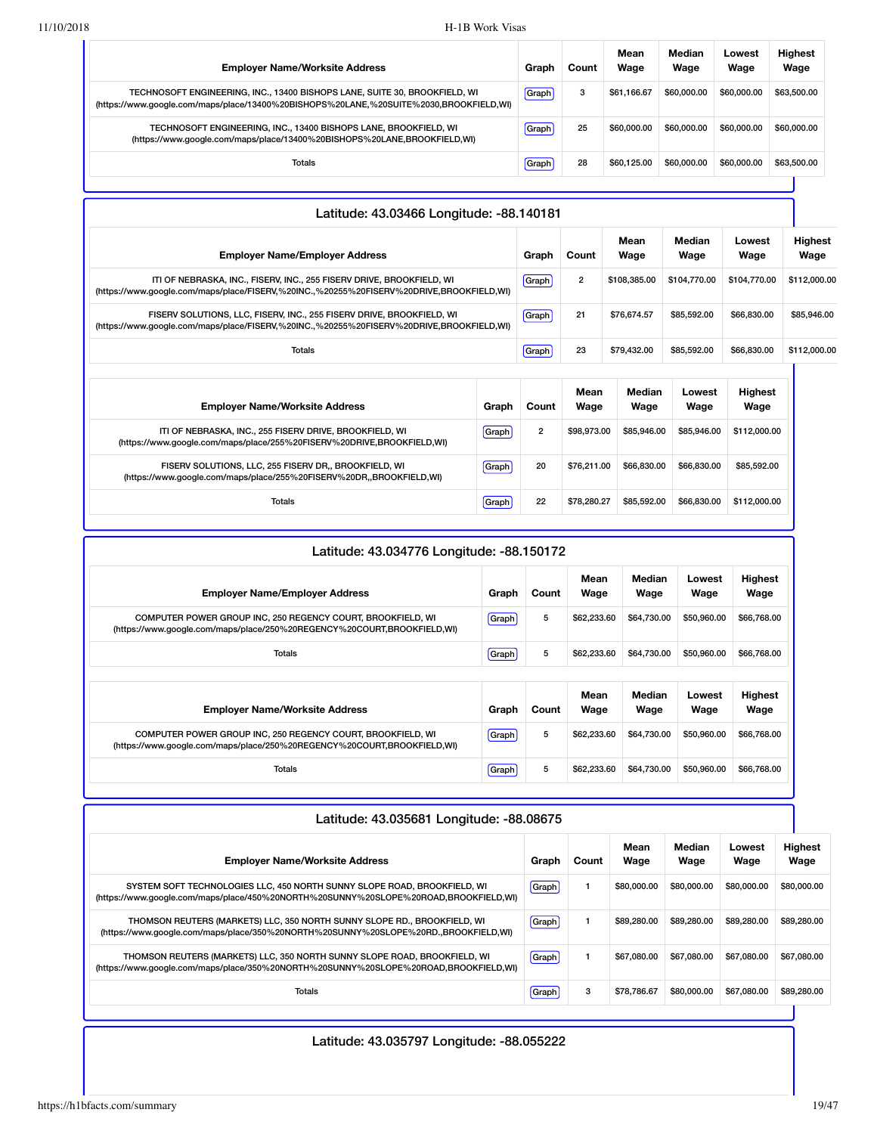| <b>Employer Name/Worksite Address</b>                                                                                                                                | Graph | Count | Mean<br>Wage | Median<br>Wage | Lowest<br>Wage | <b>Highest</b><br>Wage |
|----------------------------------------------------------------------------------------------------------------------------------------------------------------------|-------|-------|--------------|----------------|----------------|------------------------|
| TECHNOSOFT ENGINEERING, INC., 13400 BISHOPS LANE, SUITE 30, BROOKFIELD, WI<br>(https://www.google.com/maps/place/13400%20BISHOPS%20LANE,%20SUITE%2030,BROOKFIELD,WI) | Graph | 3     | \$61.166.67  | \$60,000,00    | \$60,000,00    | \$63,500.00            |
| TECHNOSOFT ENGINEERING, INC., 13400 BISHOPS LANE, BROOKFIELD, WI<br>(https://www.google.com/maps/place/13400%20BISHOPS%20LANE,BROOKFIELD,WI)                         | Graph | 25    | \$60,000,00  | \$60,000,00    | \$60,000,00    | \$60,000.00            |
| Totals                                                                                                                                                               | Graph | 28    | \$60.125.00  | \$60,000,00    | \$60,000,00    | \$63,500.00            |

| Latitude: 43.03466 Longitude: -88.140181                                                                                                                          |       |                |                |                |                |                        |                        |
|-------------------------------------------------------------------------------------------------------------------------------------------------------------------|-------|----------------|----------------|----------------|----------------|------------------------|------------------------|
| <b>Employer Name/Employer Address</b>                                                                                                                             |       | Graph          | Count          | Mean<br>Wage   | Median<br>Wage | Lowest<br>Wage         | <b>Highest</b><br>Wage |
| ITI OF NEBRASKA, INC., FISERV, INC., 255 FISERV DRIVE, BROOKFIELD, WI<br>(https://www.google.com/maps/place/FISERV,%20INC.,%20255%20FISERV%20DRIVE,BROOKFIELD,WI) |       | Graph          | $\overline{2}$ | \$108,385,00   | \$104,770.00   | \$104,770.00           | \$112,000.00           |
| FISERV SOLUTIONS, LLC, FISERV, INC., 255 FISERV DRIVE, BROOKFIELD, WI<br>(https://www.google.com/maps/place/FISERV,%20INC.,%20255%20FISERV%20DRIVE,BROOKFIELD,WI) |       | Graph          | 21             | \$76,674.57    | \$85,592.00    | \$66,830.00            | \$85,946.00            |
| <b>Totals</b>                                                                                                                                                     |       | Graph          | 23             | \$79,432.00    | \$85,592.00    | \$66,830.00            | \$112,000.00           |
| <b>Employer Name/Worksite Address</b>                                                                                                                             | Graph | Count          | Mean<br>Wage   | Median<br>Wage | Lowest<br>Wage | <b>Highest</b><br>Wage |                        |
| ITI OF NEBRASKA, INC., 255 FISERV DRIVE, BROOKFIELD, WI<br>(https://www.google.com/maps/place/255%20FISERV%20DRIVE,BROOKFIELD,WI)                                 | Graph | $\overline{2}$ | \$98,973,00    | \$85,946,00    | \$85,946,00    | \$112,000.00           |                        |
| FISERV SOLUTIONS, LLC, 255 FISERV DR., BROOKFIELD, WI<br>(https://www.google.com/maps/place/255%20FISERV%20DR,,BROOKFIELD,WI)                                     | Graph | 20             | \$76.211.00    | \$66,830,00    | \$66,830.00    | \$85,592.00            |                        |
| <b>Totals</b>                                                                                                                                                     | Graph | 22             | \$78,280,27    | \$85,592.00    | \$66,830.00    | \$112,000.00           |                        |

| Latitude: 43.034776 Longitude: -88.150172                                                                                              |       |       |              |                |                |                        |  |  |  |
|----------------------------------------------------------------------------------------------------------------------------------------|-------|-------|--------------|----------------|----------------|------------------------|--|--|--|
| <b>Employer Name/Employer Address</b>                                                                                                  | Graph | Count | Mean<br>Wage | Median<br>Wage | Lowest<br>Wage | Highest<br>Wage        |  |  |  |
| COMPUTER POWER GROUP INC, 250 REGENCY COURT, BROOKFIELD, WI<br>(https://www.google.com/maps/place/250%20REGENCY%20COURT,BROOKFIELD,WI) | Graph | 5     | \$62,233,60  | \$64,730,00    | \$50,960.00    | \$66,768.00            |  |  |  |
| Totals                                                                                                                                 | Graph | 5     | \$62,233.60  | \$64,730,00    | \$50,960.00    | \$66,768.00            |  |  |  |
|                                                                                                                                        |       |       |              |                |                |                        |  |  |  |
| <b>Employer Name/Worksite Address</b>                                                                                                  | Graph | Count | Mean<br>Wage | Median<br>Wage | Lowest<br>Wage | <b>Highest</b><br>Wage |  |  |  |
| COMPUTER POWER GROUP INC, 250 REGENCY COURT, BROOKFIELD, WI<br>(https://www.google.com/maps/place/250%20REGENCY%20COURT,BROOKFIELD,WI) | Graph | 5     | \$62,233.60  | \$64,730.00    | \$50,960.00    | \$66,768.00            |  |  |  |
| <b>Totals</b>                                                                                                                          | Graph | 5     | \$62,233,60  | \$64,730,00    | \$50,960,00    | \$66,768.00            |  |  |  |

| Mean<br>Median<br>Lowest<br>Wage<br><b>Employer Name/Worksite Address</b><br>Wage<br>Wage<br>Wage<br>Count<br>Graph<br>\$80,000,00<br>\$80,000,00<br>Graph<br>\$80,000,00<br>SYSTEM SOFT TECHNOLOGIES LLC, 450 NORTH SUNNY SLOPE ROAD, BROOKFIELD, WI<br>(https://www.google.com/maps/place/450%20NORTH%20SUNNY%20SLOPE%20ROAD,BROOKFIELD,WI)<br>\$89,280,00<br>\$89,280,00<br>\$89,280,00<br>THOMSON REUTERS (MARKETS) LLC, 350 NORTH SUNNY SLOPE RD., BROOKFIELD, WI<br>Graph<br>(https://www.qoogle.com/maps/place/350%20NORTH%20SUNNY%20SLOPE%20RD.,BROOKFIELD,WI)<br>\$67,080,00<br>\$67,080,00<br>Graph<br>\$67,080,00<br>THOMSON REUTERS (MARKETS) LLC, 350 NORTH SUNNY SLOPE ROAD, BROOKFIELD, WI<br>(https://www.google.com/maps/place/350%20NORTH%20SUNNY%20SLOPE%20ROAD,BROOKFIELD,WI)<br>3<br>\$80,000,00<br>\$67,080,00<br>\$78,786.67<br>Totals<br>Graph | Latitude: 43.035681 Longitude: -88.08675 |  |  |  |  |  |             |  |  |
|------------------------------------------------------------------------------------------------------------------------------------------------------------------------------------------------------------------------------------------------------------------------------------------------------------------------------------------------------------------------------------------------------------------------------------------------------------------------------------------------------------------------------------------------------------------------------------------------------------------------------------------------------------------------------------------------------------------------------------------------------------------------------------------------------------------------------------------------------------------------|------------------------------------------|--|--|--|--|--|-------------|--|--|
|                                                                                                                                                                                                                                                                                                                                                                                                                                                                                                                                                                                                                                                                                                                                                                                                                                                                        |                                          |  |  |  |  |  | Highest     |  |  |
|                                                                                                                                                                                                                                                                                                                                                                                                                                                                                                                                                                                                                                                                                                                                                                                                                                                                        |                                          |  |  |  |  |  | \$80,000.00 |  |  |
|                                                                                                                                                                                                                                                                                                                                                                                                                                                                                                                                                                                                                                                                                                                                                                                                                                                                        |                                          |  |  |  |  |  | \$89,280.00 |  |  |
|                                                                                                                                                                                                                                                                                                                                                                                                                                                                                                                                                                                                                                                                                                                                                                                                                                                                        |                                          |  |  |  |  |  | \$67,080,00 |  |  |
|                                                                                                                                                                                                                                                                                                                                                                                                                                                                                                                                                                                                                                                                                                                                                                                                                                                                        |                                          |  |  |  |  |  | \$89,280,00 |  |  |

Latitude: 43.035797 Longitude: -88.055222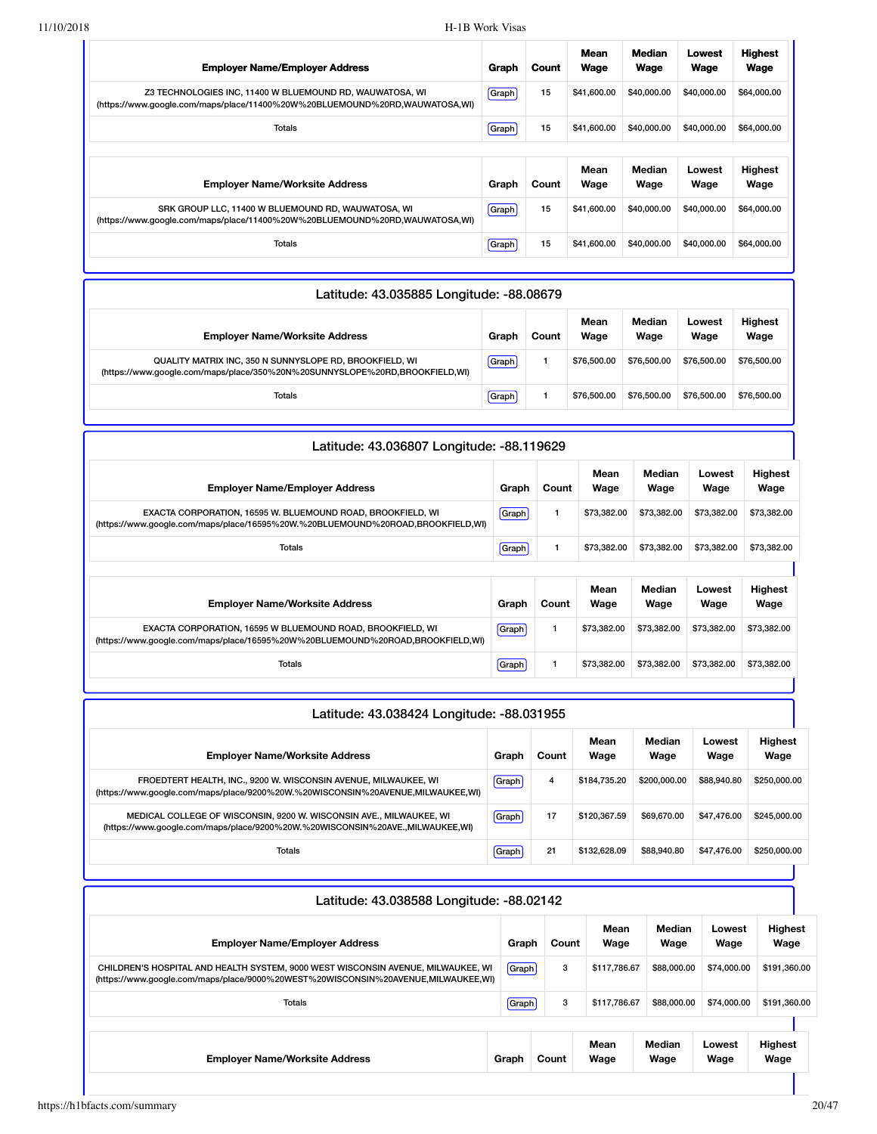| <b>Employer Name/Employer Address</b>                                                                                                   | Graph | Count | Mean<br>Wage | <b>Median</b><br>Wage | Lowest<br>Wage | <b>Highest</b><br>Wage |
|-----------------------------------------------------------------------------------------------------------------------------------------|-------|-------|--------------|-----------------------|----------------|------------------------|
| Z3 TECHNOLOGIES INC, 11400 W BLUEMOUND RD, WAUWATOSA, WI<br>(https://www.google.com/maps/place/11400%20W%20BLUEMOUND%20RD,WAUWATOSA,WI) | Graph | 15    | \$41,600.00  | \$40,000,00           | \$40,000,00    | \$64,000.00            |
| <b>Totals</b>                                                                                                                           | Graph | 15    | \$41,600.00  | \$40,000,00           | \$40,000.00    | \$64,000.00            |
|                                                                                                                                         |       |       |              |                       |                |                        |
|                                                                                                                                         |       |       |              |                       |                |                        |
| <b>Employer Name/Worksite Address</b>                                                                                                   | Graph | Count | Mean<br>Wage | Median<br>Wage        | Lowest<br>Wage | Highest<br>Wage        |
| SRK GROUP LLC, 11400 W BLUEMOUND RD, WAUWATOSA, WI<br>(https://www.google.com/maps/place/11400%20W%20BLUEMOUND%20RD,WAUWATOSA,WI)       | Graph | 15    | \$41,600.00  | \$40,000,00           | \$40,000,00    | \$64,000.00            |

| Latitude: 43.035885 Longitude: -88.08679                                                                                               |       |       |              |                |                |                        |  |  |  |  |
|----------------------------------------------------------------------------------------------------------------------------------------|-------|-------|--------------|----------------|----------------|------------------------|--|--|--|--|
| <b>Employer Name/Worksite Address</b>                                                                                                  | Graph | Count | Mean<br>Wage | Median<br>Wage | Lowest<br>Wage | <b>Highest</b><br>Wage |  |  |  |  |
| QUALITY MATRIX INC, 350 N SUNNYSLOPE RD, BROOKFIELD, WI<br>(https://www.google.com/maps/place/350%20N%20SUNNYSLOPE%20RD,BROOKFIELD,WI) | Graph |       | \$76,500.00  | \$76,500.00    | \$76,500.00    | \$76,500.00            |  |  |  |  |
| <b>Totals</b>                                                                                                                          | Graph |       | \$76,500.00  | \$76,500.00    | \$76,500.00    | \$76,500.00            |  |  |  |  |

| Latitude: 43.036807 Longitude: -88.119629 |       |              |                |                |                        |  |  |  |  |  |
|-------------------------------------------|-------|--------------|----------------|----------------|------------------------|--|--|--|--|--|
| Graph                                     | Count | Mean<br>Wage | Median<br>Wage | Lowest<br>Wage | Highest<br>Wage        |  |  |  |  |  |
| Graph                                     |       | \$73,382.00  | \$73,382.00    | \$73,382,00    | \$73,382.00            |  |  |  |  |  |
| Graph                                     |       | \$73,382.00  | \$73,382.00    | \$73,382.00    | \$73,382.00            |  |  |  |  |  |
|                                           |       |              |                |                |                        |  |  |  |  |  |
| Graph                                     | Count | Mean<br>Wage | Median<br>Wage | Lowest<br>Wage | <b>Highest</b><br>Wage |  |  |  |  |  |
| Graph                                     |       | \$73,382.00  | \$73,382.00    | \$73,382.00    | \$73,382.00            |  |  |  |  |  |
| Graph                                     |       | \$73,382.00  | \$73,382.00    | \$73,382.00    | \$73,382.00            |  |  |  |  |  |
|                                           |       |              |                |                |                        |  |  |  |  |  |

| Latitude: 43.038424 Longitude: -88.031955                                                                                                            |       |       |              |                |                |                        |  |  |  |  |
|------------------------------------------------------------------------------------------------------------------------------------------------------|-------|-------|--------------|----------------|----------------|------------------------|--|--|--|--|
| <b>Employer Name/Worksite Address</b>                                                                                                                | Graph | Count | Mean<br>Wage | Median<br>Wage | Lowest<br>Wage | <b>Highest</b><br>Wage |  |  |  |  |
| FROEDTERT HEALTH, INC., 9200 W. WISCONSIN AVENUE, MILWAUKEE, WI<br>(https://www.google.com/maps/place/9200%20W.%20WISCONSIN%20AVENUE,MILWAUKEE,WI)   | Graph | 4     | \$184,735,20 | \$200,000,00   | \$88,940.80    | \$250,000,00           |  |  |  |  |
| MEDICAL COLLEGE OF WISCONSIN, 9200 W. WISCONSIN AVE., MILWAUKEE, WI<br>(https://www.google.com/maps/place/9200%20W.%20WISCONSIN%20AVE.,MILWAUKEE,WI) | Graph | 17    | \$120.367.59 | \$69,670,00    | \$47,476.00    | \$245,000,00           |  |  |  |  |
| <b>Totals</b>                                                                                                                                        | Graph | 21    | \$132,628.09 | \$88,940,80    | \$47,476.00    | \$250,000,00           |  |  |  |  |
|                                                                                                                                                      |       |       |              |                |                |                        |  |  |  |  |

| Latitude: 43.038588 Longitude: -88.02142                                                                                                                              |       |                         |                |                |                        |  |  |  |  |
|-----------------------------------------------------------------------------------------------------------------------------------------------------------------------|-------|-------------------------|----------------|----------------|------------------------|--|--|--|--|
|                                                                                                                                                                       |       | Mean<br>Wage            | Median<br>Wage | Lowest<br>Wage | <b>Highest</b><br>Wage |  |  |  |  |
| CHILDREN'S HOSPITAL AND HEALTH SYSTEM, 9000 WEST WISCONSIN AVENUE, MILWAUKEE, WI<br>(https://www.google.com/maps/place/9000%20WEST%20WISCONSIN%20AVENUE,MILWAUKEE,WI) | 3     | \$117.786.67            | \$88,000.00    | \$74,000.00    | \$191,360.00           |  |  |  |  |
|                                                                                                                                                                       | 3     | \$117.786.67            | \$88,000.00    | \$74,000,00    | \$191,360.00           |  |  |  |  |
|                                                                                                                                                                       |       |                         |                |                |                        |  |  |  |  |
| Graph                                                                                                                                                                 | Count | Mean<br>Wage            | Median<br>Wage | Lowest<br>Wage | <b>Highest</b><br>Wage |  |  |  |  |
|                                                                                                                                                                       |       | Graph<br>Graph<br>Graph | Count          |                |                        |  |  |  |  |

ı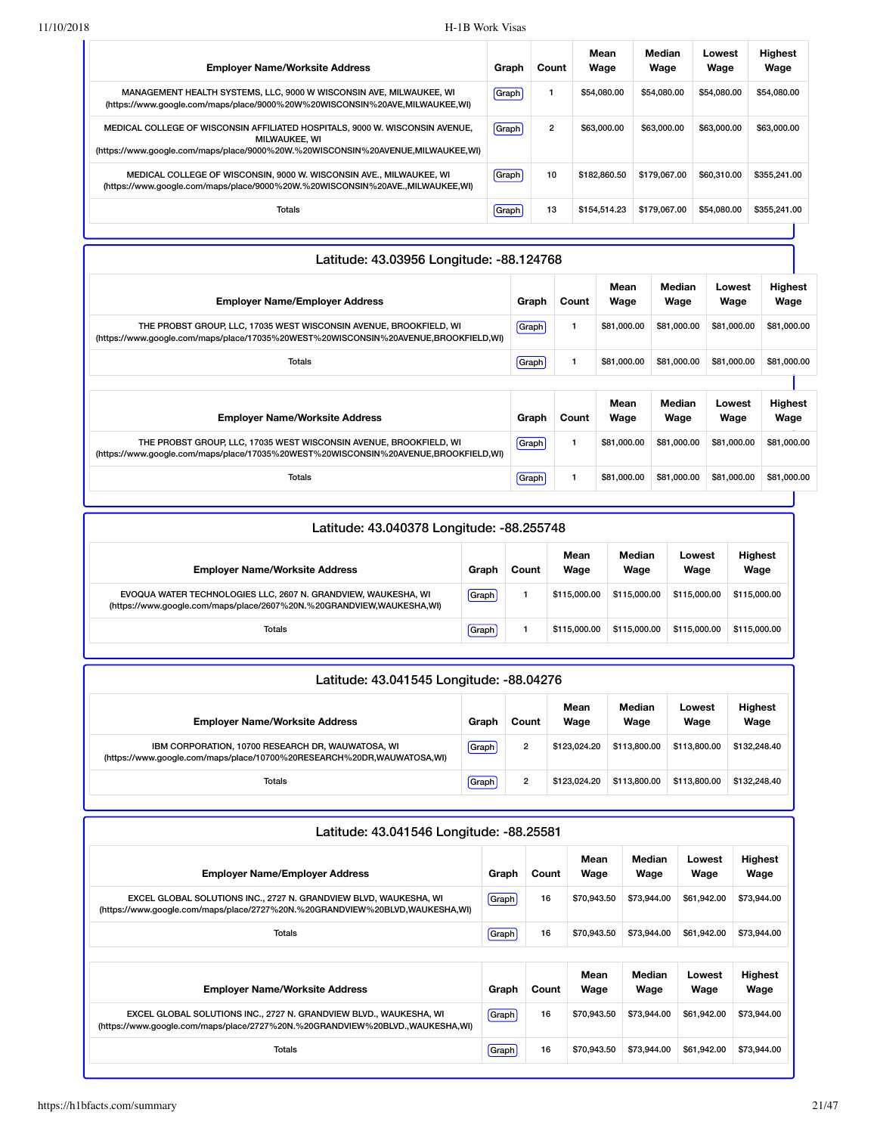| <b>Employer Name/Worksite Address</b>                                                                                                                                                   | Graph | Count | Mean<br>Wage | Median<br>Wage | Lowest<br>Wage | <b>Highest</b><br>Wage |
|-----------------------------------------------------------------------------------------------------------------------------------------------------------------------------------------|-------|-------|--------------|----------------|----------------|------------------------|
| MANAGEMENT HEALTH SYSTEMS, LLC, 9000 W WISCONSIN AVE, MILWAUKEE, WI<br>(https://www.google.com/maps/place/9000%20W%20WISCONSIN%20AVE,MILWAUKEE,WI)                                      | Graph |       | \$54,080,00  | \$54,080,00    | \$54,080,00    | \$54,080,00            |
| MEDICAL COLLEGE OF WISCONSIN AFFILIATED HOSPITALS, 9000 W. WISCONSIN AVENUE,<br><b>MILWAUKEE, WI</b><br>(https://www.google.com/maps/place/9000%20W.%20WISCONSIN%20AVENUE,MILWAUKEE,WI) | Graph | 2     | \$63,000.00  | \$63,000,00    | \$63,000,00    | \$63,000.00            |
| MEDICAL COLLEGE OF WISCONSIN, 9000 W. WISCONSIN AVE., MILWAUKEE, WI<br>(https://www.google.com/maps/place/9000%20W.%20WISCONSIN%20AVE.,MILWAUKEE,WI)                                    | Graph | 10    | \$182.860.50 | \$179.067.00   | \$60,310,00    | \$355,241,00           |
| <b>Totals</b>                                                                                                                                                                           | Graph | 13    | \$154.514.23 | \$179.067.00   | \$54,080,00    | \$355,241,00           |

| Latitude: 43.03956 Longitude: -88.124768                                                                                                                  |              |       |              |                |                |                        |  |  |
|-----------------------------------------------------------------------------------------------------------------------------------------------------------|--------------|-------|--------------|----------------|----------------|------------------------|--|--|
| <b>Employer Name/Employer Address</b>                                                                                                                     | Graph        | Count | Mean<br>Wage | Median<br>Wage | Lowest<br>Wage | Highest<br>Wage        |  |  |
| THE PROBST GROUP, LLC, 17035 WEST WISCONSIN AVENUE, BROOKFIELD, WI<br>(https://www.google.com/maps/place/17035%20WEST%20WISCONSIN%20AVENUE,BROOKFIELD,WI) | <b>Graph</b> |       | \$81,000.00  | \$81,000.00    | \$81,000.00    | \$81,000.00            |  |  |
| Totals                                                                                                                                                    | Graph        |       | \$81,000.00  | \$81,000.00    | \$81,000,00    | \$81,000.00            |  |  |
|                                                                                                                                                           |              |       |              |                |                |                        |  |  |
| <b>Employer Name/Worksite Address</b>                                                                                                                     | Graph        | Count | Mean<br>Wage | Median<br>Wage | Lowest<br>Wage | <b>Highest</b><br>Wage |  |  |
| THE PROBST GROUP, LLC, 17035 WEST WISCONSIN AVENUE, BROOKFIELD, WI<br>(https://www.google.com/maps/place/17035%20WEST%20WISCONSIN%20AVENUE,BROOKFIELD,WI) | Graph        |       | \$81,000.00  | \$81,000.00    | \$81,000.00    | \$81,000.00            |  |  |
| Totals                                                                                                                                                    | Graph        |       | \$81,000.00  | \$81,000.00    | \$81,000.00    | \$81,000.00            |  |  |

| Latitude: 43.040378 Longitude: -88.255748                                                                                               |       |       |              |                |                |                        |  |  |  |  |
|-----------------------------------------------------------------------------------------------------------------------------------------|-------|-------|--------------|----------------|----------------|------------------------|--|--|--|--|
| <b>Employer Name/Worksite Address</b>                                                                                                   | Graph | Count | Mean<br>Wage | Median<br>Wage | Lowest<br>Wage | <b>Highest</b><br>Wage |  |  |  |  |
| EVOQUA WATER TECHNOLOGIES LLC, 2607 N. GRANDVIEW, WAUKESHA, WI<br>(https://www.google.com/maps/place/2607%20N.%20GRANDVIEW,WAUKESHA,WI) | Graph |       | \$115,000,00 | \$115,000,00   | \$115,000.00   | \$115,000.00           |  |  |  |  |
| Totals                                                                                                                                  | Graph |       | \$115,000,00 | \$115,000.00   | \$115,000.00   | \$115,000,00           |  |  |  |  |

| Latitude: 43.041545 Longitude: -88.04276                                                                                    |       |                |              |                |                |                        |  |  |  |  |
|-----------------------------------------------------------------------------------------------------------------------------|-------|----------------|--------------|----------------|----------------|------------------------|--|--|--|--|
| <b>Employer Name/Worksite Address</b>                                                                                       | Graph | Count          | Mean<br>Wage | Median<br>Wage | Lowest<br>Wage | <b>Highest</b><br>Wage |  |  |  |  |
| IBM CORPORATION, 10700 RESEARCH DR, WAUWATOSA, WI<br>(https://www.google.com/maps/place/10700%20RESEARCH%20DR,WAUWATOSA,WI) | Graph | $\overline{2}$ | \$123.024.20 | \$113,800,00   | \$113,800,00   | \$132,248.40           |  |  |  |  |
| Totals                                                                                                                      | Graph | $\overline{2}$ | \$123.024.20 | \$113,800,00   | \$113,800,00   | \$132,248.40           |  |  |  |  |

| Latitude: 43.041546 Longitude: -88.25581                                                                                                            |         |       |              |                |                |                        |  |  |  |  |
|-----------------------------------------------------------------------------------------------------------------------------------------------------|---------|-------|--------------|----------------|----------------|------------------------|--|--|--|--|
| <b>Employer Name/Employer Address</b>                                                                                                               | Graph   | Count | Mean<br>Wage | Median<br>Wage | Lowest<br>Wage | Highest<br>Wage        |  |  |  |  |
| EXCEL GLOBAL SOLUTIONS INC., 2727 N. GRANDVIEW BLVD, WAUKESHA, WI<br>(https://www.google.com/maps/place/2727%20N.%20GRANDVIEW%20BLVD,WAUKESHA,WI)   | Graph   | 16    | \$70,943.50  | \$73,944.00    | \$61,942.00    | \$73,944.00            |  |  |  |  |
| <b>Totals</b>                                                                                                                                       | Graph   | 16    | \$70,943.50  | \$73,944.00    | \$61,942.00    | \$73,944.00            |  |  |  |  |
|                                                                                                                                                     |         |       |              |                |                |                        |  |  |  |  |
| <b>Employer Name/Worksite Address</b>                                                                                                               | Graph   | Count | Mean<br>Wage | Median<br>Wage | Lowest<br>Wage | <b>Highest</b><br>Wage |  |  |  |  |
| EXCEL GLOBAL SOLUTIONS INC., 2727 N. GRANDVIEW BLVD., WAUKESHA, WI<br>(https://www.google.com/maps/place/2727%20N.%20GRANDVIEW%20BLVD.,WAUKESHA,WI) | (Graph) | 16    | \$70,943.50  | \$73,944.00    | \$61,942.00    | \$73,944.00            |  |  |  |  |
| <b>Totals</b>                                                                                                                                       | Graph   | 16    | \$70,943.50  | \$73,944.00    | \$61.942.00    | \$73,944.00            |  |  |  |  |

H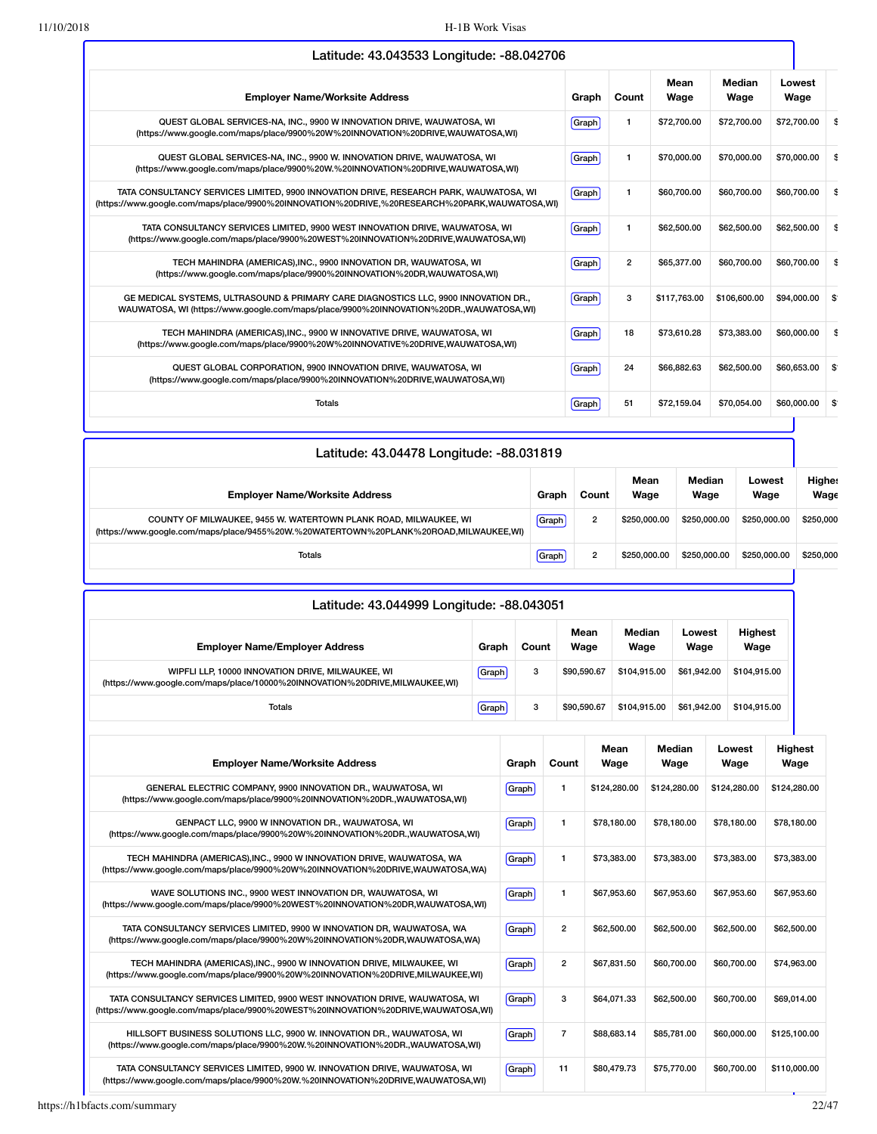|                                                                                                                                                                                         |       |                | Mean         | <b>Median</b> | Lowest              |
|-----------------------------------------------------------------------------------------------------------------------------------------------------------------------------------------|-------|----------------|--------------|---------------|---------------------|
| <b>Employer Name/Worksite Address</b>                                                                                                                                                   | Graph | Count          | Wage         | Wage          | Wage                |
| QUEST GLOBAL SERVICES-NA, INC., 9900 W INNOVATION DRIVE, WAUWATOSA, WI<br>(https://www.google.com/maps/place/9900%20W%20INNOVATION%20DRIVE,WAUWATOSA,WI)                                | Graph | 1              | \$72,700.00  | \$72,700.00   | \$72,700.00         |
| QUEST GLOBAL SERVICES-NA, INC., 9900 W. INNOVATION DRIVE, WAUWATOSA, WI<br>(https://www.google.com/maps/place/9900%20W.%20INNOVATION%20DRIVE,WAUWATOSA,WI)                              | Graph | 1              | \$70,000,00  | \$70,000.00   | \$70,000.00         |
| TATA CONSULTANCY SERVICES LIMITED, 9900 INNOVATION DRIVE, RESEARCH PARK, WAUWATOSA, WI<br>(https://www.google.com/maps/place/9900%20INNOVATION%20DRIVE,%20RESEARCH%20PARK,WAUWATOSA,WI) | Graph | 1              | \$60,700.00  | \$60,700.00   | \$60,700.00         |
| TATA CONSULTANCY SERVICES LIMITED, 9900 WEST INNOVATION DRIVE, WAUWATOSA, WI<br>(https://www.google.com/maps/place/9900%20WEST%20INNOVATION%20DRIVE,WAUWATOSA,WI)                       | Graph | 1              | \$62,500.00  | \$62,500.00   | \$62,500.00         |
| TECH MAHINDRA (AMERICAS), INC., 9900 INNOVATION DR, WAUWATOSA, WI<br>(https://www.google.com/maps/place/9900%20INNOVATION%20DR,WAUWATOSA,WI)                                            | Graph | $\overline{2}$ | \$65,377,00  | \$60,700.00   | \$60,700.00         |
| GE MEDICAL SYSTEMS, ULTRASOUND & PRIMARY CARE DIAGNOSTICS LLC, 9900 INNOVATION DR.,<br>WAUWATOSA, WI (https://www.google.com/maps/place/9900%20INNOVATION%20DR.,WAUWATOSA,WI)           | Graph | 3              | \$117,763.00 | \$106,600.00  | \$94,000.00         |
| TECH MAHINDRA (AMERICAS), INC., 9900 W INNOVATIVE DRIVE, WAUWATOSA, WI<br>(https://www.google.com/maps/place/9900%20W%20INNOVATIVE%20DRIVE,WAUWATOSA,WI)                                | Graph | 18             | \$73,610.28  | \$73,383,00   | \$60,000.00         |
| QUEST GLOBAL CORPORATION, 9900 INNOVATION DRIVE, WAUWATOSA, WI<br>(https://www.google.com/maps/place/9900%20INNOVATION%20DRIVE,WAUWATOSA,WI)                                            | Graph | 24             | \$66,882.63  | \$62,500.00   | \$60,653,00<br>∣\$∵ |
| <b>Totals</b>                                                                                                                                                                           | Graph | 51             | \$72,159.04  | \$70,054.00   | \$60,000.00         |

| Latitude: 43.04478 Longitude: -88.031819                                                                                                                  |       |                |              |                |                |                       |
|-----------------------------------------------------------------------------------------------------------------------------------------------------------|-------|----------------|--------------|----------------|----------------|-----------------------|
| <b>Employer Name/Worksite Address</b>                                                                                                                     | Graph | Count          | Mean<br>Wage | Median<br>Wage | Lowest<br>Wage | <b>Highes</b><br>Wage |
| COUNTY OF MILWAUKEE, 9455 W. WATERTOWN PLANK ROAD, MILWAUKEE, WI<br>(https://www.google.com/maps/place/9455%20W.%20WATERTOWN%20PLANK%20ROAD,MILWAUKEE,WI) | Graph | $\overline{2}$ | \$250,000.00 | \$250.000.00   | \$250,000.00   | \$250,000             |
| Totals                                                                                                                                                    | Graph | $\overline{2}$ | \$250,000,00 | \$250.000.00   | \$250,000.00   | \$250,000             |

| Latitude: 43.044999 Longitude: -88.043051                                                                                        |       |       |              |                |                |                        |  |  |  |  |
|----------------------------------------------------------------------------------------------------------------------------------|-------|-------|--------------|----------------|----------------|------------------------|--|--|--|--|
| <b>Employer Name/Employer Address</b>                                                                                            | Graph | Count | Mean<br>Wage | Median<br>Wage | Lowest<br>Wage | <b>Highest</b><br>Wage |  |  |  |  |
| WIPFLI LLP, 10000 INNOVATION DRIVE, MILWAUKEE, WI<br>(https://www.google.com/maps/place/10000%20INNOVATION%20DRIVE,MILWAUKEE,WI) | Graph | 3     | \$90,590.67  | \$104.915.00   | \$61.942.00    | \$104.915.00           |  |  |  |  |
| <b>Totals</b>                                                                                                                    | Graph | 3     | \$90,590.67  | \$104.915.00   | \$61.942.00    | \$104.915.00           |  |  |  |  |

| <b>Employer Name/Worksite Address</b>                                                                                                                             | Graph        | Count          | Mean<br>Wage | Median<br>Wage | Lowest<br>Wage | Highest<br>Wage |
|-------------------------------------------------------------------------------------------------------------------------------------------------------------------|--------------|----------------|--------------|----------------|----------------|-----------------|
| GENERAL ELECTRIC COMPANY, 9900 INNOVATION DR., WAUWATOSA, WI<br>(https://www.qoogle.com/maps/place/9900%20INNOVATION%20DR.,WAUWATOSA,WI)                          | <b>Graph</b> | 1              | \$124,280,00 | \$124,280.00   | \$124,280,00   | \$124,280.00    |
| GENPACT LLC, 9900 W INNOVATION DR., WAUWATOSA, WI<br>(https://www.google.com/maps/place/9900%20W%20INNOVATION%20DR.,WAUWATOSA,WI)                                 | Graph        | 1              | \$78,180,00  | \$78.180.00    | \$78.180.00    | \$78,180.00     |
| TECH MAHINDRA (AMERICAS), INC., 9900 W INNOVATION DRIVE, WAUWATOSA, WA<br>(https://www.google.com/maps/place/9900%20W%20INNOVATION%20DRIVE,WAUWATOSA,WA)          | Graph        | 1              | \$73,383,00  | \$73,383,00    | \$73,383,00    | \$73,383,00     |
| WAVE SOLUTIONS INC., 9900 WEST INNOVATION DR, WAUWATOSA, WI<br>(https://www.google.com/maps/place/9900%20WEST%20INNOVATION%20DR,WAUWATOSA,WI)                     | Graph        | 1              | \$67,953,60  | \$67.953.60    | \$67.953.60    | \$67,953.60     |
| TATA CONSULTANCY SERVICES LIMITED, 9900 W INNOVATION DR, WAUWATOSA, WA<br>(https://www.google.com/maps/place/9900%20W%20INNOVATION%20DR,WAUWATOSA,WA)             | Graph        | $\overline{2}$ | \$62,500.00  | \$62,500.00    | \$62,500.00    | \$62,500.00     |
| TECH MAHINDRA (AMERICAS), INC., 9900 W INNOVATION DRIVE, MILWAUKEE, WI<br>(https://www.google.com/maps/place/9900%20W%20INNOVATION%20DRIVE,MILWAUKEE,WI)          | Graph        | $\overline{2}$ | \$67.831.50  | \$60,700.00    | \$60,700,00    | \$74,963,00     |
| TATA CONSULTANCY SERVICES LIMITED, 9900 WEST INNOVATION DRIVE, WAUWATOSA, WI<br>(https://www.google.com/maps/place/9900%20WEST%20INNOVATION%20DRIVE,WAUWATOSA,WI) | Graph        | 3              | \$64,071.33  | \$62,500.00    | \$60,700.00    | \$69,014.00     |
| HILLSOFT BUSINESS SOLUTIONS LLC, 9900 W. INNOVATION DR., WAUWATOSA, WI<br>(https://www.google.com/maps/place/9900%20W.%20INNOVATION%20DR.,WAUWATOSA,WI)           | Graph        | $\overline{7}$ | \$88,683,14  | \$85,781,00    | \$60,000.00    | \$125,100.00    |
| TATA CONSULTANCY SERVICES LIMITED, 9900 W. INNOVATION DRIVE, WAUWATOSA, WI<br>(https://www.google.com/maps/place/9900%20W.%20INNOVATION%20DRIVE.WAUWATOSA.WI)     | Graph        | 11             | \$80,479.73  | \$75,770.00    | \$60,700,00    | \$110,000,00    |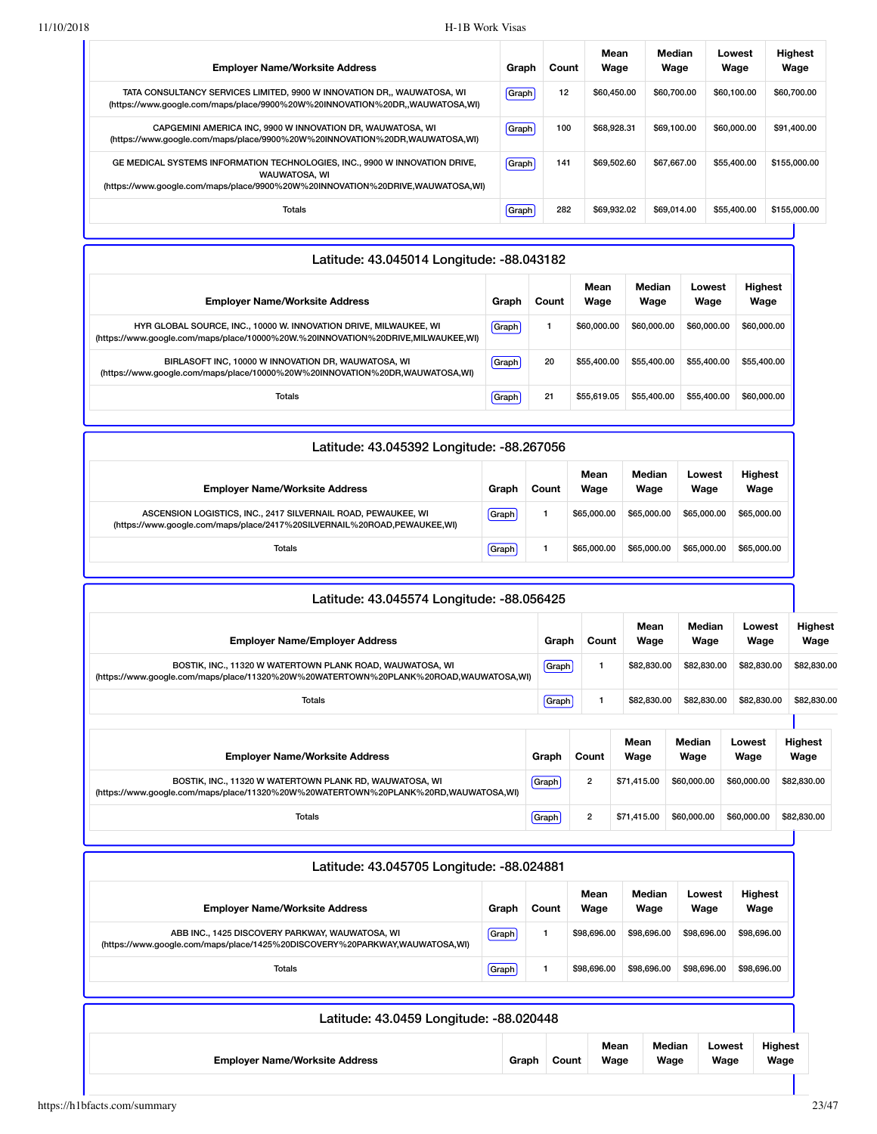| <b>Employer Name/Worksite Address</b>                                                                                                                                                 | Graph | Count | Mean<br>Wage | Median<br>Wage | Lowest<br>Wage | <b>Highest</b><br>Wage |
|---------------------------------------------------------------------------------------------------------------------------------------------------------------------------------------|-------|-------|--------------|----------------|----------------|------------------------|
| TATA CONSULTANCY SERVICES LIMITED, 9900 W INNOVATION DR., WAUWATOSA, WI<br>(https://www.google.com/maps/place/9900%20W%20INNOVATION%20DR,,WAUWATOSA,WI)                               | Graph | 12    | \$60,450,00  | \$60,700.00    | \$60.100.00    | \$60,700.00            |
| CAPGEMINI AMERICA INC. 9900 W INNOVATION DR. WAUWATOSA. WI<br>(https://www.google.com/maps/place/9900%20W%20INNOVATION%20DR,WAUWATOSA,WI)                                             | Graph | 100   | \$68,928.31  | \$69.100.00    | \$60,000,00    | \$91,400.00            |
| GE MEDICAL SYSTEMS INFORMATION TECHNOLOGIES, INC., 9900 W INNOVATION DRIVE,<br><b>WAUWATOSA, WI</b><br>(https://www.google.com/maps/place/9900%20W%20INNOVATION%20DRIVE,WAUWATOSA,WI) | Graph | 141   | \$69,502.60  | \$67.667.00    | \$55,400.00    | \$155,000,00           |
| <b>Totals</b>                                                                                                                                                                         | Graph | 282   | \$69.932.02  | \$69.014.00    | \$55,400.00    | \$155,000,00           |

| Latitude: 43.045014 Longitude: -88.043182                                                                                                             |       |       |              |                |                |                 |  |  |  |
|-------------------------------------------------------------------------------------------------------------------------------------------------------|-------|-------|--------------|----------------|----------------|-----------------|--|--|--|
| <b>Employer Name/Worksite Address</b>                                                                                                                 | Graph | Count | Mean<br>Wage | Median<br>Wage | Lowest<br>Wage | Highest<br>Wage |  |  |  |
| HYR GLOBAL SOURCE, INC., 10000 W. INNOVATION DRIVE, MILWAUKEE, WI<br>(https://www.google.com/maps/place/10000%20W.%20INNOVATION%20DRIVE,MILWAUKEE,WI) | Graph |       | \$60,000,00  | \$60,000,00    | \$60,000,00    | \$60,000.00     |  |  |  |
| BIRLASOFT INC. 10000 W INNOVATION DR. WAUWATOSA, WI<br>(https://www.google.com/maps/place/10000%20W%20INNOVATION%20DR,WAUWATOSA,WI)                   | Graph | 20    | \$55,400.00  | \$55,400,00    | \$55,400.00    | \$55,400.00     |  |  |  |
| <b>Totals</b>                                                                                                                                         | Graph | 21    | \$55,619.05  | \$55,400,00    | \$55,400.00    | \$60,000,00     |  |  |  |

| Latitude: 43.045392 Longitude: -88.267056                                                                                                 |              |       |              |                |                |                        |  |  |  |
|-------------------------------------------------------------------------------------------------------------------------------------------|--------------|-------|--------------|----------------|----------------|------------------------|--|--|--|
| <b>Employer Name/Worksite Address</b>                                                                                                     | Graph        | Count | Mean<br>Wage | Median<br>Wage | Lowest<br>Wage | <b>Highest</b><br>Wage |  |  |  |
| ASCENSION LOGISTICS, INC., 2417 SILVERNAIL ROAD, PEWAUKEE, WI<br>(https://www.google.com/maps/place/2417%20SILVERNAIL%20ROAD,PEWAUKEE,WI) | <b>Graph</b> |       | \$65,000.00  | \$65,000,00    | \$65,000,00    | \$65,000.00            |  |  |  |
| <b>Totals</b>                                                                                                                             | Graph        |       | \$65,000.00  | \$65,000.00    | \$65,000,00    | \$65,000.00            |  |  |  |

| Latitude: 43.045574 Longitude: -88.056425                                                                                                          |       |                |              |                |                |                        |
|----------------------------------------------------------------------------------------------------------------------------------------------------|-------|----------------|--------------|----------------|----------------|------------------------|
| <b>Employer Name/Employer Address</b>                                                                                                              | Graph | Count          | Mean<br>Wage | Median<br>Wage | Lowest<br>Wage | <b>Highest</b><br>Wage |
| BOSTIK, INC., 11320 W WATERTOWN PLANK ROAD, WAUWATOSA, WI<br>(https://www.google.com/maps/place/11320%20W%20WATERTOWN%20PLANK%20ROAD,WAUWATOSA,WI) | Graph |                | \$82,830.00  | \$82,830.00    | \$82,830.00    | \$82,830.00            |
| Totals                                                                                                                                             | Graph |                | \$82,830.00  | \$82,830.00    | \$82,830.00    | \$82,830.00            |
|                                                                                                                                                    |       |                |              |                |                |                        |
| <b>Employer Name/Worksite Address</b>                                                                                                              | Graph | Count          | Mean<br>Wage | Median<br>Wage | Lowest<br>Wage | <b>Highest</b><br>Wage |
| BOSTIK, INC., 11320 W WATERTOWN PLANK RD, WAUWATOSA, WI<br>(https://www.google.com/maps/place/11320%20W%20WATERTOWN%20PLANK%20RD,WAUWATOSA,WI)     | Graph | $\overline{2}$ | \$71,415.00  | \$60,000,00    | \$60,000.00    | \$82,830.00            |
| <b>Totals</b>                                                                                                                                      | Graph | $\overline{2}$ | \$71,415.00  | \$60,000,00    | \$60,000.00    | \$82,830.00            |

| Latitude: 43.045705 Longitude: -88.024881                                                                                      |         |       |              |                |                |                        |  |  |  |
|--------------------------------------------------------------------------------------------------------------------------------|---------|-------|--------------|----------------|----------------|------------------------|--|--|--|
| <b>Employer Name/Worksite Address</b>                                                                                          | Graph   | Count | Mean<br>Wage | Median<br>Wage | Lowest<br>Wage | <b>Highest</b><br>Wage |  |  |  |
| ABB INC., 1425 DISCOVERY PARKWAY, WAUWATOSA, WI<br>(https://www.google.com/maps/place/1425%20DISCOVERY%20PARKWAY,WAUWATOSA,WI) | [Graph] |       | \$98,696.00  | \$98,696.00    | \$98,696.00    | \$98,696.00            |  |  |  |
| Totals                                                                                                                         | Graph   |       | \$98,696.00  | \$98,696.00    | \$98,696,00    | \$98,696.00            |  |  |  |
| Latitude: 43.0459 Longitude: -88.020448                                                                                        |         |       |              |                |                |                        |  |  |  |
| Mean<br>Median<br>Lowest                                                                                                       |         |       |              |                |                |                        |  |  |  |

**Wage**

**Wage**

**Wage**

**Employer Name/Worksite Address Graph Count**

| https://h1bfacts.com/summary | 23/47 |  |
|------------------------------|-------|--|
|------------------------------|-------|--|

**Wage**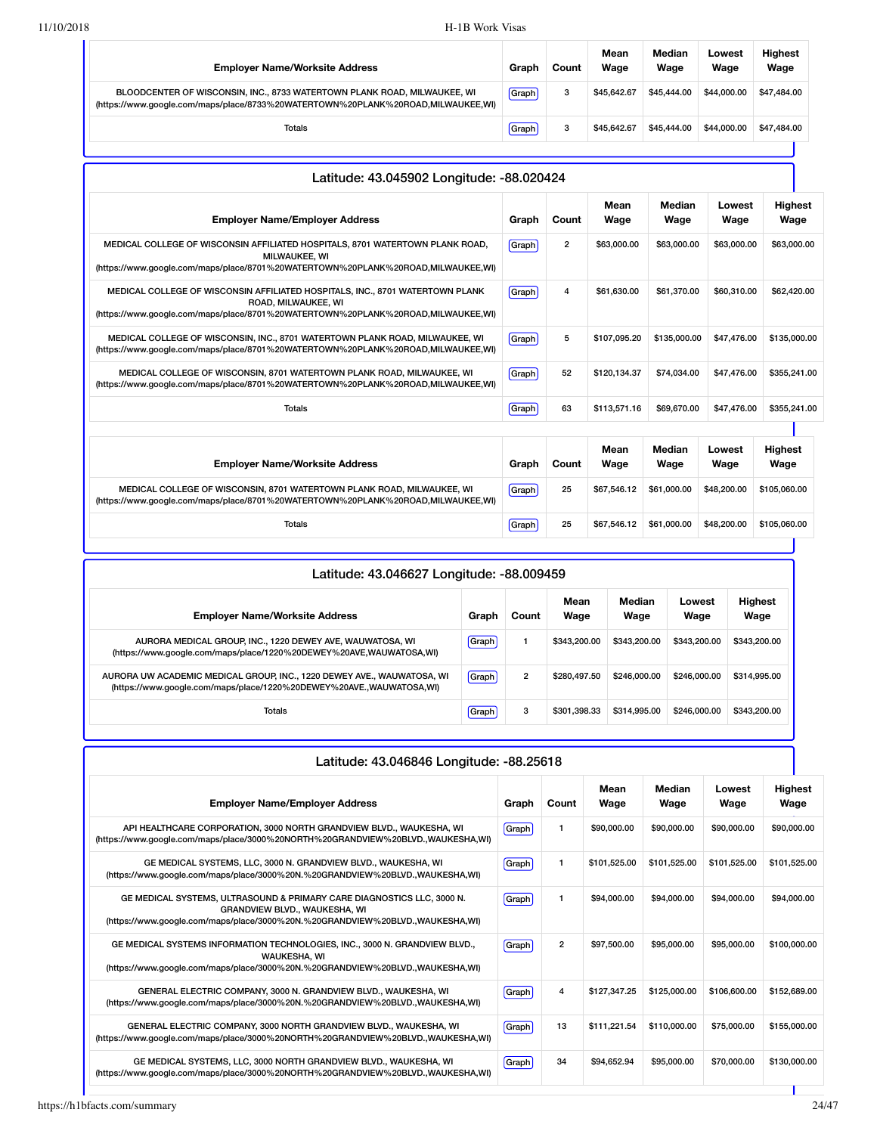| <b>Employer Name/Worksite Address</b>                                                                                                                        | Graph | Count | Mean<br>Wage | Median<br>Wage | Lowest<br>Wage | <b>Highest</b><br>Wage |
|--------------------------------------------------------------------------------------------------------------------------------------------------------------|-------|-------|--------------|----------------|----------------|------------------------|
| BLOODCENTER OF WISCONSIN, INC., 8733 WATERTOWN PLANK ROAD, MILWAUKEE, WI<br>(https://www.google.com/maps/place/8733%20WATERTOWN%20PLANK%20ROAD,MILWAUKEE,WI) | Graph | 3     | \$45,642,67  | \$45,444.00    | \$44,000.00    | \$47,484.00            |
| <b>Totals</b>                                                                                                                                                | Graph | 3     | \$45,642,67  | \$45,444.00    | \$44,000.00    | \$47,484.00            |
|                                                                                                                                                              |       |       |              |                |                |                        |

| Latitude: 43.045902 Longitude: -88.020424                                                                                                                                                |              |                |              |                |                |                        |
|------------------------------------------------------------------------------------------------------------------------------------------------------------------------------------------|--------------|----------------|--------------|----------------|----------------|------------------------|
| <b>Employer Name/Employer Address</b>                                                                                                                                                    | Graph        | Count          | Mean<br>Wage | Median<br>Wage | Lowest<br>Wage | <b>Highest</b><br>Wage |
| MEDICAL COLLEGE OF WISCONSIN AFFILIATED HOSPITALS, 8701 WATERTOWN PLANK ROAD,<br>MILWAUKEE, WI<br>(https://www.google.com/maps/place/8701%20WATERTOWN%20PLANK%20ROAD,MILWAUKEE,WI)       | <b>Graph</b> | $\overline{2}$ | \$63,000.00  | \$63,000.00    | \$63,000.00    | \$63,000.00            |
| MEDICAL COLLEGE OF WISCONSIN AFFILIATED HOSPITALS, INC., 8701 WATERTOWN PLANK<br>ROAD, MILWAUKEE, WI<br>(https://www.qoogle.com/maps/place/8701%20WATERTOWN%20PLANK%20ROAD,MILWAUKEE,WI) | <b>Graph</b> | 4              | \$61,630.00  | \$61,370.00    | \$60,310.00    | \$62,420.00            |
| MEDICAL COLLEGE OF WISCONSIN, INC., 8701 WATERTOWN PLANK ROAD, MILWAUKEE, WI<br>(https://www.google.com/maps/place/8701%20WATERTOWN%20PLANK%20ROAD,MILWAUKEE,WI)                         | Graph        | 5              | \$107.095.20 | \$135,000.00   | \$47,476.00    | \$135,000.00           |
| MEDICAL COLLEGE OF WISCONSIN, 8701 WATERTOWN PLANK ROAD, MILWAUKEE, WI<br>(https://www.google.com/maps/place/8701%20WATERTOWN%20PLANK%20ROAD,MILWAUKEE,WI)                               | [Graph]      | 52             | \$120,134.37 | \$74,034,00    | \$47,476.00    | \$355,241.00           |
| <b>Totals</b>                                                                                                                                                                            | [Graph]      | 63             | \$113,571.16 | \$69,670.00    | \$47,476.00    | \$355,241.00           |
|                                                                                                                                                                                          |              |                |              |                |                |                        |
| <b>Employer Name/Worksite Address</b>                                                                                                                                                    | Graph        | Count          | Mean<br>Wage | Median<br>Wage | Lowest<br>Wage | <b>Highest</b><br>Wage |
| MEDICAL COLLEGE OF WISCONSIN, 8701 WATERTOWN PLANK ROAD, MILWAUKEE, WI                                                                                                                   | Graph        | 25             | \$67.546.12  | \$61,000,00    | \$48,200.00    | \$105,060,00           |

| (https://www.google.com/maps/place/8701%20WATERTOWN%20PLANK%20ROAD,MILWAUKEE,WI) | וועשוש | -- |             | <b></b>     | ----------  | <u>wivu.vu.vu</u> |
|----------------------------------------------------------------------------------|--------|----|-------------|-------------|-------------|-------------------|
| Totals                                                                           | Graph  | 25 | \$67,546.12 | \$61.000.00 | \$48,200,00 | \$105,060,00      |
|                                                                                  |        |    |             |             |             |                   |

| Latitude: 43.046627 Longitude: -88.009459                                                                                                      |       |                |              |                |                |                 |  |  |  |  |  |
|------------------------------------------------------------------------------------------------------------------------------------------------|-------|----------------|--------------|----------------|----------------|-----------------|--|--|--|--|--|
| <b>Employer Name/Worksite Address</b>                                                                                                          | Graph | Count          | Mean<br>Wage | Median<br>Wage | Lowest<br>Wage | Highest<br>Wage |  |  |  |  |  |
| AURORA MEDICAL GROUP, INC., 1220 DEWEY AVE, WAUWATOSA, WI<br>(https://www.google.com/maps/place/1220%20DEWEY%20AVE,WAUWATOSA,WI)               | Graph |                | \$343,200,00 | \$343,200,00   | \$343,200.00   | \$343,200.00    |  |  |  |  |  |
| AURORA UW ACADEMIC MEDICAL GROUP, INC., 1220 DEWEY AVE., WAUWATOSA, WI<br>(https://www.google.com/maps/place/1220%20DEWEY%20AVE.,WAUWATOSA,WI) | Graph | $\overline{2}$ | \$280,497.50 | \$246,000,00   | \$246,000.00   | \$314,995.00    |  |  |  |  |  |
| Totals                                                                                                                                         | Graph | 3              | \$301.398.33 | \$314,995,00   | \$246,000.00   | \$343,200,00    |  |  |  |  |  |

### Latitude: 43.046846 Longitude: -88.25618

| <b>Employer Name/Employer Address</b>                                                                                                                                                    | Graph | Count          | Mean<br>Wage | Median<br>Wage | Lowest<br>Wage | <b>Highest</b><br>Wage |
|------------------------------------------------------------------------------------------------------------------------------------------------------------------------------------------|-------|----------------|--------------|----------------|----------------|------------------------|
| API HEALTHCARE CORPORATION, 3000 NORTH GRANDVIEW BLVD., WAUKESHA, WI<br>(https://www.google.com/maps/place/3000%20NORTH%20GRANDVIEW%20BLVD.,WAUKESHA,WI)                                 | Graph | 1              | \$90,000,00  | \$90,000.00    | \$90,000,00    | \$90,000.00            |
| GE MEDICAL SYSTEMS, LLC, 3000 N. GRANDVIEW BLVD., WAUKESHA, WI<br>(https://www.google.com/maps/place/3000%20N.%20GRANDVIEW%20BLVD.,WAUKESHA,WI)                                          | Graph | 1              | \$101.525.00 | \$101.525.00   | \$101.525.00   | \$101,525.00           |
| GE MEDICAL SYSTEMS, ULTRASOUND & PRIMARY CARE DIAGNOSTICS LLC, 3000 N.<br>GRANDVIEW BLVD., WAUKESHA, WI<br>(https://www.google.com/maps/place/3000%20N.%20GRANDVIEW%20BLVD.,WAUKESHA,WI) | Graph | 1              | \$94,000,00  | \$94,000.00    | \$94,000,00    | \$94,000.00            |
| GE MEDICAL SYSTEMS INFORMATION TECHNOLOGIES, INC., 3000 N. GRANDVIEW BLVD.,<br><b>WAUKESHA, WI</b><br>(https://www.google.com/maps/place/3000%20N.%20GRANDVIEW%20BLVD.,WAUKESHA,WI)      | Graph | $\overline{2}$ | \$97,500.00  | \$95,000.00    | \$95,000.00    | \$100,000.00           |
| GENERAL ELECTRIC COMPANY, 3000 N. GRANDVIEW BLVD., WAUKESHA, WI<br>(https://www.google.com/maps/place/3000%20N.%20GRANDVIEW%20BLVD.,WAUKESHA,WI)                                         | Graph | 4              | \$127,347,25 | \$125,000.00   | \$106,600,00   | \$152,689.00           |
| GENERAL ELECTRIC COMPANY, 3000 NORTH GRANDVIEW BLVD., WAUKESHA, WI<br>(https://www.google.com/maps/place/3000%20NORTH%20GRANDVIEW%20BLVD.,WAUKESHA,WI)                                   | Graph | 13             | \$111.221.54 | \$110,000,00   | \$75,000.00    | \$155,000.00           |
| GE MEDICAL SYSTEMS, LLC, 3000 NORTH GRANDVIEW BLVD., WAUKESHA, WI<br>(https://www.google.com/maps/place/3000%20NORTH%20GRANDVIEW%20BLVD.,WAUKESHA,WI)                                    | Graph | 34             | \$94.652.94  | \$95,000.00    | \$70,000.00    | \$130,000.00           |
|                                                                                                                                                                                          |       |                |              |                |                |                        |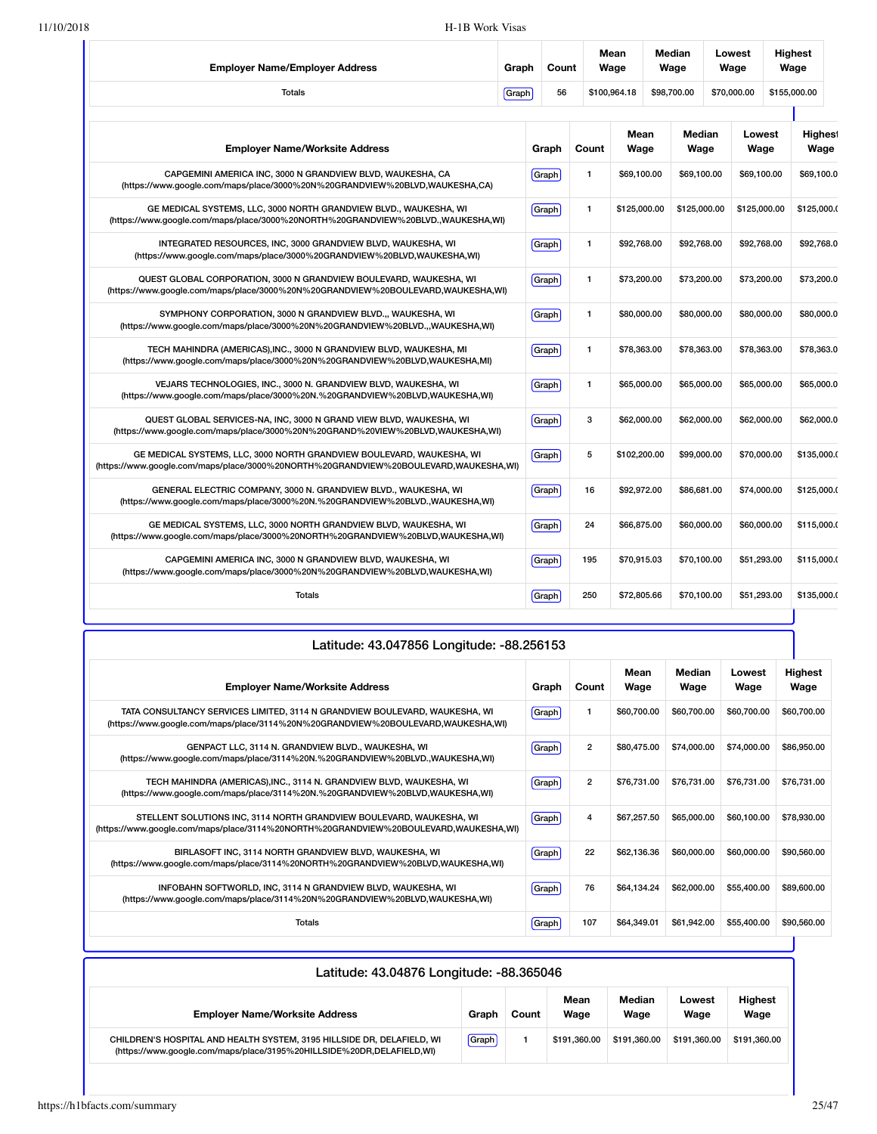| <b>Employer Name/Employer Address</b>                                                                                                                         | Graph | Count |       | Mean<br>Wage | Median<br>Wage |  | Lowest<br>Wage | <b>Highest</b><br>Wage |                        |  |
|---------------------------------------------------------------------------------------------------------------------------------------------------------------|-------|-------|-------|--------------|----------------|--|----------------|------------------------|------------------------|--|
| <b>Totals</b>                                                                                                                                                 |       | 56    |       | \$100,964.18 | \$98,700.00    |  | \$70,000.00    | \$155,000.00           |                        |  |
| <b>Employer Name/Worksite Address</b>                                                                                                                         |       | Graph | Count | Mean<br>Wage | Median<br>Wage |  | Lowest<br>Wage |                        | <b>Highest</b><br>Wage |  |
| CAPGEMINI AMERICA INC, 3000 N GRANDVIEW BLVD, WAUKESHA, CA<br>(https://www.google.com/maps/place/3000%20N%20GRANDVIEW%20BLVD,WAUKESHA,CA)                     |       | Graph | 1     | \$69,100.00  | \$69,100.00    |  | \$69,100.00    |                        | \$69,100.0             |  |
| GE MEDICAL SYSTEMS, LLC, 3000 NORTH GRANDVIEW BLVD., WAUKESHA, WI<br>(https://www.google.com/maps/place/3000%20NORTH%20GRANDVIEW%20BLVD.,WAUKESHA,WI)         |       | Graph | 1     | \$125,000.00 | \$125,000.00   |  | \$125,000.00   |                        | \$125,000.0            |  |
| INTEGRATED RESOURCES, INC, 3000 GRANDVIEW BLVD, WAUKESHA, WI<br>(https://www.qoogle.com/maps/place/3000%20GRANDVIEW%20BLVD,WAUKESHA,WI)                       |       | Graph | 1     | \$92,768.00  | \$92,768.00    |  | \$92,768.00    |                        | \$92,768.0             |  |
| QUEST GLOBAL CORPORATION, 3000 N GRANDVIEW BOULEVARD, WAUKESHA, WI<br>(https://www.google.com/maps/place/3000%20N%20GRANDVIEW%20BOULEVARD,WAUKESHA,WI)        |       | Graph | 1     | \$73,200.00  | \$73,200.00    |  | \$73,200.00    |                        | \$73,200.0             |  |
| SYMPHONY CORPORATION, 3000 N GRANDVIEW BLVD.,, WAUKESHA, WI<br>(https://www.google.com/maps/place/3000%20N%20GRANDVIEW%20BLVD.,,WAUKESHA,WI)                  |       | Graph | 1     | \$80,000.00  | \$80,000.00    |  | \$80,000.00    |                        | \$80,000.0             |  |
| TECH MAHINDRA (AMERICAS), INC., 3000 N GRANDVIEW BLVD, WAUKESHA, MI<br>(https://www.google.com/maps/place/3000%20N%20GRANDVIEW%20BLVD,WAUKESHA,MI)            |       | Graph | 1     | \$78,363.00  | \$78,363.00    |  | \$78,363.00    |                        | \$78,363.0             |  |
| VEJARS TECHNOLOGIES, INC., 3000 N. GRANDVIEW BLVD, WAUKESHA, WI<br>(https://www.google.com/maps/place/3000%20N.%20GRANDVIEW%20BLVD,WAUKESHA,WI)               |       | Graph | 1     | \$65,000.00  | \$65,000.00    |  | \$65,000.00    |                        | \$65,000.0             |  |
| QUEST GLOBAL SERVICES-NA, INC, 3000 N GRAND VIEW BLVD, WAUKESHA, WI<br>(https://www.qoogle.com/maps/place/3000%20N%20GRAND%20VIEW%20BLVD,WAUKESHA,WI)         |       | Graph | 3     | \$62,000.00  | \$62,000.00    |  | \$62,000.00    |                        | \$62,000.0             |  |
| GE MEDICAL SYSTEMS, LLC, 3000 NORTH GRANDVIEW BOULEVARD, WAUKESHA, WI<br>(https://www.google.com/maps/place/3000%20NORTH%20GRANDVIEW%20BOULEVARD,WAUKESHA,WI) |       | Graph | 5     | \$102,200.00 | \$99,000.00    |  | \$70,000.00    |                        | \$135,000.0            |  |
| GENERAL ELECTRIC COMPANY, 3000 N. GRANDVIEW BLVD., WAUKESHA, WI<br>(https://www.google.com/maps/place/3000%20N.%20GRANDVIEW%20BLVD.,WAUKESHA,WI)              |       | Graph | 16    | \$92,972.00  | \$86,681.00    |  | \$74,000.00    |                        | \$125,000.0            |  |
| GE MEDICAL SYSTEMS, LLC, 3000 NORTH GRANDVIEW BLVD, WAUKESHA, WI<br>(https://www.google.com/maps/place/3000%20NORTH%20GRANDVIEW%20BLVD,WAUKESHA,WI)           |       | Graph | 24    | \$66,875.00  | \$60,000.00    |  | \$60,000.00    |                        | \$115,000.0            |  |
| CAPGEMINI AMERICA INC, 3000 N GRANDVIEW BLVD, WAUKESHA, WI<br>(https://www.google.com/maps/place/3000%20N%20GRANDVIEW%20BLVD,WAUKESHA,WI)                     |       | Graph | 195   | \$70,915.03  | \$70,100.00    |  | \$51,293.00    |                        | \$115,000.0            |  |
| <b>Totals</b>                                                                                                                                                 |       | Graph | 250   | \$72,805.66  | \$70,100.00    |  | \$51,293.00    |                        | \$135,000.0            |  |

| Latitude: 43.047856 Longitude: -88.256153<br>Mean<br>Median<br>Lowest<br><b>Employer Name/Worksite Address</b><br>Wage<br>Graph<br>Count<br>Wage<br>Wage        |       |                |             |             |             |                 |  |
|-----------------------------------------------------------------------------------------------------------------------------------------------------------------|-------|----------------|-------------|-------------|-------------|-----------------|--|
|                                                                                                                                                                 |       |                |             |             |             | Highest<br>Wage |  |
| TATA CONSULTANCY SERVICES LIMITED, 3114 N GRANDVIEW BOULEVARD, WAUKESHA, WI<br>(https://www.google.com/maps/place/3114%20N%20GRANDVIEW%20BOULEVARD,WAUKESHA,WI) | Graph | 1              | \$60,700.00 | \$60,700.00 | \$60,700.00 | \$60,700.00     |  |
| GENPACT LLC, 3114 N. GRANDVIEW BLVD., WAUKESHA, WI<br>(https://www.google.com/maps/place/3114%20N.%20GRANDVIEW%20BLVD.,WAUKESHA,WI)                             | Graph | $\overline{2}$ | \$80,475,00 | \$74,000.00 | \$74,000.00 | \$86,950.00     |  |
| TECH MAHINDRA (AMERICAS), INC., 3114 N. GRANDVIEW BLVD, WAUKESHA, WI<br>(https://www.google.com/maps/place/3114%20N.%20GRANDVIEW%20BLVD,WAUKESHA,WI)            | Graph | $\overline{2}$ | \$76,731.00 | \$76,731.00 | \$76,731.00 | \$76,731.00     |  |
| STELLENT SOLUTIONS INC, 3114 NORTH GRANDVIEW BOULEVARD, WAUKESHA, WI<br>(https://www.google.com/maps/place/3114%20NORTH%20GRANDVIEW%20BOULEVARD,WAUKESHA,WI)    | Graph | 4              | \$67,257.50 | \$65,000.00 | \$60,100,00 | \$78,930.00     |  |
| BIRLASOFT INC, 3114 NORTH GRANDVIEW BLVD, WAUKESHA, WI<br>(https://www.google.com/maps/place/3114%20NORTH%20GRANDVIEW%20BLVD,WAUKESHA,WI)                       | Graph | 22             | \$62,136,36 | \$60,000,00 | \$60,000,00 | \$90,560.00     |  |
| INFOBAHN SOFTWORLD, INC, 3114 N GRANDVIEW BLVD, WAUKESHA, WI<br>(https://www.qoogle.com/maps/place/3114%20N%20GRANDVIEW%20BLVD,WAUKESHA,WI)                     | Graph | 76             | \$64.134.24 | \$62,000.00 | \$55,400.00 | \$89,600,00     |  |
| Totals                                                                                                                                                          | Graph | 107            | \$64,349.01 | \$61,942.00 | \$55,400.00 | \$90,560.00     |  |

| Latitude: 43.04876 Longitude: -88.365046                                                                                                        |       |       |              |                |                |                        |  |  |  |  |  |
|-------------------------------------------------------------------------------------------------------------------------------------------------|-------|-------|--------------|----------------|----------------|------------------------|--|--|--|--|--|
| <b>Employer Name/Worksite Address</b>                                                                                                           | Graph | Count | Mean<br>Wage | Median<br>Wage | Lowest<br>Wage | <b>Highest</b><br>Wage |  |  |  |  |  |
| CHILDREN'S HOSPITAL AND HEALTH SYSTEM, 3195 HILLSIDE DR, DELAFIELD, WI<br>(https://www.google.com/maps/place/3195%20HILLSIDE%20DR,DELAFIELD,WI) | Graph |       | \$191.360.00 | \$191.360.00   | \$191.360.00   | \$191.360.00           |  |  |  |  |  |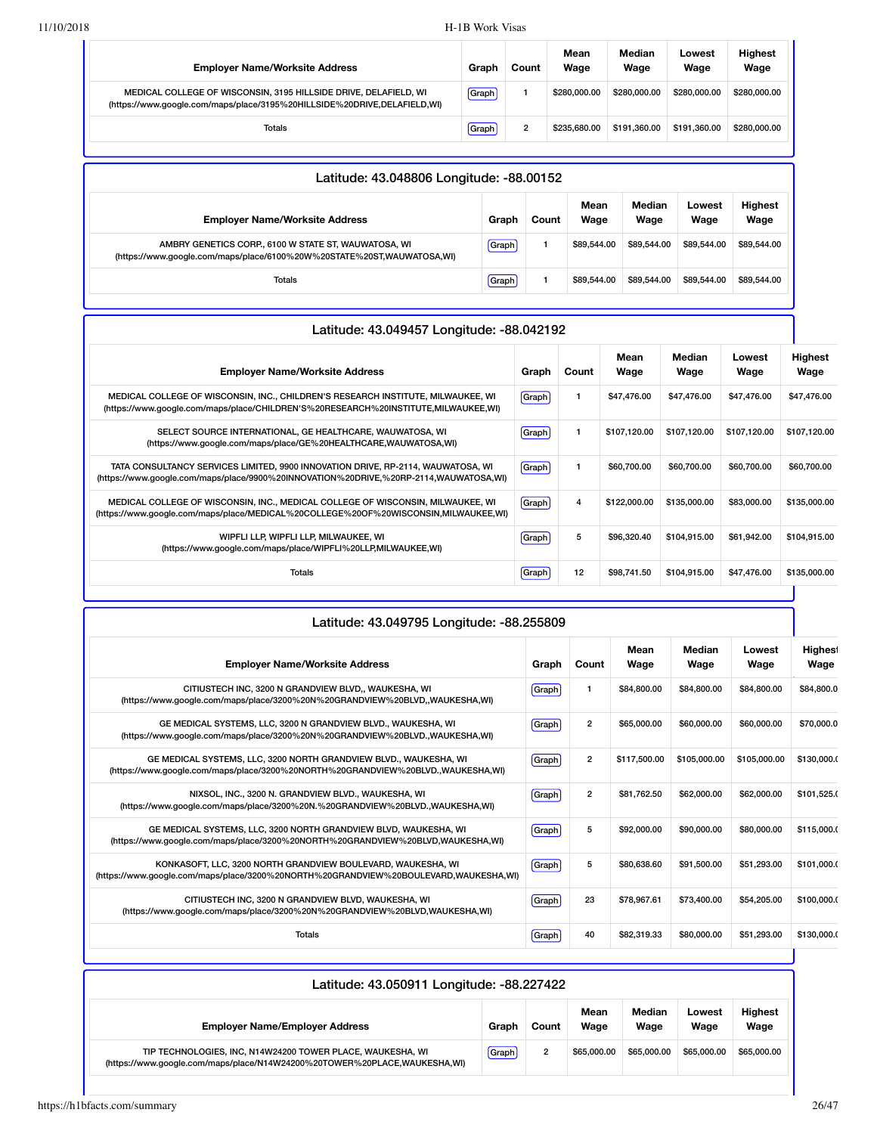| <b>Emplover Name/Worksite Address</b>                                                                                                        | Graph | Count | Mean<br>Wage | Median<br>Wage | Lowest<br>Wage | <b>Highest</b><br>Wage |
|----------------------------------------------------------------------------------------------------------------------------------------------|-------|-------|--------------|----------------|----------------|------------------------|
| MEDICAL COLLEGE OF WISCONSIN, 3195 HILLSIDE DRIVE, DELAFIELD, WI<br>(https://www.google.com/maps/place/3195%20HILLSIDE%20DRIVE,DELAFIELD,WI) | Graph |       | \$280,000,00 | \$280,000,00   | \$280,000,00   | \$280,000.00           |
| Totals                                                                                                                                       | Graph | 2     | \$235,680,00 | \$191.360.00   | \$191.360.00   | \$280,000.00           |

| Latitude: 43.048806 Longitude: -88.00152                                                                                       |       |       |              |                |                |                        |  |  |  |  |
|--------------------------------------------------------------------------------------------------------------------------------|-------|-------|--------------|----------------|----------------|------------------------|--|--|--|--|
| <b>Employer Name/Worksite Address</b>                                                                                          | Graph | Count | Mean<br>Wage | Median<br>Wage | Lowest<br>Wage | <b>Highest</b><br>Wage |  |  |  |  |
| AMBRY GENETICS CORP., 6100 W STATE ST, WAUWATOSA, WI<br>(https://www.google.com/maps/place/6100%20W%20STATE%20ST,WAUWATOSA,WI) | Graph |       | \$89,544,00  | \$89,544.00    | \$89,544,00    | \$89,544.00            |  |  |  |  |
| Totals                                                                                                                         | Graph |       | \$89,544,00  | \$89,544.00    | \$89,544,00    | \$89,544.00            |  |  |  |  |

| Latitude: 43.049457 Longitude: -88.042192                                                                                                                                 |       |       |              |                |                |                 |
|---------------------------------------------------------------------------------------------------------------------------------------------------------------------------|-------|-------|--------------|----------------|----------------|-----------------|
| <b>Employer Name/Worksite Address</b>                                                                                                                                     | Graph | Count | Mean<br>Wage | Median<br>Wage | Lowest<br>Wage | Highest<br>Wage |
| MEDICAL COLLEGE OF WISCONSIN, INC., CHILDREN'S RESEARCH INSTITUTE, MILWAUKEE, WI<br>(https://www.google.com/maps/place/CHILDREN'S%20RESEARCH%20INSTITUTE,MILWAUKEE,WI)    | Graph |       | \$47,476.00  | \$47,476.00    | \$47,476.00    | \$47,476.00     |
| SELECT SOURCE INTERNATIONAL, GE HEALTHCARE, WAUWATOSA, WI<br>(https://www.google.com/maps/place/GE%20HEALTHCARE,WAUWATOSA,WI)                                             | Graph |       | \$107,120.00 | \$107,120.00   | \$107,120.00   | \$107,120.00    |
| TATA CONSULTANCY SERVICES LIMITED, 9900 INNOVATION DRIVE, RP-2114, WAUWATOSA, WI<br>(https://www.google.com/maps/place/9900%20INNOVATION%20DRIVE,%20RP-2114,WAUWATOSA,WI) | Graph |       | \$60,700.00  | \$60,700.00    | \$60,700.00    | \$60,700.00     |
| MEDICAL COLLEGE OF WISCONSIN, INC., MEDICAL COLLEGE OF WISCONSIN, MILWAUKEE, WI<br>(https://www.google.com/maps/place/MEDICAL%20COLLEGE%20OF%20WISCONSIN,MILWAUKEE,WI)    | Graph | 4     | \$122,000,00 | \$135,000.00   | \$83,000.00    | \$135,000.00    |
| WIPFLI LLP, WIPFLI LLP, MILWAUKEE, WI<br>(https://www.google.com/maps/place/WIPFLI%20LLP,MILWAUKEE,WI)                                                                    | Graph | 5     | \$96,320.40  | \$104,915.00   | \$61,942.00    | \$104,915.00    |
| Totals                                                                                                                                                                    | Graph | 12    | \$98,741.50  | \$104,915.00   | \$47,476.00    | \$135,000.00    |
|                                                                                                                                                                           |       |       |              |                |                |                 |

| Latitude: 43.049795 Longitude: -88.255809                                                                                                             |       |                |              |                |                |                        |  |  |
|-------------------------------------------------------------------------------------------------------------------------------------------------------|-------|----------------|--------------|----------------|----------------|------------------------|--|--|
| <b>Employer Name/Worksite Address</b>                                                                                                                 | Graph | Count          | Mean<br>Wage | Median<br>Wage | Lowest<br>Wage | <b>Highest</b><br>Wage |  |  |
| CITIUSTECH INC. 3200 N GRANDVIEW BLVD., WAUKESHA, WI<br>(https://www.google.com/maps/place/3200%20N%20GRANDVIEW%20BLVD,,WAUKESHA,WI)                  | Graph | $\mathbf{1}$   | \$84,800.00  | \$84,800.00    | \$84,800.00    | \$84,800.0             |  |  |
| GE MEDICAL SYSTEMS, LLC, 3200 N GRANDVIEW BLVD., WAUKESHA, WI<br>(https://www.google.com/maps/place/3200%20N%20GRANDVIEW%20BLVD.,WAUKESHA,WI)         | Graph | $\overline{2}$ | \$65,000.00  | \$60,000,00    | \$60,000.00    | \$70,000.0             |  |  |
| GE MEDICAL SYSTEMS, LLC, 3200 NORTH GRANDVIEW BLVD., WAUKESHA, WI<br>(https://www.google.com/maps/place/3200%20NORTH%20GRANDVIEW%20BLVD.,WAUKESHA,WI) | Graph | $\overline{2}$ | \$117,500.00 | \$105,000.00   | \$105,000.00   | \$130,000.0            |  |  |
| NIXSOL, INC., 3200 N. GRANDVIEW BLVD., WAUKESHA, WI<br>(https://www.google.com/maps/place/3200%20N.%20GRANDVIEW%20BLVD.,WAUKESHA,WI)                  | Graph | $\overline{2}$ | \$81,762.50  | \$62,000.00    | \$62,000.00    | \$101,525.0            |  |  |
| GE MEDICAL SYSTEMS, LLC, 3200 NORTH GRANDVIEW BLVD, WAUKESHA, WI<br>(https://www.google.com/maps/place/3200%20NORTH%20GRANDVIEW%20BLVD,WAUKESHA,WI)   | Graph | 5              | \$92,000.00  | \$90,000,00    | \$80,000.00    | \$115,000.0            |  |  |
| KONKASOFT, LLC, 3200 NORTH GRANDVIEW BOULEVARD, WAUKESHA, WI<br>(https://www.google.com/maps/place/3200%20NORTH%20GRANDVIEW%20BOULEVARD,WAUKESHA,WI)  | Graph | 5              | \$80,638,60  | \$91,500.00    | \$51,293.00    | \$101.000.0            |  |  |
| CITIUSTECH INC, 3200 N GRANDVIEW BLVD, WAUKESHA, WI<br>(https://www.qoogle.com/maps/place/3200%20N%20GRANDVIEW%20BLVD,WAUKESHA,WI)                    | Graph | 23             | \$78.967.61  | \$73,400.00    | \$54,205.00    | \$100,000.0            |  |  |
| Totals                                                                                                                                                | Graph | 40             | \$82,319.33  | \$80,000,00    | \$51.293.00    | \$130,000.0            |  |  |

| Latitude: 43.050911 Longitude: -88.227422                                                                                               |       |       |              |                |                |                        |  |  |  |
|-----------------------------------------------------------------------------------------------------------------------------------------|-------|-------|--------------|----------------|----------------|------------------------|--|--|--|
| <b>Employer Name/Employer Address</b>                                                                                                   | Graph | Count | Mean<br>Wage | Median<br>Wage | Lowest<br>Wage | <b>Highest</b><br>Wage |  |  |  |
| TIP TECHNOLOGIES, INC, N14W24200 TOWER PLACE, WAUKESHA, WI<br>(https://www.google.com/maps/place/N14W24200%20TOWER%20PLACE,WAUKESHA,WI) | Graph | 2     | \$65,000.00  | \$65,000.00    | \$65,000,00    | \$65,000.00            |  |  |  |

ı

٦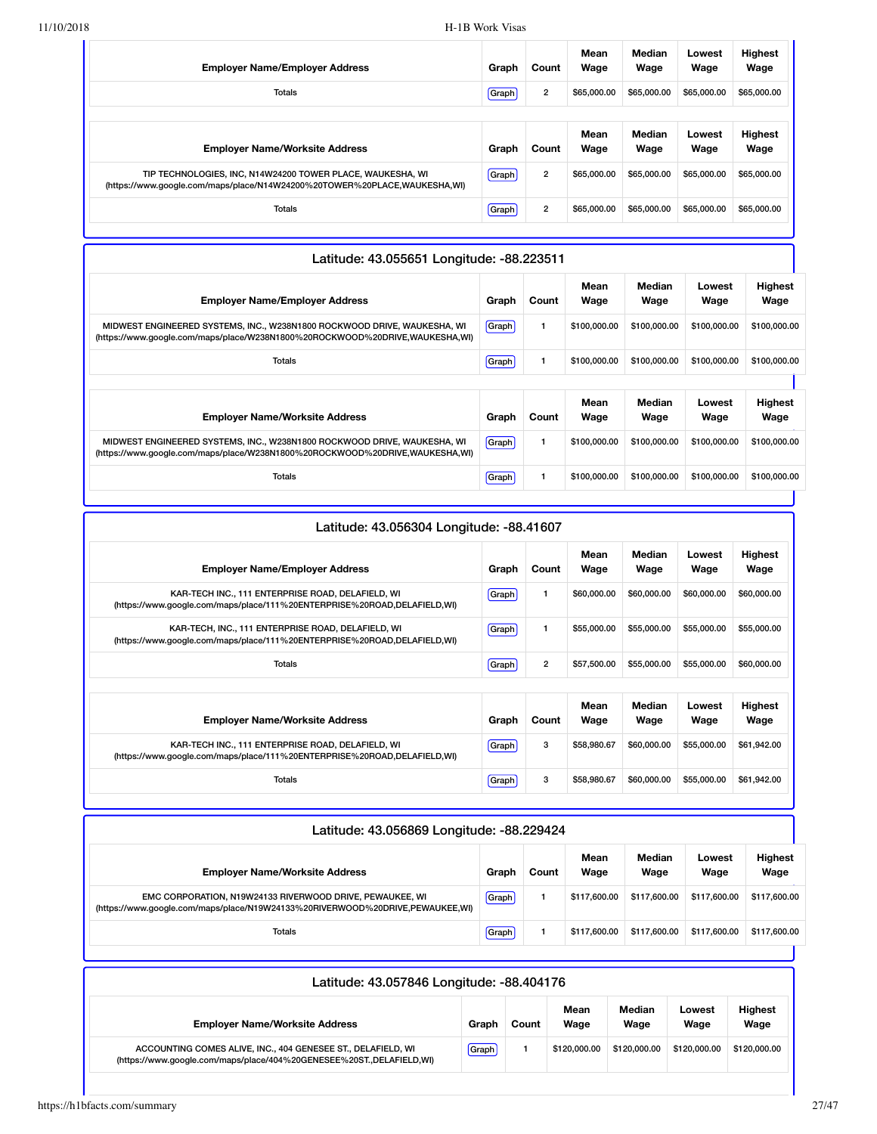| <b>Employer Name/Employer Address</b>                                                                                                   | Graph | Count          | Mean<br>Wage | Median<br>Wage | Lowest<br>Wage | <b>Highest</b><br>Wage |
|-----------------------------------------------------------------------------------------------------------------------------------------|-------|----------------|--------------|----------------|----------------|------------------------|
| <b>Totals</b>                                                                                                                           | Graph | $\overline{2}$ | \$65,000,00  | \$65,000.00    | \$65,000,00    | \$65,000.00            |
|                                                                                                                                         |       |                |              |                |                |                        |
| <b>Employer Name/Worksite Address</b>                                                                                                   | Graph | Count          | Mean<br>Wage | Median<br>Wage | Lowest<br>Wage | Highest<br>Wage        |
| TIP TECHNOLOGIES, INC, N14W24200 TOWER PLACE, WAUKESHA, WI<br>(https://www.google.com/maps/place/N14W24200%20TOWER%20PLACE,WAUKESHA,WI) | Graph | $\overline{2}$ | \$65,000,00  | \$65,000.00    | \$65,000,00    | \$65,000.00            |
| Totals                                                                                                                                  | Graph | $\overline{2}$ | \$65,000,00  | \$65,000.00    | \$65,000.00    | \$65,000.00            |

| Latitude: 43.055651 Longitude: -88.223511                                                                                                                |       |       |              |                |                |                        |  |  |  |  |
|----------------------------------------------------------------------------------------------------------------------------------------------------------|-------|-------|--------------|----------------|----------------|------------------------|--|--|--|--|
| <b>Employer Name/Employer Address</b>                                                                                                                    | Graph | Count | Mean<br>Wage | Median<br>Wage | Lowest<br>Wage | <b>Highest</b><br>Wage |  |  |  |  |
| MIDWEST ENGINEERED SYSTEMS, INC., W238N1800 ROCKWOOD DRIVE, WAUKESHA, WI<br>(https://www.google.com/maps/place/W238N1800%20ROCKWOOD%20DRIVE,WAUKESHA,WI) | Graph |       | \$100,000.00 | \$100,000.00   | \$100,000.00   | \$100,000.00           |  |  |  |  |
| Totals                                                                                                                                                   | Graph |       | \$100,000,00 | \$100,000,00   | \$100,000,00   | \$100,000.00           |  |  |  |  |
|                                                                                                                                                          |       |       |              |                |                |                        |  |  |  |  |
| <b>Employer Name/Worksite Address</b>                                                                                                                    | Graph | Count | Mean<br>Wage | Median<br>Wage | Lowest<br>Wage | <b>Highest</b><br>Wage |  |  |  |  |
| MIDWEST ENGINEERED SYSTEMS, INC., W238N1800 ROCKWOOD DRIVE, WAUKESHA, WI<br>(https://www.google.com/maps/place/W238N1800%20ROCKWOOD%20DRIVE,WAUKESHA,WI) | Graph | 1     | \$100,000,00 | \$100,000,00   | \$100,000.00   | \$100,000.00           |  |  |  |  |
| Totals                                                                                                                                                   | Graph |       | \$100,000.00 | \$100,000.00   | \$100,000.00   | \$100,000.00           |  |  |  |  |

| Latitude: 43.056304 Longitude: -88.41607                                                                                       |       |                |              |                |                |                        |
|--------------------------------------------------------------------------------------------------------------------------------|-------|----------------|--------------|----------------|----------------|------------------------|
| <b>Employer Name/Employer Address</b>                                                                                          | Graph | Count          | Mean<br>Wage | Median<br>Wage | Lowest<br>Wage | <b>Highest</b><br>Wage |
| KAR-TECH INC., 111 ENTERPRISE ROAD, DELAFIELD, WI<br>(https://www.google.com/maps/place/111%20ENTERPRISE%20ROAD,DELAFIELD,WI)  | Graph | 1              | \$60,000.00  | \$60,000.00    | \$60,000.00    | \$60,000.00            |
| KAR-TECH, INC., 111 ENTERPRISE ROAD, DELAFIELD, WI<br>(https://www.qoogle.com/maps/place/111%20ENTERPRISE%20ROAD,DELAFIELD,WI) | Graph | 1              | \$55,000.00  | \$55,000.00    | \$55,000.00    | \$55,000.00            |
| Totals                                                                                                                         | Graph | $\overline{2}$ | \$57,500.00  | \$55,000.00    | \$55,000.00    | \$60,000.00            |
|                                                                                                                                |       |                | Mean         | Median         | Lowest         | <b>Highest</b>         |
| <b>Employer Name/Worksite Address</b>                                                                                          | Graph | Count          | Wage         | Wage           | Wage           | Wage                   |
| KAR-TECH INC., 111 ENTERPRISE ROAD, DELAFIELD, WI<br>(https://www.google.com/maps/place/111%20ENTERPRISE%20ROAD,DELAFIELD,WI)  | Graph | 3              | \$58,980.67  | \$60,000.00    | \$55,000.00    | \$61,942.00            |
| <b>Totals</b>                                                                                                                  | Graph | 3              | \$58,980.67  | \$60,000,00    | \$55,000.00    | \$61,942.00            |

| Latitude: 43.056869 Longitude: -88.229424                                                                                                 |       |       |              |                |                |                 |  |  |  |  |
|-------------------------------------------------------------------------------------------------------------------------------------------|-------|-------|--------------|----------------|----------------|-----------------|--|--|--|--|
| <b>Employer Name/Worksite Address</b>                                                                                                     | Graph | Count | Mean<br>Wage | Median<br>Wage | Lowest<br>Wage | Highest<br>Wage |  |  |  |  |
| EMC CORPORATION, N19W24133 RIVERWOOD DRIVE, PEWAUKEE, WI<br>(https://www.google.com/maps/place/N19W24133%20RIVERWOOD%20DRIVE,PEWAUKEE,WI) | Graph |       | \$117,600.00 | \$117,600.00   | \$117,600.00   | \$117,600.00    |  |  |  |  |
| Totals                                                                                                                                    | Graph |       | \$117.600.00 | \$117,600.00   | \$117,600.00   | \$117,600.00    |  |  |  |  |

| Latitude: 43.057846 Longitude: -88.404176                                                                                            |       |       |              |                |                |                        |  |  |  |
|--------------------------------------------------------------------------------------------------------------------------------------|-------|-------|--------------|----------------|----------------|------------------------|--|--|--|
| <b>Employer Name/Worksite Address</b>                                                                                                | Graph | Count | Mean<br>Wage | Median<br>Wage | Lowest<br>Wage | <b>Highest</b><br>Wage |  |  |  |
| ACCOUNTING COMES ALIVE, INC., 404 GENESEE ST., DELAFIELD, WI<br>(https://www.google.com/maps/place/404%20GENESEE%20ST.,DELAFIELD,WI) | Graph |       | \$120,000,00 | \$120,000,00   | \$120,000,00   | \$120,000,00           |  |  |  |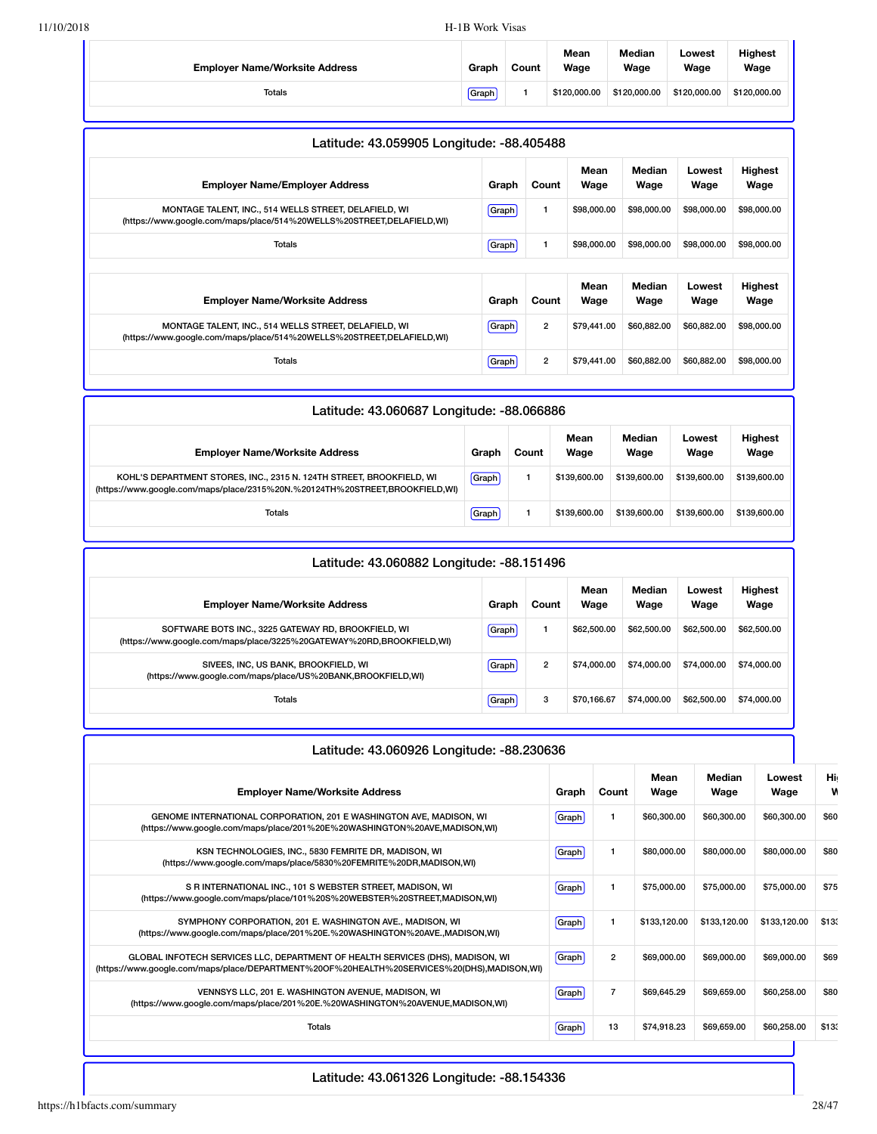| <b>Employer Name/Worksite Address</b> | Graph | Count | Mean<br>Wage | Median<br>Wage | Lowest<br>Wage | <b>Highest</b><br>Wage |
|---------------------------------------|-------|-------|--------------|----------------|----------------|------------------------|
| Totals                                | Graph |       | \$120,000.00 | \$120,000.00   | \$120,000.00   | \$120,000,00           |

| Latitude: 43.059905 Longitude: -88.405488                                                                                      |       |                         |              |                |                |                        |  |  |  |
|--------------------------------------------------------------------------------------------------------------------------------|-------|-------------------------|--------------|----------------|----------------|------------------------|--|--|--|
| <b>Employer Name/Employer Address</b>                                                                                          | Graph | Count                   | Mean<br>Wage | Median<br>Wage | Lowest<br>Wage | <b>Highest</b><br>Wage |  |  |  |
| MONTAGE TALENT, INC., 514 WELLS STREET, DELAFIELD, WI<br>(https://www.google.com/maps/place/514%20WELLS%20STREET,DELAFIELD,WI) | Graph | 1                       | \$98,000.00  | \$98,000,00    | \$98,000.00    | \$98,000.00            |  |  |  |
| <b>Totals</b>                                                                                                                  | Graph | 1                       | \$98,000,00  | \$98,000,00    | \$98,000.00    | \$98,000.00            |  |  |  |
|                                                                                                                                |       |                         |              |                |                |                        |  |  |  |
| <b>Employer Name/Worksite Address</b>                                                                                          | Graph | Count                   | Mean<br>Wage | Median<br>Wage | Lowest<br>Wage | <b>Highest</b><br>Wage |  |  |  |
| MONTAGE TALENT, INC., 514 WELLS STREET, DELAFIELD, WI<br>(https://www.google.com/maps/place/514%20WELLS%20STREET,DELAFIELD,WI) | Graph | $\overline{2}$          | \$79,441.00  | \$60,882,00    | \$60,882,00    | \$98,000.00            |  |  |  |
| <b>Totals</b>                                                                                                                  | Graph | $\overline{\mathbf{c}}$ | \$79,441.00  | \$60,882.00    | \$60,882.00    | \$98,000.00            |  |  |  |

| Latitude: 43.060687 Longitude: -88.066886                                                                                                            |       |       |              |                |                |                        |  |  |  |  |
|------------------------------------------------------------------------------------------------------------------------------------------------------|-------|-------|--------------|----------------|----------------|------------------------|--|--|--|--|
| <b>Employer Name/Worksite Address</b>                                                                                                                | Graph | Count | Mean<br>Wage | Median<br>Wage | Lowest<br>Wage | <b>Highest</b><br>Wage |  |  |  |  |
| KOHL'S DEPARTMENT STORES, INC., 2315 N. 124TH STREET, BROOKFIELD, WI<br>(https://www.google.com/maps/place/2315%20N.%20124TH%20STREET,BROOKFIELD,WI) | Graph |       | \$139,600.00 | \$139,600.00   | \$139,600.00   | \$139,600.00           |  |  |  |  |
| Totals                                                                                                                                               | Graph |       | \$139,600.00 | \$139,600.00   | \$139,600.00   | \$139,600.00           |  |  |  |  |

| Latitude: 43.060882 Longitude: -88.151496                                                                                    |       |                |              |                |                |                        |  |  |  |  |
|------------------------------------------------------------------------------------------------------------------------------|-------|----------------|--------------|----------------|----------------|------------------------|--|--|--|--|
| <b>Employer Name/Worksite Address</b>                                                                                        | Graph | Count          | Mean<br>Wage | Median<br>Wage | Lowest<br>Wage | <b>Highest</b><br>Wage |  |  |  |  |
| SOFTWARE BOTS INC., 3225 GATEWAY RD, BROOKFIELD, WI<br>(https://www.qoogle.com/maps/place/3225%20GATEWAY%20RD,BROOKFIELD,WI) | Graph |                | \$62,500.00  | \$62,500.00    | \$62,500,00    | \$62,500.00            |  |  |  |  |
| SIVEES, INC. US BANK, BROOKFIELD, WI<br>(https://www.google.com/maps/place/US%20BANK,BROOKFIELD,WI)                          | Graph | $\overline{2}$ | \$74,000,00  | \$74,000,00    | \$74,000,00    | \$74,000.00            |  |  |  |  |
| Totals                                                                                                                       | Graph | 3              | \$70.166.67  | \$74,000,00    | \$62,500,00    | \$74,000.00            |  |  |  |  |

| Latitude: 43.060926 Longitude: -88.230636                                                                                                                                    |              |                |              |                |                |         |  |  |
|------------------------------------------------------------------------------------------------------------------------------------------------------------------------------|--------------|----------------|--------------|----------------|----------------|---------|--|--|
| <b>Employer Name/Worksite Address</b>                                                                                                                                        | Graph        | Count          | Mean<br>Wage | Median<br>Wage | Lowest<br>Wage | Hi<br>W |  |  |
| GENOME INTERNATIONAL CORPORATION, 201 E WASHINGTON AVE, MADISON, WI<br>(https://www.google.com/maps/place/201%20E%20WASHINGTON%20AVE,MADISON,WI)                             | Graph        | 1              | \$60,300.00  | \$60,300,00    | \$60,300,00    | \$60    |  |  |
| KSN TECHNOLOGIES, INC., 5830 FEMRITE DR, MADISON, WI<br>(https://www.google.com/maps/place/5830%20FEMRITE%20DR,MADISON,WI)                                                   | Graph        | 1              | \$80,000.00  | \$80,000.00    | \$80,000.00    | \$80    |  |  |
| S R INTERNATIONAL INC., 101 S WEBSTER STREET, MADISON, WI<br>(https://www.google.com/maps/place/101%20S%20WEBSTER%20STREET,MADISON,WI)                                       | <b>Graph</b> | 1              | \$75,000.00  | \$75,000.00    | \$75,000.00    | \$75    |  |  |
| SYMPHONY CORPORATION, 201 E. WASHINGTON AVE., MADISON, WI<br>(https://www.google.com/maps/place/201%20E.%20WASHINGTON%20AVE.,MADISON,WI)                                     | <b>Graph</b> |                | \$133,120.00 | \$133,120.00   | \$133,120.00   | \$13.   |  |  |
| GLOBAL INFOTECH SERVICES LLC, DEPARTMENT OF HEALTH SERVICES (DHS), MADISON, WI<br>(https://www.google.com/maps/place/DEPARTMENT%20OF%20HEALTH%20SERVICES%20(DHS),MADISON,WI) | <b>Graph</b> | $\overline{2}$ | \$69,000.00  | \$69,000.00    | \$69,000.00    | \$69    |  |  |
| VENNSYS LLC, 201 E. WASHINGTON AVENUE, MADISON, WI<br>(https://www.google.com/maps/place/201%20E.%20WASHINGTON%20AVENUE,MADISON,WI)                                          | Graph        | $\overline{7}$ | \$69,645.29  | \$69,659.00    | \$60,258.00    | \$80    |  |  |
| <b>Totals</b>                                                                                                                                                                | Graph        | 13             | \$74.918.23  | \$69,659.00    | \$60,258.00    | \$13:   |  |  |

Latitude: 43.061326 Longitude: -88.154336

H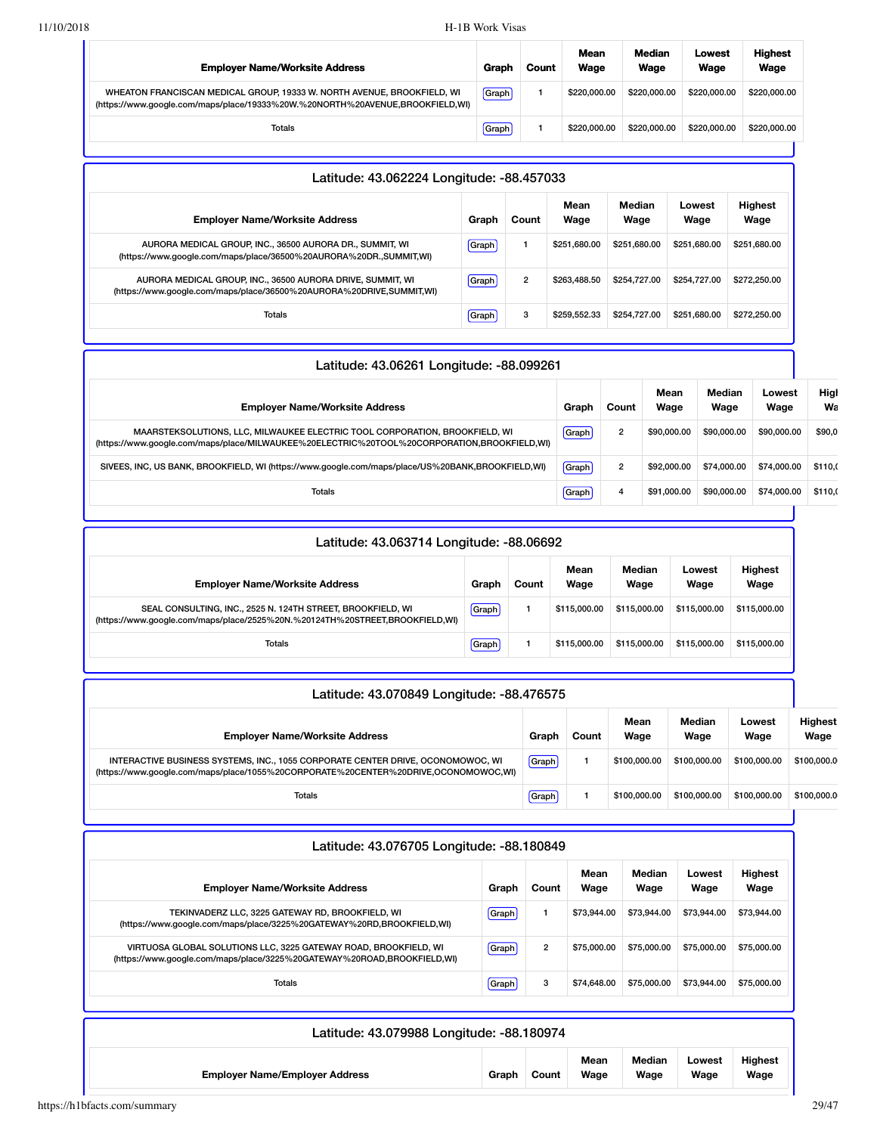| <b>Employer Name/Worksite Address</b>                                                                                                                    | <b>Graph</b> | Count | Mean<br>Wage | Median<br>Wage | Lowest<br>Wage | <b>Highest</b><br>Wage |
|----------------------------------------------------------------------------------------------------------------------------------------------------------|--------------|-------|--------------|----------------|----------------|------------------------|
| WHEATON FRANCISCAN MEDICAL GROUP, 19333 W. NORTH AVENUE, BROOKFIELD, WI<br>(https://www.google.com/maps/place/19333%20W.%20NORTH%20AVENUE,BROOKFIELD,WI) | Graph        |       | \$220,000,00 | \$220,000,00   | \$220,000,00   | \$220,000,00           |
| <b>Totals</b>                                                                                                                                            | Graph        |       | \$220,000,00 | \$220,000,00   | \$220,000,00   | \$220,000,00           |

| Latitude: 43.062224 Longitude: -88.457033                                                                                          |       |                |              |                |                |                        |  |  |  |  |
|------------------------------------------------------------------------------------------------------------------------------------|-------|----------------|--------------|----------------|----------------|------------------------|--|--|--|--|
| <b>Employer Name/Worksite Address</b>                                                                                              | Graph | Count          | Mean<br>Wage | Median<br>Wage | Lowest<br>Wage | <b>Highest</b><br>Wage |  |  |  |  |
| AURORA MEDICAL GROUP, INC., 36500 AURORA DR., SUMMIT, WI<br>(https://www.google.com/maps/place/36500%20AURORA%20DR.,SUMMIT,WI)     | Graph |                | \$251,680.00 | \$251,680,00   | \$251,680.00   | \$251.680.00           |  |  |  |  |
| AURORA MEDICAL GROUP, INC., 36500 AURORA DRIVE, SUMMIT, WI<br>(https://www.google.com/maps/place/36500%20AURORA%20DRIVE,SUMMIT,WI) | Graph | $\overline{2}$ | \$263,488.50 | \$254,727,00   | \$254,727,00   | \$272,250.00           |  |  |  |  |
| Totals                                                                                                                             | Graph | 3              | \$259.552.33 | \$254,727.00   | \$251,680.00   | \$272,250,00           |  |  |  |  |

| Latitude: 43.06261 Longitude: -88.099261                                                                                                                                   |              |                |              |                |                |            |
|----------------------------------------------------------------------------------------------------------------------------------------------------------------------------|--------------|----------------|--------------|----------------|----------------|------------|
| <b>Employer Name/Worksite Address</b>                                                                                                                                      | Graph        | Count          | Mean<br>Wage | Median<br>Wage | Lowest<br>Wage | High<br>Wa |
| MAARSTEKSOLUTIONS, LLC, MILWAUKEE ELECTRIC TOOL CORPORATION, BROOKFIELD, WI<br>(https://www.google.com/maps/place/MILWAUKEE%20ELECTRIC%20TOOL%20CORPORATION,BROOKFIELD,WI) | <b>Graph</b> | $\overline{2}$ | \$90,000,00  | \$90,000,00    | \$90,000,00    | \$90,0     |
| SIVEES, INC, US BANK, BROOKFIELD, WI (https://www.google.com/maps/place/US%20BANK,BROOKFIELD,WI)                                                                           | [Graph]      | $\overline{2}$ | \$92,000.00  | \$74,000,00    | \$74,000.00    | \$110,0    |
| Totals                                                                                                                                                                     | Graph        | 4              | \$91,000.00  | \$90,000,00    | \$74,000,00    | \$110,0    |
|                                                                                                                                                                            |              |                |              |                |                |            |

| Latitude: 43.063714 Longitude: -88.06692                                                                                                    |       |       |              |                |                |                        |  |  |  |
|---------------------------------------------------------------------------------------------------------------------------------------------|-------|-------|--------------|----------------|----------------|------------------------|--|--|--|
| <b>Employer Name/Worksite Address</b>                                                                                                       | Graph | Count | Mean<br>Wage | Median<br>Wage | Lowest<br>Wage | <b>Highest</b><br>Wage |  |  |  |
| SEAL CONSULTING, INC., 2525 N. 124TH STREET, BROOKFIELD, WI<br>(https://www.google.com/maps/place/2525%20N.%20124TH%20STREET,BROOKFIELD,WI) | Graph |       | \$115,000.00 | \$115,000,00   | \$115,000.00   | \$115,000.00           |  |  |  |
| <b>Totals</b>                                                                                                                               | Graph |       | \$115,000.00 | \$115,000.00   | \$115,000.00   | \$115,000.00           |  |  |  |

| Latitude: 43.070849 Longitude: -88.476575                                                                                                                              |       |       |              |                |                |                        |
|------------------------------------------------------------------------------------------------------------------------------------------------------------------------|-------|-------|--------------|----------------|----------------|------------------------|
| <b>Employer Name/Worksite Address</b>                                                                                                                                  | Graph | Count | Mean<br>Wage | Median<br>Wage | Lowest<br>Wage | <b>Highest</b><br>Wage |
| INTERACTIVE BUSINESS SYSTEMS, INC., 1055 CORPORATE CENTER DRIVE, OCONOMOWOC, WI<br>(https://www.google.com/maps/place/1055%20CORPORATE%20CENTER%20DRIVE,OCONOMOWOC,WI) | Graph |       | \$100,000,00 | \$100,000,00   | \$100,000,00   | \$100,000.0            |
| Totals                                                                                                                                                                 | Graph |       | \$100,000,00 | \$100,000.00   | \$100,000,00   | \$100,000.0            |

| Latitude: 43.076705 Longitude: -88.180849                                                                                                   |       |                |              |                |                |                        |
|---------------------------------------------------------------------------------------------------------------------------------------------|-------|----------------|--------------|----------------|----------------|------------------------|
| <b>Employer Name/Worksite Address</b>                                                                                                       | Graph | Count          | Mean<br>Wage | Median<br>Wage | Lowest<br>Wage | <b>Highest</b><br>Wage |
| TEKINVADERZ LLC, 3225 GATEWAY RD, BROOKFIELD, WI<br>(https://www.google.com/maps/place/3225%20GATEWAY%20RD,BROOKFIELD,WI)                   | Graph | 1              | \$73,944.00  | \$73,944.00    | \$73,944.00    | \$73,944.00            |
| VIRTUOSA GLOBAL SOLUTIONS LLC, 3225 GATEWAY ROAD, BROOKFIELD, WI<br>(https://www.qoogle.com/maps/place/3225%20GATEWAY%20ROAD,BROOKFIELD,WI) | Graph | $\overline{2}$ | \$75,000,00  | \$75,000,00    | \$75,000.00    | \$75,000.00            |
| <b>Totals</b>                                                                                                                               | Graph | 3              | \$74,648.00  | \$75,000.00    | \$73,944.00    | \$75,000.00            |
| Latitude: 43.079988 Longitude: -88.180974<br><b>Employer Name/Employer Address</b>                                                          | Graph | Count          | Mean<br>Wage | Median<br>Wage | Lowest<br>Wage | Highest<br>Wage        |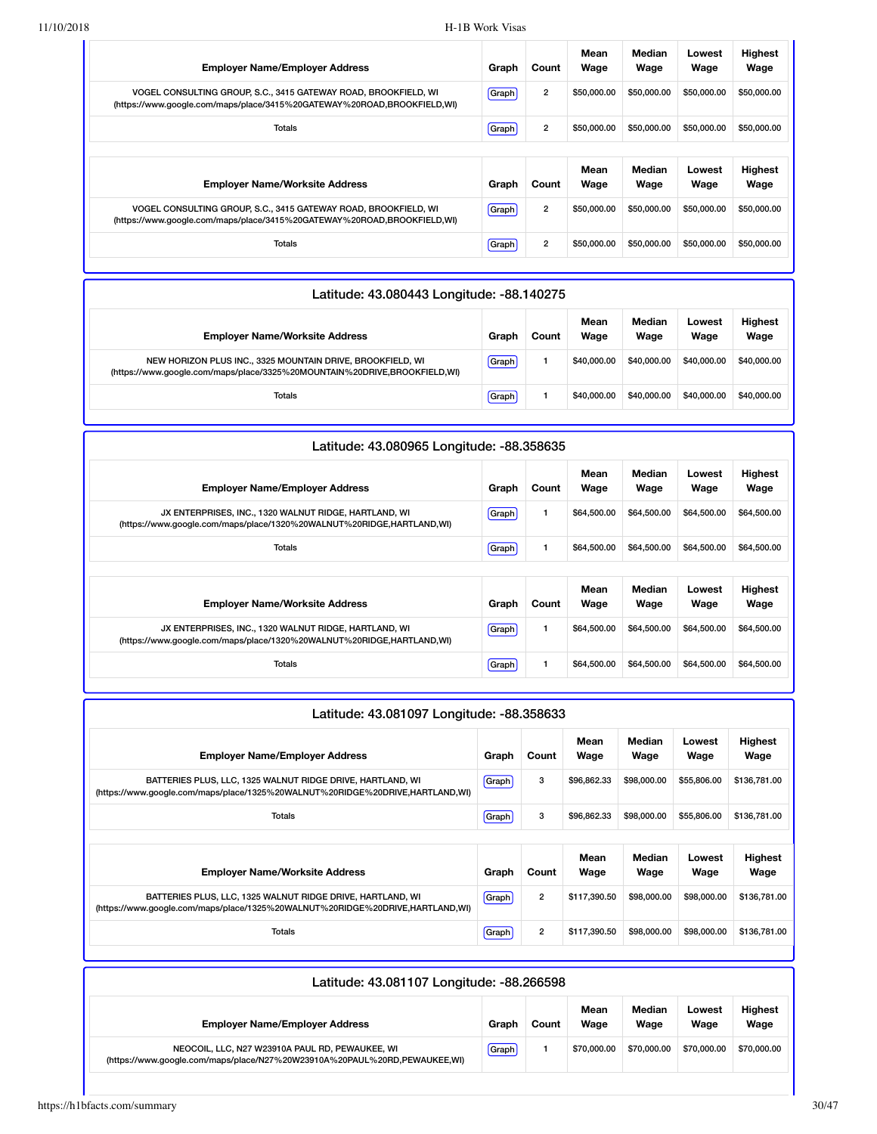| <b>Employer Name/Employer Address</b>                                                                                                      | Graph   | Count          | Mean<br>Wage | Median<br>Wage | Lowest<br>Wage | <b>Highest</b><br>Wage |
|--------------------------------------------------------------------------------------------------------------------------------------------|---------|----------------|--------------|----------------|----------------|------------------------|
| VOGEL CONSULTING GROUP, S.C., 3415 GATEWAY ROAD, BROOKFIELD, WI<br>(https://www.google.com/maps/place/3415%20GATEWAY%20ROAD,BROOKFIELD,WI) | Graph   | $\overline{2}$ | \$50,000,00  | \$50,000,00    | \$50,000.00    | \$50,000.00            |
| Totals                                                                                                                                     | Graph   | $\overline{2}$ | \$50,000,00  | \$50,000,00    | \$50,000,00    | \$50,000.00            |
|                                                                                                                                            |         |                |              |                |                |                        |
|                                                                                                                                            |         |                | Mean         | Median         | Lowest         | <b>Highest</b>         |
| <b>Employer Name/Worksite Address</b>                                                                                                      | Graph   | Count          | Wage         | Wage           | Wage           | Wage                   |
| VOGEL CONSULTING GROUP, S.C., 3415 GATEWAY ROAD, BROOKFIELD, WI<br>(https://www.google.com/maps/place/3415%20GATEWAY%20ROAD,BROOKFIELD,WI) | [Graph] | $\overline{2}$ | \$50,000,00  | \$50,000.00    | \$50,000.00    | \$50,000.00            |

| Latitude: 43.080443 Longitude: -88.140275                                                                                               |       |       |              |                |                |                        |
|-----------------------------------------------------------------------------------------------------------------------------------------|-------|-------|--------------|----------------|----------------|------------------------|
| <b>Employer Name/Worksite Address</b>                                                                                                   | Graph | Count | Mean<br>Wage | Median<br>Wage | Lowest<br>Wage | <b>Highest</b><br>Wage |
| NEW HORIZON PLUS INC., 3325 MOUNTAIN DRIVE, BROOKFIELD, WI<br>(https://www.google.com/maps/place/3325%20MOUNTAIN%20DRIVE,BROOKFIELD,WI) | Graph |       | \$40,000,00  | \$40,000,00    | \$40,000.00    | \$40,000.00            |
| Totals                                                                                                                                  | Graph |       | \$40,000,00  | \$40,000,00    | \$40,000,00    | \$40,000.00            |

| Latitude: 43.080965 Longitude: -88.358635                                                                                        |       |       |              |                |                |                 |
|----------------------------------------------------------------------------------------------------------------------------------|-------|-------|--------------|----------------|----------------|-----------------|
| <b>Employer Name/Employer Address</b>                                                                                            | Graph | Count | Mean<br>Wage | Median<br>Wage | Lowest<br>Wage | Highest<br>Wage |
| JX ENTERPRISES, INC., 1320 WALNUT RIDGE, HARTLAND, WI<br>(https://www.google.com/maps/place/1320%20WALNUT%20RIDGE, HARTLAND, WI) | Graph | 1     | \$64,500.00  | \$64,500.00    | \$64,500.00    | \$64,500.00     |
| Totals                                                                                                                           | Graph | 1     | \$64,500.00  | \$64,500.00    | \$64,500.00    | \$64,500.00     |
|                                                                                                                                  |       |       | Mean         | Median         | Lowest         | Highest         |
| <b>Employer Name/Worksite Address</b>                                                                                            | Graph | Count | Wage         | Wage           | Wage           | Wage            |
| JX ENTERPRISES, INC., 1320 WALNUT RIDGE, HARTLAND, WI<br>(https://www.google.com/maps/place/1320%20WALNUT%20RIDGE, HARTLAND, WI) | Graph | 1     | \$64,500.00  | \$64,500.00    | \$64,500.00    | \$64,500.00     |
| Totals                                                                                                                           | Graph | 1     | \$64,500.00  | \$64,500.00    | \$64,500.00    | \$64,500.00     |

|  | Latitude: 43.081097 Longitude: -88.358633 |
|--|-------------------------------------------|
|--|-------------------------------------------|

| <b>Employer Name/Employer Address</b>                                                                                                       | Graph   | Count          | Mean<br>Wage | Median<br>Wage | Lowest<br>Wage | <b>Highest</b><br>Wage |
|---------------------------------------------------------------------------------------------------------------------------------------------|---------|----------------|--------------|----------------|----------------|------------------------|
| BATTERIES PLUS, LLC, 1325 WALNUT RIDGE DRIVE, HARTLAND, WI<br>(https://www.google.com/maps/place/1325%20WALNUT%20RIDGE%20DRIVE,HARTLAND,WI) | Graph   | 3              | \$96,862,33  | \$98,000,00    | \$55,806,00    | \$136,781.00           |
| <b>Totals</b>                                                                                                                               | Graph   | 3              | \$96,862.33  | \$98,000.00    | \$55,806.00    | \$136,781.00           |
|                                                                                                                                             |         |                |              |                |                |                        |
|                                                                                                                                             |         |                |              |                |                |                        |
| <b>Emplover Name/Worksite Address</b>                                                                                                       | Graph   | Count          | Mean<br>Wage | Median<br>Wage | Lowest<br>Wage | Highest<br>Wage        |
| BATTERIES PLUS, LLC, 1325 WALNUT RIDGE DRIVE, HARTLAND, WI<br>(https://www.google.com/maps/place/1325%20WALNUT%20RIDGE%20DRIVE,HARTLAND,WI) | (Graph) | $\overline{2}$ | \$117.390.50 | \$98,000.00    | \$98,000,00    | \$136,781.00           |

| Latitude: 43.081107 Longitude: -88.266598                                                                                    |       |       |              |                |                |                        |
|------------------------------------------------------------------------------------------------------------------------------|-------|-------|--------------|----------------|----------------|------------------------|
| <b>Employer Name/Employer Address</b>                                                                                        | Graph | Count | Mean<br>Wage | Median<br>Wage | Lowest<br>Wage | <b>Highest</b><br>Wage |
| NEOCOIL, LLC, N27 W23910A PAUL RD, PEWAUKEE, WI<br>(https://www.google.com/maps/place/N27%20W23910A%20PAUL%20RD,PEWAUKEE,WI) | Graph |       | \$70,000,00  | \$70,000,00    | \$70,000,00    | \$70,000.00            |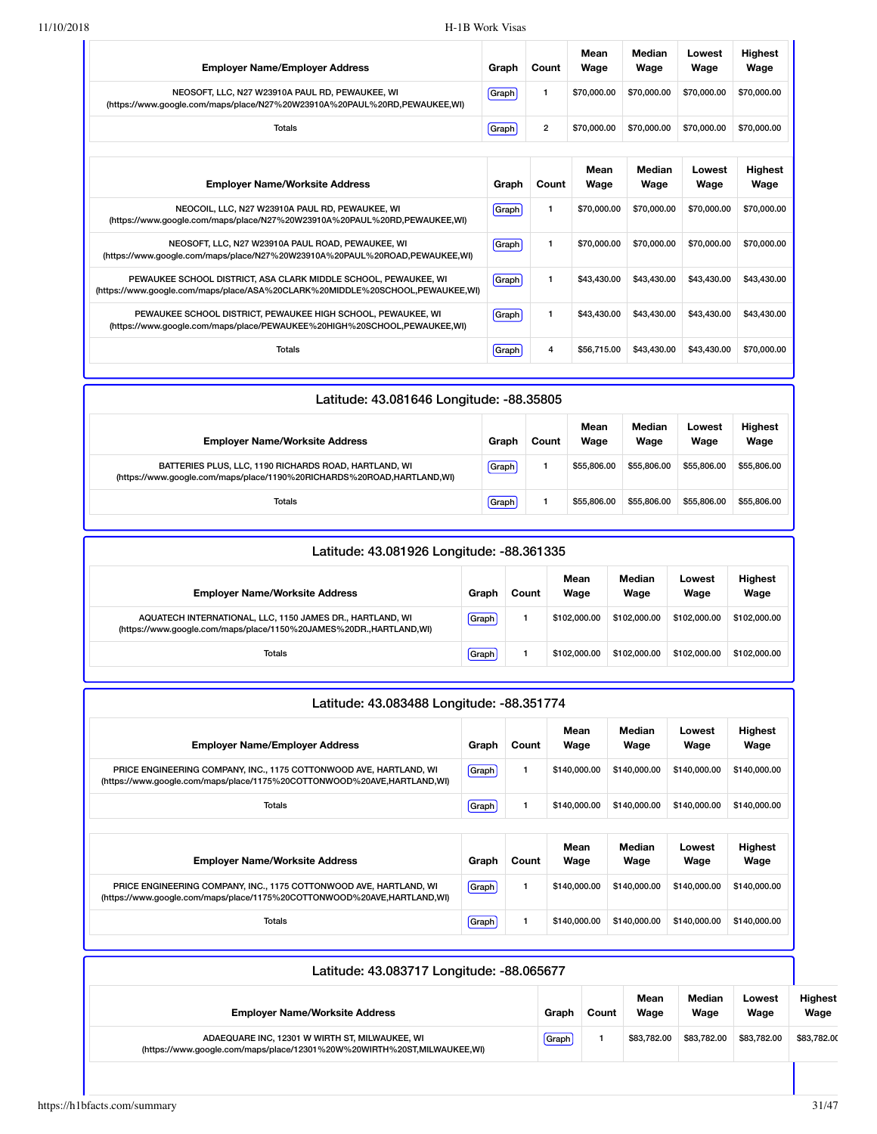| <b>Employer Name/Employer Address</b>                                                                                                            | Graph | Count          | Mean<br>Wage | Median<br>Wage | Lowest<br>Wage | <b>Highest</b><br>Wage |
|--------------------------------------------------------------------------------------------------------------------------------------------------|-------|----------------|--------------|----------------|----------------|------------------------|
| NEOSOFT, LLC, N27 W23910A PAUL RD, PEWAUKEE, WI<br>(https://www.google.com/maps/place/N27%20W23910A%20PAUL%20RD,PEWAUKEE,WI)                     | Graph | 1              | \$70,000.00  | \$70,000,00    | \$70,000,00    | \$70,000.00            |
| <b>Totals</b>                                                                                                                                    | Graph | $\overline{2}$ | \$70,000.00  | \$70,000,00    | \$70,000,00    | \$70,000.00            |
|                                                                                                                                                  |       |                | Mean         | Median         | Lowest         | <b>Highest</b>         |
| <b>Employer Name/Worksite Address</b>                                                                                                            | Graph | Count          | Wage         | Wage           | Wage           | Wage                   |
| NEOCOIL, LLC, N27 W23910A PAUL RD, PEWAUKEE, WI<br>(https://www.google.com/maps/place/N27%20W23910A%20PAUL%20RD,PEWAUKEE,WI)                     | Graph | $\mathbf{1}$   | \$70,000.00  | \$70,000.00    | \$70,000.00    | \$70,000.00            |
| NEOSOFT, LLC, N27 W23910A PAUL ROAD, PEWAUKEE, WI<br>(https://www.google.com/maps/place/N27%20W23910A%20PAUL%20ROAD,PEWAUKEE,WI)                 | Graph | $\mathbf{1}$   | \$70,000.00  | \$70,000.00    | \$70,000,00    | \$70,000.00            |
| PEWAUKEE SCHOOL DISTRICT, ASA CLARK MIDDLE SCHOOL, PEWAUKEE, WI<br>(https://www.google.com/maps/place/ASA%20CLARK%20MIDDLE%20SCHOOL,PEWAUKEE,WI) | Graph | 1              | \$43,430.00  | \$43,430,00    | \$43,430.00    | \$43,430.00            |
| PEWAUKEE SCHOOL DISTRICT, PEWAUKEE HIGH SCHOOL, PEWAUKEE, WI<br>(https://www.google.com/maps/place/PEWAUKEE%20HIGH%20SCHOOL,PEWAUKEE,WI)         | Graph | 1              | \$43,430.00  | \$43,430.00    | \$43,430.00    | \$43,430.00            |
| <b>Totals</b>                                                                                                                                    | Graph | 4              | \$56,715.00  | \$43,430,00    | \$43,430.00    | \$70,000.00            |

| Latitude: 43.081646 Longitude: -88.35805                                                                                        |       |       |              |                |                |                        |  |  |
|---------------------------------------------------------------------------------------------------------------------------------|-------|-------|--------------|----------------|----------------|------------------------|--|--|
| <b>Employer Name/Worksite Address</b>                                                                                           | Graph | Count | Mean<br>Wage | Median<br>Wage | Lowest<br>Wage | <b>Highest</b><br>Wage |  |  |
| BATTERIES PLUS, LLC, 1190 RICHARDS ROAD, HARTLAND, WI<br>(https://www.google.com/maps/place/1190%20RICHARDS%20ROAD,HARTLAND,WI) | Graph |       | \$55,806,00  | \$55,806,00    | \$55,806.00    | \$55,806.00            |  |  |
| Totals                                                                                                                          | Graph |       | \$55,806,00  | \$55,806,00    | \$55,806.00    | \$55,806,00            |  |  |

| Latitude: 43.081926 Longitude: -88.361335                                                                                         |       |       |              |                |                |                        |
|-----------------------------------------------------------------------------------------------------------------------------------|-------|-------|--------------|----------------|----------------|------------------------|
| <b>Employer Name/Worksite Address</b>                                                                                             | Graph | Count | Mean<br>Wage | Median<br>Wage | Lowest<br>Wage | <b>Highest</b><br>Wage |
| AQUATECH INTERNATIONAL, LLC, 1150 JAMES DR., HARTLAND, WI<br>(https://www.google.com/maps/place/1150%20JAMES%20DR., HARTLAND, WI) | Graph |       | \$102,000,00 | \$102,000,00   | \$102,000.00   | \$102,000.00           |
| Totals                                                                                                                            | Graph |       | \$102,000,00 | \$102,000,00   | \$102,000,00   | \$102,000.00           |

| Latitude: 43.083488 Longitude: -88.351774                                                                                                     |       |       |              |                |                |                        |  |  |  |  |  |
|-----------------------------------------------------------------------------------------------------------------------------------------------|-------|-------|--------------|----------------|----------------|------------------------|--|--|--|--|--|
| <b>Employer Name/Employer Address</b>                                                                                                         | Graph | Count | Mean<br>Wage | Median<br>Wage | Lowest<br>Wage | Highest<br>Wage        |  |  |  |  |  |
| PRICE ENGINEERING COMPANY, INC., 1175 COTTONWOOD AVE, HARTLAND, WI<br>(https://www.google.com/maps/place/1175%20COTTONWOOD%20AVE,HARTLAND,WI) | Graph | 1     | \$140,000,00 | \$140,000,00   | \$140,000.00   | \$140,000.00           |  |  |  |  |  |
| Totals                                                                                                                                        | Graph | 1     | \$140,000.00 | \$140,000.00   | \$140,000.00   | \$140,000.00           |  |  |  |  |  |
| <b>Employer Name/Worksite Address</b>                                                                                                         | Graph | Count | Mean<br>Wage | Median<br>Wage | Lowest<br>Wage | <b>Highest</b><br>Wage |  |  |  |  |  |
| PRICE ENGINEERING COMPANY, INC., 1175 COTTONWOOD AVE, HARTLAND, WI<br>(https://www.google.com/maps/place/1175%20COTTONWOOD%20AVE,HARTLAND,WI) | Graph | 1     | \$140,000,00 | \$140,000,00   | \$140,000.00   | \$140,000.00           |  |  |  |  |  |
| Totals                                                                                                                                        | Graph | 1     | \$140,000.00 | \$140,000,00   | \$140,000.00   | \$140,000.00           |  |  |  |  |  |

| Latitude: 43.083717 Longitude: -88.065677                                                                                 |       |       |              |                |                |                        |  |
|---------------------------------------------------------------------------------------------------------------------------|-------|-------|--------------|----------------|----------------|------------------------|--|
| <b>Employer Name/Worksite Address</b>                                                                                     | Graph | Count | Mean<br>Wage | Median<br>Wage | Lowest<br>Wage | <b>Highest</b><br>Wage |  |
| ADAEQUARE INC, 12301 W WIRTH ST, MILWAUKEE, WI<br>(https://www.google.com/maps/place/12301%20W%20WIRTH%20ST,MILWAUKEE,WI) | Graph |       | \$83,782,00  | \$83.782.00    | \$83,782,00    | \$83,782.00            |  |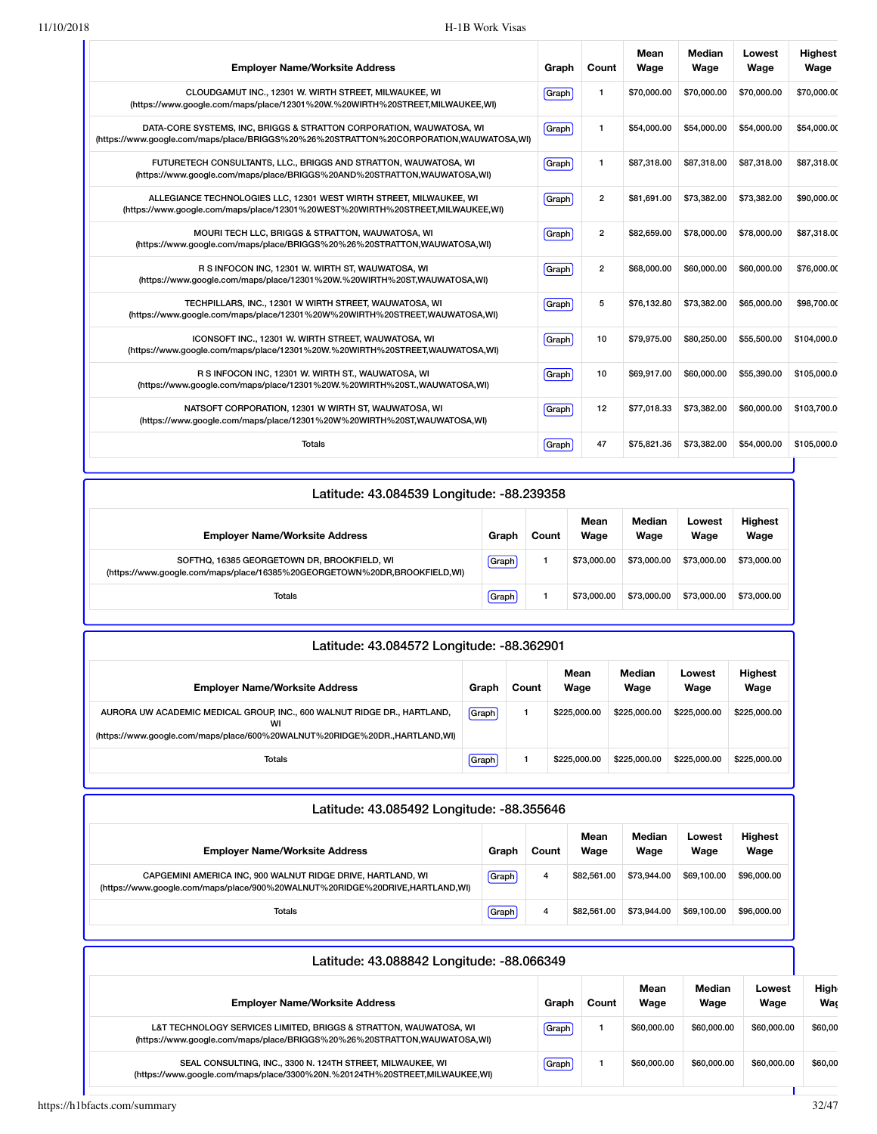| <b>Employer Name/Worksite Address</b>                                                                                                                          | Graph | Count          | Mean<br>Wage | <b>Median</b><br>Wage | Lowest<br>Wage | <b>Highest</b><br>Wage |
|----------------------------------------------------------------------------------------------------------------------------------------------------------------|-------|----------------|--------------|-----------------------|----------------|------------------------|
| CLOUDGAMUT INC., 12301 W. WIRTH STREET, MILWAUKEE, WI<br>(https://www.google.com/maps/place/12301%20W.%20WIRTH%20STREET,MILWAUKEE,WI)                          | Graph | $\mathbf{1}$   | \$70,000.00  | \$70,000.00           | \$70,000.00    | \$70,000.00            |
| DATA-CORE SYSTEMS, INC, BRIGGS & STRATTON CORPORATION, WAUWATOSA, WI<br>(https://www.google.com/maps/place/BRIGGS%20%26%20STRATTON%20CORPORATION,WAUWATOSA,WI) | Graph | $\mathbf{1}$   | \$54,000.00  | \$54,000.00           | \$54,000.00    | \$54,000.00            |
| FUTURETECH CONSULTANTS, LLC., BRIGGS AND STRATTON, WAUWATOSA, WI<br>(https://www.google.com/maps/place/BRIGGS%20AND%20STRATTON,WAUWATOSA,WI)                   | Graph | 1              | \$87,318.00  | \$87,318.00           | \$87,318.00    | \$87,318.00            |
| ALLEGIANCE TECHNOLOGIES LLC, 12301 WEST WIRTH STREET, MILWAUKEE, WI<br>(https://www.google.com/maps/place/12301%20WEST%20WIRTH%20STREET,MILWAUKEE,WI)          | Graph | $\overline{2}$ | \$81.691.00  | \$73,382,00           | \$73,382,00    | \$90,000.00            |
| MOURI TECH LLC, BRIGGS & STRATTON, WAUWATOSA, WI<br>(https://www.google.com/maps/place/BRIGGS%20%26%20STRATTON,WAUWATOSA,WI)                                   | Graph | $\overline{2}$ | \$82,659.00  | \$78,000.00           | \$78,000.00    | \$87,318.00            |
| R S INFOCON INC, 12301 W. WIRTH ST, WAUWATOSA, WI<br>(https://www.google.com/maps/place/12301%20W.%20WIRTH%20ST,WAUWATOSA,WI)                                  | Graph | $\overline{2}$ | \$68,000.00  | \$60,000.00           | \$60,000.00    | \$76,000.00            |
| TECHPILLARS, INC., 12301 W WIRTH STREET, WAUWATOSA, WI<br>(https://www.google.com/maps/place/12301%20W%20WIRTH%20STREET,WAUWATOSA,WI)                          | Graph | 5              | \$76,132.80  | \$73,382.00           | \$65,000.00    | \$98,700.00            |
| ICONSOFT INC., 12301 W. WIRTH STREET, WAUWATOSA, WI<br>(https://www.google.com/maps/place/12301%20W.%20WIRTH%20STREET,WAUWATOSA,WI)                            | Graph | 10             | \$79,975.00  | \$80,250.00           | \$55,500.00    | \$104,000.0            |
| R S INFOCON INC, 12301 W. WIRTH ST., WAUWATOSA, WI<br>(https://www.google.com/maps/place/12301%20W.%20WIRTH%20ST.,WAUWATOSA,WI)                                | Graph | 10             | \$69.917.00  | \$60,000,00           | \$55,390,00    | \$105,000.0            |
| NATSOFT CORPORATION, 12301 W WIRTH ST, WAUWATOSA, WI<br>(https://www.google.com/maps/place/12301%20W%20WIRTH%20ST,WAUWATOSA,WI)                                | Graph | 12             | \$77,018.33  | \$73,382.00           | \$60,000.00    | \$103,700.0            |
| <b>Totals</b>                                                                                                                                                  | Graph | 47             | \$75,821.36  | \$73,382.00           | \$54,000.00    | \$105,000.0            |

| Latitude: 43.084539 Longitude: -88.239358                                                                                |       |       |              |                |                |                        |  |  |  |  |
|--------------------------------------------------------------------------------------------------------------------------|-------|-------|--------------|----------------|----------------|------------------------|--|--|--|--|
| <b>Employer Name/Worksite Address</b>                                                                                    | Graph | Count | Mean<br>Wage | Median<br>Wage | Lowest<br>Wage | <b>Highest</b><br>Wage |  |  |  |  |
| SOFTHO, 16385 GEORGETOWN DR. BROOKFIELD, WI<br>(https://www.google.com/maps/place/16385%20GEORGETOWN%20DR,BROOKFIELD,WI) | Graph |       | \$73,000.00  | \$73,000.00    | \$73,000,00    | \$73,000.00            |  |  |  |  |
| <b>Totals</b>                                                                                                            | Graph |       | \$73,000.00  | \$73,000.00    | \$73,000,00    | \$73,000.00            |  |  |  |  |

| Latitude: 43.084572 Longitude: -88.362901                                                                                                                   |       |       |              |                |                |                        |  |  |  |  |
|-------------------------------------------------------------------------------------------------------------------------------------------------------------|-------|-------|--------------|----------------|----------------|------------------------|--|--|--|--|
| <b>Employer Name/Worksite Address</b>                                                                                                                       | Graph | Count | Mean<br>Wage | Median<br>Wage | Lowest<br>Wage | <b>Highest</b><br>Wage |  |  |  |  |
| AURORA UW ACADEMIC MEDICAL GROUP, INC., 600 WALNUT RIDGE DR., HARTLAND,<br>WI<br>(https://www.qoogle.com/maps/place/600%20WALNUT%20RIDGE%20DR.,HARTLAND,WI) | Graph |       | \$225,000,00 | \$225,000.00   | \$225,000.00   | \$225,000.00           |  |  |  |  |
| Totals                                                                                                                                                      | Graph |       | \$225,000,00 | \$225,000.00   | \$225,000.00   | \$225,000.00           |  |  |  |  |

| Latitude: 43.085492 Longitude: -88.355646                                                                                                   |       |       |              |                |                |                        |  |  |  |  |
|---------------------------------------------------------------------------------------------------------------------------------------------|-------|-------|--------------|----------------|----------------|------------------------|--|--|--|--|
| <b>Employer Name/Worksite Address</b>                                                                                                       | Graph | Count | Mean<br>Wage | Median<br>Wage | Lowest<br>Wage | <b>Highest</b><br>Wage |  |  |  |  |
| CAPGEMINI AMERICA INC, 900 WALNUT RIDGE DRIVE, HARTLAND, WI<br>(https://www.google.com/maps/place/900%20WALNUT%20RIDGE%20DRIVE,HARTLAND,WI) | Graph | 4     | \$82,561,00  | \$73,944.00    | \$69.100.00    | \$96,000.00            |  |  |  |  |
| Totals                                                                                                                                      | Graph | 4     | \$82,561,00  | \$73,944.00    | \$69,100,00    | \$96,000.00            |  |  |  |  |

| Latitude: 43.088842 Longitude: -88.066349                                                                                                     |       |       |              |                |                |             |  |
|-----------------------------------------------------------------------------------------------------------------------------------------------|-------|-------|--------------|----------------|----------------|-------------|--|
| <b>Employer Name/Worksite Address</b>                                                                                                         | Graph | Count | Mean<br>Wage | Median<br>Wage | Lowest<br>Wage | High<br>Was |  |
| L&T TECHNOLOGY SERVICES LIMITED, BRIGGS & STRATTON, WAUWATOSA, WI<br>(https://www.google.com/maps/place/BRIGGS%20%26%20STRATTON,WAUWATOSA,WI) | Graph |       | \$60,000,00  | \$60,000,00    | \$60,000,00    | \$60,00     |  |
| SEAL CONSULTING, INC., 3300 N. 124TH STREET, MILWAUKEE, WI<br>(https://www.google.com/maps/place/3300%20N.%20124TH%20STREET,MILWAUKEE,WI)     | Graph |       | \$60,000,00  | \$60,000,00    | \$60,000,00    | \$60,00     |  |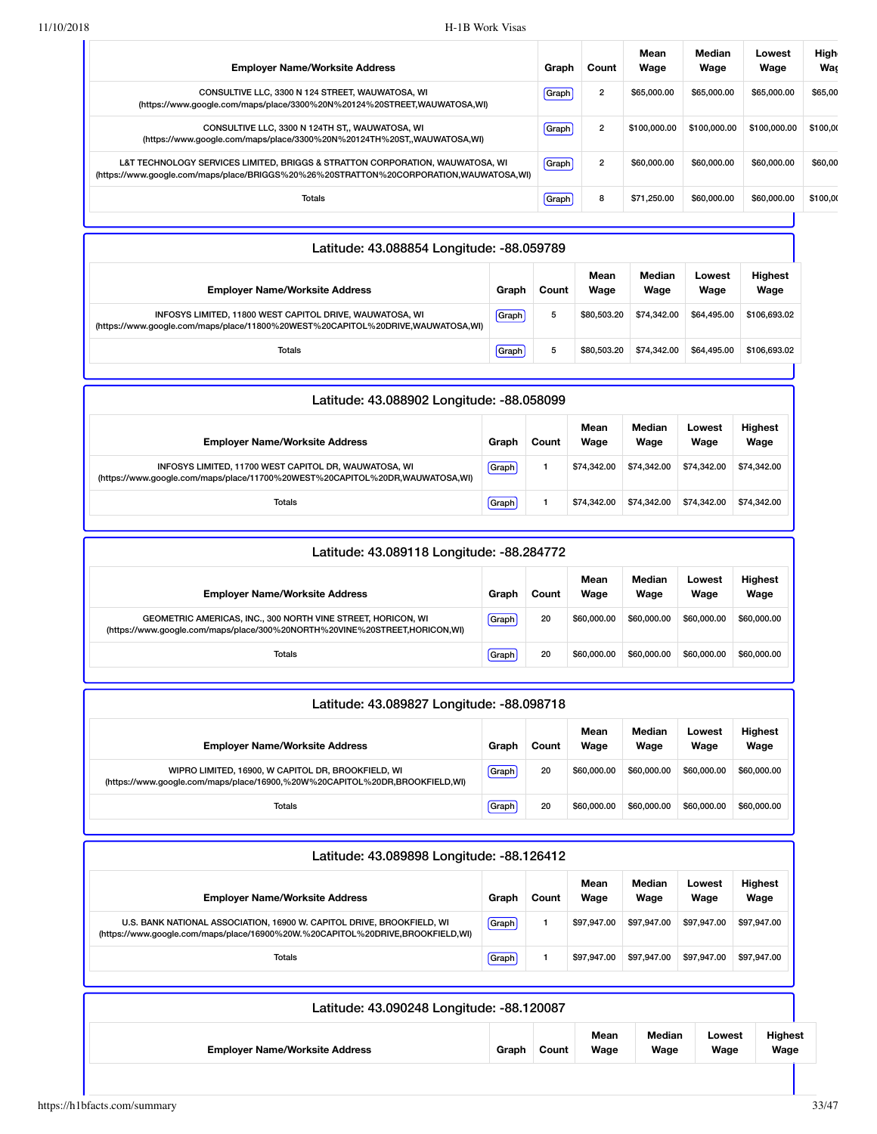| <b>Employer Name/Worksite Address</b>                                                                                                                                   | Graph | Count          | Mean<br>Wage | Median<br>Wage | Lowest<br>Wage | High<br>Was |
|-------------------------------------------------------------------------------------------------------------------------------------------------------------------------|-------|----------------|--------------|----------------|----------------|-------------|
| CONSULTIVE LLC, 3300 N 124 STREET, WAUWATOSA, WI<br>(https://www.google.com/maps/place/3300%20N%20124%20STREET,WAUWATOSA,WI)                                            | Graph | $\overline{2}$ | \$65,000,00  | \$65,000,00    | \$65,000,00    | \$65,00     |
| CONSULTIVE LLC, 3300 N 124TH ST., WAUWATOSA, WI<br>(https://www.qoogle.com/maps/place/3300%20N%20124TH%20ST,,WAUWATOSA,WI)                                              | Graph | $\overline{2}$ | \$100,000,00 | \$100,000,00   | \$100,000,00   | \$100,00    |
| L&T TECHNOLOGY SERVICES LIMITED, BRIGGS & STRATTON CORPORATION, WAUWATOSA, WI<br>(https://www.google.com/maps/place/BRIGGS%20%26%20STRATTON%20CORPORATION,WAUWATOSA,WI) | Graph | $\overline{2}$ | \$60,000,00  | \$60,000,00    | \$60,000,00    | \$60,00     |
| Totals                                                                                                                                                                  | Graph | 8              | \$71.250.00  | \$60,000,00    | \$60,000,00    | \$100,00    |

| Latitude: 43.088854 Longitude: -88.059789                                                                                                   |       |       |              |                |                |                        |  |  |  |  |
|---------------------------------------------------------------------------------------------------------------------------------------------|-------|-------|--------------|----------------|----------------|------------------------|--|--|--|--|
| <b>Employer Name/Worksite Address</b>                                                                                                       | Graph | Count | Mean<br>Wage | Median<br>Wage | Lowest<br>Wage | <b>Highest</b><br>Wage |  |  |  |  |
| INFOSYS LIMITED, 11800 WEST CAPITOL DRIVE, WAUWATOSA, WI<br>(https://www.google.com/maps/place/11800%20WEST%20CAPITOL%20DRIVE,WAUWATOSA,WI) | Graph | 5     | \$80,503,20  | \$74,342,00    | \$64,495.00    | \$106,693.02           |  |  |  |  |
| Totals                                                                                                                                      | Graph | 5     | \$80,503,20  | \$74,342.00    | \$64,495.00    | \$106,693.02           |  |  |  |  |
|                                                                                                                                             |       |       |              |                |                |                        |  |  |  |  |

| Latitude: 43.088902 Longitude: -88.058099                                                                                             |       |       |              |                |                |                        |  |  |  |
|---------------------------------------------------------------------------------------------------------------------------------------|-------|-------|--------------|----------------|----------------|------------------------|--|--|--|
| <b>Employer Name/Worksite Address</b>                                                                                                 | Graph | Count | Mean<br>Wage | Median<br>Wage | Lowest<br>Wage | <b>Highest</b><br>Wage |  |  |  |
| INFOSYS LIMITED, 11700 WEST CAPITOL DR, WAUWATOSA, WI<br>(https://www.google.com/maps/place/11700%20WEST%20CAPITOL%20DR,WAUWATOSA,WI) | Graph |       | \$74,342,00  | \$74,342,00    | \$74,342,00    | \$74.342.00            |  |  |  |
| Totals                                                                                                                                | Graph |       | \$74,342,00  | \$74,342,00    | \$74,342,00    | \$74.342.00            |  |  |  |

| Latitude: 43.089118 Longitude: -88.284772                                                                                                  |       |       |              |                |                |                        |  |  |  |  |
|--------------------------------------------------------------------------------------------------------------------------------------------|-------|-------|--------------|----------------|----------------|------------------------|--|--|--|--|
| <b>Employer Name/Worksite Address</b>                                                                                                      | Graph | Count | Mean<br>Wage | Median<br>Wage | Lowest<br>Wage | <b>Highest</b><br>Wage |  |  |  |  |
| GEOMETRIC AMERICAS, INC., 300 NORTH VINE STREET, HORICON, WI<br>(https://www.google.com/maps/place/300%20NORTH%20VINE%20STREET,HORICON,WI) | Graph | 20    | \$60,000,00  | \$60,000,00    | \$60,000,00    | \$60,000,00            |  |  |  |  |
| Totals                                                                                                                                     | Graph | 20    | \$60,000,00  | \$60,000,00    | \$60,000,00    | \$60,000,00            |  |  |  |  |

| Latitude: 43.089827 Longitude: -88.098718                                                                                         |       |       |              |                |                |                        |  |  |  |
|-----------------------------------------------------------------------------------------------------------------------------------|-------|-------|--------------|----------------|----------------|------------------------|--|--|--|
| <b>Employer Name/Worksite Address</b>                                                                                             | Graph | Count | Mean<br>Wage | Median<br>Wage | Lowest<br>Wage | <b>Highest</b><br>Wage |  |  |  |
| WIPRO LIMITED, 16900, W CAPITOL DR, BROOKFIELD, WI<br>(https://www.google.com/maps/place/16900,%20W%20CAPITOL%20DR,BROOKFIELD,WI) | Graph | 20    | \$60,000,00  | \$60,000,00    | \$60,000,00    | \$60,000,00            |  |  |  |
| Totals                                                                                                                            | Graph | 20    | \$60,000.00  | \$60,000,00    | \$60,000,00    | \$60,000,00            |  |  |  |

| Latitude: 43.089898 Longitude: -88.126412                                                                                                                |       |       |              |                |                |                        |
|----------------------------------------------------------------------------------------------------------------------------------------------------------|-------|-------|--------------|----------------|----------------|------------------------|
| <b>Employer Name/Worksite Address</b>                                                                                                                    | Graph | Count | Mean<br>Wage | Median<br>Wage | Lowest<br>Wage | <b>Highest</b><br>Wage |
| U.S. BANK NATIONAL ASSOCIATION, 16900 W. CAPITOL DRIVE, BROOKFIELD, WI<br>(https://www.google.com/maps/place/16900%20W.%20CAPITOL%20DRIVE,BROOKFIELD,WI) | Graph |       | \$97,947,00  | \$97,947,00    | \$97,947.00    | \$97.947.00            |
| <b>Totals</b>                                                                                                                                            | Graph |       | \$97.947.00  | \$97,947.00    | \$97.947.00    | \$97,947.00            |
|                                                                                                                                                          |       |       |              |                |                |                        |
| Latitude: 43.090248 Longitude: -88.120087                                                                                                                |       |       |              |                |                |                        |

| <b>Employer Name/Worksite Address</b> | Graph | Count | Mean<br>Wage | Median<br>Wage | -owest<br>Wage | <b>Highest</b><br>Wage |  |
|---------------------------------------|-------|-------|--------------|----------------|----------------|------------------------|--|
|                                       |       |       |              |                |                |                        |  |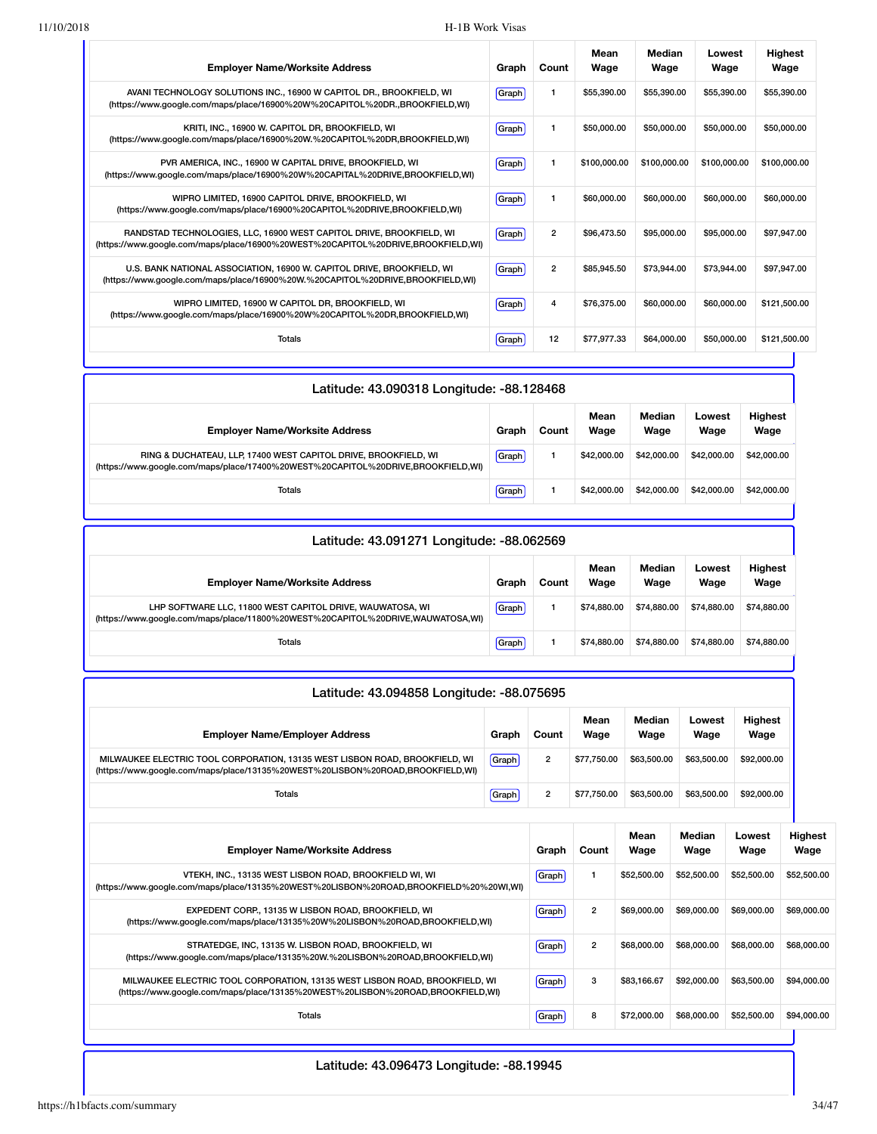| <b>Employer Name/Worksite Address</b>                                                                                                                    | Graph | Count          | Mean<br>Wage | Median<br>Wage | Lowest<br>Wage | <b>Highest</b><br>Wage |
|----------------------------------------------------------------------------------------------------------------------------------------------------------|-------|----------------|--------------|----------------|----------------|------------------------|
| AVANI TECHNOLOGY SOLUTIONS INC., 16900 W CAPITOL DR., BROOKFIELD, WI<br>(https://www.google.com/maps/place/16900%20W%20CAPITOL%20DR.,BROOKFIELD,WI)      | Graph |                | \$55,390.00  | \$55,390,00    | \$55,390,00    | \$55,390.00            |
| KRITI, INC., 16900 W. CAPITOL DR. BROOKFIELD, WI<br>(https://www.google.com/maps/place/16900%20W.%20CAPITOL%20DR,BROOKFIELD,WI)                          | Graph |                | \$50,000,00  | \$50,000.00    | \$50,000,00    | \$50,000,00            |
| PVR AMERICA, INC., 16900 W CAPITAL DRIVE, BROOKFIELD, WI<br>(https://www.google.com/maps/place/16900%20W%20CAPITAL%20DRIVE,BROOKFIELD,WI)                | Graph | 1              | \$100,000.00 | \$100,000.00   | \$100,000.00   | \$100,000.00           |
| WIPRO LIMITED, 16900 CAPITOL DRIVE, BROOKFIELD, WI<br>(https://www.google.com/maps/place/16900%20CAPITOL%20DRIVE,BROOKFIELD,WI)                          | Graph | 1              | \$60,000,00  | \$60,000,00    | \$60,000,00    | \$60,000,00            |
| RANDSTAD TECHNOLOGIES, LLC, 16900 WEST CAPITOL DRIVE, BROOKFIELD, WI<br>(https://www.google.com/maps/place/16900%20WEST%20CAPITOL%20DRIVE,BROOKFIELD,WI) | Graph | $\overline{2}$ | \$96,473.50  | \$95,000,00    | \$95,000,00    | \$97,947.00            |
| U.S. BANK NATIONAL ASSOCIATION, 16900 W. CAPITOL DRIVE, BROOKFIELD, WI<br>(https://www.google.com/maps/place/16900%20W.%20CAPITOL%20DRIVE,BROOKFIELD,WI) | Graph | $\overline{2}$ | \$85,945.50  | \$73,944.00    | \$73,944,00    | \$97.947.00            |
| WIPRO LIMITED, 16900 W CAPITOL DR, BROOKFIELD, WI<br>(https://www.google.com/maps/place/16900%20W%20CAPITOL%20DR,BROOKFIELD,WI)                          | Graph | 4              | \$76,375.00  | \$60,000,00    | \$60,000,00    | \$121,500.00           |
| Totals                                                                                                                                                   | Graph | 12             | \$77.977.33  | \$64,000,00    | \$50,000,00    | \$121,500.00           |

| Latitude: 43.090318 Longitude: -88.128468                                                                                                           |       |       |              |                |                |                        |
|-----------------------------------------------------------------------------------------------------------------------------------------------------|-------|-------|--------------|----------------|----------------|------------------------|
| <b>Employer Name/Worksite Address</b>                                                                                                               | Graph | Count | Mean<br>Wage | Median<br>Wage | Lowest<br>Wage | <b>Highest</b><br>Wage |
| RING & DUCHATEAU, LLP, 17400 WEST CAPITOL DRIVE, BROOKFIELD, WI<br>(https://www.google.com/maps/place/17400%20WEST%20CAPITOL%20DRIVE,BROOKFIELD,WI) | Graph |       | \$42,000.00  | \$42,000.00    | \$42,000.00    | \$42,000.00            |
| Totals                                                                                                                                              | Graph |       | \$42,000.00  | \$42,000.00    | \$42,000.00    | \$42,000.00            |
|                                                                                                                                                     |       |       |              |                |                |                        |

| Latitude: 43.091271 Longitude: -88.062569                                                                                                    |       |       |              |                |                |                        |
|----------------------------------------------------------------------------------------------------------------------------------------------|-------|-------|--------------|----------------|----------------|------------------------|
| <b>Employer Name/Worksite Address</b>                                                                                                        | Graph | Count | Mean<br>Wage | Median<br>Wage | Lowest<br>Wage | <b>Highest</b><br>Wage |
| LHP SOFTWARE LLC, 11800 WEST CAPITOL DRIVE, WAUWATOSA, WI<br>(https://www.google.com/maps/place/11800%20WEST%20CAPITOL%20DRIVE,WAUWATOSA,WI) | Graph |       | \$74,880,00  | \$74,880,00    | \$74,880,00    | \$74,880,00            |
| Totals                                                                                                                                       | Graph |       | \$74,880,00  | \$74,880,00    | \$74.880.00    | \$74,880,00            |

| Latitude: 43.094858 Longitude: -88.075695                                                                                                                     |       |                |                |                |                |                        |                        |
|---------------------------------------------------------------------------------------------------------------------------------------------------------------|-------|----------------|----------------|----------------|----------------|------------------------|------------------------|
| <b>Employer Name/Employer Address</b>                                                                                                                         | Graph | Count          | Mean<br>Wage   | Median<br>Wage | Lowest<br>Wage | <b>Highest</b><br>Wage |                        |
| MILWAUKEE ELECTRIC TOOL CORPORATION, 13135 WEST LISBON ROAD, BROOKFIELD, WI<br>(https://www.google.com/maps/place/13135%20WEST%20LISBON%20ROAD,BROOKFIELD,WI) | Graph | $\overline{2}$ | \$77,750.00    | \$63,500.00    | \$63,500.00    | \$92,000.00            |                        |
| <b>Totals</b>                                                                                                                                                 | Graph | $\overline{2}$ | \$77,750.00    | \$63,500.00    | \$63,500.00    | \$92,000.00            |                        |
| <b>Employer Name/Worksite Address</b>                                                                                                                         |       | Graph          | Count          | Mean<br>Wage   | Median<br>Wage | Lowest<br>Wage         | <b>Highest</b><br>Wage |
| VTEKH, INC., 13135 WEST LISBON ROAD, BROOKFIELD WI, WI<br>(https://www.google.com/maps/place/13135%20WEST%20LISBON%20ROAD,BROOKFIELD%20%20WI,WI)              |       | Graph          | 1              | \$52,500,00    | \$52,500.00    | \$52,500.00            | \$52,500.00            |
| EXPEDENT CORP., 13135 W LISBON ROAD, BROOKFIELD, WI<br>(https://www.google.com/maps/place/13135%20W%20LISBON%20ROAD,BROOKFIELD,WI)                            |       | Graph          | $\overline{2}$ | \$69,000.00    | \$69,000.00    | \$69,000.00            | \$69,000.00            |
| STRATEDGE, INC, 13135 W. LISBON ROAD, BROOKFIELD, WI<br>(https://www.google.com/maps/place/13135%20W.%20LISBON%20ROAD,BROOKFIELD,WI)                          |       | Graph          | $\overline{2}$ | \$68,000.00    | \$68,000.00    | \$68,000.00            | \$68,000.00            |
| MILWAUKEE ELECTRIC TOOL CORPORATION, 13135 WEST LISBON ROAD, BROOKFIELD, WI<br>(https://www.google.com/maps/place/13135%20WEST%20LISBON%20ROAD,BROOKFIELD,WI) |       | Graph          | 3              | \$83.166.67    | \$92,000.00    | \$63,500.00            | \$94,000.00            |
| <b>Totals</b>                                                                                                                                                 |       | Graph          | 8              | \$72,000.00    | \$68,000.00    | \$52,500.00            | \$94,000.00            |

Latitude: 43.096473 Longitude: -88.19945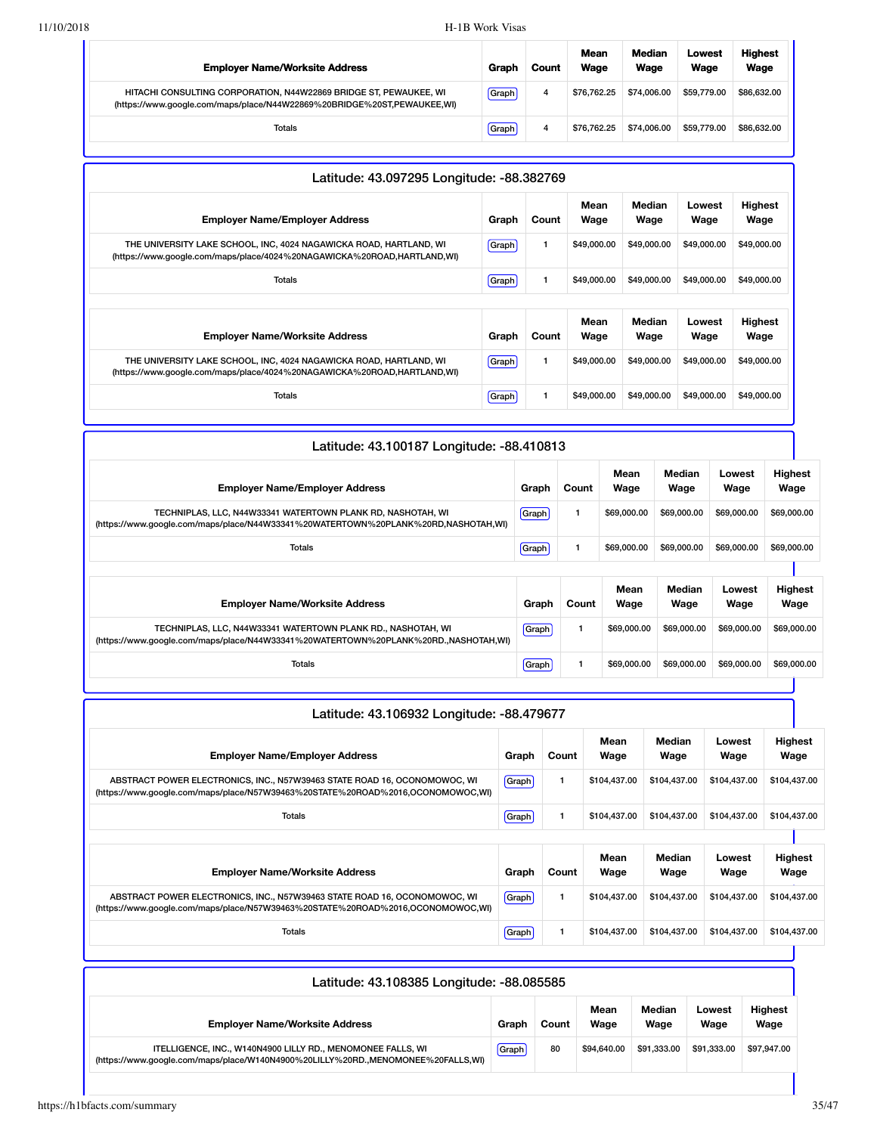| <b>Employer Name/Worksite Address</b>                                                                                                        | Graph | Count | <b>Mean</b><br>Wage | Median<br>Wage | Lowest<br>Wage | <b>Highest</b><br>Wage |
|----------------------------------------------------------------------------------------------------------------------------------------------|-------|-------|---------------------|----------------|----------------|------------------------|
| HITACHI CONSULTING CORPORATION, N44W22869 BRIDGE ST, PEWAUKEE, WI<br>(https://www.google.com/maps/place/N44W22869%20BRIDGE%20ST,PEWAUKEE,WI) | Graph | 4     | \$76.762.25         | \$74,006.00    | \$59,779.00    | \$86,632,00            |
| Totals                                                                                                                                       | Graph | 4     | \$76.762.25         | \$74,006,00    | \$59,779.00    | \$86,632.00            |

| Latitude: 43.097295 Longitude: -88.382769                                                                                                     |              |       |              |                |                |                        |
|-----------------------------------------------------------------------------------------------------------------------------------------------|--------------|-------|--------------|----------------|----------------|------------------------|
| <b>Employer Name/Employer Address</b>                                                                                                         | Graph        | Count | Mean<br>Wage | Median<br>Wage | Lowest<br>Wage | <b>Highest</b><br>Wage |
| THE UNIVERSITY LAKE SCHOOL, INC, 4024 NAGAWICKA ROAD, HARTLAND, WI<br>(https://www.google.com/maps/place/4024%20NAGAWICKA%20ROAD,HARTLAND,WI) | Graph        | 1     | \$49,000.00  | \$49,000.00    | \$49,000.00    | \$49,000.00            |
| <b>Totals</b>                                                                                                                                 | <b>Graph</b> | 1     | \$49,000.00  | \$49,000.00    | \$49,000.00    | \$49,000.00            |
|                                                                                                                                               |              |       | Mean         | Median         | Lowest         | <b>Highest</b>         |
| <b>Employer Name/Worksite Address</b>                                                                                                         | Graph        | Count | Wage         | Wage           | Wage           | Wage                   |
| THE UNIVERSITY LAKE SCHOOL, INC, 4024 NAGAWICKA ROAD, HARTLAND, WI<br>(https://www.google.com/maps/place/4024%20NAGAWICKA%20ROAD,HARTLAND,WI) | Graph        | 1     | \$49,000.00  | \$49,000.00    | \$49,000.00    | \$49,000.00            |
| Totals                                                                                                                                        | Graph        | 1     | \$49,000.00  | \$49,000.00    | \$49,000.00    | \$49,000.00            |

| Latitude: 43.100187 Longitude: -88.410813                                                                                                           |              |       |              |                |                |                        |
|-----------------------------------------------------------------------------------------------------------------------------------------------------|--------------|-------|--------------|----------------|----------------|------------------------|
| <b>Employer Name/Employer Address</b>                                                                                                               | Graph        | Count | Mean<br>Wage | Median<br>Wage | Lowest<br>Wage | Highest<br>Wage        |
| TECHNIPLAS, LLC, N44W33341 WATERTOWN PLANK RD, NASHOTAH, WI<br>(https://www.google.com/maps/place/N44W33341%20WATERTOWN%20PLANK%20RD,NASHOTAH,WI)   | <b>Graph</b> |       | \$69,000.00  | \$69,000.00    | \$69,000.00    | \$69,000.00            |
| Totals                                                                                                                                              | <b>Graph</b> |       | \$69,000.00  | \$69,000.00    | \$69,000.00    | \$69,000.00            |
| <b>Employer Name/Worksite Address</b>                                                                                                               | Graph        | Count | Mean<br>Wage | Median<br>Wage | Lowest<br>Wage | <b>Highest</b><br>Wage |
| TECHNIPLAS, LLC, N44W33341 WATERTOWN PLANK RD., NASHOTAH, WI<br>(https://www.google.com/maps/place/N44W33341%20WATERTOWN%20PLANK%20RD.,NASHOTAH,WI) | Graph        | 1     | \$69,000.00  | \$69,000.00    | \$69,000,00    | \$69,000.00            |
| Totals                                                                                                                                              | Graph        | 1     | \$69,000.00  | \$69,000.00    | \$69,000.00    | \$69,000.00            |

| Graph        | Count | Mean<br>Wage                              | Median<br>Wage | Lowest<br>Wage | Highest<br>Wage        |  |
|--------------|-------|-------------------------------------------|----------------|----------------|------------------------|--|
| <b>Graph</b> | 1     | \$104,437.00                              | \$104,437.00   | \$104,437.00   | \$104,437.00           |  |
| Graph        | 1     | \$104.437.00                              | \$104,437.00   | \$104,437.00   | \$104,437.00           |  |
|              |       |                                           |                |                |                        |  |
| Graph        | Count | Mean<br>Wage                              | Median<br>Wage | Lowest<br>Wage | <b>Highest</b><br>Wage |  |
| <b>Graph</b> | 1     | \$104,437.00                              | \$104,437.00   | \$104,437.00   | \$104,437.00           |  |
| Graph        | 1     | \$104,437.00                              | \$104,437.00   | \$104.437.00   | \$104,437.00           |  |
|              |       | Latitude: 43.106932 Longitude: -88.479677 |                |                |                        |  |

| Latitude: 43.108385 Longitude: -88.085585                                                                                                       |       |       |              |                |                |                        |
|-------------------------------------------------------------------------------------------------------------------------------------------------|-------|-------|--------------|----------------|----------------|------------------------|
| <b>Employer Name/Worksite Address</b>                                                                                                           | Graph | Count | Mean<br>Wage | Median<br>Wage | Lowest<br>Wage | <b>Highest</b><br>Wage |
| ITELLIGENCE, INC., W140N4900 LILLY RD., MENOMONEE FALLS, WI<br>(https://www.google.com/maps/place/W140N4900%20LILLY%20RD.,MENOMONEE%20FALLS,WI) | Graph | 80    | \$94,640.00  | \$91.333.00    | \$91.333.00    | \$97,947.00            |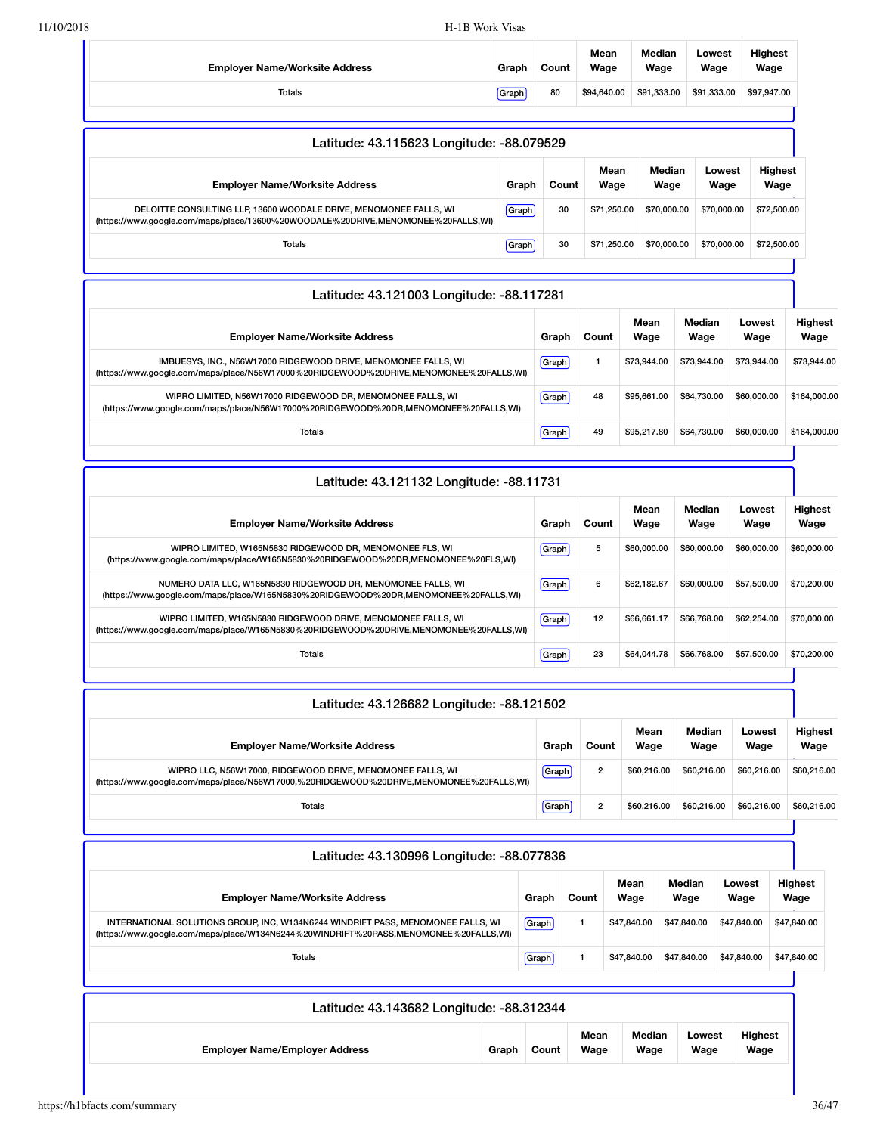| <b>Employer Name/Worksite Address</b>                                                                                                                    | Graph | Count          | Mean<br>Wage            |                            | Median<br>Wage             | Lowest<br>Wage | <b>Highest</b><br>Wage |                        |
|----------------------------------------------------------------------------------------------------------------------------------------------------------|-------|----------------|-------------------------|----------------------------|----------------------------|----------------|------------------------|------------------------|
| Totals                                                                                                                                                   | Graph | 80             | \$94,640.00             |                            | \$91,333.00                | \$91,333.00    | \$97,947.00            |                        |
|                                                                                                                                                          |       |                |                         |                            |                            |                |                        |                        |
| Latitude: 43.115623 Longitude: -88.079529                                                                                                                |       |                |                         |                            |                            |                |                        |                        |
| <b>Employer Name/Worksite Address</b>                                                                                                                    | Graph | Count          | Mean<br>Wage            |                            | Median<br>Wage             | Lowest<br>Wage |                        | <b>Highest</b><br>Wage |
| DELOITTE CONSULTING LLP, 13600 WOODALE DRIVE, MENOMONEE FALLS, WI<br>(https://www.google.com/maps/place/13600%20WOODALE%20DRIVE,MENOMONEE%20FALLS,WI)    | Graph | 30             | \$71,250.00             |                            | \$70,000.00                |                | \$70,000.00            | \$72,500.00            |
| <b>Totals</b>                                                                                                                                            | Graph | 30             | \$71,250.00             |                            | \$70,000.00                |                | \$70,000.00            | \$72,500.00            |
| Latitude: 43.121003 Longitude: -88.117281                                                                                                                |       |                |                         |                            |                            |                |                        |                        |
| <b>Employer Name/Worksite Address</b>                                                                                                                    |       | Graph          | Count                   | Mean<br>Wage               |                            | Median<br>Wage | Lowest<br>Wage         | <b>Highest</b><br>Wage |
| IMBUESYS, INC., N56W17000 RIDGEWOOD DRIVE, MENOMONEE FALLS, WI<br>(https://www.google.com/maps/place/N56W17000%20RIDGEWOOD%20DRIVE,MENOMONEE%20FALLS,WI) |       | Graph          | 1                       | \$73,944.00                |                            | \$73,944.00    | \$73,944.00            | \$73,944.00            |
| WIPRO LIMITED, N56W17000 RIDGEWOOD DR, MENOMONEE FALLS, WI<br>(https://www.google.com/maps/place/N56W17000%20RIDGEWOOD%20DR,MENOMONEE%20FALLS,WI)        |       | Graph          | 48                      | \$95,661.00                |                            | \$64,730.00    | \$60,000.00            | \$164,000.00           |
| <b>Totals</b>                                                                                                                                            |       |                | 49                      | \$95,217.80                |                            | \$64,730.00    | \$60,000.00            | \$164,000.00           |
| Latitude: 43.121132 Longitude: -88.11731                                                                                                                 |       |                |                         |                            |                            |                |                        |                        |
| <b>Employer Name/Worksite Address</b>                                                                                                                    |       | Graph          | Mean<br>Count<br>Wage   |                            | Median<br>Wage             |                | Lowest<br>Wage         | <b>Highest</b><br>Wage |
| WIPRO LIMITED, W165N5830 RIDGEWOOD DR, MENOMONEE FLS, WI<br>(https://www.google.com/maps/place/W165N5830%20RIDGEWOOD%20DR,MENOMONEE%20FLS,WI)            |       | Graph          | 5                       | \$60,000.00                |                            | \$60,000.00    | \$60,000.00            | \$60,000.00            |
| NUMERO DATA LLC, W165N5830 RIDGEWOOD DR, MENOMONEE FALLS, WI<br>(https://www.google.com/maps/place/W165N5830%20RIDGEWOOD%20DR,MENOMONEE%20FALLS,WI)      |       | Graph          | 6                       |                            | \$62,182.67<br>\$60,000.00 |                | \$57,500.00            | \$70,200.00            |
| WIPRO LIMITED, W165N5830 RIDGEWOOD DRIVE, MENOMONEE FALLS, WI<br>(https://www.google.com/maps/place/W165N5830%20RIDGEWOOD%20DRIVE,MENOMONEE%20FALLS,WI)  |       | Graph          | 12                      | \$66,661.17<br>\$66,768.00 |                            |                | \$62,254.00            | \$70,000.00            |
| <b>Totals</b>                                                                                                                                            |       | Graph          | 23                      | \$64,044.78                |                            | \$66,768.00    | \$57,500.00            | \$70,200.00            |
| Latitude: 43.126682 Longitude: -88.121502                                                                                                                |       |                |                         |                            |                            |                |                        |                        |
| <b>Employer Name/Worksite Address</b>                                                                                                                    |       | Graph          | Count                   | Mean<br>Wage               |                            | Median<br>Wage | Lowest<br>Wage         | <b>Highest</b><br>Wage |
| WIPRO LLC, N56W17000, RIDGEWOOD DRIVE, MENOMONEE FALLS, WI<br>(https://www.google.com/maps/place/N56W17000,%20RIDGEWOOD%20DRIVE,MENOMONEE%20FALLS,WI)    |       | Graph          | $\overline{\mathbf{c}}$ | \$60,216.00                |                            | \$60,216.00    | \$60,216.00            | \$60,216.00            |
| Totals                                                                                                                                                   |       | Graph          | $\overline{\mathbf{c}}$ | \$60,216.00                |                            | \$60,216.00    | \$60,216.00            | \$60,216.00            |
| Latitude: 43.130996 Longitude: -88.077836                                                                                                                |       |                |                         |                            |                            |                |                        |                        |
|                                                                                                                                                          |       |                |                         | Mean                       | Median                     |                | Lowest                 | <b>Highest</b>         |
| <b>Employer Name/Worksite Address</b><br>INTERNATIONAL SOLUTIONS GROUP, INC, W134N6244 WINDRIFT PASS, MENOMONEE FALLS, WI                                |       | Graph<br>Graph | Count<br>$\mathbf{1}$   | Wage<br>\$47,840.00        | Wage<br>\$47,840.00        |                | Wage<br>\$47,840.00    | Wage<br>\$47,840.00    |
| (https://www.google.com/maps/place/W134N6244%20WINDRIFT%20PASS,MENOMONEE%20FALLS,WI)<br><b>Totals</b>                                                    |       | Graph          | $\mathbf{1}$            | \$47,840.00                | \$47,840.00                |                | \$47,840.00            | \$47,840.00            |
|                                                                                                                                                          |       |                |                         |                            |                            |                |                        |                        |
| Latitude: 43.143682 Longitude: -88.312344                                                                                                                |       |                |                         |                            |                            |                |                        |                        |
|                                                                                                                                                          |       |                | Mean                    | Median                     |                            | Lowest         | <b>Highest</b>         |                        |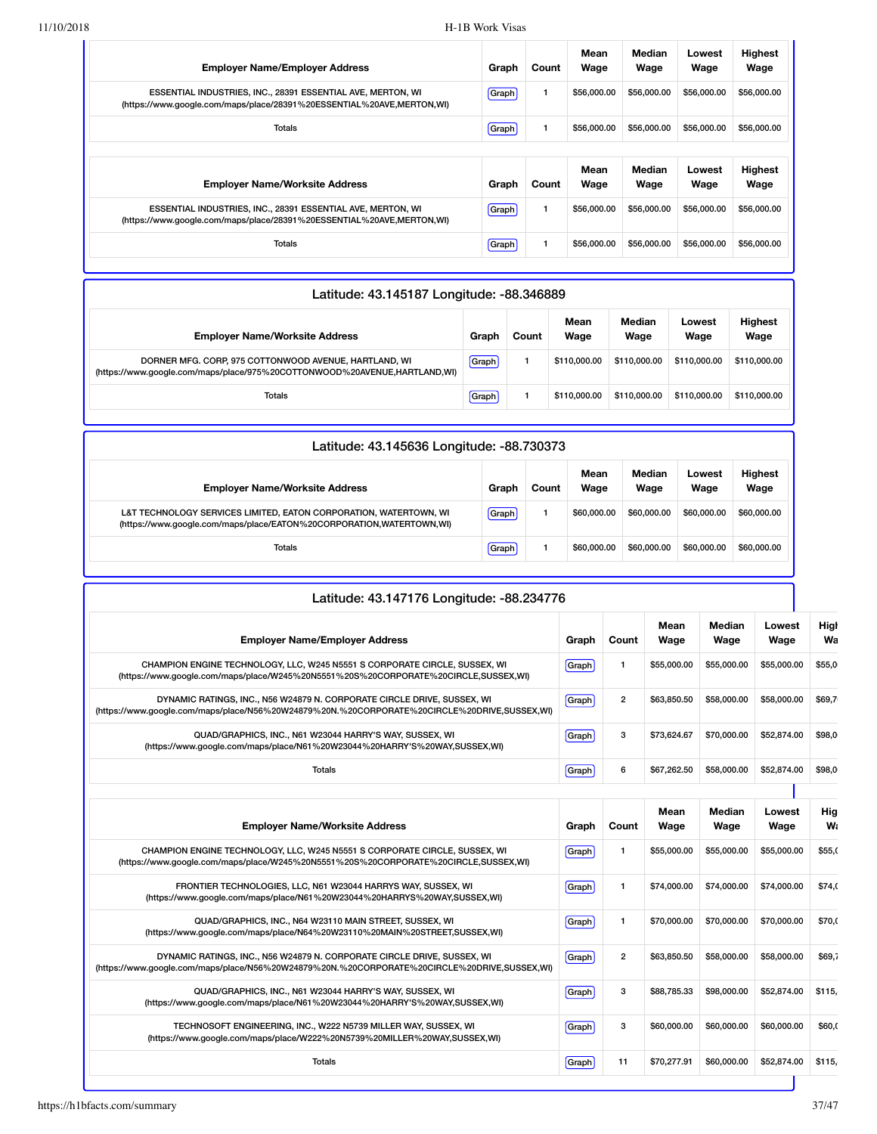| Graph | Count | Mean<br>Wage | <b>Median</b><br>Wage | Lowest<br>Wage | <b>Highest</b><br>Wage |
|-------|-------|--------------|-----------------------|----------------|------------------------|
| Graph | 1     | \$56,000.00  | \$56,000.00           | \$56,000.00    | \$56,000.00            |
| Graph | 1     | \$56,000.00  | \$56,000.00           | \$56,000.00    | \$56,000.00            |
|       |       |              |                       |                |                        |
| Graph | Count | Mean<br>Wage | Median<br>Wage        | Lowest<br>Wage | <b>Highest</b><br>Wage |
| Graph | 1     | \$56,000.00  | \$56,000.00           | \$56,000.00    | \$56,000.00            |
|       |       |              |                       |                |                        |
|       |       |              |                       |                |                        |

| Latitude: 43.145187 Longitude: -88.346889                                                                                          |       |       |              |                |                |                        |  |  |  |  |
|------------------------------------------------------------------------------------------------------------------------------------|-------|-------|--------------|----------------|----------------|------------------------|--|--|--|--|
| <b>Employer Name/Worksite Address</b>                                                                                              | Graph | Count | Mean<br>Wage | Median<br>Wage | Lowest<br>Wage | <b>Highest</b><br>Wage |  |  |  |  |
| DORNER MFG. CORP, 975 COTTONWOOD AVENUE, HARTLAND, WI<br>(https://www.google.com/maps/place/975%20COTTONWOOD%20AVENUE,HARTLAND,WI) | Graph |       | \$110,000,00 | \$110,000,00   | \$110,000,00   | \$110,000,00           |  |  |  |  |
| Totals                                                                                                                             | Graph |       | \$110,000,00 | \$110,000,00   | \$110,000.00   | \$110,000,00           |  |  |  |  |

| Latitude: 43.145636 Longitude: -88.730373                                                                                                 |       |       |              |                |                |                        |  |  |  |
|-------------------------------------------------------------------------------------------------------------------------------------------|-------|-------|--------------|----------------|----------------|------------------------|--|--|--|
| <b>Employer Name/Worksite Address</b>                                                                                                     | Graph | Count | Mean<br>Wage | Median<br>Wage | Lowest<br>Wage | <b>Highest</b><br>Wage |  |  |  |
| L&T TECHNOLOGY SERVICES LIMITED, EATON CORPORATION, WATERTOWN, WI<br>(https://www.google.com/maps/place/EATON%20CORPORATION,WATERTOWN,WI) | Graph |       | \$60,000,00  | \$60,000,00    | \$60,000,00    | \$60,000.00            |  |  |  |
| Totals                                                                                                                                    | Graph |       | \$60,000,00  | \$60,000,00    | \$60,000,00    | \$60,000.00            |  |  |  |

| Latitude: 43.147176 Longitude: -88.234776                                                                                                                               |       |                |              |                       |                |            |
|-------------------------------------------------------------------------------------------------------------------------------------------------------------------------|-------|----------------|--------------|-----------------------|----------------|------------|
| <b>Employer Name/Employer Address</b>                                                                                                                                   | Graph | Count          | Mean<br>Wage | <b>Median</b><br>Wage | Lowest<br>Wage | High<br>Wa |
| CHAMPION ENGINE TECHNOLOGY, LLC, W245 N5551 S CORPORATE CIRCLE, SUSSEX, WI<br>(https://www.google.com/maps/place/W245%20N5551%20S%20CORPORATE%20CIRCLE,SUSSEX,WI)       | Graph | 1              | \$55,000.00  | \$55,000.00           | \$55,000.00    | \$55,0     |
| DYNAMIC RATINGS, INC., N56 W24879 N. CORPORATE CIRCLE DRIVE, SUSSEX, WI<br>(https://www.google.com/maps/place/N56%20W24879%20N.%20CORPORATE%20CIRCLE%20DRIVE,SUSSEX,WI) | Graph | $\overline{2}$ | \$63,850.50  | \$58,000.00           | \$58,000.00    | \$69.7     |
| QUAD/GRAPHICS, INC., N61 W23044 HARRY'S WAY, SUSSEX, WI<br>(https://www.google.com/maps/place/N61%20W23044%20HARRY'S%20WAY,SUSSEX,WI)                                   | Graph | 3              | \$73.624.67  | \$70,000.00           | \$52,874.00    | \$98,0     |
| <b>Totals</b>                                                                                                                                                           | Graph | 6              | \$67.262.50  | \$58,000.00           | \$52,874.00    | \$98,0     |
|                                                                                                                                                                         |       |                |              |                       |                |            |
| <b>Employer Name/Worksite Address</b>                                                                                                                                   | Graph | Count          | Mean<br>Wage | Median<br>Wage        | Lowest<br>Wage | Hig<br>W.  |
| CHAMPION ENGINE TECHNOLOGY, LLC, W245 N5551 S CORPORATE CIRCLE, SUSSEX, WI<br>(https://www.google.com/maps/place/W245%20N5551%20S%20CORPORATE%20CIRCLE,SUSSEX,WI)       | Graph | 1              | \$55,000.00  | \$55,000.00           | \$55,000.00    | \$55,0     |
| FRONTIER TECHNOLOGIES, LLC, N61 W23044 HARRYS WAY, SUSSEX, WI<br>(https://www.google.com/maps/place/N61%20W23044%20HARRYS%20WAY,SUSSEX,WI)                              | Graph | 1              | \$74,000.00  | \$74,000.00           | \$74,000.00    | \$74,0     |
| QUAD/GRAPHICS, INC., N64 W23110 MAIN STREET, SUSSEX, WI<br>(https://www.google.com/maps/place/N64%20W23110%20MAIN%20STREET,SUSSEX,WI)                                   | Graph | $\mathbf{1}$   | \$70,000.00  | \$70,000.00           | \$70,000.00    | \$70,0     |
| DYNAMIC RATINGS, INC., N56 W24879 N. CORPORATE CIRCLE DRIVE, SUSSEX, WI<br>(https://www.google.com/maps/place/N56%20W24879%20N.%20CORPORATE%20CIRCLE%20DRIVE,SUSSEX,WI) | Graph | $\overline{2}$ | \$63,850.50  | \$58,000.00           | \$58,000.00    | \$69,7     |
| QUAD/GRAPHICS, INC., N61 W23044 HARRY'S WAY, SUSSEX, WI<br>(https://www.google.com/maps/place/N61%20W23044%20HARRY'S%20WAY,SUSSEX,WI)                                   | Graph | 3              | \$88,785,33  | \$98,000.00           | \$52,874.00    | \$115,     |
| TECHNOSOFT ENGINEERING, INC., W222 N5739 MILLER WAY, SUSSEX, WI<br>(https://www.google.com/maps/place/W222%20N5739%20MILLER%20WAY,SUSSEX,WI)                            | Graph | 3              | \$60,000.00  | \$60,000.00           | \$60,000.00    | \$60,0     |
| <b>Totals</b>                                                                                                                                                           | Graph | 11             | \$70.277.91  | \$60,000,00           | \$52,874.00    | \$115.     |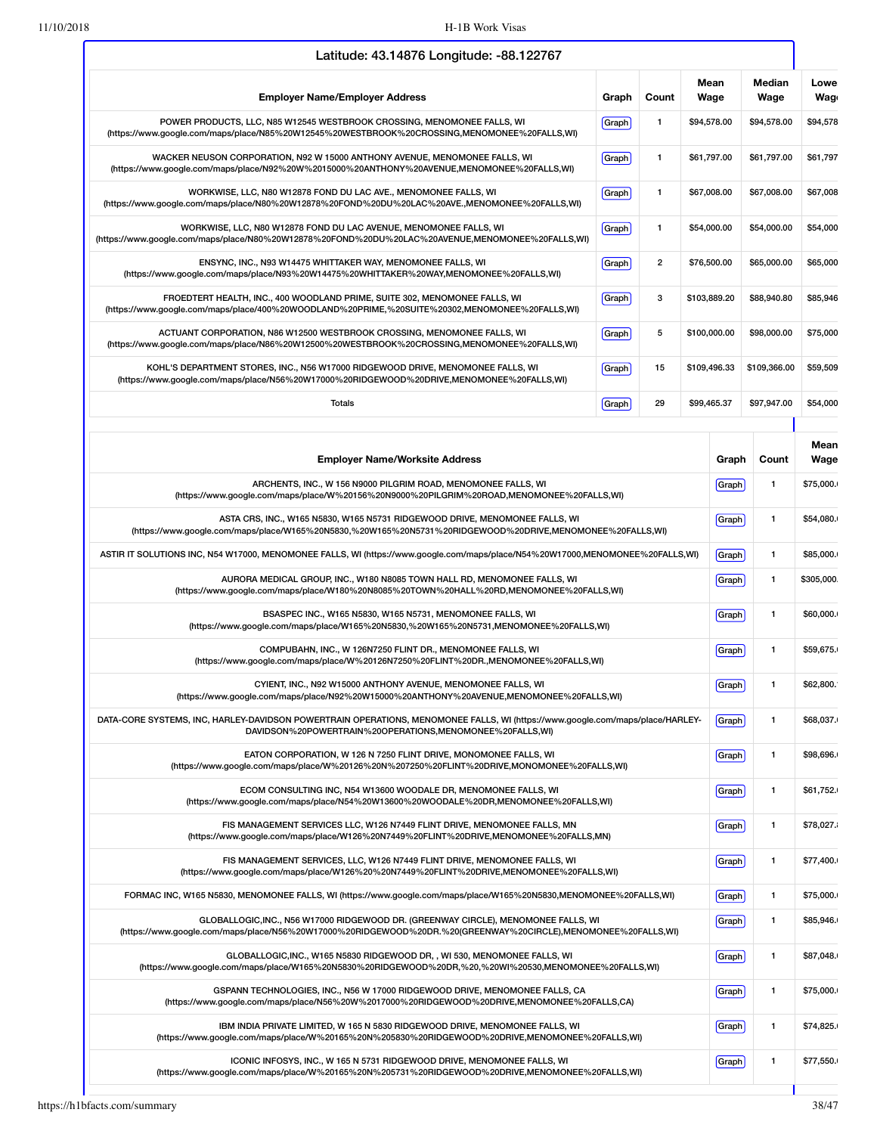| Latitude: 43.14876 Longitude: -88.122767                                                                                                                                                            |       |                |           |              |                |                    |
|-----------------------------------------------------------------------------------------------------------------------------------------------------------------------------------------------------|-------|----------------|-----------|--------------|----------------|--------------------|
| <b>Employer Name/Employer Address</b>                                                                                                                                                               | Graph | Count          |           | Mean<br>Wage | Median<br>Wage | Lowe<br><b>Wag</b> |
| POWER PRODUCTS, LLC, N85 W12545 WESTBROOK CROSSING, MENOMONEE FALLS, WI<br>(https://www.google.com/maps/place/N85%20W12545%20WESTBROOK%20CROSSING,MENOMONEE%20FALLS,WI)                             | Graph | $\mathbf{1}$   |           | \$94,578.00  | \$94,578.00    | \$94,578           |
| WACKER NEUSON CORPORATION, N92 W 15000 ANTHONY AVENUE, MENOMONEE FALLS, WI<br>(https://www.google.com/maps/place/N92%20W%2015000%20ANTHONY%20AVENUE,MENOMONEE%20FALLS,WI)                           | Graph | $\mathbf{1}$   |           | \$61,797.00  | \$61,797.00    | \$61,797           |
| WORKWISE, LLC, N80 W12878 FOND DU LAC AVE., MENOMONEE FALLS, WI<br>(https://www.google.com/maps/place/N80%20W12878%20FOND%20DU%20LAC%20AVE.,MENOMONEE%20FALLS,WI)                                   | Graph | $\mathbf{1}$   |           | \$67,008.00  | \$67,008.00    | \$67,008           |
| WORKWISE, LLC, N80 W12878 FOND DU LAC AVENUE, MENOMONEE FALLS, WI<br>(https://www.google.com/maps/place/N80%20W12878%20FOND%20DU%20LAC%20AVENUE,MENOMONEE%20FALLS,WI)                               | Graph | $\mathbf{1}$   |           | \$54,000.00  | \$54,000.00    | \$54,000           |
| ENSYNC, INC., N93 W14475 WHITTAKER WAY, MENOMONEE FALLS, WI<br>(https://www.google.com/maps/place/N93%20W14475%20WHITTAKER%20WAY,MENOMONEE%20FALLS,WI)                                              | Graph | $\overline{2}$ |           | \$76,500.00  | \$65,000.00    | \$65,000           |
| FROEDTERT HEALTH, INC., 400 WOODLAND PRIME, SUITE 302, MENOMONEE FALLS, WI<br>(https://www.google.com/maps/place/400%20WOODLAND%20PRIME,%20SUITE%20302,MENOMONEE%20FALLS,WI)                        | Graph | 3              |           | \$103,889.20 | \$88,940.80    | \$85,946           |
| ACTUANT CORPORATION, N86 W12500 WESTBROOK CROSSING, MENOMONEE FALLS, WI<br>(https://www.google.com/maps/place/N86%20W12500%20WESTBROOK%20CROSSING,MENOMONEE%20FALLS,WI)                             | Graph | 5              |           | \$100,000.00 | \$98,000.00    | \$75,000           |
| KOHL'S DEPARTMENT STORES, INC., N56 W17000 RIDGEWOOD DRIVE, MENOMONEE FALLS, WI<br>(https://www.google.com/maps/place/N56%20W17000%20RIDGEWOOD%20DRIVE,MENOMONEE%20FALLS,WI)                        | Graph | 15             |           | \$109,496.33 | \$109,366.00   | \$59,509           |
| Totals                                                                                                                                                                                              | Graph | 29             |           | \$99,465.37  | \$97,947.00    | \$54,000           |
|                                                                                                                                                                                                     |       |                |           |              |                | Mean               |
| <b>Employer Name/Worksite Address</b>                                                                                                                                                               |       |                |           | Graph        | Count          | Wage               |
| ARCHENTS, INC., W 156 N9000 PILGRIM ROAD, MENOMONEE FALLS, WI<br>(https://www.google.com/maps/place/W%20156%20N9000%20PILGRIM%20ROAD,MENOMONEE%20FALLS,WI)                                          |       | Graph          | 1         | \$75,000.    |                |                    |
| ASTA CRS, INC., W165 N5830, W165 N5731 RIDGEWOOD DRIVE, MENOMONEE FALLS, WI<br>(https://www.google.com/maps/place/W165%20N5830,%20W165%20N5731%20RIDGEWOOD%20DRIVE,MENOMONEE%20FALLS,WI)            | Graph | 1              | \$54,080. |              |                |                    |
| ASTIR IT SOLUTIONS INC, N54 W17000, MENOMONEE FALLS, WI (https://www.google.com/maps/place/N54%20W17000,MENOMONEE%20FALLS,WI)                                                                       |       |                |           | Graph        | 1              | \$85,000.          |
| AURORA MEDICAL GROUP, INC., W180 N8085 TOWN HALL RD, MENOMONEE FALLS, WI<br>(https://www.google.com/maps/place/W180%20N8085%20TOWN%20HALL%20RD,MENOMONEE%20FALLS,WI)                                |       | Graph          | 1         | \$305,000.   |                |                    |
| BSASPEC INC., W165 N5830, W165 N5731, MENOMONEE FALLS, WI<br>(https://www.google.com/maps/place/W165%20N5830,%20W165%20N5731,MENOMONEE%20FALLS,WI)                                                  |       | Graph          | 1         | \$60,000.    |                |                    |
| COMPUBAHN, INC., W 126N7250 FLINT DR., MENOMONEE FALLS, WI<br>(https://www.google.com/maps/place/W%20126N7250%20FLINT%20DR.,MENOMONEE%20FALLS,WI)                                                   |       |                |           | Graph        | 1              | \$59,675.          |
| CYIENT, INC., N92 W15000 ANTHONY AVENUE, MENOMONEE FALLS, WI<br>(https://www.google.com/maps/place/N92%20W15000%20ANTHONY%20AVENUE,MENOMONEE%20FALLS,WI)                                            |       |                |           | Graph        | 1              | \$62,800.          |
| DATA-CORE SYSTEMS, INC, HARLEY-DAVIDSON POWERTRAIN OPERATIONS, MENOMONEE FALLS, WI (https://www.google.com/maps/place/HARLEY-<br>DAVIDSON%20POWERTRAIN%20OPERATIONS,MENOMONEE%20FALLS,WI)           |       |                |           | Graph        | 1              | \$68,037.          |
| EATON CORPORATION, W 126 N 7250 FLINT DRIVE, MONOMONEE FALLS, WI<br>(https://www.google.com/maps/place/W%20126%20N%207250%20FLINT%20DRIVE,MONOMONEE%20FALLS,WI)                                     |       |                |           | Graph        | 1              | \$98,696.          |
| ECOM CONSULTING INC, N54 W13600 WOODALE DR, MENOMONEE FALLS, WI<br>(https://www.google.com/maps/place/N54%20W13600%20WOODALE%20DR,MENOMONEE%20FALLS,WI)                                             |       |                |           | Graph        | 1              | \$61,752.          |
| FIS MANAGEMENT SERVICES LLC, W126 N7449 FLINT DRIVE, MENOMONEE FALLS, MN<br>(https://www.google.com/maps/place/W126%20N7449%20FLINT%20DRIVE,MENOMONEE%20FALLS,MN)                                   |       |                |           | Graph        | 1              | \$78,027.          |
| FIS MANAGEMENT SERVICES, LLC, W126 N7449 FLINT DRIVE, MENOMONEE FALLS, WI<br>(https://www.google.com/maps/place/W126%20%20N7449%20FLINT%20DRIVE,MENOMONEE%20FALLS,WI)                               |       |                |           | Graph        | 1              | \$77,400.          |
| FORMAC INC, W165 N5830, MENOMONEE FALLS, WI (https://www.google.com/maps/place/W165%20N5830,MENOMONEE%20FALLS,WI)                                                                                   |       |                |           | Graph        | 1              | \$75,000.          |
| GLOBALLOGIC, INC., N56 W17000 RIDGEWOOD DR. (GREENWAY CIRCLE), MENOMONEE FALLS, WI<br>(https://www.google.com/maps/place/N56%20W17000%20RIDGEWOOD%20DR.%20(GREENWAY%20CIRCLE),MENOMONEE%20FALLS,WI) |       |                |           | Graph        | 1              | \$85,946.          |
| GLOBALLOGIC, INC., W165 N5830 RIDGEWOOD DR,, WI 530, MENOMONEE FALLS, WI<br>(https://www.google.com/maps/place/W165%20N5830%20RIDGEWOOD%20DR,%20,%20WI%20530,MENOMONEE%20FALLS,WI)                  |       |                |           | Graph        | 1              | \$87,048.          |
| GSPANN TECHNOLOGIES, INC., N56 W 17000 RIDGEWOOD DRIVE, MENOMONEE FALLS, CA<br>(https://www.google.com/maps/place/N56%20W%2017000%20RIDGEWOOD%20DRIVE,MENOMONEE%20FALLS,CA)                         |       |                |           | Graph        | 1              | \$75,000.          |
| IBM INDIA PRIVATE LIMITED, W 165 N 5830 RIDGEWOOD DRIVE, MENOMONEE FALLS, WI<br>(https://www.google.com/maps/place/W%20165%20N%205830%20RIDGEWOOD%20DRIVE,MENOMONEE%20FALLS,WI)                     |       |                |           | Graph        | 1              | \$74,825.          |
| ICONIC INFOSYS, INC., W 165 N 5731 RIDGEWOOD DRIVE, MENOMONEE FALLS, WI<br>(https://www.google.com/maps/place/W%20165%20N%205731%20RIDGEWOOD%20DRIVE,MENOMONEE%20FALLS,WI)                          |       |                |           | Graph        | 1              | \$77,550.          |
|                                                                                                                                                                                                     |       |                |           |              |                |                    |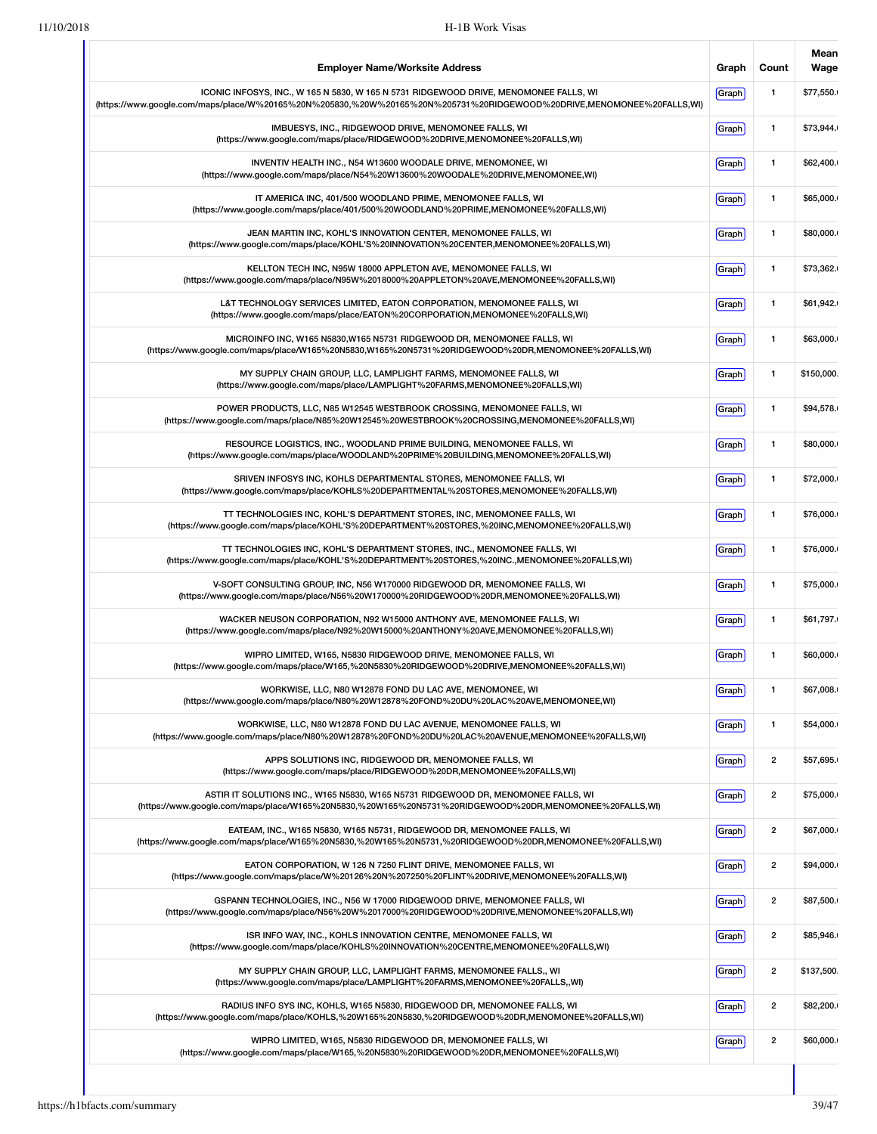| <b>Employer Name/Worksite Address</b>                                                                                                                                                                          | Graph | Count                   | Mean<br>Wage |
|----------------------------------------------------------------------------------------------------------------------------------------------------------------------------------------------------------------|-------|-------------------------|--------------|
| ICONIC INFOSYS, INC., W 165 N 5830, W 165 N 5731 RIDGEWOOD DRIVE, MENOMONEE FALLS, WI<br>(https://www.google.com/maps/place/W%20165%20N%205830,%20W%20165%20N%205731%20RIDGEWOOD%20DRIVE,MENOMONEE%20FALLS,WI) | Graph | $\mathbf{1}$            | \$77,550.    |
| IMBUESYS, INC., RIDGEWOOD DRIVE, MENOMONEE FALLS, WI<br>(https://www.google.com/maps/place/RIDGEWOOD%20DRIVE,MENOMONEE%20FALLS,WI)                                                                             | Graph | $\mathbf{1}$            | \$73,944.    |
| INVENTIV HEALTH INC., N54 W13600 WOODALE DRIVE, MENOMONEE, WI<br>(https://www.google.com/maps/place/N54%20W13600%20WOODALE%20DRIVE,MENOMONEE,WI)                                                               | Graph | $\mathbf{1}$            | \$62,400.    |
| IT AMERICA INC, 401/500 WOODLAND PRIME, MENOMONEE FALLS, WI<br>(https://www.google.com/maps/place/401/500%20WOODLAND%20PRIME,MENOMONEE%20FALLS,WI)                                                             | Graph | $\mathbf{1}$            | \$65,000.    |
| JEAN MARTIN INC, KOHL'S INNOVATION CENTER, MENOMONEE FALLS, WI<br>(https://www.google.com/maps/place/KOHL'S%20INNOVATION%20CENTER,MENOMONEE%20FALLS,WI)                                                        | Graph | $\mathbf{1}$            | \$80,000.    |
| KELLTON TECH INC, N95W 18000 APPLETON AVE, MENOMONEE FALLS, WI<br>(https://www.google.com/maps/place/N95W%2018000%20APPLETON%20AVE,MENOMONEE%20FALLS,WI)                                                       | Graph | $\mathbf{1}$            | \$73,362.    |
| L&T TECHNOLOGY SERVICES LIMITED, EATON CORPORATION, MENOMONEE FALLS, WI<br>(https://www.google.com/maps/place/EATON%20CORPORATION,MENOMONEE%20FALLS,WI)                                                        | Graph | $\mathbf{1}$            | \$61,942.    |
| MICROINFO INC, W165 N5830, W165 N5731 RIDGEWOOD DR, MENOMONEE FALLS, WI<br>(https://www.google.com/maps/place/W165%20N5830,W165%20N5731%20RIDGEWOOD%20DR,MENOMONEE%20FALLS,WI)                                 | Graph | $\mathbf{1}$            | \$63,000.    |
| MY SUPPLY CHAIN GROUP, LLC, LAMPLIGHT FARMS, MENOMONEE FALLS, WI<br>(https://www.google.com/maps/place/LAMPLIGHT%20FARMS,MENOMONEE%20FALLS,WI)                                                                 | Graph | $\mathbf{1}$            | \$150,000.   |
| POWER PRODUCTS, LLC, N85 W12545 WESTBROOK CROSSING, MENOMONEE FALLS, WI<br>(https://www.google.com/maps/place/N85%20W12545%20WESTBROOK%20CROSSING,MENOMONEE%20FALLS,WI)                                        | Graph | $\mathbf{1}$            | \$94,578.    |
| RESOURCE LOGISTICS, INC., WOODLAND PRIME BUILDING, MENOMONEE FALLS, WI<br>(https://www.google.com/maps/place/WOODLAND%20PRIME%20BUILDING,MENOMONEE%20FALLS,WI)                                                 | Graph | $\mathbf{1}$            | \$80,000.    |
| SRIVEN INFOSYS INC, KOHLS DEPARTMENTAL STORES, MENOMONEE FALLS, WI<br>(https://www.google.com/maps/place/KOHLS%20DEPARTMENTAL%20STORES,MENOMONEE%20FALLS,WI)                                                   | Graph | $\mathbf{1}$            | \$72,000.    |
| TT TECHNOLOGIES INC, KOHL'S DEPARTMENT STORES, INC, MENOMONEE FALLS, WI<br>(https://www.google.com/maps/place/KOHL'S%20DEPARTMENT%20STORES,%20INC,MENOMONEE%20FALLS,WI)                                        | Graph | $\mathbf{1}$            | \$76,000.    |
| TT TECHNOLOGIES INC, KOHL'S DEPARTMENT STORES, INC., MENOMONEE FALLS, WI<br>(https://www.google.com/maps/place/KOHL'S%20DEPARTMENT%20STORES,%20INC.,MENOMONEE%20FALLS,WI)                                      | Graph | $\mathbf{1}$            | \$76,000.    |
| V-SOFT CONSULTING GROUP, INC, N56 W170000 RIDGEWOOD DR, MENOMONEE FALLS, WI<br>(https://www.google.com/maps/place/N56%20W170000%20RIDGEWOOD%20DR,MENOMONEE%20FALLS,WI)                                         | Graph | $\mathbf{1}$            | \$75,000.    |
| WACKER NEUSON CORPORATION, N92 W15000 ANTHONY AVE, MENOMONEE FALLS, WI<br>(https://www.google.com/maps/place/N92%20W15000%20ANTHONY%20AVE,MENOMONEE%20FALLS,WI)                                                | Graph | $\mathbf{1}$            | \$61,797.    |
| WIPRO LIMITED, W165, N5830 RIDGEWOOD DRIVE, MENOMONEE FALLS, WI<br>(https://www.google.com/maps/place/W165,%20N5830%20RIDGEWOOD%20DRIVE,MENOMONEE%20FALLS,WI)                                                  | Graph | $\mathbf{1}$            | \$60,000.    |
| WORKWISE, LLC, N80 W12878 FOND DU LAC AVE, MENOMONEE, WI<br>(https://www.google.com/maps/place/N80%20W12878%20FOND%20DU%20LAC%20AVE,MENOMONEE,WI)                                                              | Graph | 1                       | \$67,008.    |
| WORKWISE, LLC, N80 W12878 FOND DU LAC AVENUE, MENOMONEE FALLS, WI<br>(https://www.google.com/maps/place/N80%20W12878%20FOND%20DU%20LAC%20AVENUE,MENOMONEE%20FALLS,WI)                                          | Graph | $\mathbf{1}$            | \$54,000.    |
| APPS SOLUTIONS INC, RIDGEWOOD DR, MENOMONEE FALLS, WI<br>(https://www.google.com/maps/place/RIDGEWOOD%20DR,MENOMONEE%20FALLS,WI)                                                                               | Graph | 2                       | \$57,695.    |
| ASTIR IT SOLUTIONS INC., W165 N5830, W165 N5731 RIDGEWOOD DR, MENOMONEE FALLS, WI<br>(https://www.google.com/maps/place/W165%20N5830,%20W165%20N5731%20RIDGEWOOD%20DR,MENOMONEE%20FALLS,WI)                    | Graph | 2                       | \$75,000.    |
| EATEAM, INC., W165 N5830, W165 N5731, RIDGEWOOD DR, MENOMONEE FALLS, WI<br>(https://www.google.com/maps/place/W165%20N5830,%20W165%20N5731,%20RIDGEWOOD%20DR,MENOMONEE%20FALLS,WI)                             | Graph | 2                       | \$67,000.    |
| EATON CORPORATION, W 126 N 7250 FLINT DRIVE, MENOMONEE FALLS, WI<br>(https://www.google.com/maps/place/W%20126%20N%207250%20FLINT%20DRIVE,MENOMONEE%20FALLS,WI)                                                | Graph | $\overline{\mathbf{c}}$ | \$94,000.    |
| GSPANN TECHNOLOGIES, INC., N56 W 17000 RIDGEWOOD DRIVE, MENOMONEE FALLS, WI<br>(https://www.google.com/maps/place/N56%20W%2017000%20RIDGEWOOD%20DRIVE,MENOMONEE%20FALLS,WI)                                    | Graph | $\overline{2}$          | \$87,500.    |
| ISR INFO WAY, INC., KOHLS INNOVATION CENTRE, MENOMONEE FALLS, WI<br>(https://www.google.com/maps/place/KOHLS%20INNOVATION%20CENTRE,MENOMONEE%20FALLS,WI)                                                       | Graph | $\overline{2}$          | \$85,946.    |
| MY SUPPLY CHAIN GROUP, LLC, LAMPLIGHT FARMS, MENOMONEE FALLS,, WI<br>(https://www.google.com/maps/place/LAMPLIGHT%20FARMS,MENOMONEE%20FALLS,,WI)                                                               | Graph | $\overline{\mathbf{c}}$ | \$137,500.   |
| RADIUS INFO SYS INC, KOHLS, W165 N5830, RIDGEWOOD DR, MENOMONEE FALLS, WI<br>(https://www.google.com/maps/place/KOHLS,%20W165%20N5830,%20RIDGEWOOD%20DR,MENOMONEE%20FALLS,WI)                                  | Graph | $\overline{2}$          | \$82,200.    |
| WIPRO LIMITED, W165, N5830 RIDGEWOOD DR, MENOMONEE FALLS, WI<br>(https://www.google.com/maps/place/W165,%20N5830%20RIDGEWOOD%20DR,MENOMONEE%20FALLS,WI)                                                        | Graph | 2                       | \$60,000.    |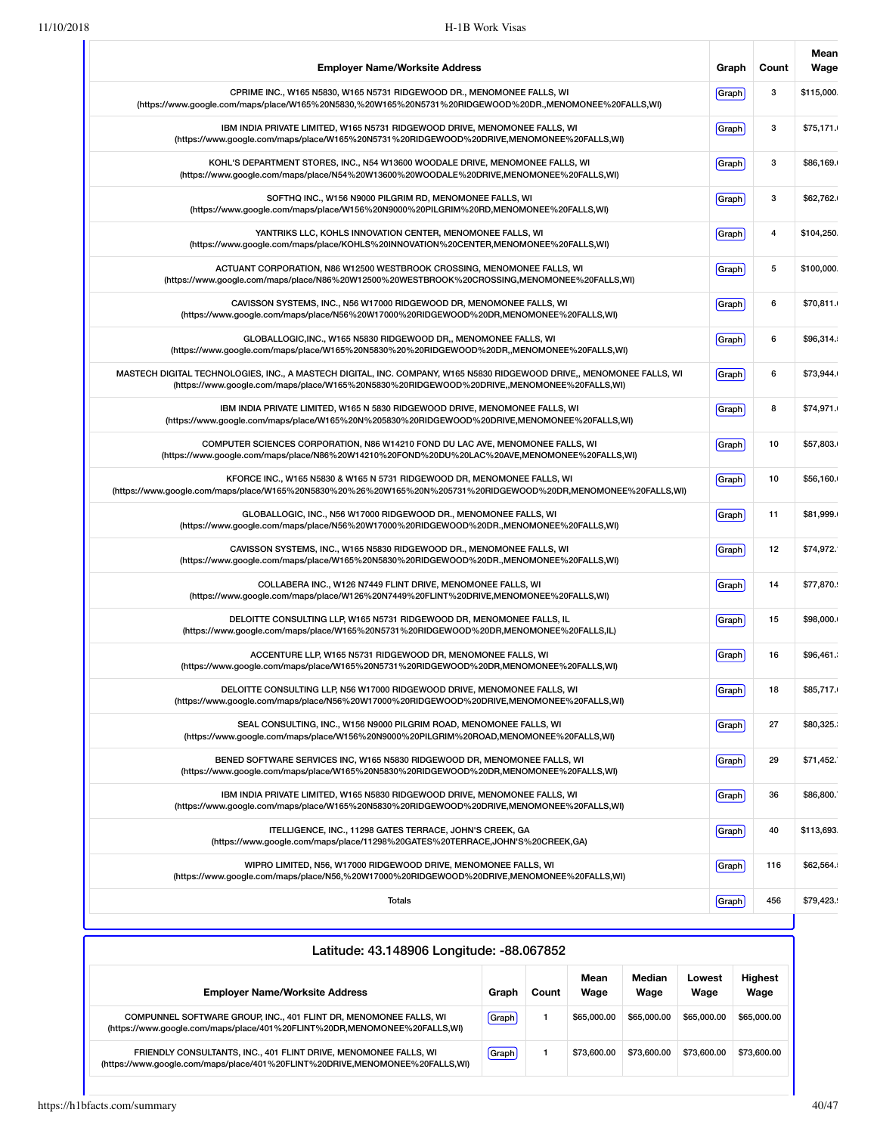| <b>Employer Name/Worksite Address</b>                                                                                                                                                                               | Graph | Count | Mean<br>Wage |
|---------------------------------------------------------------------------------------------------------------------------------------------------------------------------------------------------------------------|-------|-------|--------------|
| CPRIME INC., W165 N5830, W165 N5731 RIDGEWOOD DR., MENOMONEE FALLS, WI<br>(https://www.google.com/maps/place/W165%20N5830,%20W165%20N5731%20RIDGEWOOD%20DR.,MENOMONEE%20FALLS,WI)                                   | Graph | 3     | \$115,000.   |
| IBM INDIA PRIVATE LIMITED, W165 N5731 RIDGEWOOD DRIVE, MENOMONEE FALLS, WI<br>(https://www.google.com/maps/place/W165%20N5731%20RIDGEWOOD%20DRIVE,MENOMONEE%20FALLS,WI)                                             | Graph | 3     | \$75,171.    |
| KOHL'S DEPARTMENT STORES, INC., N54 W13600 WOODALE DRIVE, MENOMONEE FALLS, WI<br>(https://www.google.com/maps/place/N54%20W13600%20WOODALE%20DRIVE,MENOMONEE%20FALLS,WI)                                            | Graph | 3     | \$86,169.    |
| SOFTHQ INC., W156 N9000 PILGRIM RD, MENOMONEE FALLS, WI<br>(https://www.google.com/maps/place/W156%20N9000%20PILGRIM%20RD,MENOMONEE%20FALLS,WI)                                                                     | Graph | 3     | \$62,762.    |
| YANTRIKS LLC, KOHLS INNOVATION CENTER, MENOMONEE FALLS, WI<br>(https://www.google.com/maps/place/KOHLS%20INNOVATION%20CENTER,MENOMONEE%20FALLS,WI)                                                                  | Graph | 4     | \$104,250.   |
| ACTUANT CORPORATION, N86 W12500 WESTBROOK CROSSING, MENOMONEE FALLS, WI<br>(https://www.google.com/maps/place/N86%20W12500%20WESTBROOK%20CROSSING,MENOMONEE%20FALLS,WI)                                             | Graph | 5     | \$100,000.   |
| CAVISSON SYSTEMS, INC., N56 W17000 RIDGEWOOD DR, MENOMONEE FALLS, WI<br>(https://www.google.com/maps/place/N56%20W17000%20RIDGEWOOD%20DR,MENOMONEE%20FALLS,WI)                                                      | Graph | 6     | \$70,811.    |
| GLOBALLOGIC, INC., W165 N5830 RIDGEWOOD DR., MENOMONEE FALLS, WI<br>(https://www.google.com/maps/place/W165%20N5830%20%20RIDGEWOOD%20DR,,MENOMONEE%20FALLS,WI)                                                      | Graph | 6     | \$96,314.    |
| MASTECH DIGITAL TECHNOLOGIES, INC., A MASTECH DIGITAL, INC. COMPANY, W165 N5830 RIDGEWOOD DRIVE,, MENOMONEE FALLS, WI<br>(https://www.google.com/maps/place/W165%20N5830%20RIDGEWOOD%20DRIVE,,MENOMONEE%20FALLS,WI) | Graph | 6     | \$73,944.    |
| IBM INDIA PRIVATE LIMITED, W165 N 5830 RIDGEWOOD DRIVE, MENOMONEE FALLS, WI<br>(https://www.google.com/maps/place/W165%20N%205830%20RIDGEWOOD%20DRIVE,MENOMONEE%20FALLS,WI)                                         | Graph | 8     | \$74,971.    |
| COMPUTER SCIENCES CORPORATION, N86 W14210 FOND DU LAC AVE, MENOMONEE FALLS, WI<br>(https://www.google.com/maps/place/N86%20W14210%20FOND%20DU%20LAC%20AVE,MENOMONEE%20FALLS,WI)                                     | Graph | 10    | \$57,803.    |
| KFORCE INC., W165 N5830 & W165 N 5731 RIDGEWOOD DR, MENOMONEE FALLS, WI<br>(https://www.google.com/maps/place/W165%20N5830%20%26%20W165%20N%205731%20RIDGEWOOD%20DR,MENOMONEE%20FALLS,WI)                           | Graph | 10    | \$56,160.    |
| GLOBALLOGIC, INC., N56 W17000 RIDGEWOOD DR., MENOMONEE FALLS, WI<br>(https://www.google.com/maps/place/N56%20W17000%20RIDGEWOOD%20DR.,MENOMONEE%20FALLS,WI)                                                         | Graph | 11    | \$81,999.    |
| CAVISSON SYSTEMS, INC., W165 N5830 RIDGEWOOD DR., MENOMONEE FALLS, WI<br>(https://www.google.com/maps/place/W165%20N5830%20RIDGEWOOD%20DR.,MENOMONEE%20FALLS,WI)                                                    | Graph | 12    | \$74,972.    |
| COLLABERA INC., W126 N7449 FLINT DRIVE, MENOMONEE FALLS, WI<br>(https://www.google.com/maps/place/W126%20N7449%20FLINT%20DRIVE,MENOMONEE%20FALLS,WI)                                                                | Graph | 14    | \$77,870.    |
| DELOITTE CONSULTING LLP, W165 N5731 RIDGEWOOD DR, MENOMONEE FALLS, IL<br>(https://www.google.com/maps/place/W165%20N5731%20RIDGEWOOD%20DR,MENOMONEE%20FALLS,IL)                                                     | Graph | 15    | \$98,000.    |
| ACCENTURE LLP, W165 N5731 RIDGEWOOD DR, MENOMONEE FALLS, WI<br>(https://www.google.com/maps/place/W165%20N5731%20RIDGEWOOD%20DR,MENOMONEE%20FALLS,WI)                                                               | Graph | 16    | \$96,461.    |
| DELOITTE CONSULTING LLP, N56 W17000 RIDGEWOOD DRIVE, MENOMONEE FALLS, WI<br>(https://www.qoogle.com/maps/place/N56%20W17000%20RIDGEWOOD%20DRIVE,MENOMONEE%20FALLS,WI)                                               | Graph | 18    | \$85,717.    |
| SEAL CONSULTING, INC., W156 N9000 PILGRIM ROAD, MENOMONEE FALLS, WI<br>(https://www.google.com/maps/place/W156%20N9000%20PILGRIM%20ROAD,MENOMONEE%20FALLS,WI)                                                       | Graph | 27    | \$80,325.    |
| BENED SOFTWARE SERVICES INC, W165 N5830 RIDGEWOOD DR, MENOMONEE FALLS, WI<br>(https://www.google.com/maps/place/W165%20N5830%20RIDGEWOOD%20DR,MENOMONEE%20FALLS,WI)                                                 | Graph | 29    | \$71,452.    |
| IBM INDIA PRIVATE LIMITED, W165 N5830 RIDGEWOOD DRIVE, MENOMONEE FALLS, WI<br>(https://www.google.com/maps/place/W165%20N5830%20RIDGEWOOD%20DRIVE,MENOMONEE%20FALLS,WI)                                             | Graph | 36    | \$86,800.    |
| ITELLIGENCE, INC., 11298 GATES TERRACE, JOHN'S CREEK, GA<br>(https://www.google.com/maps/place/11298%20GATES%20TERRACE,JOHN'S%20CREEK,GA)                                                                           | Graph | 40    | \$113,693.   |
| WIPRO LIMITED, N56, W17000 RIDGEWOOD DRIVE, MENOMONEE FALLS, WI<br>(https://www.google.com/maps/place/N56,%20W17000%20RIDGEWOOD%20DRIVE,MENOMONEE%20FALLS,WI)                                                       | Graph | 116   | \$62,564.    |
| Totals                                                                                                                                                                                                              | Graph | 456   | \$79,423.    |

| Latitude: 43.148906 Longitude: -88.067852                                                                                                        |       |       |              |                |                |                        |  |  |  |  |
|--------------------------------------------------------------------------------------------------------------------------------------------------|-------|-------|--------------|----------------|----------------|------------------------|--|--|--|--|
| <b>Employer Name/Worksite Address</b>                                                                                                            | Graph | Count | Mean<br>Wage | Median<br>Wage | Lowest<br>Wage | <b>Highest</b><br>Wage |  |  |  |  |
| COMPUNNEL SOFTWARE GROUP, INC., 401 FLINT DR, MENOMONEE FALLS, WI<br>(https://www.google.com/maps/place/401%20FLINT%20DR,MENOMONEE%20FALLS,WI)   | Graph |       | \$65,000,00  | \$65,000.00    | \$65,000.00    | \$65,000.00            |  |  |  |  |
| FRIENDLY CONSULTANTS, INC., 401 FLINT DRIVE, MENOMONEE FALLS, WI<br>(https://www.google.com/maps/place/401%20FLINT%20DRIVE,MENOMONEE%20FALLS,WI) | Graph |       | \$73,600.00  | \$73,600.00    | \$73,600.00    | \$73,600.00            |  |  |  |  |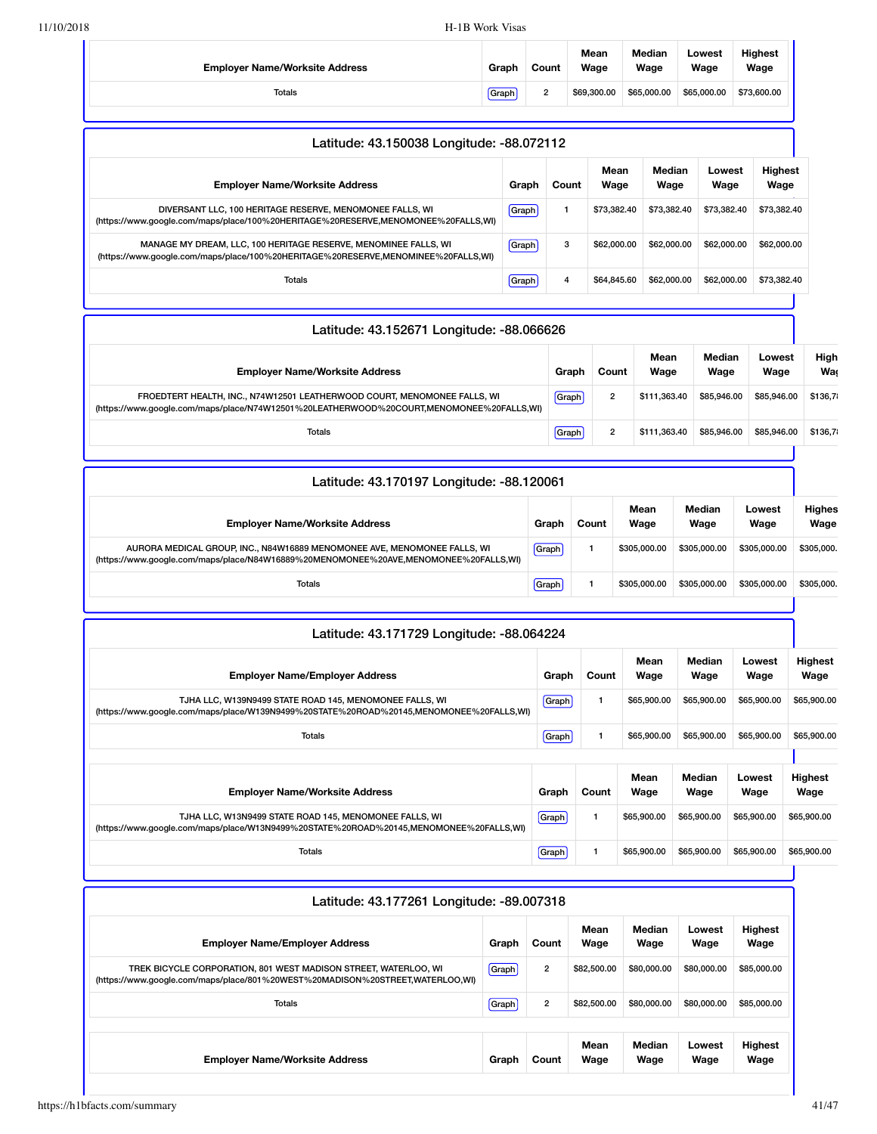|                                                                                                                                                                      |                           |                |       | Mean                    | Median                                     | Lowest         | <b>Highest</b>         |                        |
|----------------------------------------------------------------------------------------------------------------------------------------------------------------------|---------------------------|----------------|-------|-------------------------|--------------------------------------------|----------------|------------------------|------------------------|
| <b>Employer Name/Worksite Address</b>                                                                                                                                | Graph                     | Count          |       | Wage                    | Wage                                       | Wage           | Wage                   |                        |
| <b>Totals</b>                                                                                                                                                        | Graph                     | $\overline{2}$ |       | \$69,300.00             | \$65,000.00                                | \$65,000.00    | \$73,600.00            |                        |
| Latitude: 43.150038 Longitude: -88.072112                                                                                                                            |                           |                |       |                         |                                            |                |                        |                        |
| <b>Employer Name/Worksite Address</b>                                                                                                                                |                           | Graph          | Count | Mean<br>Wage            | Median<br>Wage                             | Lowest<br>Wage | <b>Highest</b><br>Wage |                        |
| DIVERSANT LLC, 100 HERITAGE RESERVE, MENOMONEE FALLS, WI<br>(https://www.google.com/maps/place/100%20HERITAGE%20RESERVE,MENOMONEE%20FALLS,WI)                        |                           | Graph          | 1     | \$73,382.40             | \$73,382.40                                | \$73,382.40    | \$73,382.40            |                        |
| MANAGE MY DREAM, LLC, 100 HERITAGE RESERVE, MENOMINEE FALLS, WI<br>(https://www.google.com/maps/place/100%20HERITAGE%20RESERVE,MENOMINEE%20FALLS,WI)                 |                           | Graph          | 3     | \$62,000.00             | \$62,000.00                                | \$62,000.00    | \$62,000.00            |                        |
| Totals                                                                                                                                                               | 4<br>Graph<br>\$64,845.60 |                |       |                         | \$62,000.00                                | \$62,000.00    | \$73,382.40            |                        |
| Latitude: 43.152671 Longitude: -88.066626                                                                                                                            |                           |                |       |                         |                                            |                |                        |                        |
| <b>Employer Name/Worksite Address</b>                                                                                                                                |                           |                | Graph | Count                   | Median<br>Mean<br>Wage<br>Wage             |                | Lowest<br>Wage         |                        |
| FROEDTERT HEALTH, INC., N74W12501 LEATHERWOOD COURT, MENOMONEE FALLS, WI<br>(https://www.google.com/maps/place/N74W12501%20LEATHERWOOD%20COURT,MENOMONEE%20FALLS,WI) |                           |                | Graph | $\overline{2}$          | \$111,363.40<br>\$85,946.00<br>\$85,946.00 |                |                        | \$136,7                |
| <b>Totals</b>                                                                                                                                                        |                           |                |       | $\overline{2}$<br>Graph | \$111,363.40                               | \$85,946.00    | \$85,946.00            | \$136,7                |
| Latitude: 43.170197 Longitude: -88.120061                                                                                                                            |                           |                |       |                         |                                            |                |                        |                        |
| <b>Employer Name/Worksite Address</b>                                                                                                                                |                           | Graph          |       | Count                   | Mean<br>Wage                               | Median<br>Wage | Lowest<br>Wage         | <b>Highes</b><br>Wage  |
| AURORA MEDICAL GROUP, INC., N84W16889 MENOMONEE AVE, MENOMONEE FALLS, WI<br>(https://www.google.com/maps/place/N84W16889%20MENOMONEE%20AVE,MENOMONEE%20FALLS,WI)     |                           | Graph          |       | $\mathbf{1}$            | \$305,000.00                               | \$305,000.00   | \$305,000,00           | \$305,000.             |
| Totals                                                                                                                                                               |                           | Graph          |       | $\mathbf{1}$            | \$305,000.00                               | \$305,000.00   | \$305,000.00           | \$305,000.             |
| Latitude: 43.171729 Longitude: -88.064224                                                                                                                            |                           |                |       |                         |                                            |                |                        |                        |
| <b>Employer Name/Employer Address</b>                                                                                                                                |                           |                | Graph | Count                   | Mean<br>Wage                               | Median<br>Wage | Lowest<br>Wage         | Highest<br>Wage        |
| TJHA LLC, W139N9499 STATE ROAD 145, MENOMONEE FALLS, WI<br>(https://www.google.com/maps/place/W139N9499%20STATE%20ROAD%20145,MENOMONEE%20FALLS,WI)                   |                           |                | Graph | 1                       | \$65,900.00                                | \$65,900.00    | \$65,900.00            | \$65,900.00            |
| <b>Totals</b>                                                                                                                                                        |                           |                | Graph | 1                       | \$65,900.00                                | \$65,900.00    | \$65,900.00            | \$65,900.00            |
| <b>Employer Name/Worksite Address</b>                                                                                                                                |                           |                | Graph | Count                   | Mean<br>Wage                               | Median<br>Wage | Lowest<br>Wage         | <b>Highest</b><br>Wage |
| TJHA LLC, W13N9499 STATE ROAD 145, MENOMONEE FALLS, WI<br>(https://www.google.com/maps/place/W13N9499%20STATE%20ROAD%20145,MENOMONEE%20FALLS,WI)                     |                           |                | Graph | $\mathbf{1}$            | \$65,900.00                                | \$65,900.00    | \$65,900.00            | \$65,900.00            |
|                                                                                                                                                                      |                           |                |       |                         |                                            |                |                        | \$65,900.00            |

| <b>Employer Name/Employer Address</b>                                                                                                            | Graph | Count          | Mean<br>Wage | Median<br>Wage | Lowest<br>Wage | <b>Highest</b><br>Wage |
|--------------------------------------------------------------------------------------------------------------------------------------------------|-------|----------------|--------------|----------------|----------------|------------------------|
| TREK BICYCLE CORPORATION, 801 WEST MADISON STREET, WATERLOO, WI<br>(https://www.google.com/maps/place/801%20WEST%20MADISON%20STREET,WATERLOO,WI) | Graph | $\overline{2}$ | \$82,500.00  | \$80,000,00    | \$80,000.00    | \$85,000.00            |
| Totals                                                                                                                                           | Graph | $\overline{2}$ | \$82,500.00  | \$80,000,00    | \$80,000.00    | \$85,000.00            |
| <b>Employer Name/Worksite Address</b>                                                                                                            | Graph | Count          | Mean<br>Wage | Median<br>Wage | Lowest<br>Wage | <b>Highest</b><br>Wage |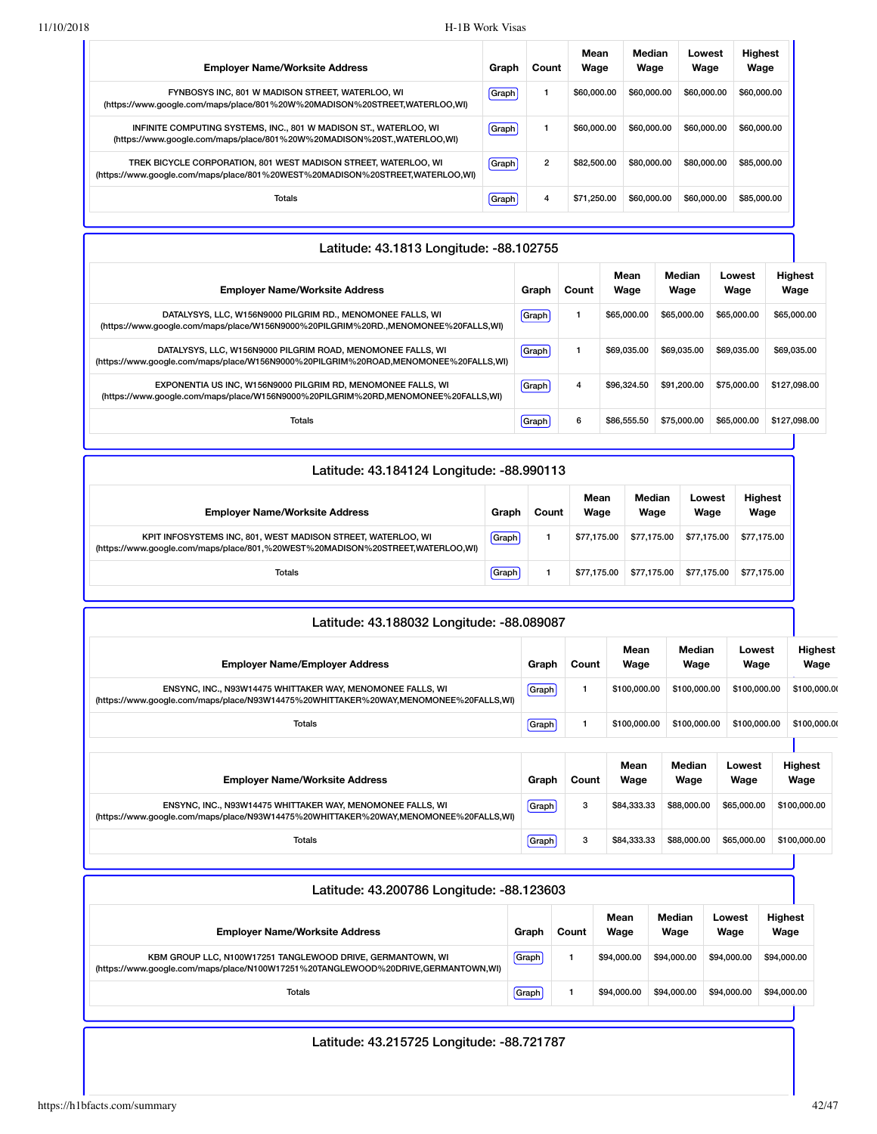| <b>Employer Name/Worksite Address</b>                                                                                                            | Graph | Count          | Mean<br>Wage | Median<br>Wage | Lowest<br>Wage | <b>Highest</b><br>Wage |
|--------------------------------------------------------------------------------------------------------------------------------------------------|-------|----------------|--------------|----------------|----------------|------------------------|
| FYNBOSYS INC. 801 W MADISON STREET, WATERLOO, WI<br>(https://www.google.com/maps/place/801%20W%20MADISON%20STREET,WATERLOO,WI)                   | Graph |                | \$60,000,00  | \$60,000.00    | \$60,000,00    | \$60,000.00            |
| INFINITE COMPUTING SYSTEMS, INC., 801 W MADISON ST., WATERLOO, WI<br>(https://www.google.com/maps/place/801%20W%20MADISON%20ST.,WATERLOO,WI)     | Graph |                | \$60,000,00  | \$60,000,00    | \$60,000,00    | \$60,000.00            |
| TREK BICYCLE CORPORATION, 801 WEST MADISON STREET, WATERLOO, WI<br>(https://www.google.com/maps/place/801%20WEST%20MADISON%20STREET,WATERLOO,WI) | Graph | $\overline{2}$ | \$82,500.00  | \$80,000,00    | \$80,000,00    | \$85,000.00            |
| Totals                                                                                                                                           | Graph | 4              | \$71,250,00  | \$60,000,00    | \$60,000,00    | \$85,000.00            |

| Latitude: 43.1813 Longitude: -88.102755                                                                                                            |              |       |              |                |                |                        |  |  |  |
|----------------------------------------------------------------------------------------------------------------------------------------------------|--------------|-------|--------------|----------------|----------------|------------------------|--|--|--|
| <b>Employer Name/Worksite Address</b>                                                                                                              | Graph        | Count | Mean<br>Wage | Median<br>Wage | Lowest<br>Wage | <b>Highest</b><br>Wage |  |  |  |
| DATALYSYS, LLC, W156N9000 PILGRIM RD., MENOMONEE FALLS, WI<br>(https://www.google.com/maps/place/W156N9000%20PILGRIM%20RD.,MENOMONEE%20FALLS,WI)   | Graph        |       | \$65,000.00  | \$65,000,00    | \$65,000.00    | \$65,000.00            |  |  |  |
| DATALYSYS, LLC, W156N9000 PILGRIM ROAD, MENOMONEE FALLS, WI<br>(https://www.google.com/maps/place/W156N9000%20PILGRIM%20ROAD,MENOMONEE%20FALLS,WI) | Graph        |       | \$69,035,00  | \$69.035.00    | \$69,035,00    | \$69,035,00            |  |  |  |
| EXPONENTIA US INC, W156N9000 PILGRIM RD, MENOMONEE FALLS, WI<br>(https://www.google.com/maps/place/W156N9000%20PILGRIM%20RD,MENOMONEE%20FALLS,WI)  | <b>Graph</b> | 4     | \$96,324.50  | \$91.200.00    | \$75,000,00    | \$127,098,00           |  |  |  |
| Totals                                                                                                                                             | Graph        | 6     | \$86,555.50  | \$75,000.00    | \$65,000.00    | \$127,098,00           |  |  |  |

| Latitude: 43.184124 Longitude: -88.990113                                                                                                      |       |       |              |                |                |                        |
|------------------------------------------------------------------------------------------------------------------------------------------------|-------|-------|--------------|----------------|----------------|------------------------|
| <b>Employer Name/Worksite Address</b>                                                                                                          | Graph | Count | Mean<br>Wage | Median<br>Wage | Lowest<br>Wage | <b>Highest</b><br>Wage |
| KPIT INFOSYSTEMS INC, 801, WEST MADISON STREET, WATERLOO, WI<br>(https://www.google.com/maps/place/801,%20WEST%20MADISON%20STREET,WATERLOO,WI) | Graph |       | \$77.175.00  | \$77.175.00    | \$77,175,00    | \$77.175.00            |
| Totals                                                                                                                                         | Graph |       | \$77.175.00  | \$77.175.00    | \$77,175,00    | \$77.175.00            |

| Latitude: 43.188032 Longitude: -88.089087                                                                                                          |       |       |              |                |                |                        |
|----------------------------------------------------------------------------------------------------------------------------------------------------|-------|-------|--------------|----------------|----------------|------------------------|
| <b>Employer Name/Employer Address</b>                                                                                                              | Graph | Count | Mean<br>Wage | Median<br>Wage | Lowest<br>Wage | <b>Highest</b><br>Wage |
| ENSYNC, INC., N93W14475 WHITTAKER WAY, MENOMONEE FALLS, WI<br>(https://www.google.com/maps/place/N93W14475%20WHITTAKER%20WAY,MENOMONEE%20FALLS,WI) | Graph |       | \$100,000.00 | \$100,000.00   | \$100,000.00   | \$100,000.00           |
| <b>Totals</b>                                                                                                                                      | Graph |       | \$100,000.00 | \$100,000.00   | \$100,000.00   | \$100,000.00           |
|                                                                                                                                                    |       |       |              |                |                |                        |
| <b>Employer Name/Worksite Address</b>                                                                                                              | Graph | Count | Mean<br>Wage | Median<br>Wage | Lowest<br>Wage | <b>Highest</b><br>Wage |
| ENSYNC, INC., N93W14475 WHITTAKER WAY, MENOMONEE FALLS, WI<br>(https://www.google.com/maps/place/N93W14475%20WHITTAKER%20WAY,MENOMONEE%20FALLS,WI) | Graph | 3     | \$84,333,33  | \$88,000.00    | \$65,000.00    | \$100,000.00           |
| Totals                                                                                                                                             | Graph | 3     | \$84,333.33  | \$88,000.00    | \$65,000.00    | \$100,000.00           |

| Latitude: 43.200786 Longitude: -88.123603                                                                                                       |       |       |              |                |                |                        |
|-------------------------------------------------------------------------------------------------------------------------------------------------|-------|-------|--------------|----------------|----------------|------------------------|
| <b>Employer Name/Worksite Address</b>                                                                                                           | Graph | Count | Mean<br>Wage | Median<br>Wage | Lowest<br>Wage | <b>Highest</b><br>Wage |
| KBM GROUP LLC, N100W17251 TANGLEWOOD DRIVE, GERMANTOWN, WI<br>(https://www.google.com/maps/place/N100W17251%20TANGLEWOOD%20DRIVE,GERMANTOWN,WI) | Graph |       | \$94,000,00  | \$94,000,00    | \$94,000,00    | \$94,000.00            |
| Totals                                                                                                                                          | Graph |       | \$94,000,00  | \$94,000,00    | \$94,000,00    | \$94,000.00            |

## Latitude: 43.215725 Longitude: -88.721787

H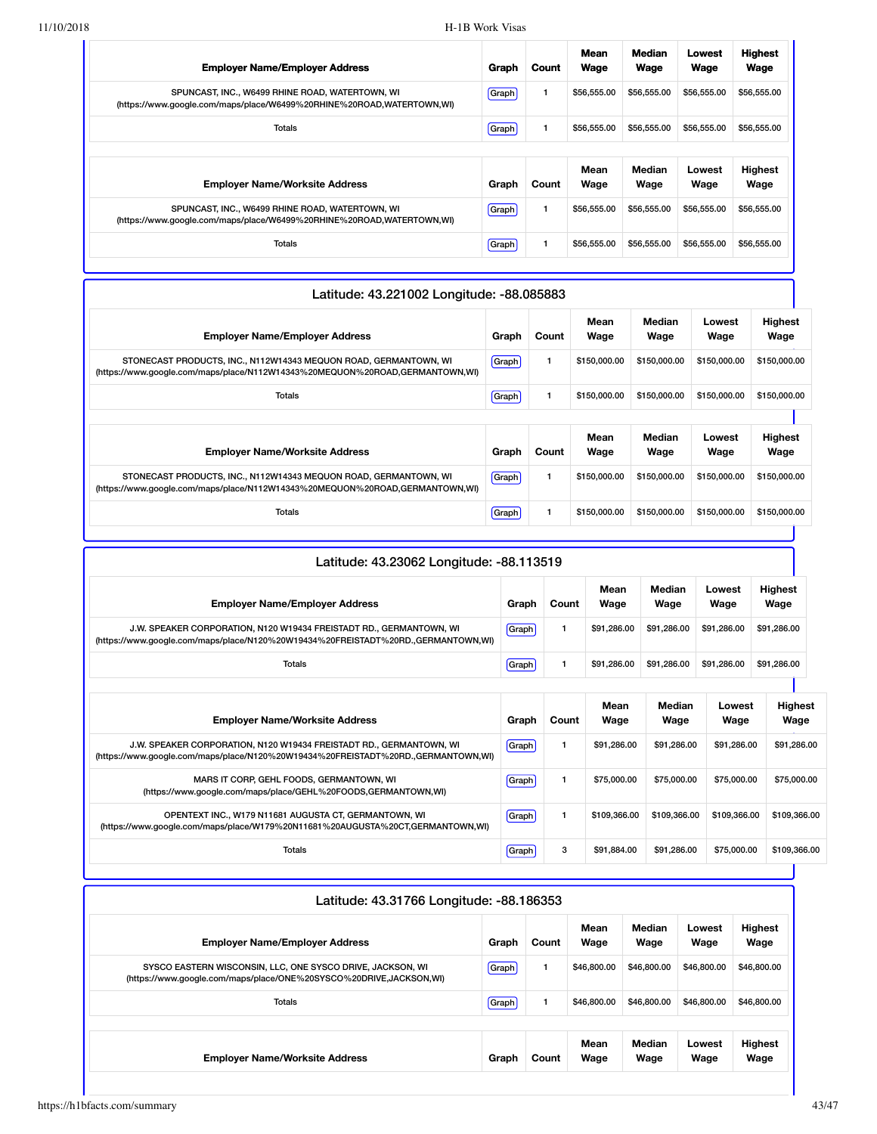| <b>Employer Name/Employer Address</b>                                                                                    | Graph        | Count        | <b>Mean</b><br>Wage | <b>Median</b><br>Wage | Lowest<br>Wage | <b>Highest</b><br>Wage |
|--------------------------------------------------------------------------------------------------------------------------|--------------|--------------|---------------------|-----------------------|----------------|------------------------|
| SPUNCAST, INC., W6499 RHINE ROAD, WATERTOWN, WI<br>(https://www.google.com/maps/place/W6499%20RHINE%20ROAD,WATERTOWN,WI) | Graph        | 1            | \$56,555.00         | \$56,555.00           | \$56,555.00    | \$56,555.00            |
| Totals                                                                                                                   | <b>Graph</b> | $\mathbf{1}$ | \$56,555.00         | \$56,555.00           | \$56,555.00    | \$56,555.00            |
|                                                                                                                          |              |              |                     |                       |                |                        |
|                                                                                                                          |              |              | Mean                | Median                | Lowest         |                        |
| <b>Employer Name/Worksite Address</b>                                                                                    | Graph        | Count        | Wage                | Wage                  | Wage           | <b>Highest</b><br>Wage |
| SPUNCAST, INC., W6499 RHINE ROAD, WATERTOWN, WI<br>(https://www.google.com/maps/place/W6499%20RHINE%20ROAD,WATERTOWN,WI) | <b>Graph</b> |              | \$56,555.00         | \$56,555.00           | \$56,555.00    | \$56,555.00            |

| Mean<br>Median<br>Lowest<br>Wage<br><b>Employer Name/Employer Address</b><br>Count<br>Wage<br>Wage<br>Graph<br>1<br>Graph<br>\$150,000.00<br>\$150,000.00<br>\$150,000.00<br>STONECAST PRODUCTS, INC., N112W14343 MEQUON ROAD, GERMANTOWN, WI<br>(https://www.google.com/maps/place/N112W14343%20MEQUON%20ROAD,GERMANTOWN,WI) | Latitude: 43.221002 Longitude: -88.085883 |
|-------------------------------------------------------------------------------------------------------------------------------------------------------------------------------------------------------------------------------------------------------------------------------------------------------------------------------|-------------------------------------------|
|                                                                                                                                                                                                                                                                                                                               | <b>Highest</b><br>Wage                    |
|                                                                                                                                                                                                                                                                                                                               | \$150,000.00                              |
| \$150,000.00<br><b>Totals</b><br>\$150,000.00<br>\$150,000.00<br>Graph                                                                                                                                                                                                                                                        | \$150,000.00                              |
|                                                                                                                                                                                                                                                                                                                               |                                           |
| Mean<br>Median<br>Lowest<br><b>Employer Name/Worksite Address</b><br>Count<br>Wage<br>Wage<br>Wage<br>Graph                                                                                                                                                                                                                   | Highest<br>Wage                           |
| Graph<br>$\mathbf{1}$<br>\$150,000.00<br>\$150,000,00<br>STONECAST PRODUCTS, INC., N112W14343 MEQUON ROAD, GERMANTOWN, WI<br>\$150,000.00<br>(https://www.google.com/maps/place/N112W14343%20MEQUON%20ROAD,GERMANTOWN,WI)                                                                                                     | \$150,000.00                              |
| <b>Totals</b><br>\$150,000.00<br>\$150,000,00<br>\$150,000,00<br>Graph                                                                                                                                                                                                                                                        | \$150,000.00                              |

| Latitude: 43.23062 Longitude: -88.113519                                                                                                                 |       |       |              |                |                |                        |
|----------------------------------------------------------------------------------------------------------------------------------------------------------|-------|-------|--------------|----------------|----------------|------------------------|
| <b>Employer Name/Employer Address</b>                                                                                                                    | Graph | Count | Mean<br>Wage | Median<br>Wage | Lowest<br>Wage | <b>Highest</b><br>Wage |
| J.W. SPEAKER CORPORATION, N120 W19434 FREISTADT RD., GERMANTOWN, WI<br>(https://www.google.com/maps/place/N120%20W19434%20FREISTADT%20RD.,GERMANTOWN,WI) | Graph | 1     | \$91,286.00  | \$91,286,00    | \$91.286.00    | \$91.286.00            |
| Totals                                                                                                                                                   | Graph | 1     | \$91,286.00  | \$91.286.00    | \$91.286.00    | \$91,286.00            |
|                                                                                                                                                          |       |       |              |                |                |                        |
| <b>Employer Name/Worksite Address</b>                                                                                                                    | Graph | Count | Mean<br>Wage | Median<br>Wage | Lowest<br>Wage | <b>Highest</b><br>Wage |
| J.W. SPEAKER CORPORATION, N120 W19434 FREISTADT RD., GERMANTOWN, WI<br>(https://www.google.com/maps/place/N120%20W19434%20FREISTADT%20RD.,GERMANTOWN,WI) | Graph | 1     | \$91,286.00  | \$91,286,00    | \$91.286.00    | \$91,286.00            |
| MARS IT CORP, GEHL FOODS, GERMANTOWN, WI<br>(https://www.google.com/maps/place/GEHL%20FOODS,GERMANTOWN.WI)                                               | Graph | 1     | \$75,000.00  | \$75,000.00    | \$75,000,00    | \$75,000.00            |
| OPENTEXT INC., W179 N11681 AUGUSTA CT, GERMANTOWN, WI<br>(https://www.google.com/maps/place/W179%20N11681%20AUGUSTA%20CT,GERMANTOWN,WI)                  | Graph | 1     | \$109,366,00 | \$109.366.00   | \$109,366,00   | \$109,366.00           |
| <b>Totals</b>                                                                                                                                            | Graph | 3     | \$91,884.00  | \$91,286.00    | \$75,000.00    | \$109,366.00           |

| Latitude: 43.31766 Longitude: -88.186353                                                                                         |         |       |              |                |                |                        |
|----------------------------------------------------------------------------------------------------------------------------------|---------|-------|--------------|----------------|----------------|------------------------|
| <b>Employer Name/Employer Address</b>                                                                                            | Graph   | Count | Mean<br>Wage | Median<br>Wage | Lowest<br>Wage | <b>Highest</b><br>Wage |
| SYSCO EASTERN WISCONSIN, LLC, ONE SYSCO DRIVE, JACKSON, WI<br>(https://www.qoogle.com/maps/place/ONE%20SYSCO%20DRIVE,JACKSON,WI) | [Graph] |       | \$46,800,00  | \$46,800,00    | \$46,800,00    | \$46,800.00            |
| <b>Totals</b>                                                                                                                    | [Graph] |       | \$46,800,00  | \$46,800,00    | \$46,800,00    | \$46,800.00            |
| <b>Employer Name/Worksite Address</b>                                                                                            | Graph   | Count | Mean<br>Wage | Median<br>Wage | Lowest<br>Wage | <b>Highest</b><br>Wage |

ı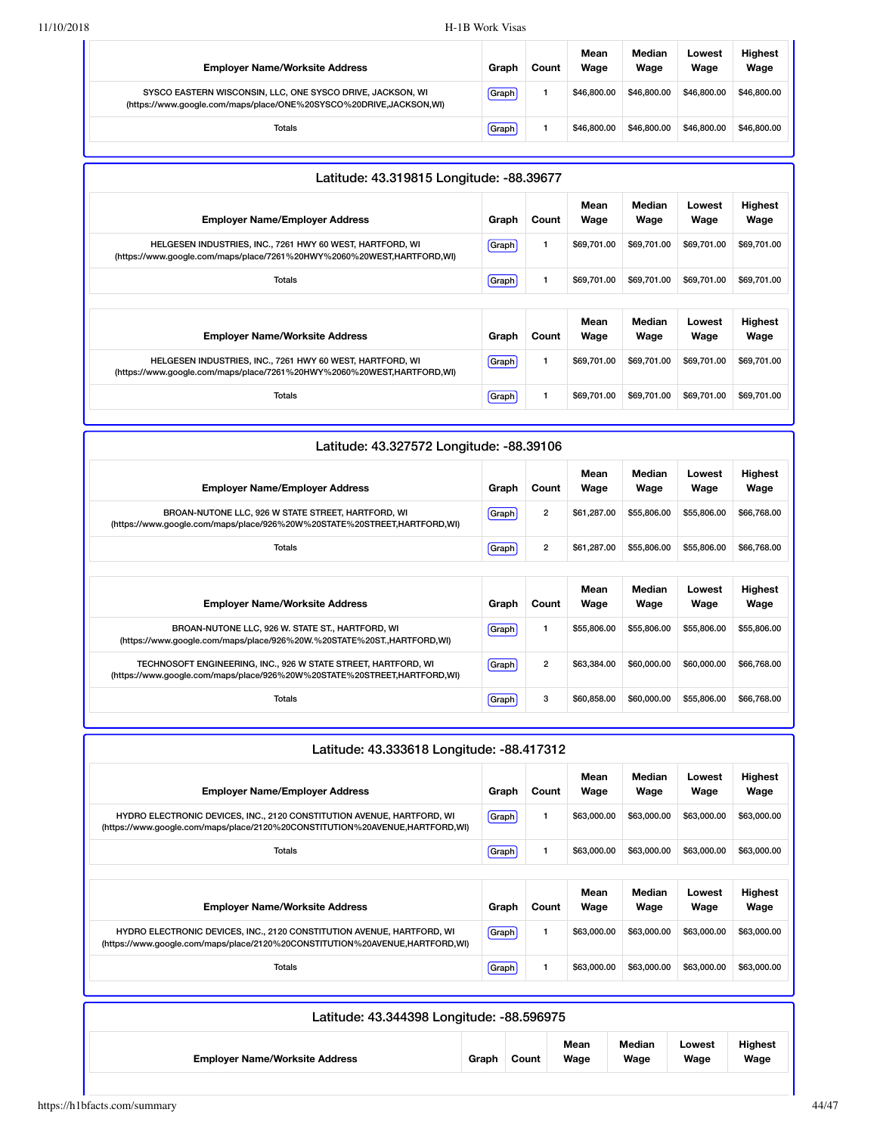| <b>Employer Name/Worksite Address</b>                                                                                            | Graph | Count | Mean<br>Wage | Median<br>Wage | Lowest<br>Wage | <b>Highest</b><br>Wage |
|----------------------------------------------------------------------------------------------------------------------------------|-------|-------|--------------|----------------|----------------|------------------------|
| SYSCO EASTERN WISCONSIN, LLC, ONE SYSCO DRIVE, JACKSON, WI<br>(https://www.qoogle.com/maps/place/ONE%20SYSCO%20DRIVE,JACKSON,WI) | Graph |       | \$46,800,00  | \$46,800,00    | \$46,800,00    | \$46,800,00            |
| <b>Totals</b>                                                                                                                    | Graph |       | \$46,800,00  | \$46,800,00    | \$46,800,00    | \$46,800.00            |

| Graph        | Count        | Mean<br>Wage                             | Median<br>Wage | Lowest<br>Wage | <b>Highest</b><br>Wage |
|--------------|--------------|------------------------------------------|----------------|----------------|------------------------|
| <b>Graph</b> | $\mathbf{1}$ | \$69,701.00                              | \$69,701.00    | \$69,701.00    | \$69,701.00            |
| Graph        | $\mathbf{1}$ | \$69,701.00                              | \$69.701.00    | \$69,701.00    | \$69,701.00            |
|              |              |                                          |                |                |                        |
| Graph        | Count        | Wage                                     | Wage           | Lowest<br>Wage | <b>Highest</b><br>Wage |
| Graph        |              | \$69,701.00                              | \$69,701.00    | \$69,701.00    | \$69,701.00            |
| <b>Graph</b> | $\mathbf{1}$ | \$69,701.00                              | \$69,701.00    | \$69,701.00    | \$69,701.00            |
|              |              | Latitude: 43.319815 Longitude: -88.39677 | Mean           | Median         |                        |

| Latitude: 43.327572 Longitude: -88.39106                                                                                                     |              |                |              |                |                |                 |
|----------------------------------------------------------------------------------------------------------------------------------------------|--------------|----------------|--------------|----------------|----------------|-----------------|
| <b>Employer Name/Employer Address</b>                                                                                                        | Graph        | Count          | Mean<br>Wage | Median<br>Wage | Lowest<br>Wage | Highest<br>Wage |
| BROAN-NUTONE LLC, 926 W STATE STREET, HARTFORD, WI<br>(https://www.google.com/maps/place/926%20W%20STATE%20STREET,HARTFORD,WI)               | <b>Graph</b> | $\overline{2}$ | \$61,287.00  | \$55,806.00    | \$55,806.00    | \$66,768.00     |
| <b>Totals</b>                                                                                                                                | Graph        | $\overline{2}$ | \$61,287.00  | \$55,806,00    | \$55,806.00    | \$66,768.00     |
|                                                                                                                                              |              |                |              |                |                |                 |
|                                                                                                                                              |              |                |              |                |                |                 |
| <b>Employer Name/Worksite Address</b>                                                                                                        | Graph        | Count          | Mean<br>Wage | Median<br>Wage | Lowest<br>Wage | Highest<br>Wage |
| BROAN-NUTONE LLC, 926 W. STATE ST., HARTFORD, WI<br>(https://www.google.com/maps/place/926%20W.%20STATE%20ST., HARTFORD, WI)                 | Graph        | 1              | \$55,806,00  | \$55,806.00    | \$55,806.00    | \$55,806.00     |
| TECHNOSOFT ENGINEERING, INC., 926 W STATE STREET, HARTFORD, WI<br>(https://www.google.com/maps/place/926%20W%20STATE%20STREET, HARTFORD, WI) | Graph        | $\overline{2}$ | \$63,384,00  | \$60,000,00    | \$60,000,00    | \$66,768.00     |

| Latitude: 43.333618 Longitude: -88.417312                                                                                                              |              |       |              |                |                |                        |
|--------------------------------------------------------------------------------------------------------------------------------------------------------|--------------|-------|--------------|----------------|----------------|------------------------|
| <b>Employer Name/Employer Address</b>                                                                                                                  | Graph        | Count | Mean<br>Wage | Median<br>Wage | Lowest<br>Wage | <b>Highest</b><br>Wage |
| HYDRO ELECTRONIC DEVICES, INC., 2120 CONSTITUTION AVENUE, HARTFORD, WI<br>(https://www.google.com/maps/place/2120%20CONSTITUTION%20AVENUE,HARTFORD,WI) | Graph        | 1     | \$63,000.00  | \$63,000.00    | \$63,000.00    | \$63,000.00            |
| Totals                                                                                                                                                 | Graph        | 1     | \$63,000,00  | \$63,000.00    | \$63,000.00    | \$63,000.00            |
|                                                                                                                                                        |              |       |              |                |                |                        |
| <b>Employer Name/Worksite Address</b>                                                                                                                  | Graph        | Count | Mean<br>Wage | Median<br>Wage | Lowest<br>Wage | <b>Highest</b><br>Wage |
| HYDRO ELECTRONIC DEVICES, INC., 2120 CONSTITUTION AVENUE, HARTFORD, WI<br>(https://www.google.com/maps/place/2120%20CONSTITUTION%20AVENUE,HARTFORD,WI) | <b>Graph</b> | 1     | \$63,000,00  | \$63,000.00    | \$63,000.00    | \$63,000.00            |
| <b>Totals</b>                                                                                                                                          | Graph        | 1     | \$63,000.00  | \$63,000.00    | \$63,000.00    | \$63,000.00            |
|                                                                                                                                                        |              |       |              |                |                |                        |

| Latitude: 43.344398 Longitude: -88.596975 |       |       |              |                |                |                        |
|-------------------------------------------|-------|-------|--------------|----------------|----------------|------------------------|
| <b>Employer Name/Worksite Address</b>     | Graph | Count | Mean<br>Wage | Median<br>Wage | Lowest<br>Wage | <b>Highest</b><br>Wage |

ı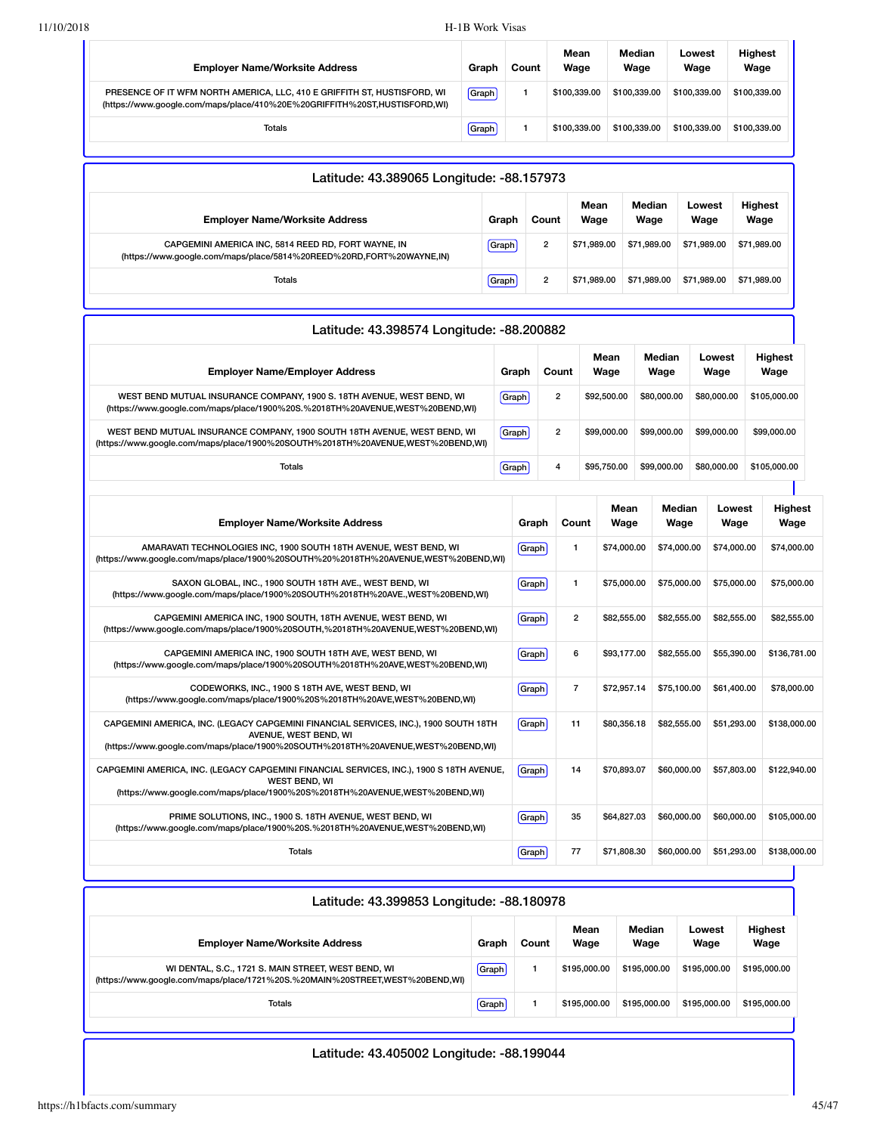| <b>Employer Name/Worksite Address</b>                                                                                                                 | Graph | Count | Mean<br>Wage | Median<br>Wage | Lowest<br>Wage | <b>Highest</b><br>Wage |
|-------------------------------------------------------------------------------------------------------------------------------------------------------|-------|-------|--------------|----------------|----------------|------------------------|
| PRESENCE OF IT WFM NORTH AMERICA, LLC, 410 E GRIFFITH ST, HUSTISFORD, WI<br>(https://www.qoogle.com/maps/place/410%20E%20GRIFFITH%20ST,HUSTISFORD,WI) | Graph |       | \$100.339.00 | \$100.339.00   | \$100.339.00   | \$100.339.00           |
| Totals                                                                                                                                                | Graph |       | \$100.339.00 | \$100.339.00   | \$100.339.00   | \$100,339,00           |

| Latitude: 43.389065 Longitude: -88.157973                                                                                   |       |                |              |                |                |                        |  |  |
|-----------------------------------------------------------------------------------------------------------------------------|-------|----------------|--------------|----------------|----------------|------------------------|--|--|
| <b>Employer Name/Worksite Address</b>                                                                                       | Graph | Count          | Mean<br>Wage | Median<br>Wage | Lowest<br>Wage | <b>Highest</b><br>Wage |  |  |
| CAPGEMINI AMERICA INC, 5814 REED RD, FORT WAYNE, IN<br>(https://www.google.com/maps/place/5814%20REED%20RD,FORT%20WAYNE,IN) | Graph | $\overline{2}$ | \$71.989.00  | \$71.989.00    | \$71.989.00    | \$71,989.00            |  |  |
| <b>Totals</b>                                                                                                               | Graph | $\overline{2}$ | \$71.989.00  | \$71.989.00    | \$71.989.00    | \$71,989.00            |  |  |

| Latitude: 43.398574 Longitude: -88.200882                                                                                                                                                        |       |       |                |              |                |                |                |                        |
|--------------------------------------------------------------------------------------------------------------------------------------------------------------------------------------------------|-------|-------|----------------|--------------|----------------|----------------|----------------|------------------------|
| <b>Employer Name/Employer Address</b>                                                                                                                                                            | Graph |       | Count          | Mean<br>Wage | Median<br>Wage | Lowest<br>Wage |                | <b>Highest</b><br>Wage |
| WEST BEND MUTUAL INSURANCE COMPANY, 1900 S. 18TH AVENUE, WEST BEND, WI<br>(https://www.google.com/maps/place/1900%20S.%2018TH%20AVENUE,WEST%20BEND,WI)                                           | Graph |       | 2              | \$92,500.00  | \$80,000.00    | \$80,000,00    |                | \$105,000.00           |
| WEST BEND MUTUAL INSURANCE COMPANY, 1900 SOUTH 18TH AVENUE, WEST BEND, WI<br>(https://www.google.com/maps/place/1900%20SOUTH%2018TH%20AVENUE,WEST%20BEND,WI)                                     | Graph |       | $\overline{2}$ | \$99,000.00  | \$99,000.00    | \$99,000.00    |                | \$99,000.00            |
| <b>Totals</b>                                                                                                                                                                                    | Graph | 4     |                | \$95,750.00  | \$99,000.00    | \$80,000,00    |                | \$105,000.00           |
| <b>Employer Name/Worksite Address</b>                                                                                                                                                            |       | Graph | Count          | Mean<br>Wage | Median<br>Wage |                | Lowest<br>Wage | <b>Highest</b><br>Wage |
| AMARAVATI TECHNOLOGIES INC, 1900 SOUTH 18TH AVENUE, WEST BEND, WI<br>(https://www.google.com/maps/place/1900%20SOUTH%20%2018TH%20AVENUE,WEST%20BEND,WI)                                          |       | Graph | 1              | \$74,000.00  | \$74,000.00    |                | \$74,000.00    | \$74,000.00            |
| SAXON GLOBAL, INC., 1900 SOUTH 18TH AVE., WEST BEND, WI<br>(https://www.google.com/maps/place/1900%20SOUTH%2018TH%20AVE.,WEST%20BEND,WI)                                                         |       | Graph | 1              | \$75,000.00  | \$75,000.00    |                | \$75,000.00    | \$75,000.00            |
| CAPGEMINI AMERICA INC, 1900 SOUTH, 18TH AVENUE, WEST BEND, WI<br>(https://www.google.com/maps/place/1900%20SOUTH,%2018TH%20AVENUE,WEST%20BEND,WI)                                                |       | Graph | $\overline{2}$ | \$82,555.00  | \$82,555.00    |                | \$82,555.00    | \$82,555.00            |
| CAPGEMINI AMERICA INC, 1900 SOUTH 18TH AVE, WEST BEND, WI<br>(https://www.google.com/maps/place/1900%20SOUTH%2018TH%20AVE,WEST%20BEND,WI)                                                        |       | Graph | 6              | \$93,177,00  | \$82,555.00    |                | \$55,390.00    | \$136.781.00           |
| CODEWORKS, INC., 1900 S 18TH AVE, WEST BEND, WI<br>(https://www.google.com/maps/place/1900%20S%2018TH%20AVE,WEST%20BEND,WI)                                                                      |       | Graph | $\overline{7}$ | \$72,957.14  | \$75,100.00    |                | \$61,400.00    | \$78,000.00            |
| CAPGEMINI AMERICA, INC. (LEGACY CAPGEMINI FINANCIAL SERVICES, INC.), 1900 SOUTH 18TH<br>AVENUE, WEST BEND, WI<br>(https://www.google.com/maps/place/1900%20SOUTH%2018TH%20AVENUE,WEST%20BEND,WI) |       | Graph | 11             | \$80,356.18  | \$82,555.00    |                | \$51,293.00    | \$138,000.00           |
| CAPGEMINI AMERICA, INC. (LEGACY CAPGEMINI FINANCIAL SERVICES, INC.), 1900 S 18TH AVENUE,<br><b>WEST BEND, WI</b><br>(https://www.google.com/maps/place/1900%20S%2018TH%20AVENUE,WEST%20BEND,WI)  |       | Graph | 14             | \$70,893.07  | \$60,000.00    |                | \$57,803.00    | \$122,940.00           |
| PRIME SOLUTIONS, INC., 1900 S. 18TH AVENUE, WEST BEND, WI<br>(https://www.google.com/maps/place/1900%20S.%2018TH%20AVENUE,WEST%20BEND,WI)                                                        |       | Graph | 35             | \$64,827.03  | \$60,000.00    |                | \$60,000.00    | \$105,000.00           |
| <b>Totals</b>                                                                                                                                                                                    |       | Graph | 77             | \$71,808.30  | \$60,000.00    |                | \$51,293.00    | \$138,000.00           |

| Latitude: 43.399853 Longitude: -88.180978                                                                                           |       |       |              |                |                |                        |  |  |  |  |
|-------------------------------------------------------------------------------------------------------------------------------------|-------|-------|--------------|----------------|----------------|------------------------|--|--|--|--|
| <b>Employer Name/Worksite Address</b>                                                                                               | Graph | Count | Mean<br>Wage | Median<br>Wage | Lowest<br>Wage | <b>Highest</b><br>Wage |  |  |  |  |
| WI DENTAL, S.C., 1721 S. MAIN STREET, WEST BEND, WI<br>(https://www.google.com/maps/place/1721%20S.%20MAIN%20STREET,WEST%20BEND,WI) | Graph |       | \$195,000,00 | \$195,000.00   | \$195,000.00   | \$195,000.00           |  |  |  |  |
| Totals                                                                                                                              | Graph |       | \$195,000,00 | \$195,000.00   | \$195,000.00   | \$195,000.00           |  |  |  |  |
|                                                                                                                                     |       |       |              |                |                |                        |  |  |  |  |

### Latitude: 43.405002 Longitude: -88.199044

٦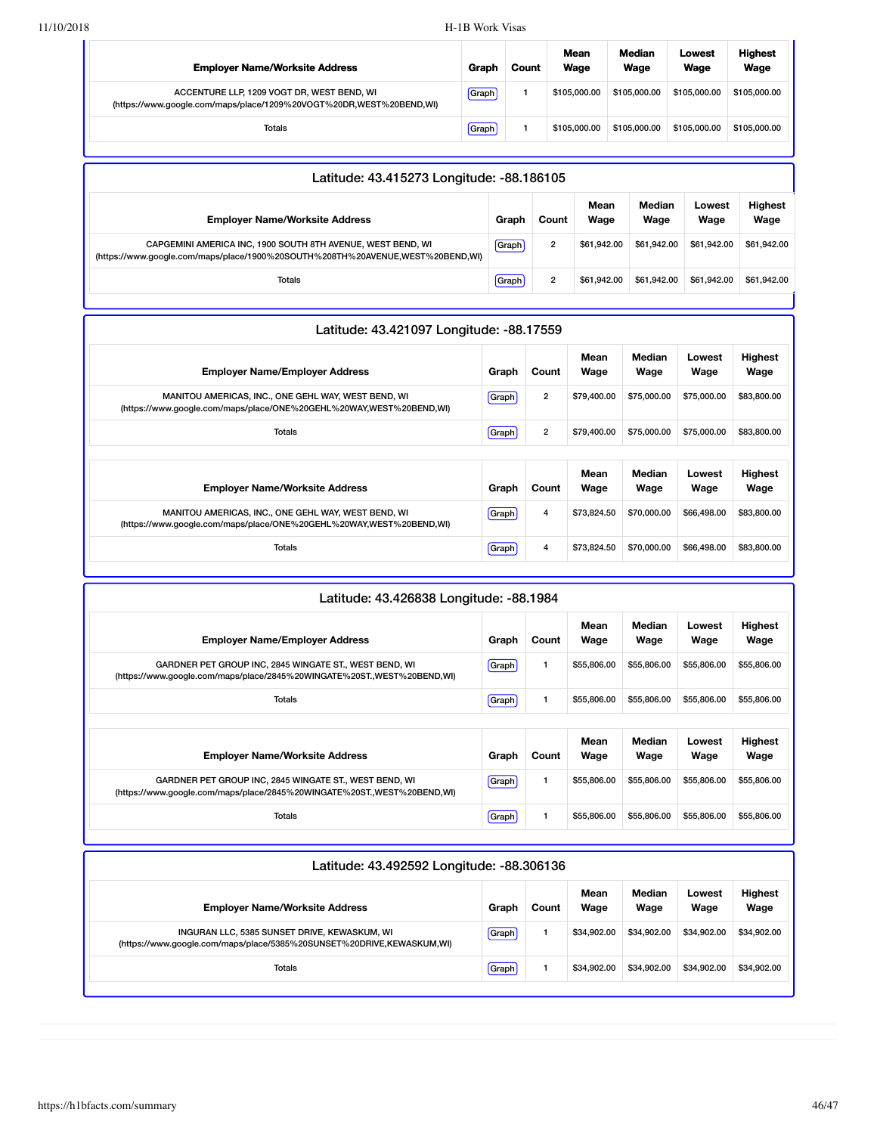| <b>Employer Name/Worksite Address</b>                                                                             | Graph | Count | Mean<br>Wage | Median<br>Wage | Lowest<br>Wage | <b>Highest</b><br>Wage |
|-------------------------------------------------------------------------------------------------------------------|-------|-------|--------------|----------------|----------------|------------------------|
| ACCENTURE LLP, 1209 VOGT DR, WEST BEND, WI<br>(https://www.google.com/maps/place/1209%20VOGT%20DR.WEST%20BEND.WI) | Graph |       | \$105,000,00 | \$105,000,00   | \$105,000,00   | \$105,000.00           |
| <b>Totals</b>                                                                                                     | Graph |       | \$105,000,00 | \$105,000,00   | \$105,000.00   | \$105,000.00           |

| Latitude: 43.415273 Longitude: -88.186105                                                                                                                                |              |                |                |                        |  |  |  |  |
|--------------------------------------------------------------------------------------------------------------------------------------------------------------------------|--------------|----------------|----------------|------------------------|--|--|--|--|
| <b>Employer Name/Worksite Address</b><br>Count<br>Graph                                                                                                                  | Mean<br>Wage | Median<br>Wage | Lowest<br>Wage | <b>Highest</b><br>Wage |  |  |  |  |
| Graph<br>$\overline{2}$<br>CAPGEMINI AMERICA INC, 1900 SOUTH 8TH AVENUE, WEST BEND, WI<br>(https://www.google.com/maps/place/1900%20SOUTH%208TH%20AVENUE,WEST%20BEND,WI) | \$61.942.00  | \$61.942.00    | \$61.942.00    | \$61,942.00            |  |  |  |  |
| Graph<br>$\overline{2}$<br>Totals                                                                                                                                        | \$61.942.00  | \$61.942.00    | \$61.942.00    | \$61.942.00            |  |  |  |  |

| Latitude: 43.421097 Longitude: -88.17559                                                                                   |              |                |              |                |                |                        |
|----------------------------------------------------------------------------------------------------------------------------|--------------|----------------|--------------|----------------|----------------|------------------------|
| <b>Employer Name/Employer Address</b>                                                                                      | Graph        | Count          | Mean<br>Wage | Median<br>Wage | Lowest<br>Wage | Highest<br>Wage        |
| MANITOU AMERICAS, INC., ONE GEHL WAY, WEST BEND, WI<br>(https://www.google.com/maps/place/ONE%20GEHL%20WAY,WEST%20BEND,WI) | <b>Graph</b> | $\overline{2}$ | \$79,400.00  | \$75,000.00    | \$75,000.00    | \$83,800.00            |
| Totals                                                                                                                     | [Graph]      | $\overline{2}$ | \$79,400.00  | \$75,000.00    | \$75,000.00    | \$83,800.00            |
| <b>Employer Name/Worksite Address</b>                                                                                      | Graph        | Count          | Mean<br>Wage | Median<br>Wage | Lowest<br>Wage | <b>Highest</b><br>Wage |
| MANITOU AMERICAS, INC., ONE GEHL WAY, WEST BEND, WI<br>(https://www.google.com/maps/place/ONE%20GEHL%20WAY,WEST%20BEND,WI) | <b>Graph</b> | 4              | \$73,824.50  | \$70,000.00    | \$66,498.00    | \$83,800.00            |
| <b>Totals</b>                                                                                                              | Graph        | 4              | \$73,824.50  | \$70,000.00    | \$66,498.00    | \$83,800.00            |

| Latitude: 43.426838 Longitude: -88.1984                                                                                           |       |       |              |                |                |                        |  |  |  |
|-----------------------------------------------------------------------------------------------------------------------------------|-------|-------|--------------|----------------|----------------|------------------------|--|--|--|
| <b>Employer Name/Employer Address</b>                                                                                             | Graph | Count | Mean<br>Wage | Median<br>Wage | Lowest<br>Wage | Highest<br>Wage        |  |  |  |
| GARDNER PET GROUP INC, 2845 WINGATE ST., WEST BEND, WI<br>(https://www.google.com/maps/place/2845%20WINGATE%20ST.,WEST%20BEND,WI) | Graph | 1     | \$55,806.00  | \$55,806.00    | \$55,806.00    | \$55,806.00            |  |  |  |
| Totals                                                                                                                            | Graph | 1     | \$55,806.00  | \$55,806.00    | \$55,806.00    | \$55,806.00            |  |  |  |
| <b>Employer Name/Worksite Address</b>                                                                                             | Graph | Count | Mean<br>Wage | Median<br>Wage | Lowest<br>Wage | <b>Highest</b><br>Wage |  |  |  |
| GARDNER PET GROUP INC, 2845 WINGATE ST., WEST BEND, WI<br>(https://www.google.com/maps/place/2845%20WINGATE%20ST.,WEST%20BEND,WI) | Graph | 1     | \$55,806.00  | \$55,806.00    | \$55,806.00    | \$55,806.00            |  |  |  |
| Totals                                                                                                                            | Graph | 1     | \$55,806.00  | \$55,806.00    | \$55,806.00    | \$55,806.00            |  |  |  |

| Latitude: 43.492592 Longitude: -88.306136                                                                             |       |       |              |                |                |                        |  |  |  |
|-----------------------------------------------------------------------------------------------------------------------|-------|-------|--------------|----------------|----------------|------------------------|--|--|--|
| <b>Employer Name/Worksite Address</b>                                                                                 | Graph | Count | Mean<br>Wage | Median<br>Wage | Lowest<br>Wage | <b>Highest</b><br>Wage |  |  |  |
| INGURAN LLC, 5385 SUNSET DRIVE, KEWASKUM, WI<br>(https://www.google.com/maps/place/5385%20SUNSET%20DRIVE,KEWASKUM,WI) | Graph |       | \$34.902.00  | \$34,902.00    | \$34,902.00    | \$34.902.00            |  |  |  |
| Totals                                                                                                                | Graph |       | \$34.902.00  | \$34,902.00    | \$34,902.00    | \$34.902.00            |  |  |  |
|                                                                                                                       |       |       |              |                |                |                        |  |  |  |